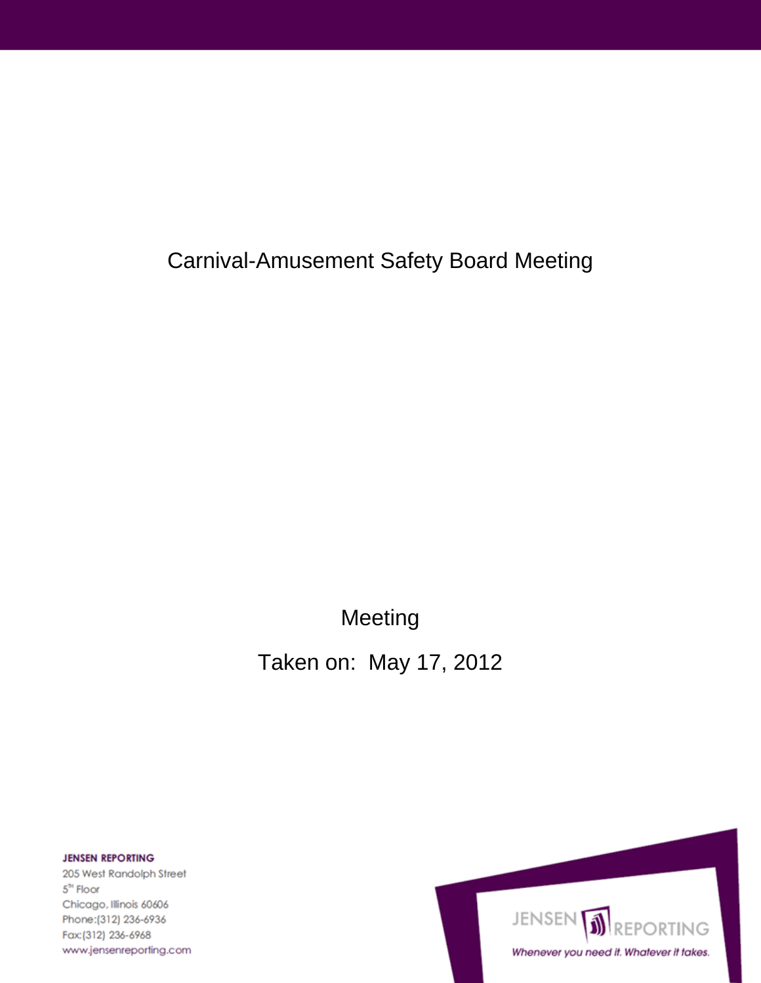**Carnival-Amusement Safety Board Meeting** 

Meeting

Taken on: May 17, 2012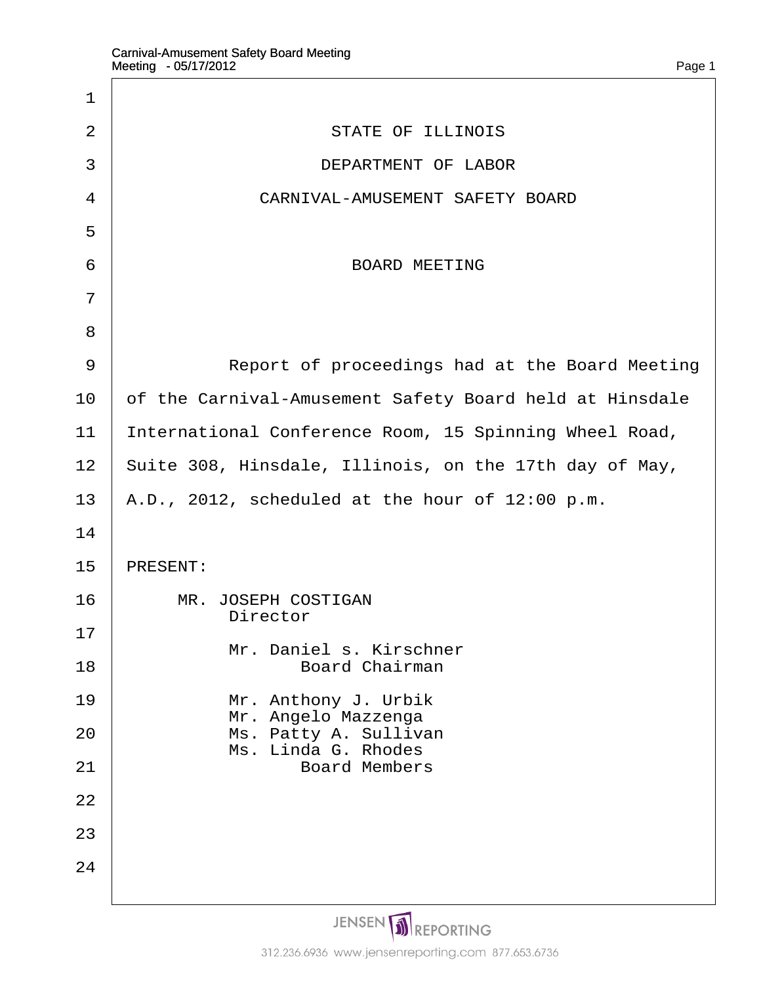$\Gamma$ 

| 1              |                                                         |
|----------------|---------------------------------------------------------|
| 2              | <b>STATE OF ILLINOIS</b>                                |
| 3              | <b>DEPARTMENT OF LABOR</b>                              |
| 4              | CARNIVAL-AMUSEMENT SAFETY BOARD                         |
| 5              |                                                         |
| 6              | <b>BOARD MEETING</b>                                    |
| $\overline{7}$ |                                                         |
| 8              |                                                         |
| 9              | Report of proceedings had at the Board Meeting          |
| 10             | of the Carnival-Amusement Safety Board held at Hinsdale |
| 11             | International Conference Room, 15 Spinning Wheel Road,  |
| 12             | Suite 308, Hinsdale, Illinois, on the 17th day of May,  |
| 13             | A.D., 2012, scheduled at the hour of 12:00 p.m.         |
| 14             |                                                         |
| 15             | <b>PRESENT:</b>                                         |
| 16             | <b>MR. JOSEPH COSTIGAN</b><br><b>Director</b>           |
| 17             | Mr. Daniel s. Kirschner                                 |
| 18             | <b>Board Chairman</b>                                   |
| 19             | Mr. Anthony J. Urbik<br>Mr. Angelo Mazzenga             |
| 20             | Ms. Patty A. Sullivan<br>Ms. Linda G. Rhodes            |
| 21             | <b>Board Members</b>                                    |
| 22             |                                                         |
| 23             |                                                         |
| 24             |                                                         |
|                |                                                         |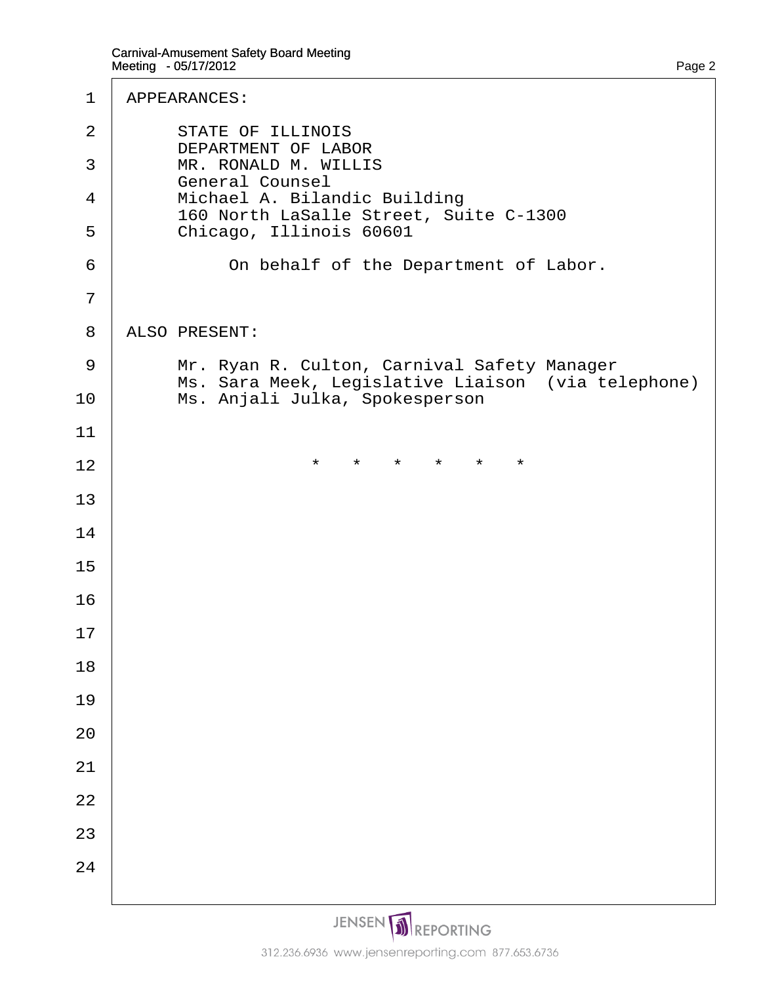| 1              | <b>APPEARANCES:</b>                                                                               |
|----------------|---------------------------------------------------------------------------------------------------|
| 2              | <b>STATE OF ILLINOIS</b><br>DEPARTMENT OF LABOR                                                   |
| 3              | <b>MR. RONALD M. WILLIS</b><br><b>General Counsel</b>                                             |
| 4              | Michael A. Bilandic Building<br>160 North LaSalle Street, Suite C-1300                            |
| 5              | Chicago, Illinois 60601                                                                           |
| 6              | On behalf of the Department of Labor.                                                             |
| $\overline{7}$ |                                                                                                   |
| 8              | <b>ALSO PRESENT:</b>                                                                              |
| 9              | Mr. Ryan R. Culton, Carnival Safety Manager<br>Ms. Sara Meek, Legislative Liaison (via telephone) |
| 10             | Ms. Anjali Julka, Spokesperson                                                                    |
| 11             |                                                                                                   |
| 12             | $\star$ $\star$<br>$\star$<br>$\star$<br>$\star$<br>$^\star$                                      |
| 13             |                                                                                                   |
| 14             |                                                                                                   |
| 15             |                                                                                                   |
| 16             |                                                                                                   |
| 17             |                                                                                                   |
| 18             |                                                                                                   |
| 19             |                                                                                                   |
| 20             |                                                                                                   |
| 21             |                                                                                                   |
| 22             |                                                                                                   |
| 23             |                                                                                                   |
| 24             |                                                                                                   |
|                |                                                                                                   |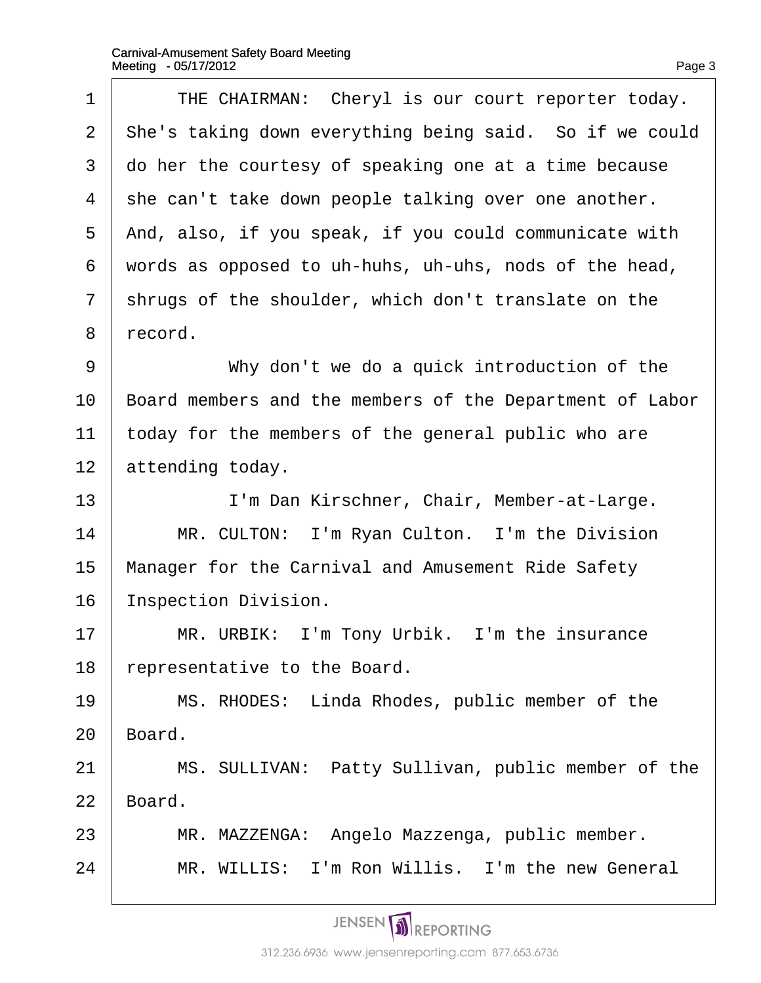$\Gamma$ 

| 1              | THE CHAIRMAN: Cheryl is our court reporter today.        |
|----------------|----------------------------------------------------------|
| $\overline{2}$ | She's taking down everything being said. So if we could  |
| 3              | do her the courtesy of speaking one at a time because    |
| 4              | she can't take down people talking over one another.     |
| 5              | And, also, if you speak, if you could communicate with   |
| 6              | words as opposed to uh-huhs, uh-uhs, nods of the head,   |
| $\overline{7}$ | shrugs of the shoulder, which don't translate on the     |
| 8              | record.                                                  |
| 9              | Why don't we do a quick introduction of the              |
| 10             | Board members and the members of the Department of Labor |
| 11             | today for the members of the general public who are      |
| 12             | attending today.                                         |
| 13             | I'm Dan Kirschner, Chair, Member-at-Large.               |
| 14             | MR. CULTON: I'm Ryan Culton. I'm the Division            |
| 15             | Manager for the Carnival and Amusement Ride Safety       |
| 16             | <b>Inspection Division.</b>                              |
| 17             | MR. URBIK: I'm Tony Urbik. I'm the insurance             |
| 18             | representative to the Board.                             |
| 19             | MS. RHODES: Linda Rhodes, public member of the           |
| 20             | Board.                                                   |
| 21             | MS. SULLIVAN: Patty Sullivan, public member of the       |
| 22             | Board.                                                   |
| 23             | MR. MAZZENGA: Angelo Mazzenga, public member.            |
| 24             | MR. WILLIS: I'm Ron Willis. I'm the new General          |
|                |                                                          |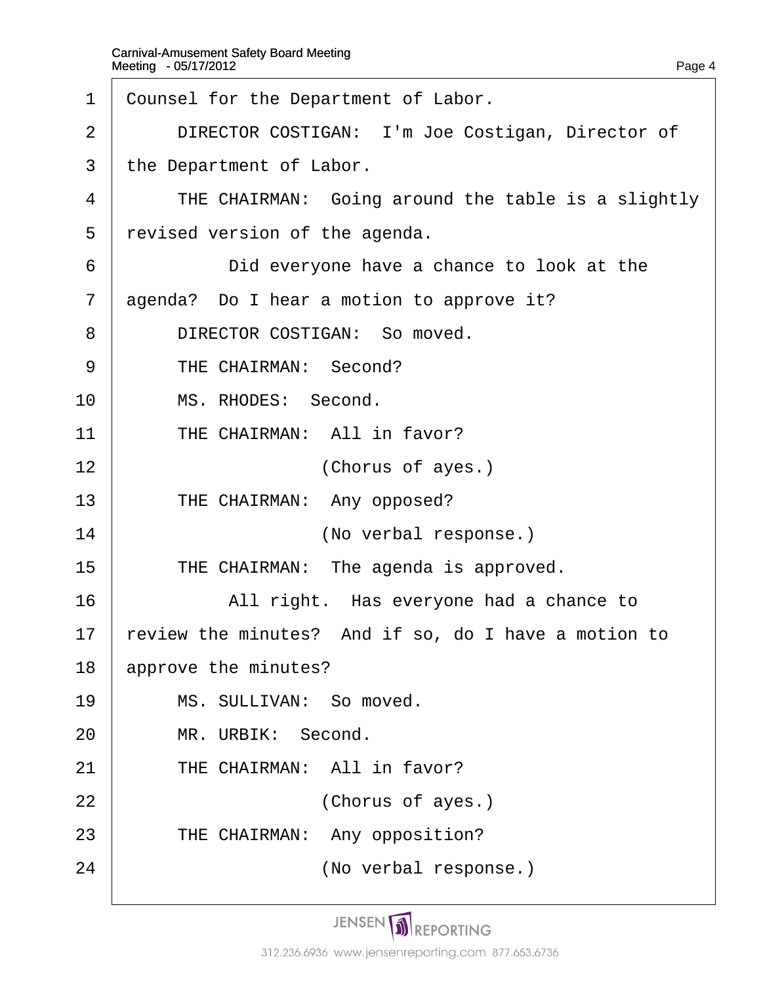| $\mathbf 1$    | Counsel for the Department of Labor.                 |
|----------------|------------------------------------------------------|
| $\overline{2}$ | DIRECTOR COSTIGAN: I'm Joe Costigan, Director of     |
| 3              | the Department of Labor.                             |
| 4              | THE CHAIRMAN: Going around the table is a slightly   |
| 5              | revised version of the agenda.                       |
| 6              | Did everyone have a chance to look at the            |
| 7              | agenda? Do I hear a motion to approve it?            |
| 8              | DIRECTOR COSTIGAN: So moved.                         |
| 9              | THE CHAIRMAN: Second?                                |
| 10             | MS. RHODES: Second.                                  |
| 11             | THE CHAIRMAN: All in favor?                          |
| 12             | (Chorus of ayes.)                                    |
| 13             | THE CHAIRMAN: Any opposed?                           |
| 14             | (No verbal response.)                                |
| 15             | THE CHAIRMAN: The agenda is approved.                |
| 16             | All right. Has everyone had a chance to              |
| 17             | review the minutes? And if so, do I have a motion to |
| 18             | approve the minutes?                                 |
| 19             | MS. SULLIVAN: So moved.                              |
| 20             | MR. URBIK: Second.                                   |
| 21             | THE CHAIRMAN: All in favor?                          |
| 22             | (Chorus of ayes.)                                    |
| 23             | THE CHAIRMAN: Any opposition?                        |
| 24             | (No verbal response.)                                |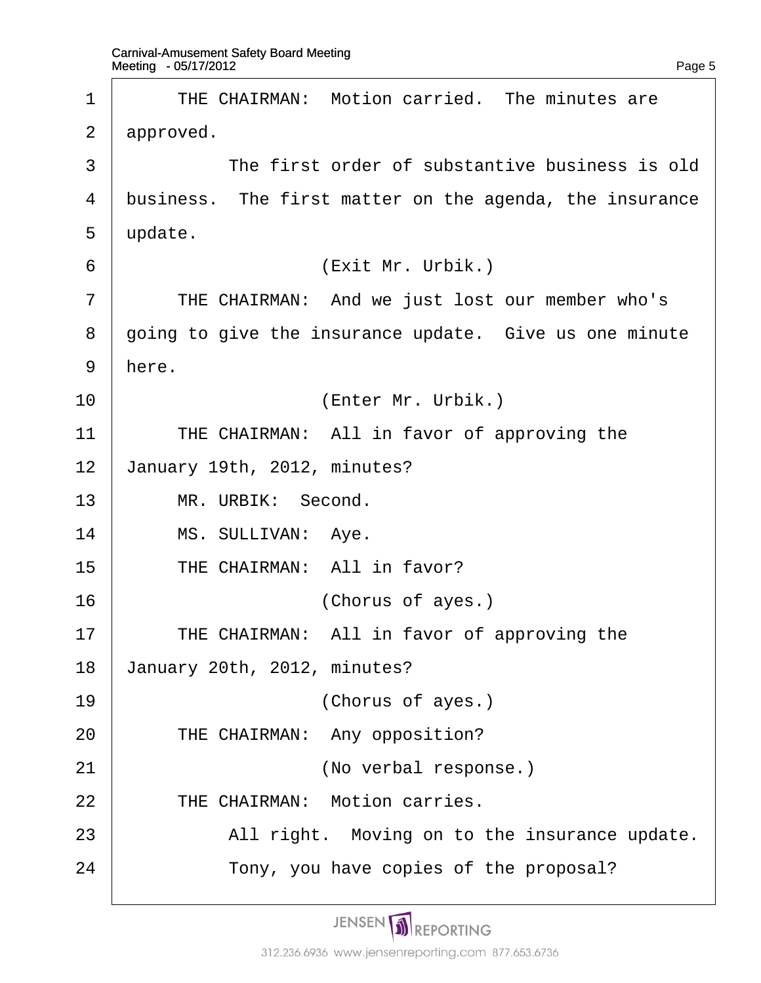| 1  | THE CHAIRMAN: Motion carried. The minutes are           |
|----|---------------------------------------------------------|
| 2  | approved.                                               |
| 3  | The first order of substantive business is old          |
| 4  | business. The first matter on the agenda, the insurance |
| 5  | update.                                                 |
| 6  | (Exit Mr. Urbik.)                                       |
| 7  | THE CHAIRMAN: And we just lost our member who's         |
| 8  | going to give the insurance update. Give us one minute  |
| 9  | here.                                                   |
| 10 | (Enter Mr. Urbik.)                                      |
| 11 | THE CHAIRMAN: All in favor of approving the             |
| 12 | January 19th, 2012, minutes?                            |
| 13 | MR. URBIK: Second.                                      |
| 14 | MS. SULLIVAN: Aye.                                      |
| 15 | THE CHAIRMAN: All in favor?                             |
| 16 | (Chorus of ayes.)                                       |
| 17 | THE CHAIRMAN: All in favor of approving the             |
| 18 | January 20th, 2012, minutes?                            |
| 19 | (Chorus of ayes.)                                       |
| 20 | THE CHAIRMAN: Any opposition?                           |
| 21 | (No verbal response.)                                   |
| 22 | THE CHAIRMAN: Motion carries.                           |
| 23 | All right. Moving on to the insurance update.           |
| 24 | Tony, you have copies of the proposal?                  |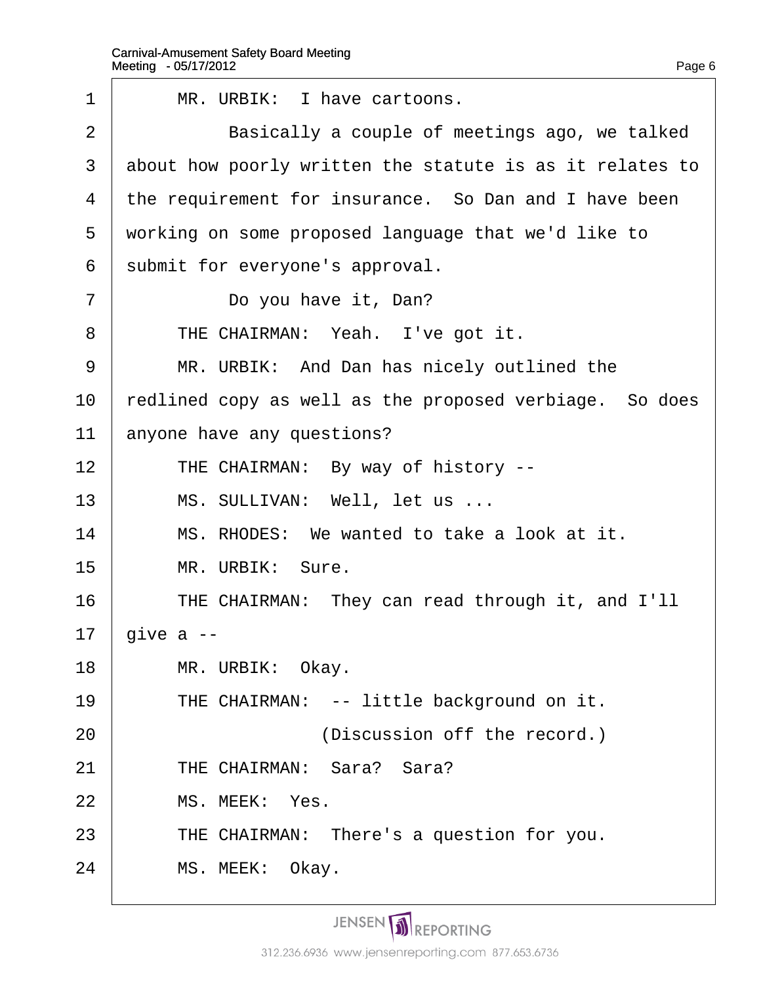| 1              | MR. URBIK: I have cartoons.                              |
|----------------|----------------------------------------------------------|
| $\overline{2}$ | Basically a couple of meetings ago, we talked            |
| 3              | about how poorly written the statute is as it relates to |
| 4              | the requirement for insurance. So Dan and I have been    |
| 5              | working on some proposed language that we'd like to      |
| 6              | submit for everyone's approval.                          |
| 7              | Do you have it, Dan?                                     |
| 8              | THE CHAIRMAN: Yeah. I've got it.                         |
| 9              | MR. URBIK: And Dan has nicely outlined the               |
| 10             | redlined copy as well as the proposed verbiage. So does  |
| 11             | anyone have any questions?                               |
| 12             | THE CHAIRMAN: By way of history --                       |
| 13             | MS. SULLIVAN: Well, let us                               |
| 14             | MS. RHODES: We wanted to take a look at it.              |
| 15             | MR. URBIK: Sure.                                         |
| 16             | THE CHAIRMAN: They can read through it, and I'll         |
| 17             | give $a -$                                               |
| 18             | MR. URBIK: Okay.                                         |
| 19             | THE CHAIRMAN: -- little background on it.                |
| 20             | (Discussion off the record.)                             |
| 21             | THE CHAIRMAN: Sara? Sara?                                |
| 22             | MS. MEEK: Yes.                                           |
| 23             | THE CHAIRMAN: There's a question for you.                |
| 24             | MS. MEEK: Okay.                                          |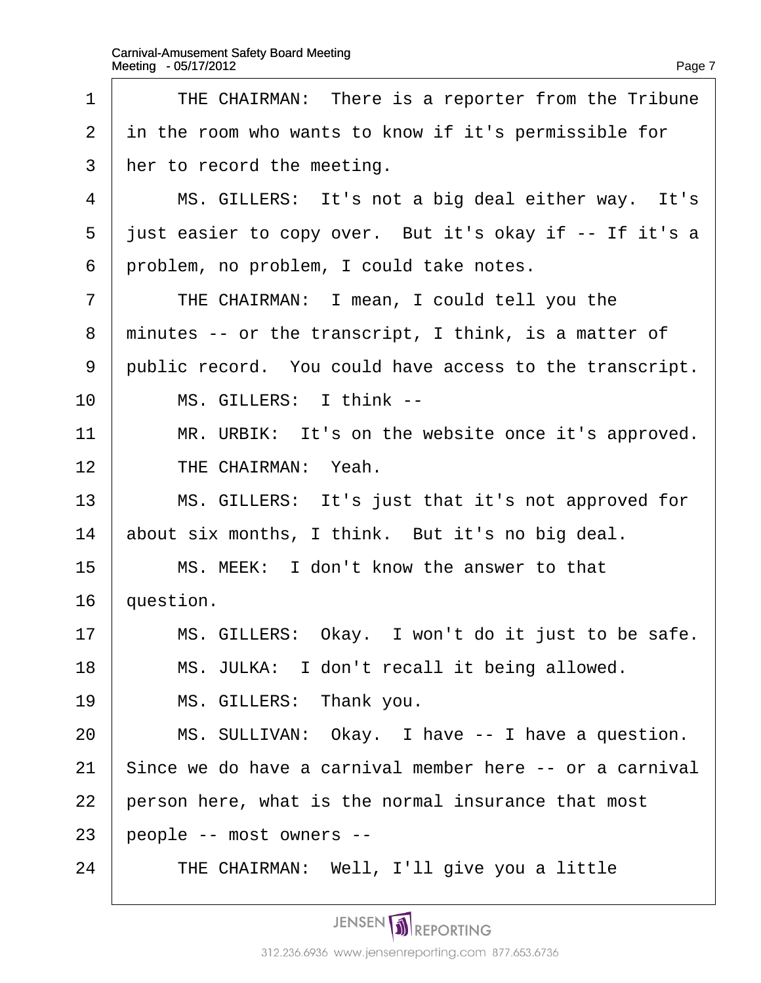| 1              | THE CHAIRMAN: There is a reporter from the Tribune       |
|----------------|----------------------------------------------------------|
| $\overline{2}$ | in the room who wants to know if it's permissible for    |
| 3              | her to record the meeting.                               |
| 4              | MS. GILLERS: It's not a big deal either way. It's        |
| 5              | just easier to copy over. But it's okay if -- If it's a  |
| 6              | problem, no problem, I could take notes.                 |
| 7              | THE CHAIRMAN: I mean, I could tell you the               |
| 8              | minutes -- or the transcript, I think, is a matter of    |
| 9              | public record. You could have access to the transcript.  |
| 10             | MS. GILLERS: I think --                                  |
| 11             | MR. URBIK: It's on the website once it's approved.       |
| 12             | THE CHAIRMAN: Yeah.                                      |
| 13             | MS. GILLERS: It's just that it's not approved for        |
| 14             | about six months, I think. But it's no big deal.         |
| 15             | MS. MEEK: I don't know the answer to that                |
| 16             | question.                                                |
| 17             | MS. GILLERS: Okay. I won't do it just to be safe.        |
| 18             | MS. JULKA: I don't recall it being allowed.              |
| 19             | MS. GILLERS: Thank you.                                  |
| 20             | MS. SULLIVAN: Okay. I have -- I have a question.         |
| 21             | Since we do have a carnival member here -- or a carnival |
| 22             | person here, what is the normal insurance that most      |
| 23             | people -- most owners --                                 |
| 24             | THE CHAIRMAN: Well, I'll give you a little               |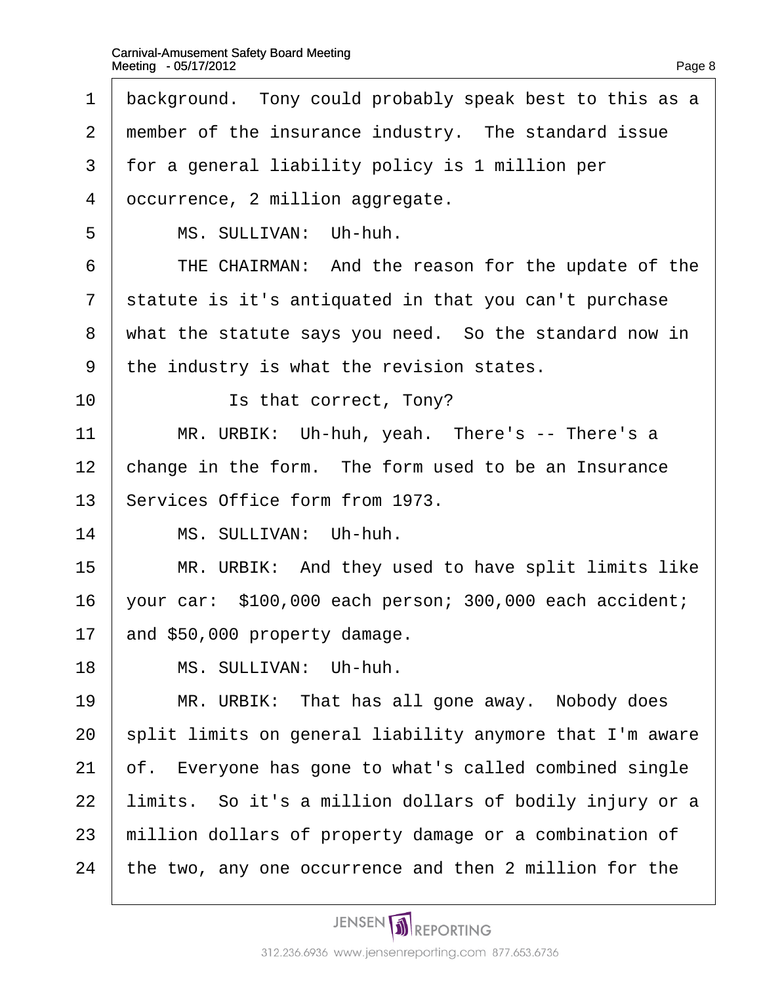- 1 background. Tony could probably speak best to this as a
- 2 member of the insurance industry. The standard issue
- 3 for a general liability policy is 1 million per
- 4 dccurrence, 2 million aggregate.
- 5 | MS. SULLIVAN: Uh-huh.
- 6 | THE CHAIRMAN: And the reason for the update of the
- 7 statute is it's antiquated in that you can't purchase
- 8 what the statute says you need. So the standard now in
- ·9· ·the industry is what the revision states.
- 10 **I** is that correct, Tony?
- 11 | MR. URBIK: Uh-huh, yeah. There's -- There's a
- 12 change in the form. The form used to be an Insurance
- 13 Services Office form from 1973.
- 14 | MS. SULLIVAN: Uh-huh.
- 15 | MR. URBIK: And they used to have split limits like
- 16 vour car: \$100,000 each person; 300,000 each accident;
- 17 and \$50,000 property damage.
- 18 | MS. SULLIVAN: Uh-huh.
- 19 | MR. URBIK: That has all gone away. Nobody does
- 20 split limits on general liability anymore that I'm aware
- 21 of. Everyone has gone to what's called combined single
- 22 limits. So it's a million dollars of bodily injury or a
- 23 million dollars of property damage or a combination of
- 24 the two, any one occurrence and then 2 million for the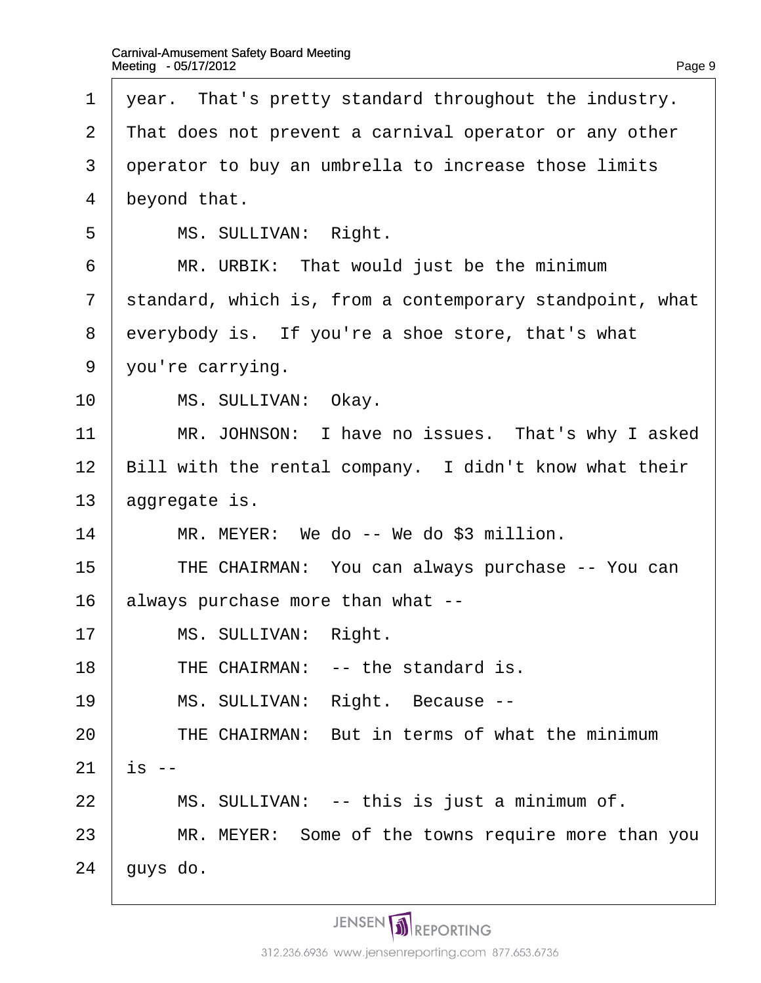- 1 year. That's pretty standard throughout the industry.
- 2 That does not prevent a carnival operator or any other
- 3 deperator to buy an umbrella to increase those limits
- 4 beyond that.
- 5 | MS. SULLIVAN: Right.
- 6 | MR. URBIK: That would just be the minimum
- 7 standard, which is, from a contemporary standpoint, what
- 8 everybody is. If you're a shoe store, that's what
- 9 you're carrying.
- 10 | MS. SULLIVAN: Okay.
- 11 | MR. JOHNSON: I have no issues. That's why I asked
- 12 Bill with the rental company. I didn't know what their
- 13 *aggregate is.*
- $14$  | MR. MEYER: We do -- We do \$3 million.
- 15 | THE CHAIRMAN: You can always purchase -- You can
- 16 always purchase more than what --
- 17 | MS. SULLIVAN: Right.
- 18  $\parallel$  THE CHAIRMAN: -- the standard is.
- 19 | MS. SULLIVAN: Right. Because --
- $20$  THE CHAIRMAN: But in terms of what the minimum
- $21$  is  $-$
- $22$  | MS. SULLIVAN: -- this is just a minimum of.
- 23 | MR. MEYER: Some of the towns require more than you
- $24$  *duys do.*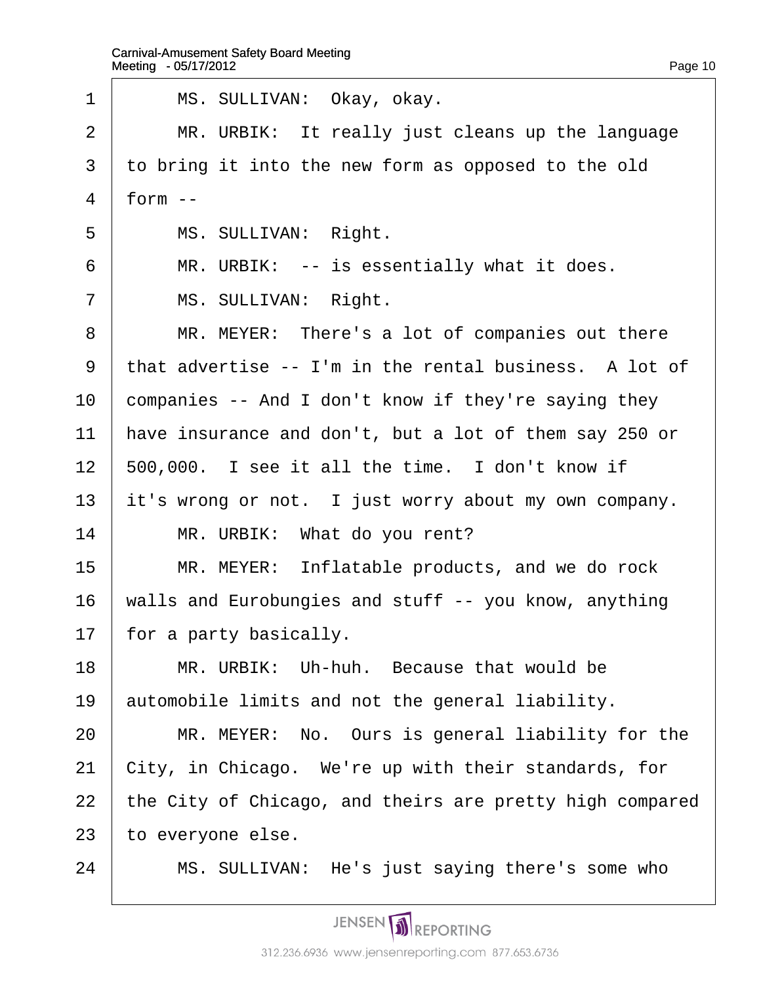| 1              | MS. SULLIVAN: Okay, okay.                                |  |
|----------------|----------------------------------------------------------|--|
| $\overline{2}$ | MR. URBIK: It really just cleans up the language         |  |
| 3              | to bring it into the new form as opposed to the old      |  |
| 4              | $form -$                                                 |  |
| 5              | MS. SULLIVAN: Right.                                     |  |
| 6              | MR. URBIK: -- is essentially what it does.               |  |
| $\overline{7}$ | MS. SULLIVAN: Right.                                     |  |
| 8              | MR. MEYER: There's a lot of companies out there          |  |
| 9              | that advertise -- I'm in the rental business. A lot of   |  |
| 10             | companies -- And I don't know if they're saying they     |  |
| 11             | have insurance and don't, but a lot of them say 250 or   |  |
| 12             | 500,000. I see it all the time. I don't know if          |  |
| 13             | it's wrong or not. I just worry about my own company.    |  |
| 14             | MR. URBIK: What do you rent?                             |  |
| 15             | MR. MEYER: Inflatable products, and we do rock           |  |
| 16             | walls and Eurobungies and stuff -- you know, anything    |  |
| 17             | for a party basically.                                   |  |
| 18             | MR. URBIK: Uh-huh. Because that would be                 |  |
| 19             | automobile limits and not the general liability.         |  |
| 20             | MR. MEYER: No. Ours is general liability for the         |  |
| 21             | City, in Chicago. We're up with their standards, for     |  |
| 22             | the City of Chicago, and theirs are pretty high compared |  |
| 23             | to everyone else.                                        |  |
| 24             | MS. SULLIVAN: He's just saying there's some who          |  |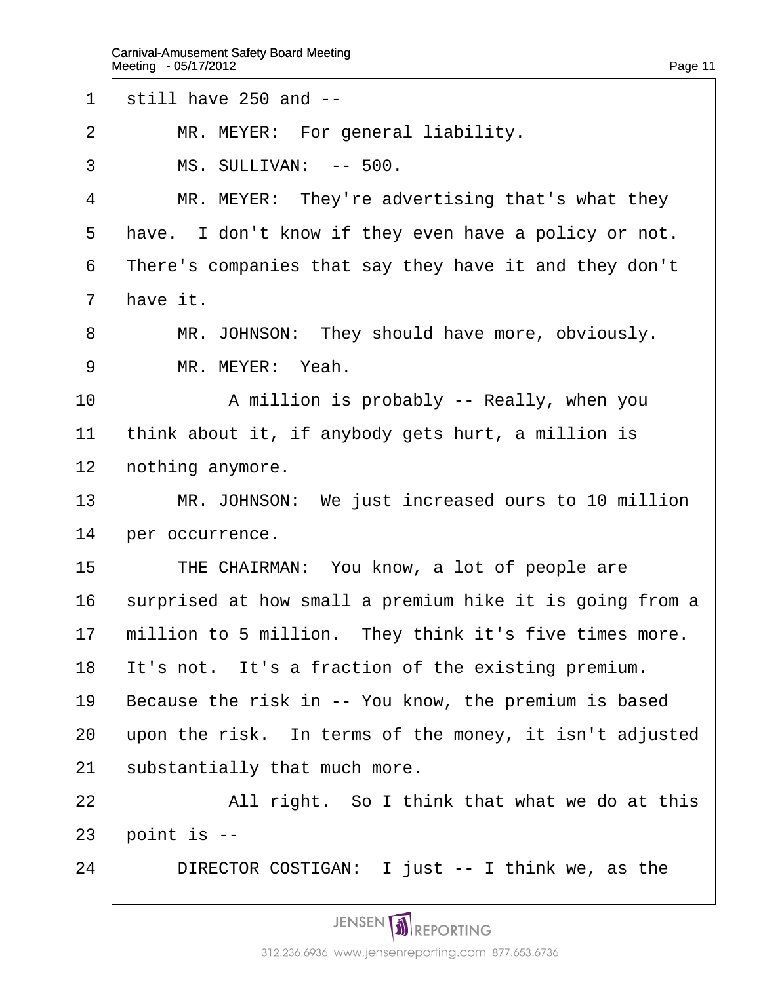- 1 still have  $250$  and  $-$
- $2$  | MR. MEYER: For general liability.
- 3 | MS. SULLIVAN: -- 500.
- $4$  | MR. MEYER: They're advertising that's what they
- 5 have. I don't know if they even have a policy or not.
- 6 There's companies that say they have it and they don't
- 7 have it.
- 8 | MR. JOHNSON: They should have more, obviously.
- 9 | MR. MEYER: Yeah.
- 10 | A million is probably -- Really, when you
- 11  $\cdot$ think about it, if anybody gets hurt, a million is
- 12 *hothing anymore.*
- 13 | MR. JOHNSON: We just increased ours to 10 million
- 14 **ber occurrence.**
- 15 **THE CHAIRMAN: You know, a lot of people are**
- 16 surprised at how small a premium hike it is going from a
- 17 million to 5 million. They think it's five times more.
- 18 It's not. It's a fraction of the existing premium.
- 19 Because the risk in -- You know, the premium is based
- 20 upon the risk. In terms of the money, it isn't adjusted
- 21 substantially that much more.
- $22$  | All right. So I think that what we do at this
- $23$  boint is  $-$
- 24 **DIRECTOR COSTIGAN:** I just -- I think we, as the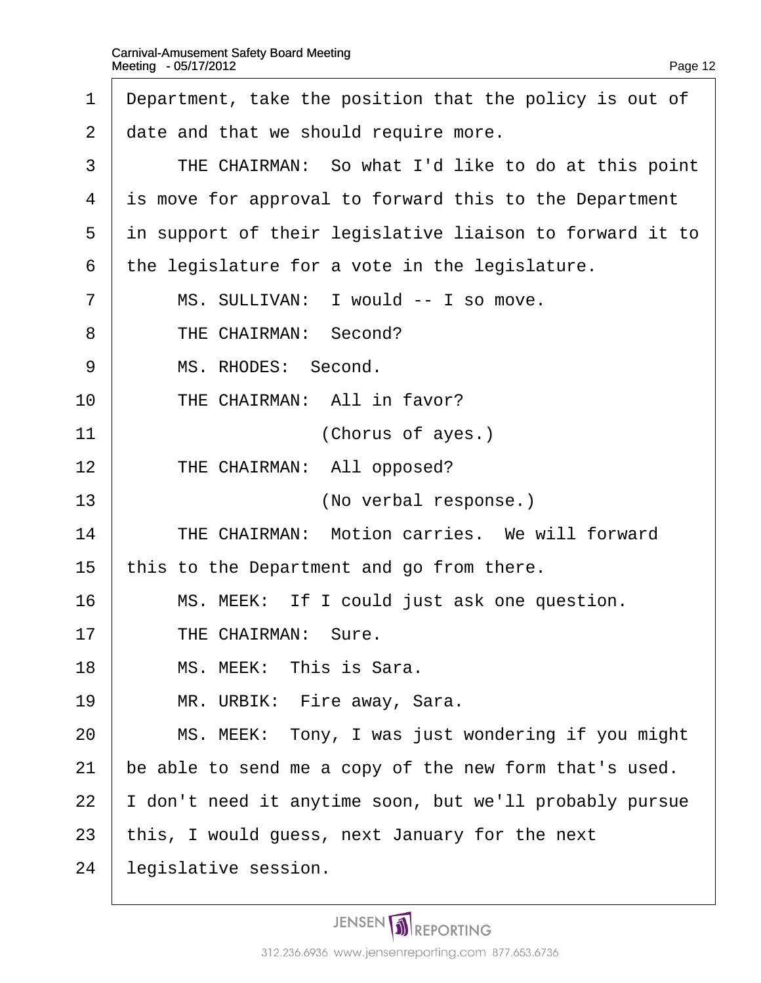| 1              | Department, take the position that the policy is out of  |
|----------------|----------------------------------------------------------|
| 2              | date and that we should require more.                    |
| 3              | THE CHAIRMAN: So what I'd like to do at this point       |
| 4              | is move for approval to forward this to the Department   |
| 5              | in support of their legislative liaison to forward it to |
| 6              | the legislature for a vote in the legislature.           |
| $\overline{7}$ | MS. SULLIVAN: I would -- I so move.                      |
| 8              | THE CHAIRMAN: Second?                                    |
| 9              | MS. RHODES: Second.                                      |
| 10             | THE CHAIRMAN: All in favor?                              |
| 11             | (Chorus of ayes.)                                        |
| 12             | THE CHAIRMAN: All opposed?                               |
| 13             | (No verbal response.)                                    |
| 14             | THE CHAIRMAN: Motion carries. We will forward            |
| 15             | this to the Department and go from there.                |
| 16             | MS. MEEK: If I could just ask one question.              |
| 17             | <b>THE CHAIRMAN: Sure.</b>                               |
| 18             | MS. MEEK: This is Sara.                                  |
| 19             | MR. URBIK: Fire away, Sara.                              |
| 20             | MS. MEEK: Tony, I was just wondering if you might        |
| 21             | be able to send me a copy of the new form that's used.   |
| 22             | don't need it anytime soon, but we'll probably pursue    |
| 23             | this, I would guess, next January for the next           |
| 24             | legislative session.                                     |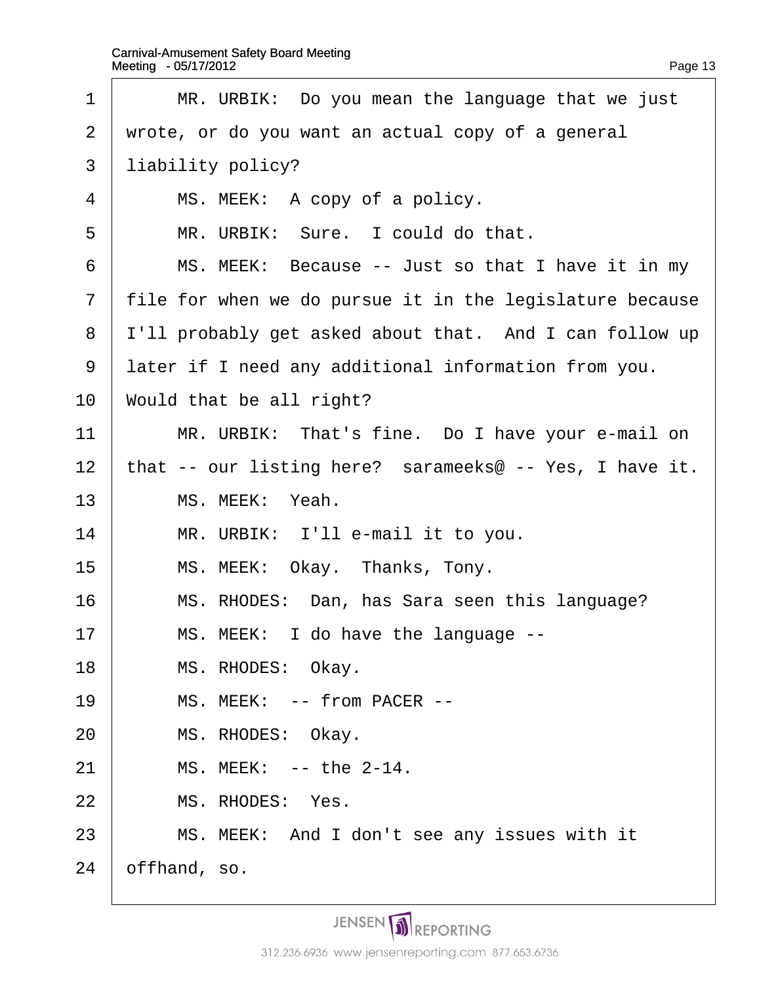$\overline{\Gamma}$ 

| 1              | MR. URBIK: Do you mean the language that we just           |
|----------------|------------------------------------------------------------|
| $\overline{2}$ | wrote, or do you want an actual copy of a general          |
| 3              | liability policy?                                          |
| 4              | MS. MEEK: A copy of a policy.                              |
| 5              | MR. URBIK: Sure. I could do that.                          |
| 6              | MS. MEEK: Because -- Just so that I have it in my          |
| $\overline{7}$ | file for when we do pursue it in the legislature because   |
| 8              | I'll probably get asked about that. And I can follow up    |
| 9              | later if I need any additional information from you.       |
| 10             | Would that be all right?                                   |
| 11             | MR. URBIK: That's fine. Do I have your e-mail on           |
| 12             | that -- our listing here? sarameeks $@ - Yes$ , I have it. |
| 13             | MS. MEEK: Yeah.                                            |
| 14             | MR. URBIK: I'll e-mail it to you.                          |
| 15             | MS. MEEK: Okay. Thanks, Tony.                              |
| 16             | MS. RHODES: Dan, has Sara seen this language?              |
| 17             | MS. MEEK: I do have the language --                        |
| 18             | MS. RHODES: Okay.                                          |
| 19             | MS. MEEK: -- from PACER --                                 |
| 20             | MS. RHODES: Okay.                                          |
| 21             | MS. MEEK: -- the 2-14.                                     |
| 22             | MS. RHODES: Yes.                                           |
| 23             | MS. MEEK: And I don't see any issues with it               |
| 24             | offhand, so.                                               |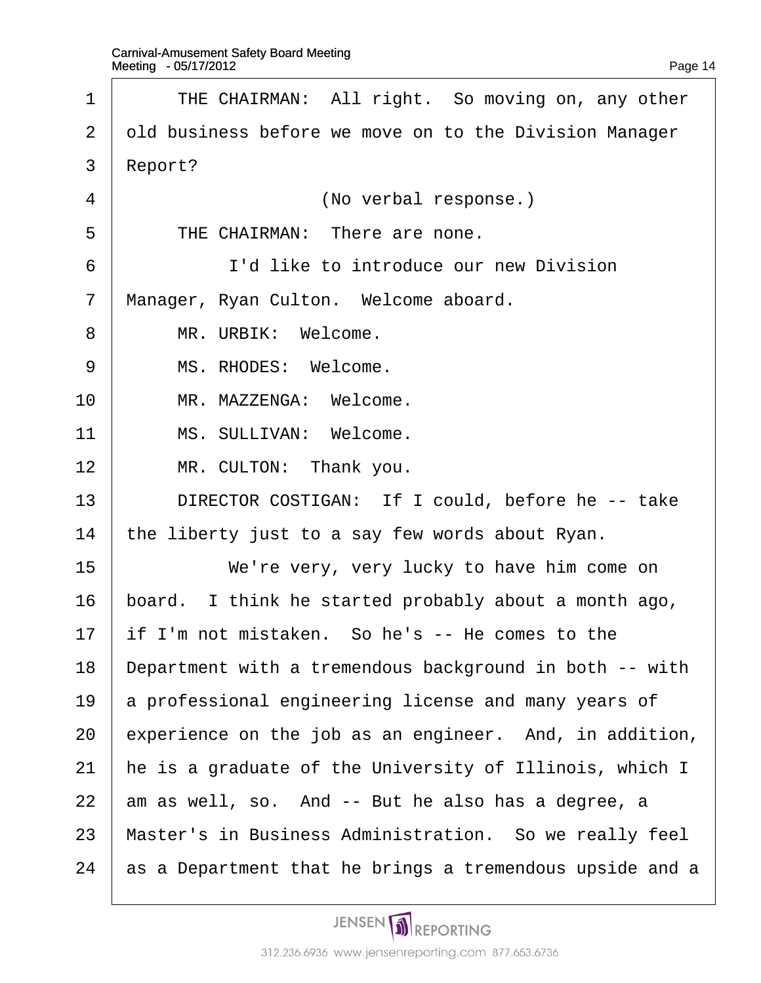| 1              | THE CHAIRMAN: All right. So moving on, any other         |
|----------------|----------------------------------------------------------|
| 2              | old business before we move on to the Division Manager   |
| 3              | Report?                                                  |
| 4              | (No verbal response.)                                    |
| 5              | THE CHAIRMAN: There are none.                            |
| 6              | I'd like to introduce our new Division                   |
| $\overline{7}$ | Manager, Ryan Culton. Welcome aboard.                    |
| 8              | MR. URBIK: Welcome.                                      |
| 9              | MS. RHODES: Welcome.                                     |
| 10             | MR. MAZZENGA: Welcome.                                   |
| 11             | MS. SULLIVAN: Welcome.                                   |
| 12             | MR. CULTON: Thank you.                                   |
| 13             | DIRECTOR COSTIGAN: If I could, before he -- take         |
| 14             | the liberty just to a say few words about Ryan.          |
| 15             | We're very, very lucky to have him come on               |
| 16             | board. I think he started probably about a month ago,    |
| 17             | if I'm not mistaken. So he's -- He comes to the          |
| 18             | Department with a tremendous background in both -- with  |
| 19             | a professional engineering license and many years of     |
| 20             | experience on the job as an engineer. And, in addition,  |
| 21             | he is a graduate of the University of Illinois, which I  |
| 22             | am as well, so. And -- But he also has a degree, a       |
| 23             | Master's in Business Administration. So we really feel   |
| 24             | as a Department that he brings a tremendous upside and a |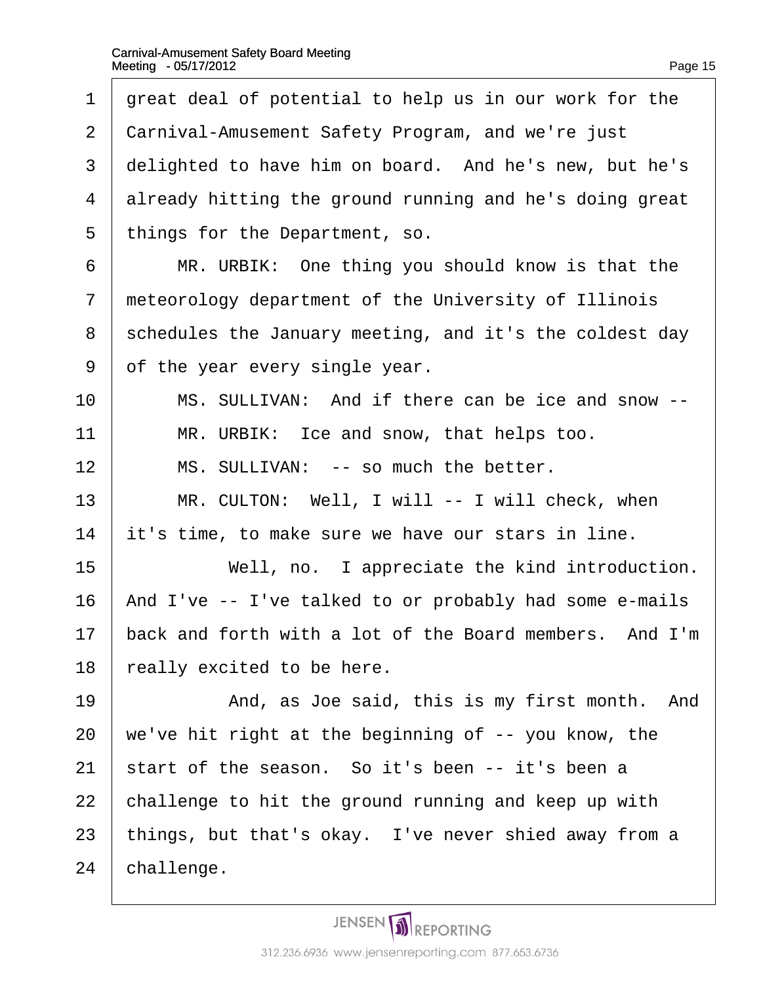| 1              | great deal of potential to help us in our work for the  |
|----------------|---------------------------------------------------------|
| 2              | Carnival-Amusement Safety Program, and we're just       |
| 3              | delighted to have him on board. And he's new, but he's  |
| 4              | already hitting the ground running and he's doing great |
| 5              | things for the Department, so.                          |
| 6              | MR. URBIK: One thing you should know is that the        |
| $\overline{7}$ | meteorology department of the University of Illinois    |
| 8              | schedules the January meeting, and it's the coldest day |
| 9              | of the year every single year.                          |
| 10             | MS. SULLIVAN: And if there can be ice and snow --       |
| 11             | MR. URBIK: Ice and snow, that helps too.                |
| 12             | MS. SULLIVAN: -- so much the better.                    |
| 13             | MR. CULTON: Well, I will -- I will check, when          |
| 14             | it's time, to make sure we have our stars in line.      |
| 15             | Well, no. I appreciate the kind introduction.           |
| 16             | And I've -- I've talked to or probably had some e-mails |
| 17             | back and forth with a lot of the Board members. And I'm |
| 18             | really excited to be here.                              |
| 19             | And, as Joe said, this is my first month. And           |
| 20             | we've hit right at the beginning of -- you know, the    |
| 21             | start of the season. So it's been -- it's been a        |
| 22             | challenge to hit the ground running and keep up with    |
| 23             | things, but that's okay. I've never shied away from a   |
| 24             | challenge.                                              |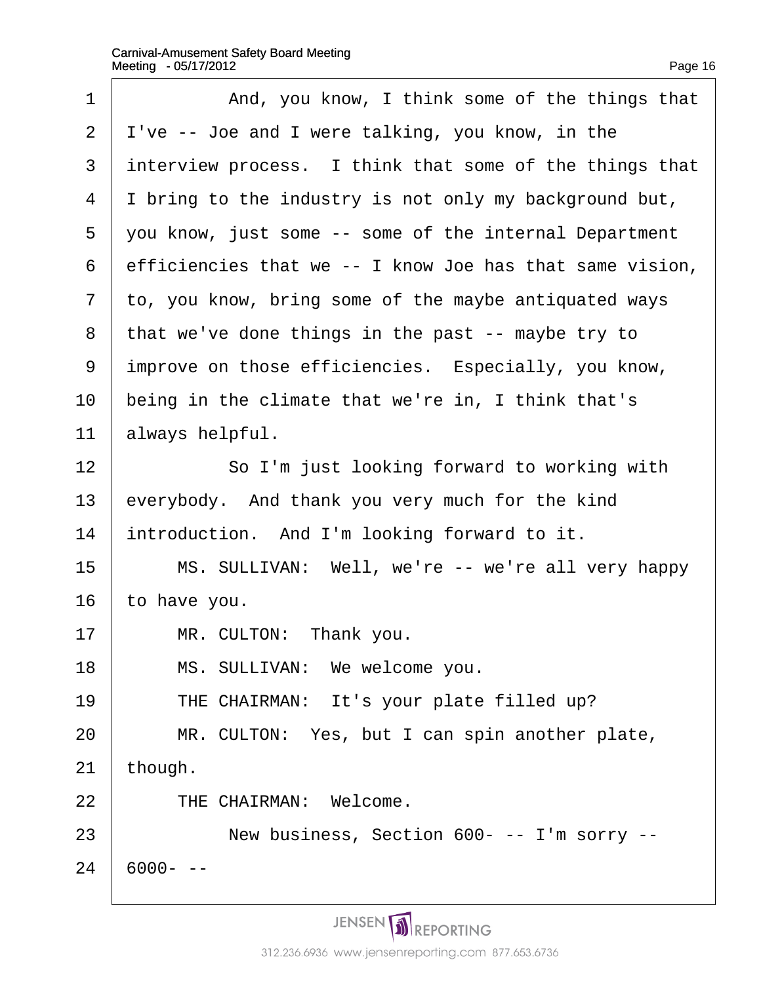| 1              | And, you know, I think some of the things that           |
|----------------|----------------------------------------------------------|
| $\overline{2}$ | I've -- Joe and I were talking, you know, in the         |
| 3              | interview process. I think that some of the things that  |
| 4              | I bring to the industry is not only my background but,   |
| 5              | you know, just some -- some of the internal Department   |
| 6              | efficiencies that we -- I know Joe has that same vision, |
| 7              | to, you know, bring some of the maybe antiquated ways    |
| 8              | that we've done things in the past -- maybe try to       |
| 9              | improve on those efficiencies. Especially, you know,     |
| 10             | being in the climate that we're in, I think that's       |
| 11             | always helpful.                                          |
| 12             | So I'm just looking forward to working with              |
| 13             | everybody. And thank you very much for the kind          |
| 14             | introduction. And I'm looking forward to it.             |
| 15             | MS. SULLIVAN: Well, we're -- we're all very happy        |
| 16             | to have you.                                             |
| 17             | MR. CULTON: Thank you.                                   |
| 18             | MS. SULLIVAN: We welcome you.                            |
| 19             | THE CHAIRMAN: It's your plate filled up?                 |
| 20             | MR. CULTON: Yes, but I can spin another plate,           |
| 21             | though.                                                  |
| 22             | THE CHAIRMAN: Welcome.                                   |
| 23             | New business, Section 600- -- I'm sorry --               |
| 24             | 6000- --                                                 |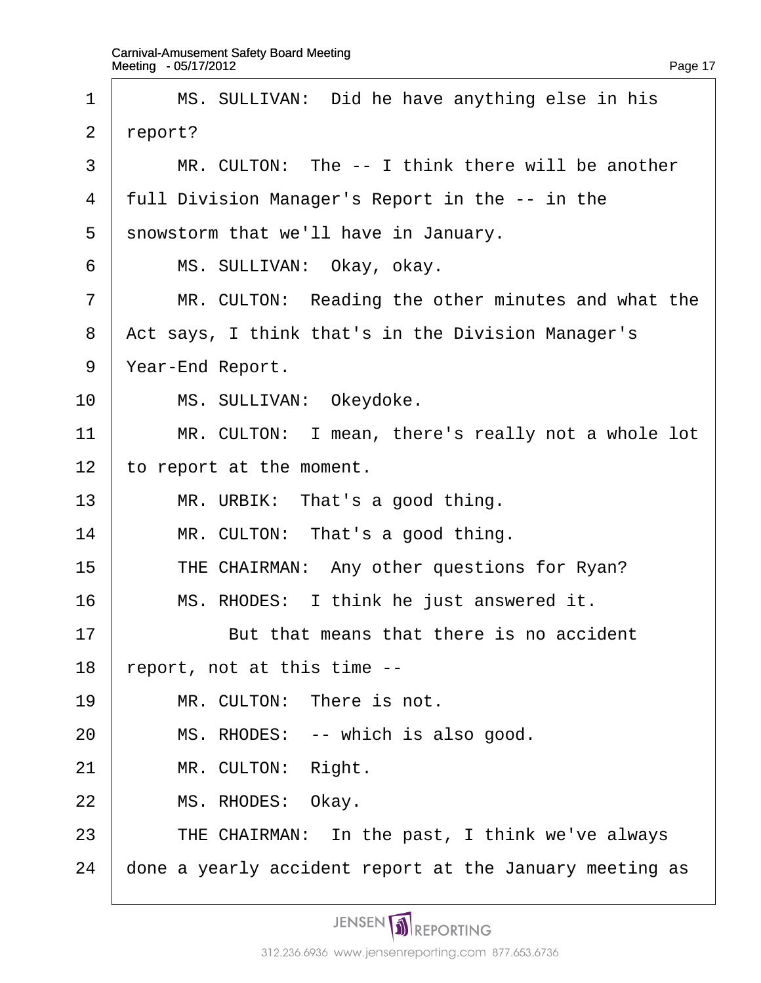| 1  | MS. SULLIVAN: Did he have anything else in his          |
|----|---------------------------------------------------------|
| 2  | report?                                                 |
| 3  | MR. CULTON: The -- I think there will be another        |
| 4  | full Division Manager's Report in the -- in the         |
| 5  | showstorm that we'll have in January.                   |
| 6  | MS. SULLIVAN: Okay, okay.                               |
| 7  | MR. CULTON: Reading the other minutes and what the      |
| 8  | Act says, I think that's in the Division Manager's      |
| 9  | Year-End Report.                                        |
| 10 | MS. SULLIVAN: Okeydoke.                                 |
| 11 | MR. CULTON: I mean, there's really not a whole lot      |
| 12 | to report at the moment.                                |
| 13 | MR. URBIK: That's a good thing.                         |
| 14 | MR. CULTON: That's a good thing.                        |
| 15 | THE CHAIRMAN: Any other questions for Ryan?             |
| 16 | MS. RHODES: I think he just answered it.                |
| 17 | But that means that there is no accident                |
| 18 | report, not at this time --                             |
| 19 | MR. CULTON: There is not.                               |
| 20 | MS. RHODES: -- which is also good.                      |
| 21 | MR. CULTON: Right.                                      |
| 22 | MS. RHODES: Okay.                                       |
| 23 | THE CHAIRMAN: In the past, I think we've always         |
| 24 | done a yearly accident report at the January meeting as |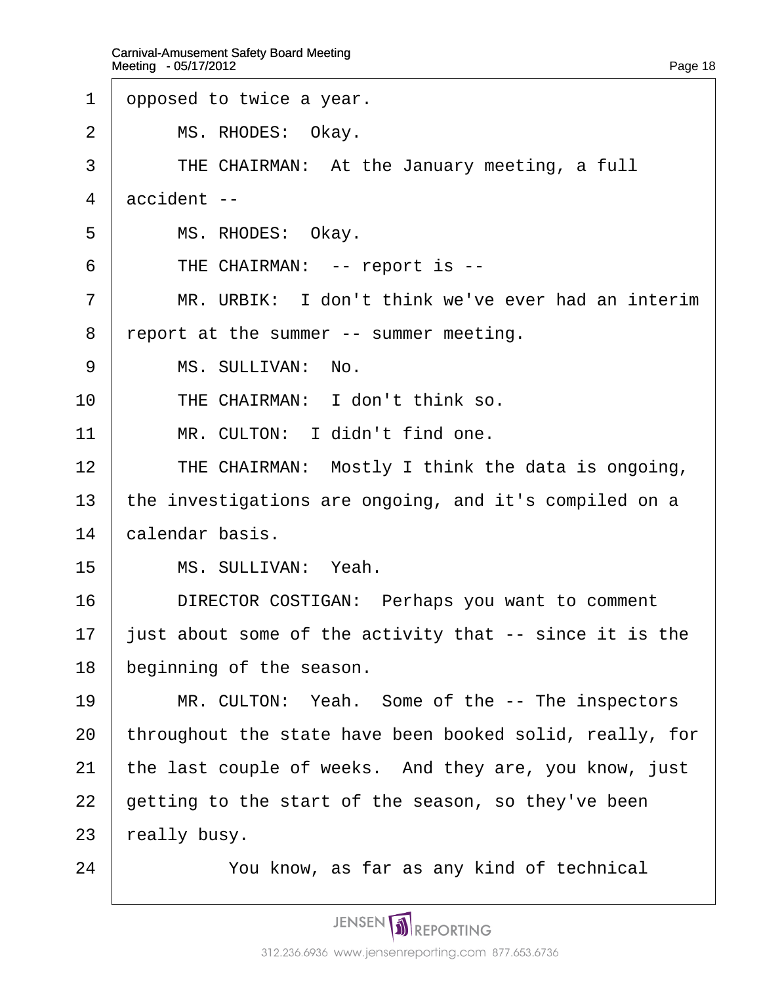| dpposed to twice a year.                                 |
|----------------------------------------------------------|
| MS. RHODES: Okay.                                        |
| THE CHAIRMAN: At the January meeting, a full             |
| accident --                                              |
| MS. RHODES: Okay.                                        |
| THE CHAIRMAN: -- report is --                            |
| MR. URBIK: I don't think we've ever had an interim       |
| report at the summer -- summer meeting.                  |
| MS. SULLIVAN: No.                                        |
| THE CHAIRMAN: I don't think so.                          |
| MR. CULTON: I didn't find one.                           |
| THE CHAIRMAN: Mostly I think the data is ongoing,        |
| the investigations are ongoing, and it's compiled on a   |
| calendar basis.                                          |
| MS. SULLIVAN: Yeah.                                      |
| DIRECTOR COSTIGAN: Perhaps you want to comment           |
| just about some of the activity that -- since it is the  |
| beginning of the season.                                 |
| MR. CULTON: Yeah. Some of the -- The inspectors          |
| throughout the state have been booked solid, really, for |
| the last couple of weeks. And they are, you know, just   |
| getting to the start of the season, so they've been      |
| really busy.                                             |
| You know, as far as any kind of technical                |
|                                                          |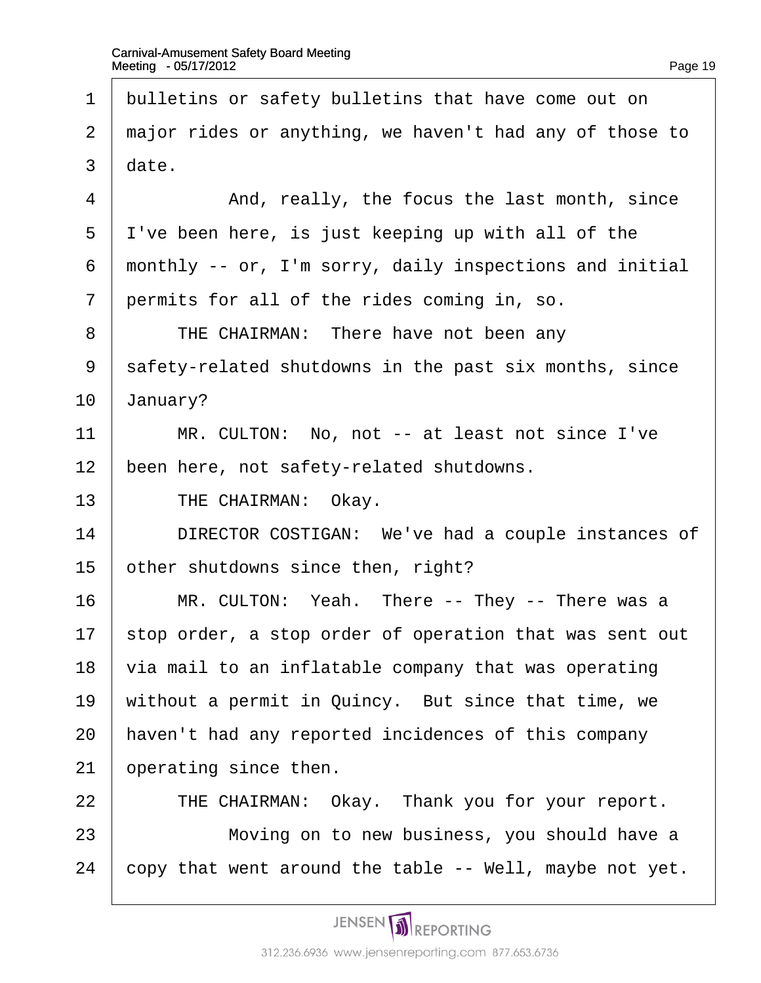| $\mathbf 1$ | bulletins or safety bulletins that have come out on     |
|-------------|---------------------------------------------------------|
| 2           | major rides or anything, we haven't had any of those to |
| 3           | date.                                                   |
| 4           | And, really, the focus the last month, since            |
| 5           | I've been here, is just keeping up with all of the      |
| 6           | monthly -- or, I'm sorry, daily inspections and initial |
| 7           | permits for all of the rides coming in, so.             |
| 8           | THE CHAIRMAN: There have not been any                   |
| 9           | safety-related shutdowns in the past six months, since  |
| 10          | January?                                                |
| 11          | MR. CULTON: No, not -- at least not since I've          |
| 12          | been here, not safety-related shutdowns.                |
| 13          | THE CHAIRMAN: Okay.                                     |
| 14          | DIRECTOR COSTIGAN: We've had a couple instances of      |
| 15          | other shutdowns since then, right?                      |
| 16          | MR. CULTON: Yeah. There -- They -- There was a          |
| 17          | stop order, a stop order of operation that was sent out |
| 18          | via mail to an inflatable company that was operating    |
| 19          | without a permit in Quincy. But since that time, we     |
| 20          | haven't had any reported incidences of this company     |
| 21          | operating since then.                                   |
| 22          | THE CHAIRMAN: Okay. Thank you for your report.          |
| 23          | Moving on to new business, you should have a            |
| 24          | copy that went around the table -- Well, maybe not yet. |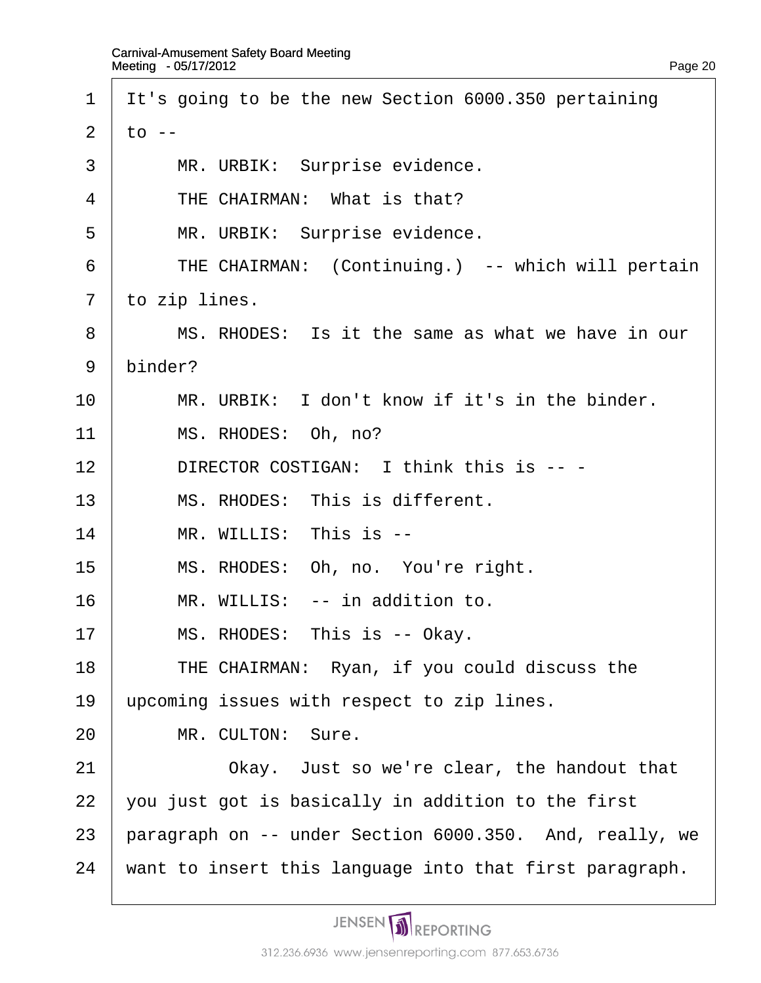| 1              | It's going to be the new Section 6000.350 pertaining    |
|----------------|---------------------------------------------------------|
| 2              | to --                                                   |
| 3              | MR. URBIK: Surprise evidence.                           |
| $\overline{4}$ | THE CHAIRMAN: What is that?                             |
| 5              | MR. URBIK: Surprise evidence.                           |
| 6              | THE CHAIRMAN: (Continuing.) -- which will pertain       |
| $\overline{7}$ | to zip lines.                                           |
| 8              | MS. RHODES: Is it the same as what we have in our       |
| 9              | binder?                                                 |
| 10             | MR. URBIK: I don't know if it's in the binder.          |
| 11             | MS. RHODES: Oh, no?                                     |
| 12             | DIRECTOR COSTIGAN: I think this is -- -                 |
| 13             | MS. RHODES: This is different.                          |
| 14             | MR. WILLIS: This is --                                  |
| 15             | MS. RHODES: Oh, no. You're right.                       |
| 16             | MR. WILLIS: -- in addition to.                          |
| 17             | MS. RHODES: This is -- Okay.                            |
| 18             | THE CHAIRMAN: Ryan, if you could discuss the            |
| 19             | upcoming issues with respect to zip lines.              |
| 20             | MR. CULTON: Sure.                                       |
| 21             | Okay. Just so we're clear, the handout that             |
| 22             | you just got is basically in addition to the first      |
| 23             | paragraph on -- under Section 6000.350. And, really, we |
| 24             | want to insert this language into that first paragraph. |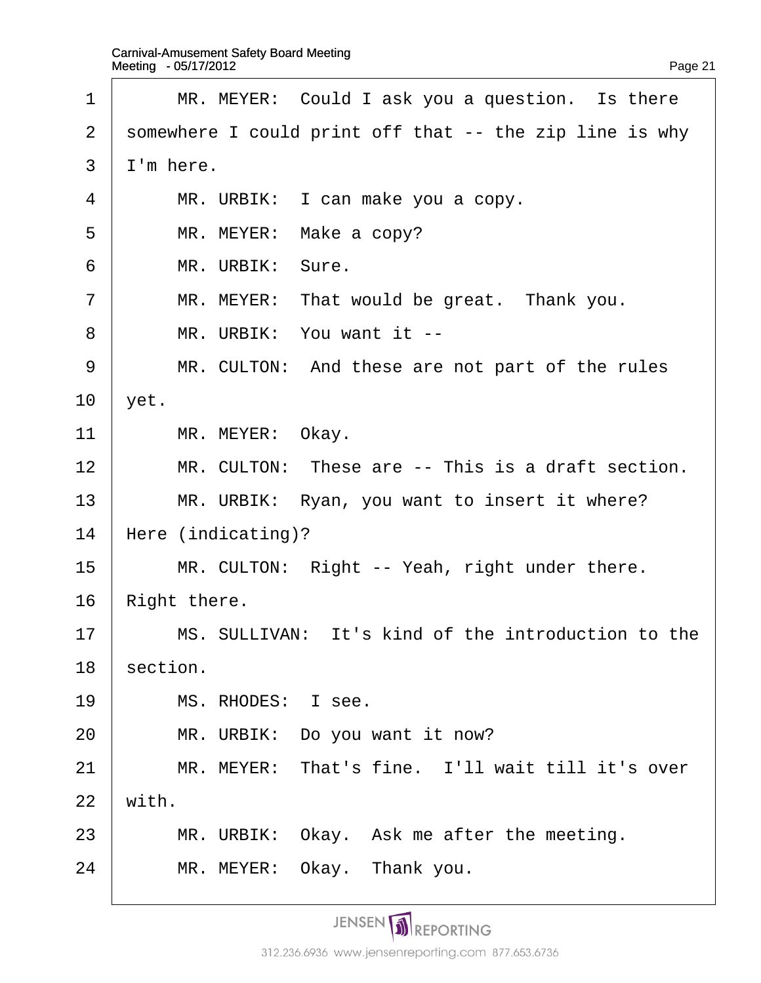| 1              | MR. MEYER: Could I ask you a question. Is there         |
|----------------|---------------------------------------------------------|
| 2              | somewhere I could print off that -- the zip line is why |
| 3              | I'm here.                                               |
| $\overline{4}$ | MR. URBIK: I can make you a copy.                       |
| 5              | MR. MEYER: Make a copy?                                 |
| 6              | MR. URBIK: Sure.                                        |
| $\overline{7}$ | MR. MEYER: That would be great. Thank you.              |
| 8              | MR. URBIK: You want it --                               |
| 9              | MR. CULTON: And these are not part of the rules         |
| 10             | yet.                                                    |
| 11             | MR. MEYER: Okay.                                        |
| 12             | MR. CULTON: These are -- This is a draft section.       |
| 13             | MR. URBIK: Ryan, you want to insert it where?           |
| 14             | Here (indicating)?                                      |
| 15             | MR. CULTON: Right -- Yeah, right under there.           |
| 16             | Right there.                                            |
| 17             | MS. SULLIVAN: It's kind of the introduction to the      |
| 18             | section.                                                |
| 19             | MS. RHODES: I see.                                      |
| 20             | MR. URBIK: Do you want it now?                          |
| 21             | MR. MEYER: That's fine. I'll wait till it's over        |
| 22             | with.                                                   |
| 23             | MR. URBIK: Okay. Ask me after the meeting.              |
| 24             | MR. MEYER: Okay. Thank you.                             |
|                |                                                         |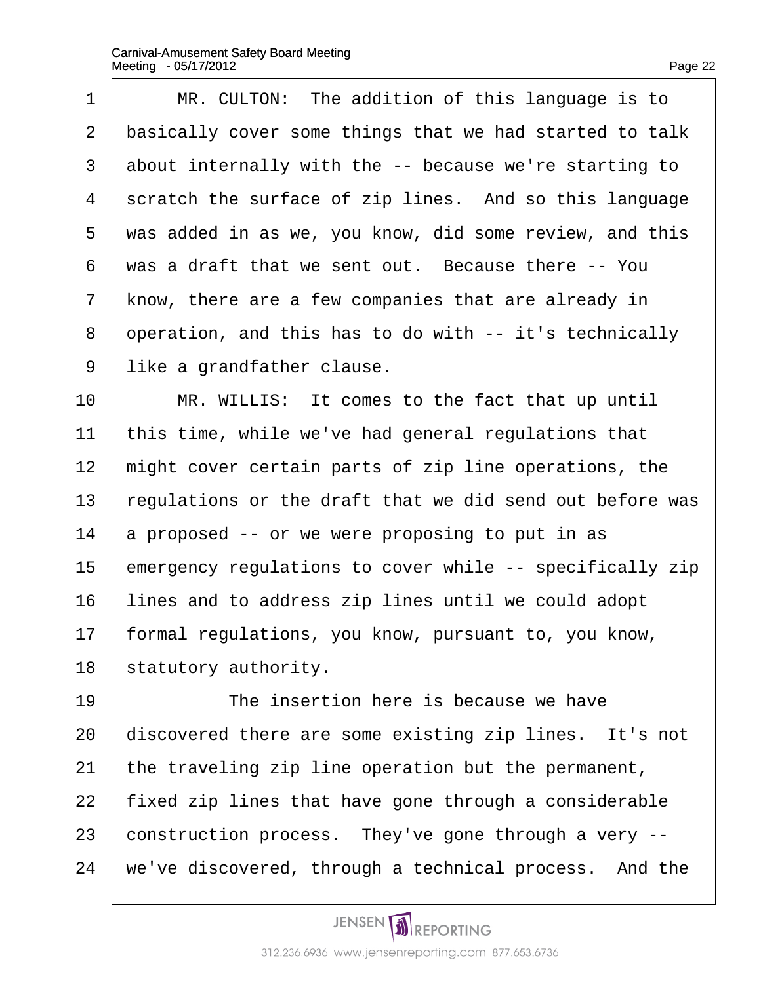$\Gamma$ 

| 1              | MR. CULTON: The addition of this language is to          |
|----------------|----------------------------------------------------------|
| $\overline{2}$ | basically cover some things that we had started to talk  |
| 3              | about internally with the -- because we're starting to   |
| 4              | scratch the surface of zip lines. And so this language   |
| 5              | was added in as we, you know, did some review, and this  |
| 6              | was a draft that we sent out. Because there -- You       |
| $\overline{7}$ | know, there are a few companies that are already in      |
| 8              | operation, and this has to do with -- it's technically   |
| 9              | like a grandfather clause.                               |
| 10             | MR. WILLIS: It comes to the fact that up until           |
| 11             | this time, while we've had general regulations that      |
| 12             | might cover certain parts of zip line operations, the    |
| 13             | regulations or the draft that we did send out before was |
| 14             | a proposed -- or we were proposing to put in as          |
| 15             | emergency regulations to cover while -- specifically zip |
| 16             | lines and to address zip lines until we could adopt      |
| 17             | formal regulations, you know, pursuant to, you know,     |
| 18             | statutory authority.                                     |
| 19             | The insertion here is because we have                    |
| 20             | discovered there are some existing zip lines. It's not   |
| 21             | the traveling zip line operation but the permanent,      |
| 22             | fixed zip lines that have gone through a considerable    |
| 23             | construction process. They've gone through a very --     |
| 24             | we've discovered, through a technical process. And the   |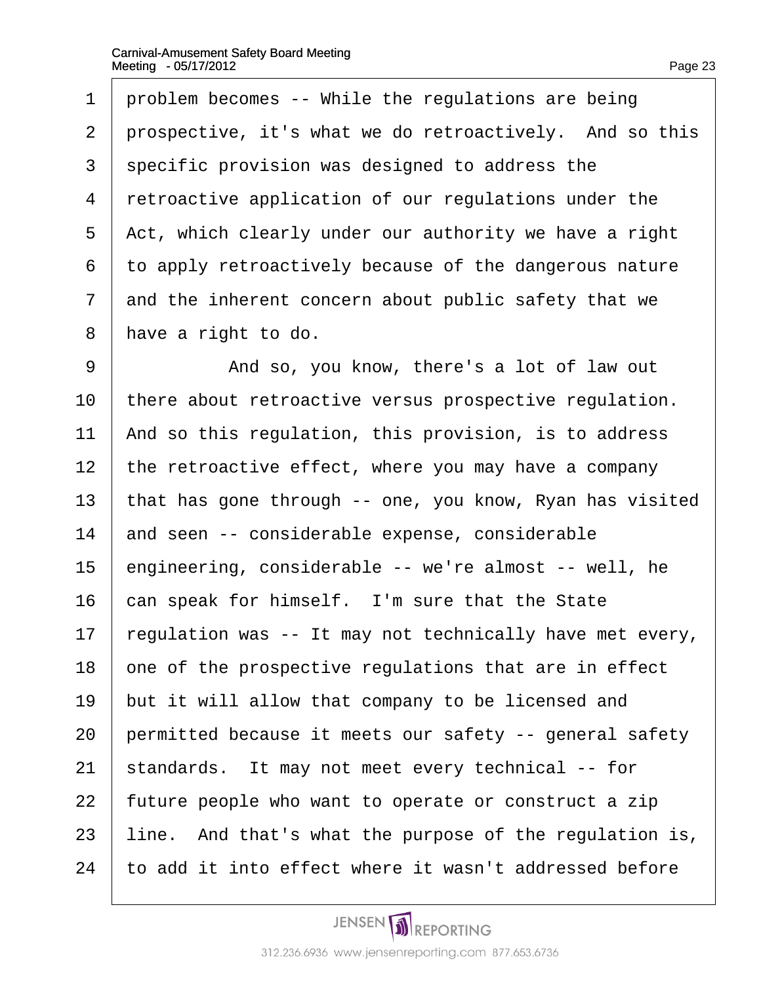| 1              | problem becomes -- While the regulations are being       |
|----------------|----------------------------------------------------------|
| $\overline{2}$ | prospective, it's what we do retroactively. And so this  |
| 3              | specific provision was designed to address the           |
| 4              | retroactive application of our regulations under the     |
| 5              | Act, which clearly under our authority we have a right   |
| 6              | to apply retroactively because of the dangerous nature   |
| 7              | and the inherent concern about public safety that we     |
| 8              | have a right to do.                                      |
| 9              | And so, you know, there's a lot of law out               |
| 10             | there about retroactive versus prospective regulation.   |
| 11             | And so this regulation, this provision, is to address    |
| 12             | the retroactive effect, where you may have a company     |
| 13             | that has gone through -- one, you know, Ryan has visited |
| 14             | and seen -- considerable expense, considerable           |
| 15             | engineering, considerable -- we're almost -- well, he    |
| 16             | can speak for himself. I'm sure that the State           |
| 17             | regulation was -- It may not technically have met every, |
| 18             | one of the prospective regulations that are in effect    |
| 19             | but it will allow that company to be licensed and        |
| 20             | permitted because it meets our safety -- general safety  |
| 21             | standards. It may not meet every technical -- for        |
| 22             | future people who want to operate or construct a zip     |
| 23             | line. And that's what the purpose of the regulation is,  |
| 24             | to add it into effect where it wasn't addressed before   |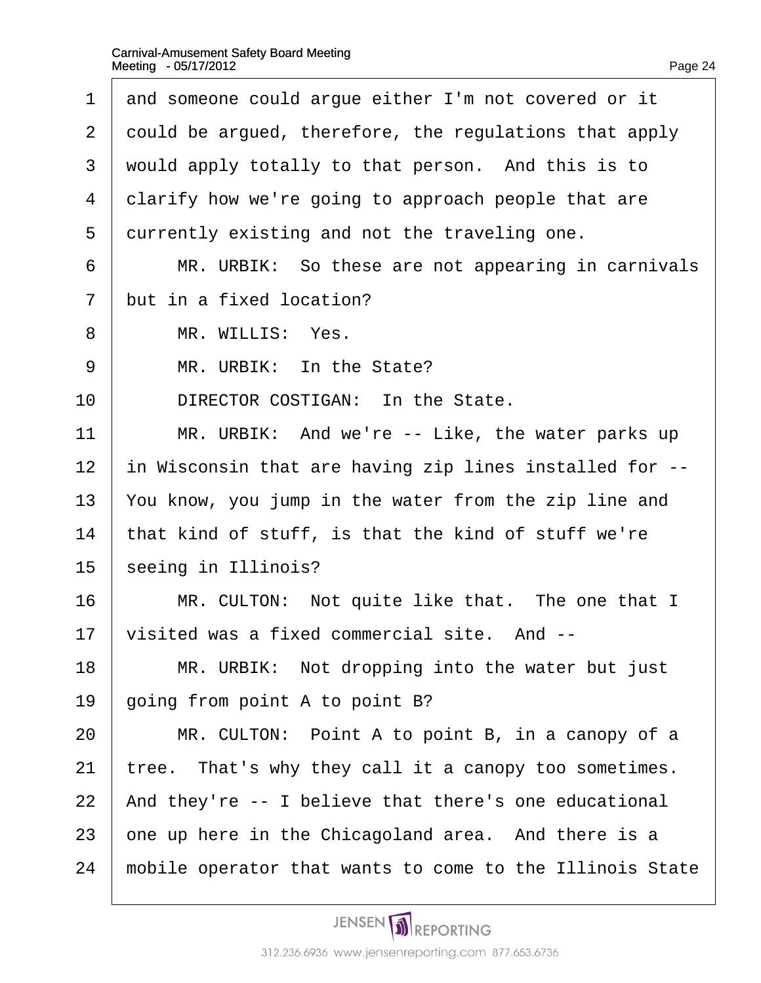1 and someone could argue either I'm not covered or it 2 dould be argued, therefore, the regulations that apply 3 would apply totally to that person. And this is to 4 clarify how we're going to approach people that are 5 durrently existing and not the traveling one. 6 | MR. URBIK: So these are not appearing in carnivals 7 but in a fixed location? 8 | MR. WILLIS: Yes. 9 | MR. URBIK: In the State? 10 **DIRECTOR COSTIGAN:** In the State. 11  $\parallel$  MR. URBIK: And we're  $\sim$  Like, the water parks up 12 in Wisconsin that are having zip lines installed for --13 You know, you jump in the water from the zip line and 14 that kind of stuff, is that the kind of stuff we're 15 seeing in Illinois? 16 | MR. CULTON: Not quite like that. The one that I 17  $\sqrt{v}$  visited was a fixed commercial site. And  $-$ 18 | MR. URBIK: Not dropping into the water but just 19  $\phi$  oing from point A to point B? 20 | MR. CULTON: Point A to point B, in a canopy of a 21 tree. That's why they call it a canopy too sometimes. 22 And they're -- I believe that there's one educational 23 one up here in the Chicagoland area. And there is a 24 mobile operator that wants to come to the Illinois State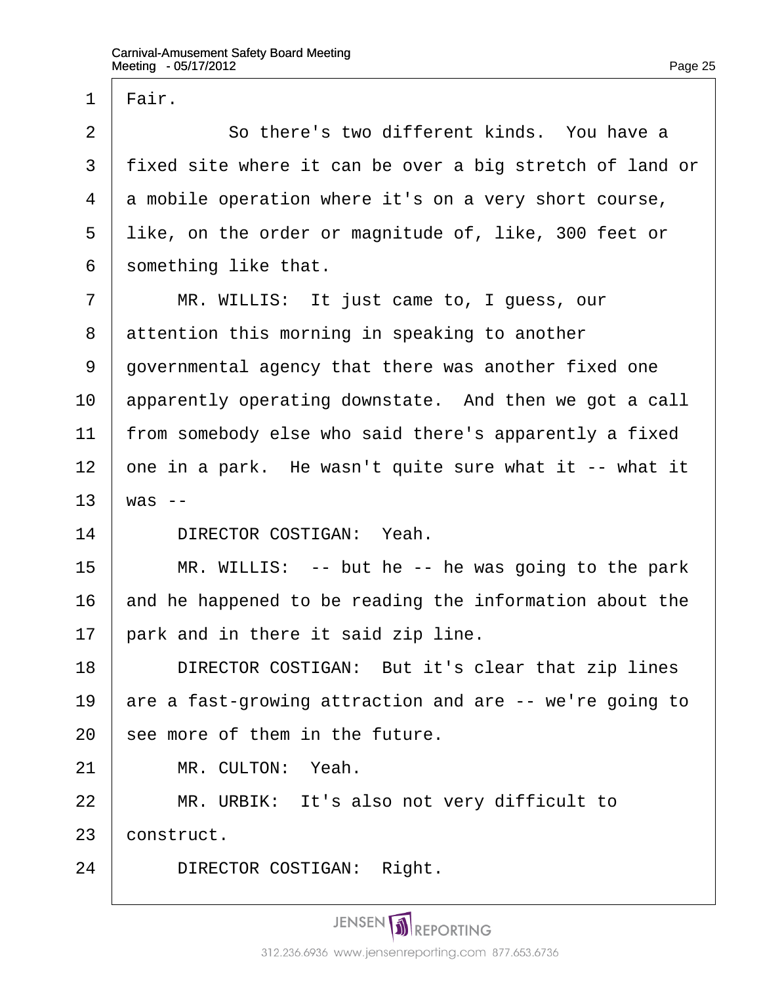1 Flair.  $2 \parallel$  So there's two different kinds. You have a 3 fixed site where it can be over a big stretch of land or 4 a mobile operation where it's on a very short course, 5 like, on the order or magnitude of, like, 300 feet or 6 something like that. 7 | MR. WILLIS: It just came to, I quess, our 8 attention this morning in speaking to another 9 governmental agency that there was another fixed one 10 apparently operating downstate. And then we got a call 11 from somebody else who said there's apparently a fixed 12  $\phi$ ne in a park. He wasn't quite sure what it  $-$  what it 13  $\text{was}$  --14 | DIRECTOR COSTIGAN: Yeah.  $15$  | MR. WILLIS: -- but he -- he was going to the park 16 and he happened to be reading the information about the 17 **park and in there it said zip line.** 18 | DIRECTOR COSTIGAN: But it's clear that zip lines 19 are a fast-growing attraction and are -- we're going to 20 see more of them in the future. 21 | MR. CULTON: Yeah.  $22$  | MR. URBIK: It's also not very difficult to 23 construct.

24 | DIRECTOR COSTIGAN: Right.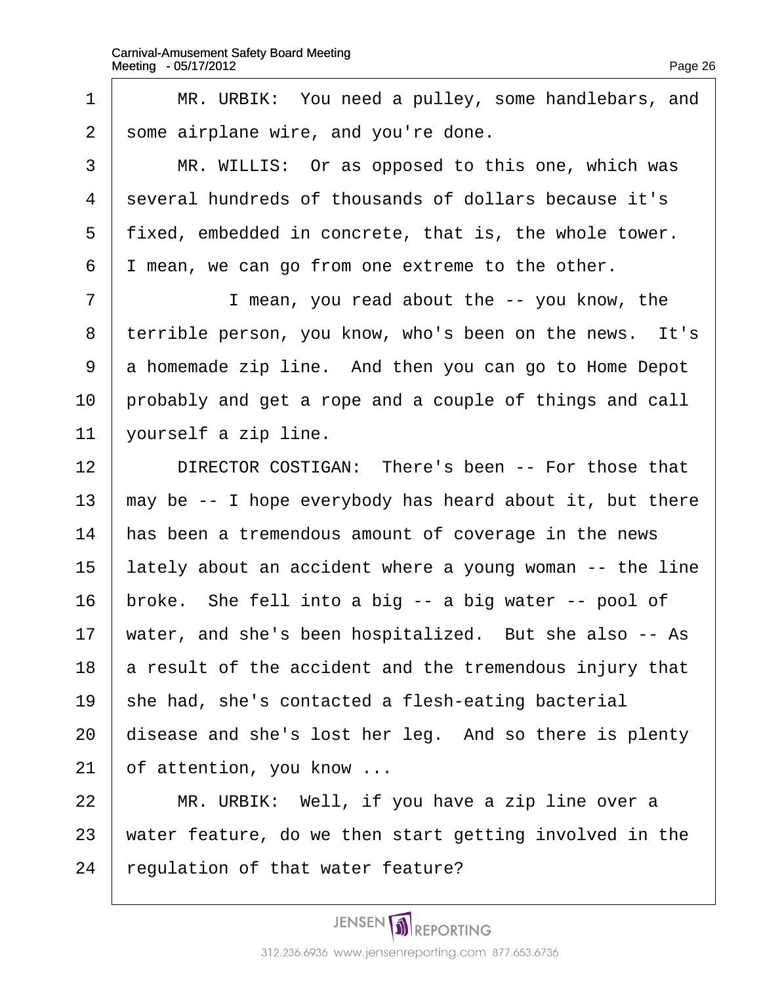| 1              | MR. URBIK: You need a pulley, some handlebars, and       |
|----------------|----------------------------------------------------------|
| $\overline{2}$ | some airplane wire, and you're done.                     |
| 3              | MR. WILLIS: Or as opposed to this one, which was         |
| 4              | several hundreds of thousands of dollars because it's    |
| 5              | fixed, embedded in concrete, that is, the whole tower.   |
| 6              | mean, we can go from one extreme to the other.           |
| $\overline{7}$ | I mean, you read about the -- you know, the              |
| 8              | terrible person, you know, who's been on the news. It's  |
| 9              | a homemade zip line. And then you can go to Home Depot   |
| 10             | probably and get a rope and a couple of things and call  |
| 11             | yourself a zip line.                                     |
| 12             | DIRECTOR COSTIGAN: There's been -- For those that        |
| 13             | may be -- I hope everybody has heard about it, but there |
| 14             | has been a tremendous amount of coverage in the news     |
| 15             | lately about an accident where a young woman -- the line |
| 16             | proke. She fell into a big -- a big water -- pool of     |
| 17             | water, and she's been hospitalized. But she also -- As   |
| 18             | a result of the accident and the tremendous injury that  |
| 19             | she had, she's contacted a flesh-eating bacterial        |
| 20             | disease and she's lost her leg. And so there is plenty   |
| 21             | of attention, you know                                   |
| 22             | MR. URBIK: Well, if you have a zip line over a           |
| 23             | water feature, do we then start getting involved in the  |
| 24             | regulation of that water feature?                        |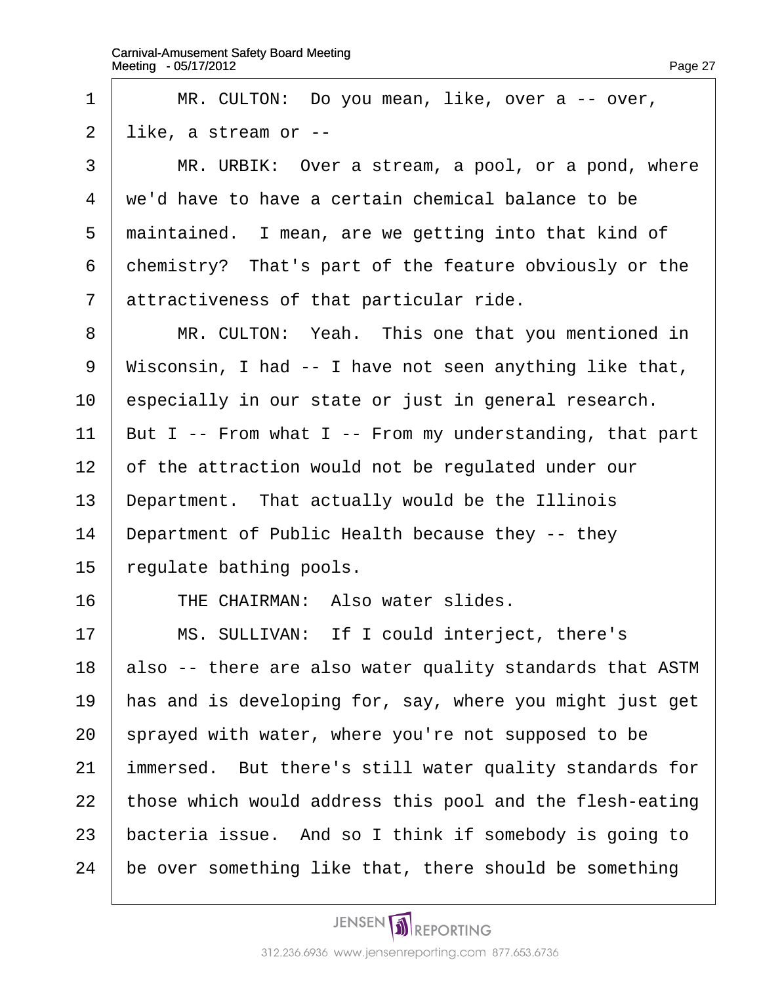| 1                 | MR. CULTON: Do you mean, like, over a -- over,           |
|-------------------|----------------------------------------------------------|
| 2                 | like, a stream or --                                     |
| 3                 | MR. URBIK: Over a stream, a pool, or a pond, where       |
| 4                 | we'd have to have a certain chemical balance to be       |
| 5                 | maintained. I mean, are we getting into that kind of     |
| 6                 | chemistry? That's part of the feature obviously or the   |
| $\overline{7}$    | attractiveness of that particular ride.                  |
| 8                 | MR. CULTON: Yeah. This one that you mentioned in         |
| 9                 | Wisconsin, I had -- I have not seen anything like that,  |
| 10                | especially in our state or just in general research.     |
| 11                | But I -- From what I -- From my understanding, that part |
| $12 \overline{ }$ | of the attraction would not be regulated under our       |
| 13                | Department. That actually would be the Illinois          |
| 14                | Department of Public Health because they -- they         |
| 15                | regulate bathing pools.                                  |
| 16                | THE CHAIRMAN: Also water slides.                         |
| 17                | MS. SULLIVAN: If I could interject, there's              |
| 18                | also -- there are also water quality standards that ASTM |
| 19                | has and is developing for, say, where you might just get |
| 20                | sprayed with water, where you're not supposed to be      |
| 21                | immersed. But there's still water quality standards for  |
| 22                | those which would address this pool and the flesh-eating |
| 23                | bacteria issue. And so I think if somebody is going to   |
| 24                | be over something like that, there should be something   |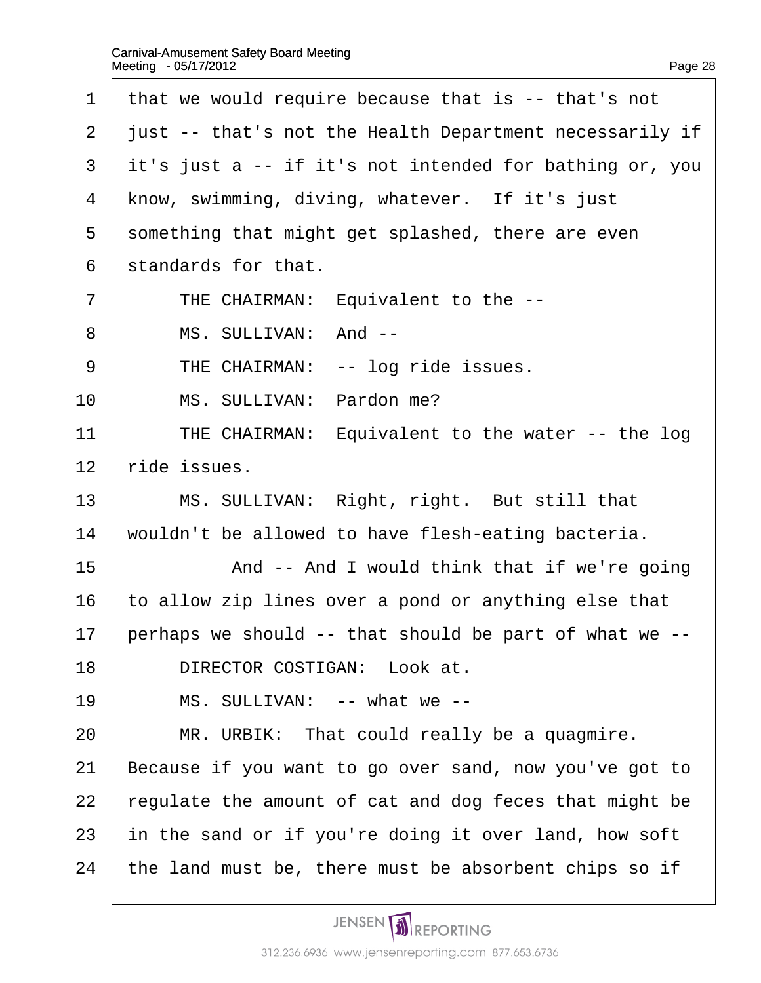| 1              | that we would require because that is -- that's not     |
|----------------|---------------------------------------------------------|
| $\overline{2}$ | just -- that's not the Health Department necessarily if |
| 3              | it's just a -- if it's not intended for bathing or, you |
| 4              | know, swimming, diving, whatever. If it's just          |
| 5              | something that might get splashed, there are even       |
| 6              | standards for that.                                     |
| $\overline{7}$ | THE CHAIRMAN: Equivalent to the --                      |
| 8              | MS. SULLIVAN: And --                                    |
| 9              | THE CHAIRMAN: -- log ride issues.                       |
| 10             | MS. SULLIVAN: Pardon me?                                |
| 11             | THE CHAIRMAN: Equivalent to the water -- the log        |
| 12             | ride issues.                                            |
| 13             | MS. SULLIVAN: Right, right. But still that              |
| 14             | wouldn't be allowed to have flesh-eating bacteria.      |
| 15             | And -- And I would think that if we're going            |
| 16             | to allow zip lines over a pond or anything else that    |
| 17             | perhaps we should -- that should be part of what we --  |
| 18             | DIRECTOR COSTIGAN: Look at.                             |
| 19             | MS. SULLIVAN: -- what we --                             |
| 20             | MR. URBIK: That could really be a quagmire.             |
| 21             | Because if you want to go over sand, now you've got to  |
| 22             | regulate the amount of cat and dog feces that might be  |
| 23             | in the sand or if you're doing it over land, how soft   |
| 24             | the land must be, there must be absorbent chips so if   |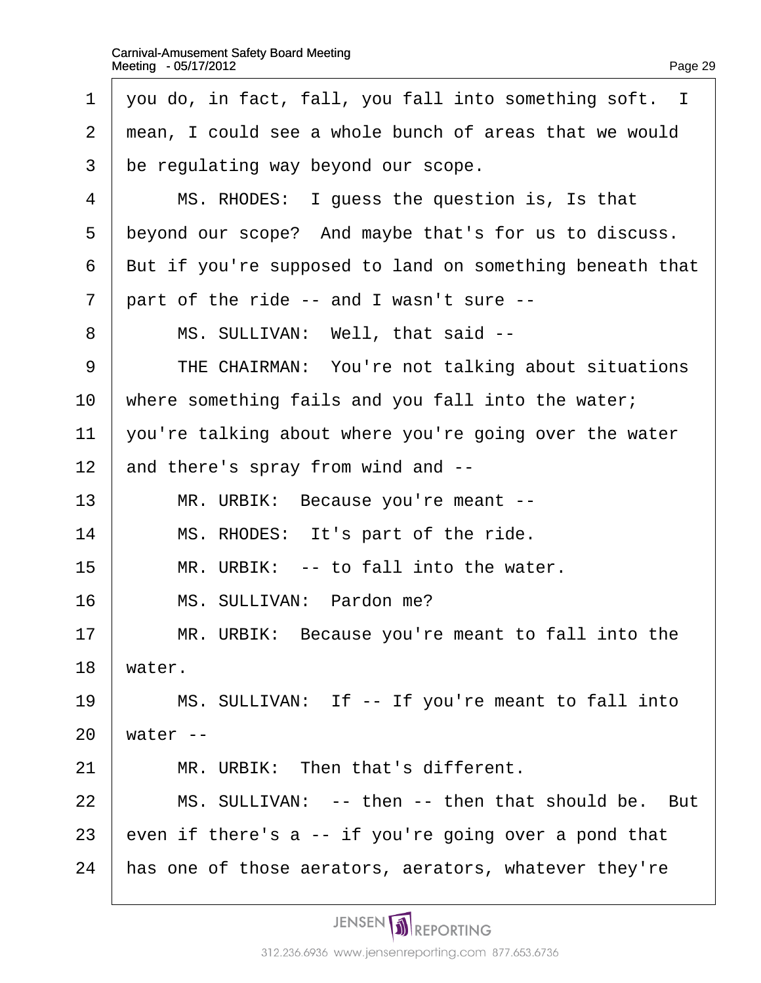| 1              | you do, in fact, fall, you fall into something soft. I   |
|----------------|----------------------------------------------------------|
| 2              | mean, I could see a whole bunch of areas that we would   |
| 3              | be regulating way beyond our scope.                      |
| 4              | MS. RHODES: I guess the question is, Is that             |
| 5              | beyond our scope? And maybe that's for us to discuss.    |
| 6              | But if you're supposed to land on something beneath that |
| $\overline{7}$ | part of the ride -- and I wasn't sure --                 |
| 8              | MS. SULLIVAN: Well, that said --                         |
| 9              | THE CHAIRMAN: You're not talking about situations        |
| 10             | where something fails and you fall into the water;       |
| 11             | you're talking about where you're going over the water   |
| 12             | and there's spray from wind and --                       |
| 13             | MR. URBIK: Because you're meant --                       |
| 14             | MS. RHODES: It's part of the ride.                       |
| 15             | MR. URBIK: -- to fall into the water.                    |
| 16             | MS. SULLIVAN: Pardon me?                                 |
| 17             | MR. URBIK: Because you're meant to fall into the         |
| 18             | water.                                                   |
| 19             | MS. SULLIVAN: If -- If you're meant to fall into         |
| 20             | water-                                                   |
| 21             | MR. URBIK: Then that's different.                        |
| 22             | MS. SULLIVAN: -- then -- then that should be. But        |
| 23             | even if there's a -- if you're going over a pond that    |
| 24             | has one of those aerators, aerators, whatever they're    |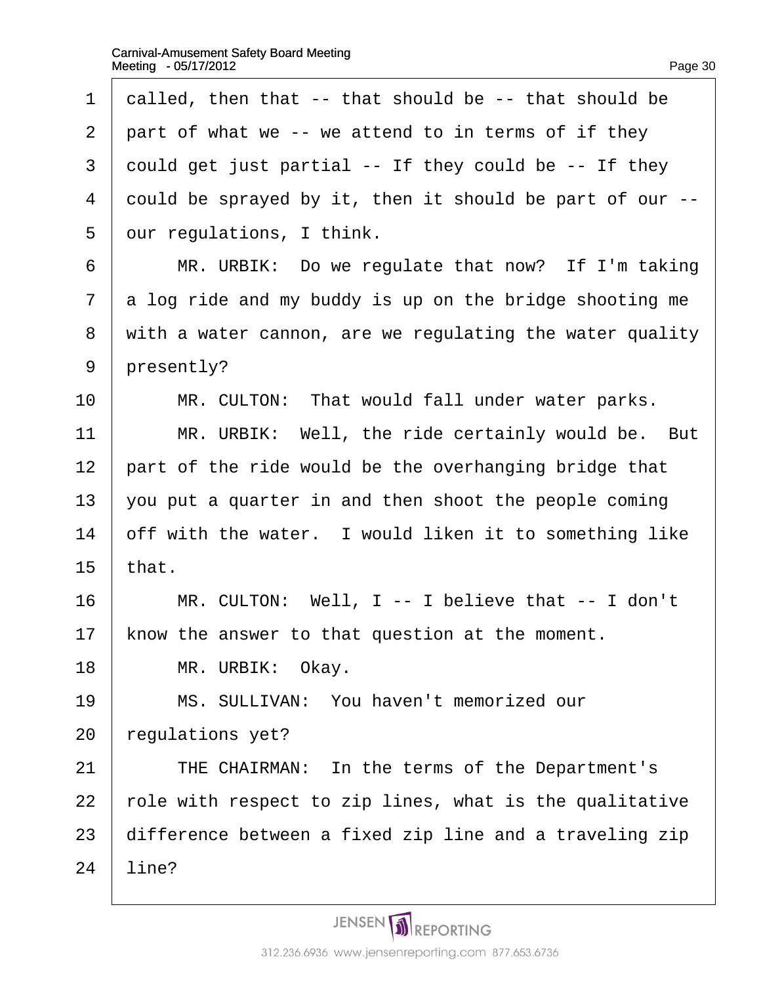| 1              | dalled, then that -- that should be -- that should be    |
|----------------|----------------------------------------------------------|
| $\overline{2}$ | part of what we -- we attend to in terms of if they      |
| 3              | could get just partial -- If they could be -- If they    |
| $\overline{4}$ | dould be sprayed by it, then it should be part of our -- |
| 5              | dur regulations, I think.                                |
| 6              | MR. URBIK: Do we regulate that now? If I'm taking        |
| 7              | a log ride and my buddy is up on the bridge shooting me  |
| 8              | with a water cannon, are we regulating the water quality |
| 9              | presently?                                               |
| 10             | MR. CULTON: That would fall under water parks.           |
| 11             | MR. URBIK: Well, the ride certainly would be. But        |
| 12             | part of the ride would be the overhanging bridge that    |
| 13             | you put a quarter in and then shoot the people coming    |
| 14             | off with the water. I would liken it to something like   |
| 15             | that.                                                    |
| 16             | MR. CULTON: Well, I -- I believe that -- I don't         |
| 17             | know the answer to that question at the moment.          |
| 18             | MR. URBIK: Okay.                                         |
| 19             | MS. SULLIVAN: You haven't memorized our                  |
| 20             | regulations yet?                                         |
| 21             | THE CHAIRMAN: In the terms of the Department's           |
| 22             | role with respect to zip lines, what is the qualitative  |
| 23             | difference between a fixed zip line and a traveling zip  |
| 24             | line?                                                    |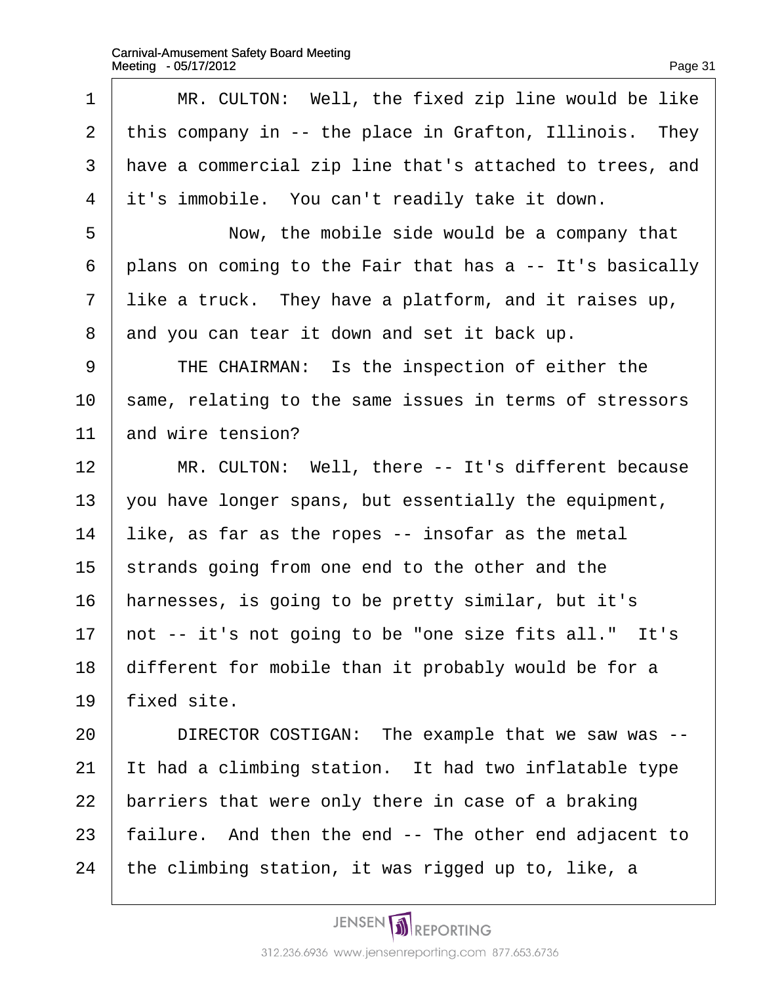| 1              | MR. CULTON: Well, the fixed zip line would be like       |
|----------------|----------------------------------------------------------|
| $\mathbf{2}$   | this company in -- the place in Grafton, Illinois. They  |
| 3              | have a commercial zip line that's attached to trees, and |
| $\overline{4}$ | it's immobile. You can't readily take it down.           |
| 5              | Now, the mobile side would be a company that             |
| 6              | plans on coming to the Fair that has a -- It's basically |
| 7              | like a truck. They have a platform, and it raises up,    |
| 8              | and you can tear it down and set it back up.             |
| 9              | THE CHAIRMAN: Is the inspection of either the            |
| 10             | same, relating to the same issues in terms of stressors  |
| 11             | and wire tension?                                        |
| 12             | MR. CULTON: Well, there -- It's different because        |
| 13             | you have longer spans, but essentially the equipment,    |
| 14             | like, as far as the ropes -- insofar as the metal        |
| 15             | strands going from one end to the other and the          |
| 16             | harnesses, is going to be pretty similar, but it's       |
| 17             | not -- it's not going to be "one size fits all." It's    |
| 18             | different for mobile than it probably would be for a     |
| 19             | fixed site.                                              |
| 20             | DIRECTOR COSTIGAN: The example that we saw was --        |
| 21             | It had a climbing station. It had two inflatable type    |
| 22             | barriers that were only there in case of a braking       |
| 23             | failure. And then the end -- The other end adjacent to   |
| 24             | the climbing station, it was rigged up to, like, a       |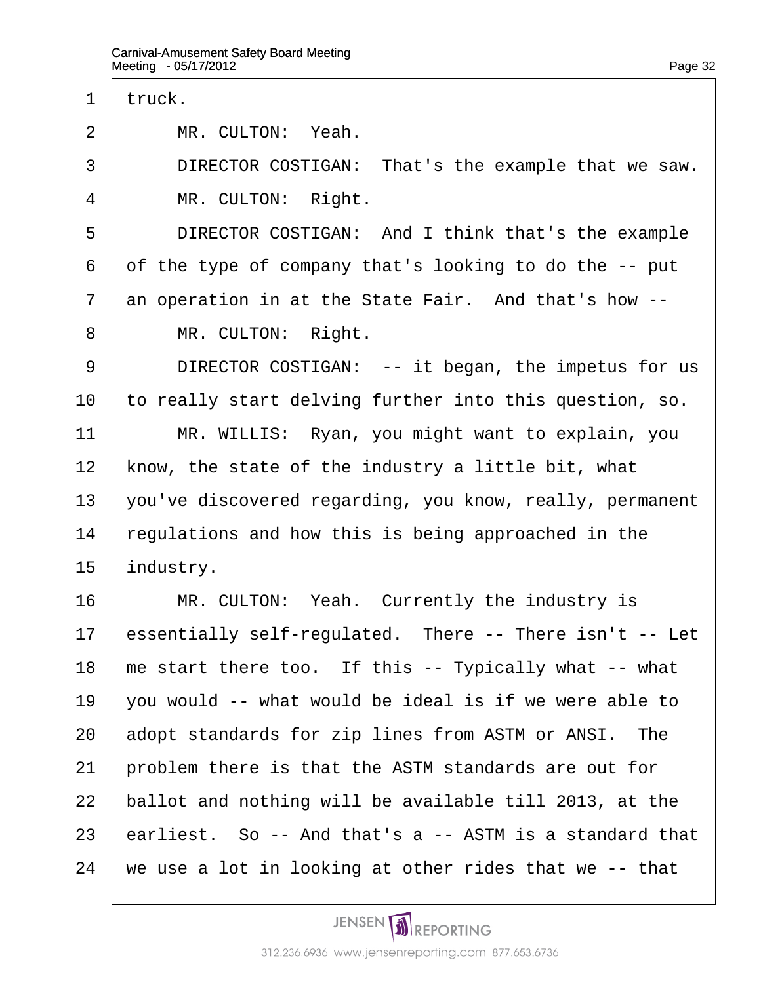| 1              | truck.                                                   |
|----------------|----------------------------------------------------------|
| $\overline{2}$ | MR. CULTON: Yeah.                                        |
| 3              | DIRECTOR COSTIGAN: That's the example that we saw.       |
| 4              | MR. CULTON: Right.                                       |
| 5              | DIRECTOR COSTIGAN: And I think that's the example        |
| 6              | of the type of company that's looking to do the -- put   |
| 7              | an operation in at the State Fair. And that's how --     |
| 8              | MR. CULTON: Right.                                       |
| 9              | DIRECTOR COSTIGAN: -- it began, the impetus for us       |
| 10             | to really start delving further into this question, so.  |
| 11             | MR. WILLIS: Ryan, you might want to explain, you         |
| 12             | know, the state of the industry a little bit, what       |
| 13             | you've discovered regarding, you know, really, permanent |
| 14             | regulations and how this is being approached in the      |
| 15             | industry.                                                |
| 16             | MR. CULTON: Yeah. Currently the industry is              |
| 17             | essentially self-regulated. There -- There isn't -- Let  |
| 18             | me start there too. If this -- Typically what -- what    |
| 19             | you would -- what would be ideal is if we were able to   |
| 20             | adopt standards for zip lines from ASTM or ANSI. The     |
| 21             | problem there is that the ASTM standards are out for     |
| 22             | ballot and nothing will be available till 2013, at the   |
| 23             | earliest. So -- And that's a -- ASTM is a standard that  |
| 24             | we use a lot in looking at other rides that we -- that   |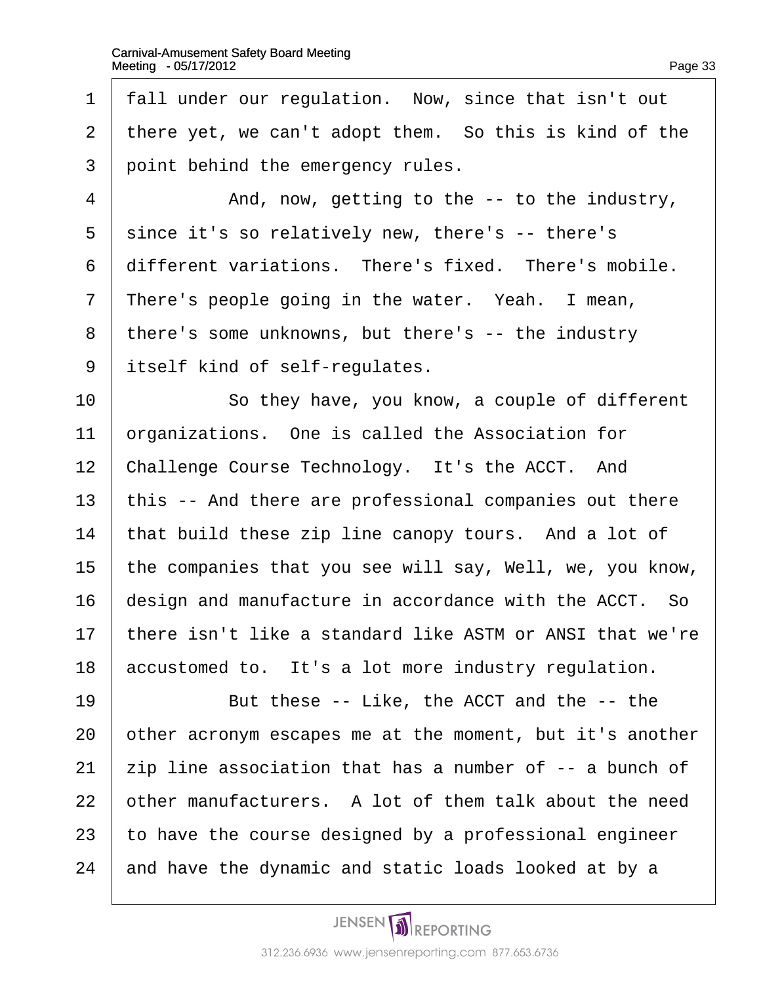1 fall under our regulation. Now, since that isn't out 2 there yet, we can't adopt them. So this is kind of the 3 point behind the emergency rules.  $\frac{4}{4}$  And, now, getting to the  $\frac{1}{4}$  -- to the industry, 5 since it's so relatively new, there's -- there's 6 different variations. There's fixed. There's mobile. 7 There's people going in the water. Yeah. I mean, 8 there's some unknowns, but there's -- the industry 9 itself kind of self-regulates. 10 **So they have, you know, a couple of different** 11 **brganizations.** One is called the Association for 12 Challenge Course Technology. It's the ACCT. And 13 this -- And there are professional companies out there 14 that build these zip line canopy tours. And a lot of 15 the companies that you see will say, Well, we, you know, 16 design and manufacture in accordance with the ACCT. So 17 there isn't like a standard like ASTM or ANSI that we're 18 accustomed to. It's a lot more industry regulation. 19 **But these -- Like, the ACCT and the -- the** 20 other acronym escapes me at the moment, but it's another 21  $\pm$ ip line association that has a number of  $-$  a bunch of 22 bther manufacturers. A lot of them talk about the need 23 to have the course designed by a professional engineer 24 and have the dynamic and static loads looked at by a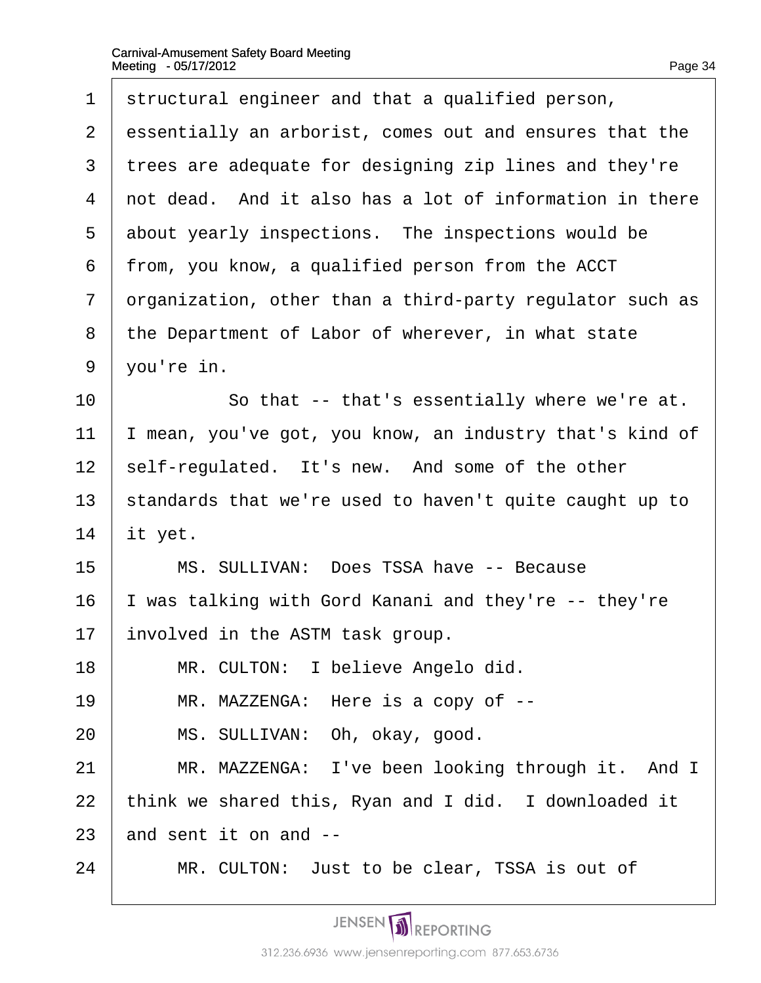| 1              | structural engineer and that a qualified person,         |
|----------------|----------------------------------------------------------|
| 2              | essentially an arborist, comes out and ensures that the  |
| 3              | trees are adequate for designing zip lines and they're   |
| $\overline{4}$ | not dead. And it also has a lot of information in there  |
| 5              | about yearly inspections. The inspections would be       |
| 6              | from, you know, a qualified person from the ACCT         |
| 7              | drganization, other than a third-party regulator such as |
| 8              | the Department of Labor of wherever, in what state       |
| 9              | you're in.                                               |
| 10             | So that -- that's essentially where we're at.            |
| 11             | mean, you've got, you know, an industry that's kind of   |
| 12             | self-regulated. It's new. And some of the other          |
| 13             | standards that we're used to haven't quite caught up to  |
| 14             | it yet.                                                  |
| 15             | MS. SULLIVAN: Does TSSA have -- Because                  |
| 16             | was talking with Gord Kanani and they're -- they're      |
| 17             | involved in the ASTM task group.                         |
| 18             | MR. CULTON: I believe Angelo did.                        |
| 19             | MR. MAZZENGA: Here is a copy of --                       |
| 20             | MS. SULLIVAN: Oh, okay, good.                            |
| 21             | MR. MAZZENGA: I've been looking through it. And I        |
| 22             | think we shared this, Ryan and I did. I downloaded it    |
| 23             | and sent it on and --                                    |
| 24             | MR. CULTON: Just to be clear, TSSA is out of             |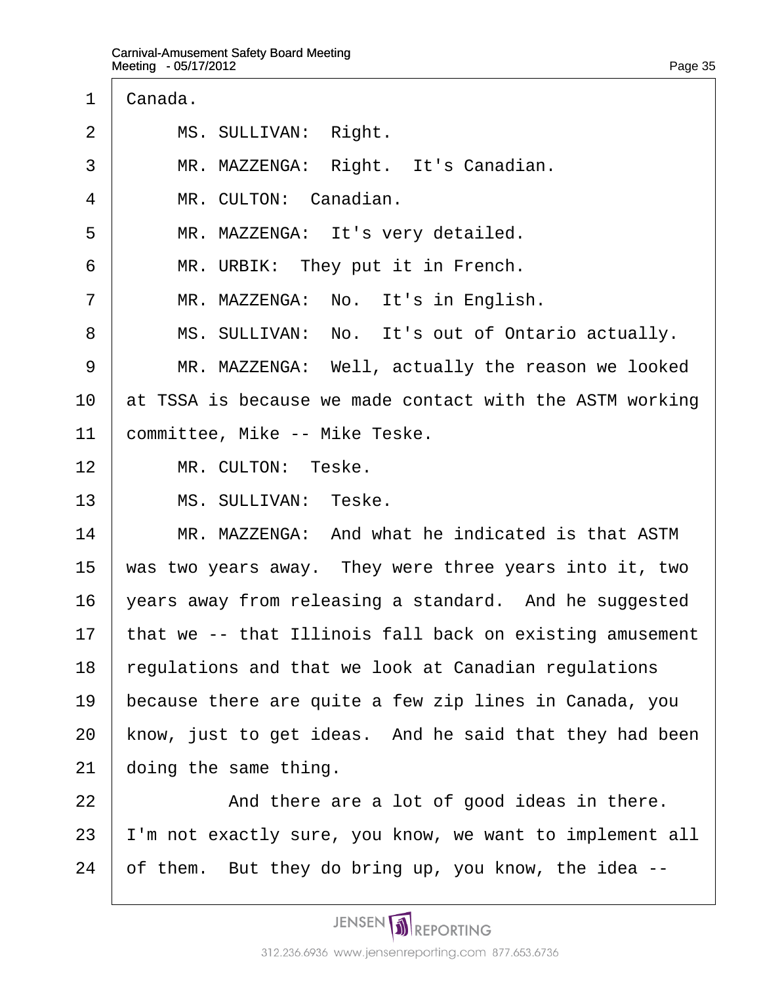- 1 Canada.
- 2 | MS. SULLIVAN: Right.
- 3 | MR. MAZZENGA: Right. It's Canadian.
- 4 | MR. CULTON: Canadian.
- 5 | MR. MAZZENGA: It's very detailed.
- 6 | MR. URBIK: They put it in French.
- 7 | MR. MAZZENGA: No. It's in English.
- 8 | MS. SULLIVAN: No. It's out of Ontario actually.
- 9 | MR. MAZZENGA: Well, actually the reason we looked
- 10 at TSSA is because we made contact with the ASTM working
- 11 committee, Mike -- Mike Teske.
- 12 | MR. CULTON: Teske.
- 13 | MS. SULLIVAN: Teske.
- 14 **MR. MAZZENGA: And what he indicated is that ASTM**
- 15 was two years away. They were three years into it, two
- 16  $\sqrt{2}$  vears away from releasing a standard. And he suggested
- 17 that we -- that Illinois fall back on existing amusement
- 18 regulations and that we look at Canadian regulations
- 19 because there are quite a few zip lines in Canada, you
- 20 know, just to get ideas. And he said that they had been
- 21 doing the same thing.
- $22$   $\parallel$  And there are a lot of good ideas in there.
- 23 I'm not exactly sure, you know, we want to implement all
- 24  $\theta$  of them. But they do bring up, you know, the idea  $-$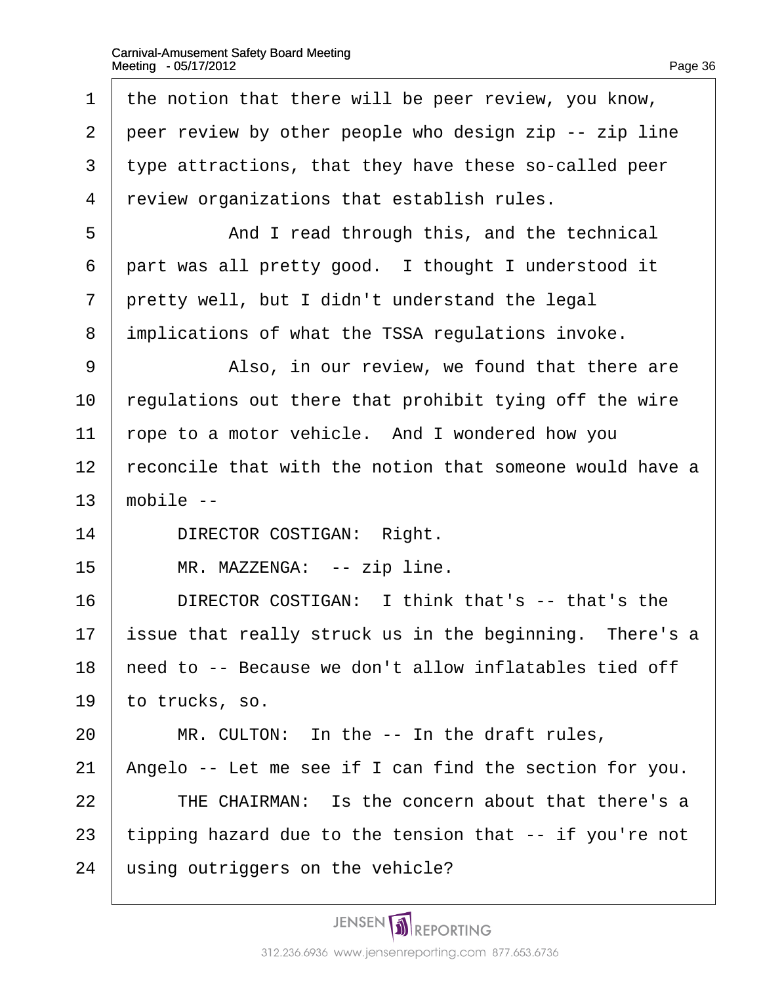| 1              | the notion that there will be peer review, you know,     |
|----------------|----------------------------------------------------------|
| $\overline{2}$ | peer review by other people who design zip -- zip line   |
| 3              | type attractions, that they have these so-called peer    |
| $\overline{4}$ | review organizations that establish rules.               |
| 5              | And I read through this, and the technical               |
| 6              | part was all pretty good. I thought I understood it      |
| 7              | pretty well, but I didn't understand the legal           |
| 8              | implications of what the TSSA regulations invoke.        |
| 9              | Also, in our review, we found that there are             |
| 10             | regulations out there that prohibit tying off the wire   |
| 11             | rope to a motor vehicle. And I wondered how you          |
| 12             | reconcile that with the notion that someone would have a |
| 13             | mobile --                                                |
| 14             | <b>DIRECTOR COSTIGAN: Right.</b>                         |
| 15             | MR. MAZZENGA: -- zip line.                               |
| 16             | DIRECTOR COSTIGAN: I think that's -- that's the          |
| 17             |                                                          |
|                | issue that really struck us in the beginning. There's a  |
| 18             | need to -- Because we don't allow inflatables tied off   |
| 19             | to trucks, so.                                           |
| 20             | MR. CULTON: In the -- In the draft rules,                |
| 21             | Angelo -- Let me see if I can find the section for you.  |
| 22             | THE CHAIRMAN: Is the concern about that there's a        |
| 23             | tipping hazard due to the tension that -- if you're not  |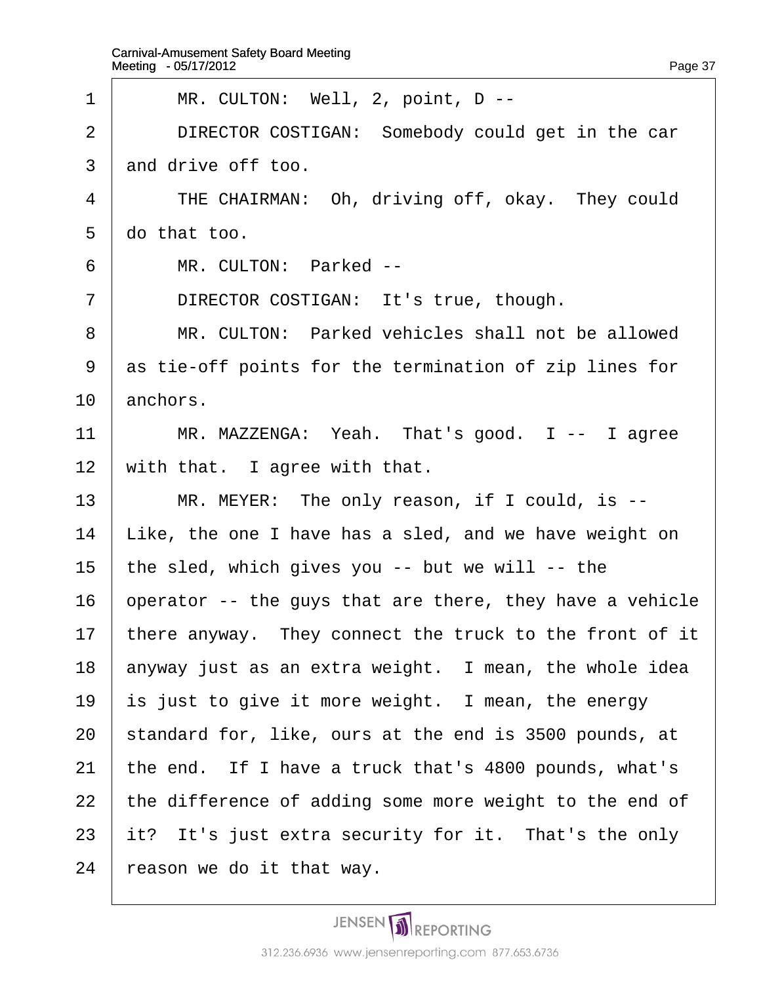| 1              | MR. CULTON: Well, 2, point, D --                         |
|----------------|----------------------------------------------------------|
| 2              | DIRECTOR COSTIGAN: Somebody could get in the car         |
| 3              | and drive off too.                                       |
| 4              | THE CHAIRMAN: Oh, driving off, okay. They could          |
| 5              | do that too.                                             |
| 6              | MR. CULTON: Parked --                                    |
| $\overline{7}$ | DIRECTOR COSTIGAN: It's true, though.                    |
| 8              | MR. CULTON: Parked vehicles shall not be allowed         |
| 9              | as tie-off points for the termination of zip lines for   |
| 10             | anchors.                                                 |
| 11             | MR. MAZZENGA: Yeah. That's good. I -- I agree            |
| 12             | with that. I agree with that.                            |
| 13             | MR. MEYER: The only reason, if I could, is --            |
| 14             | Like, the one I have has a sled, and we have weight on   |
| 15             | the sled, which gives you -- but we will -- the          |
| 16             | operator -- the guys that are there, they have a vehicle |
| 17             | there anyway. They connect the truck to the front of it  |
| 18             | anyway just as an extra weight. I mean, the whole idea   |
| 19             | is just to give it more weight. I mean, the energy       |
| 20             | standard for, like, ours at the end is 3500 pounds, at   |
| 21             | the end. If I have a truck that's 4800 pounds, what's    |
| 22             | the difference of adding some more weight to the end of  |
| 23             | it? It's just extra security for it. That's the only     |
| 24             | reason we do it that way.                                |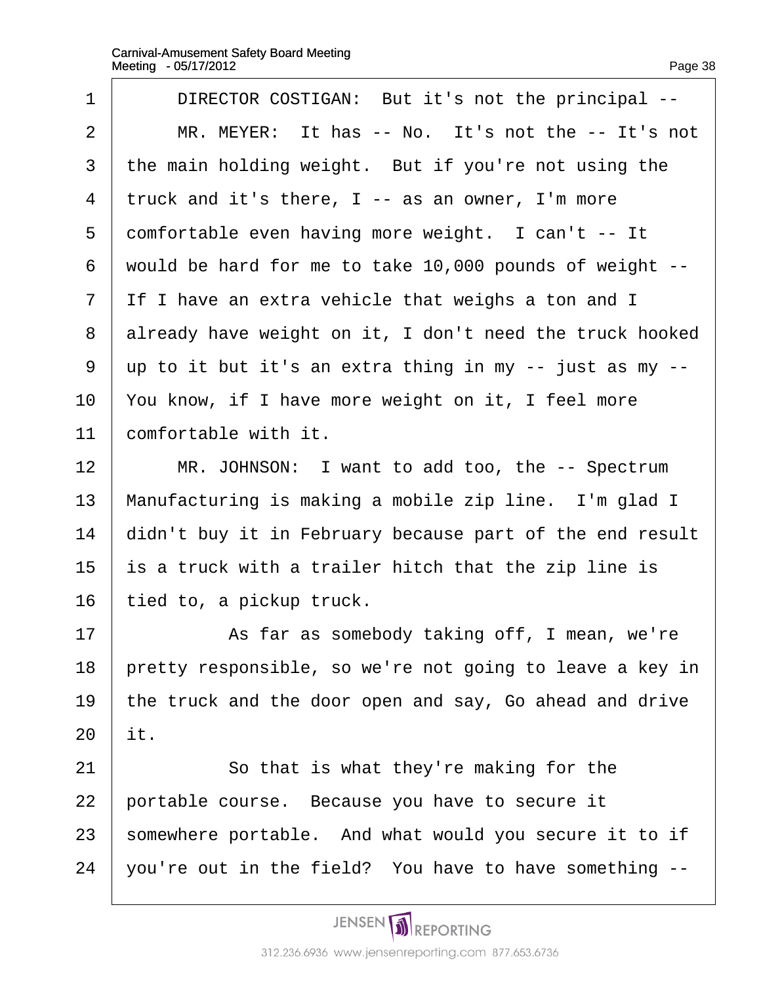| 1              | DIRECTOR COSTIGAN: But it's not the principal --         |
|----------------|----------------------------------------------------------|
| 2              | MR. MEYER: It has -- No. It's not the -- It's not        |
| 3              | the main holding weight. But if you're not using the     |
| 4              | truck and it's there, I -- as an owner, I'm more         |
| 5              | comfortable even having more weight. I can't -- It       |
| 6              | would be hard for me to take 10,000 pounds of weight --  |
| $\overline{7}$ | If I have an extra vehicle that weighs a ton and I       |
| 8              | already have weight on it, I don't need the truck hooked |
| 9              | up to it but it's an extra thing in my -- just as my --  |
| 10             | You know, if I have more weight on it, I feel more       |
| 11             | comfortable with it.                                     |
| 12             | MR. JOHNSON: I want to add too, the -- Spectrum          |
| 13             | Manufacturing is making a mobile zip line. I'm glad I    |
| 14             | didn't buy it in February because part of the end result |
| 15             | is a truck with a trailer hitch that the zip line is     |
| 16             | tied to, a pickup truck.                                 |
| 17             | As far as somebody taking off, I mean, we're             |
| 18             | pretty responsible, so we're not going to leave a key in |
| 19             | the truck and the door open and say, Go ahead and drive  |
| 20             | it.                                                      |
| 21             | So that is what they're making for the                   |
| 22             | portable course. Because you have to secure it           |
| 23             | somewhere portable. And what would you secure it to if   |
| 24             | you're out in the field? You have to have something --   |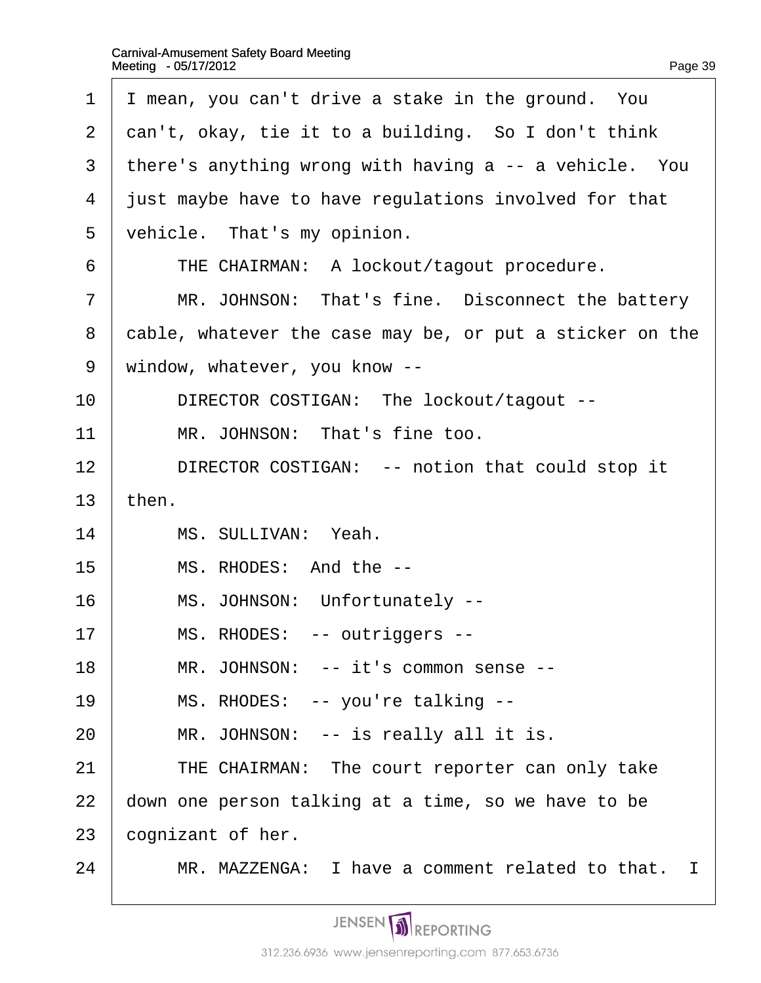$\Gamma$ 

| 1  | I mean, you can't drive a stake in the ground. You       |
|----|----------------------------------------------------------|
| 2  | dan't, okay, tie it to a building. So I don't think      |
| 3  | there's anything wrong with having a -- a vehicle. You   |
| 4  | just maybe have to have regulations involved for that    |
| 5  | vehicle. That's my opinion.                              |
| 6  | THE CHAIRMAN: A lockout/tagout procedure.                |
| 7  | MR. JOHNSON: That's fine. Disconnect the battery         |
| 8  | cable, whatever the case may be, or put a sticker on the |
| 9  | window, whatever, you know --                            |
| 10 | DIRECTOR COSTIGAN: The lockout/tagout --                 |
| 11 | MR. JOHNSON: That's fine too.                            |
| 12 | DIRECTOR COSTIGAN: -- notion that could stop it          |
| 13 | then.                                                    |
| 14 | MS. SULLIVAN: Yeah.                                      |
| 15 | MS. RHODES: And the --                                   |
| 16 | MS. JOHNSON: Unfortunately --                            |
| 17 | MS. RHODES: -- outriggers --                             |
| 18 | MR. JOHNSON: -- it's common sense --                     |
| 19 | MS. RHODES: -- you're talking --                         |
| 20 | MR. JOHNSON: -- is really all it is.                     |
| 21 | THE CHAIRMAN: The court reporter can only take           |
| 22 | down one person talking at a time, so we have to be      |
| 23 | cognizant of her.                                        |
| 24 | MR. MAZZENGA: I have a comment related to that. I        |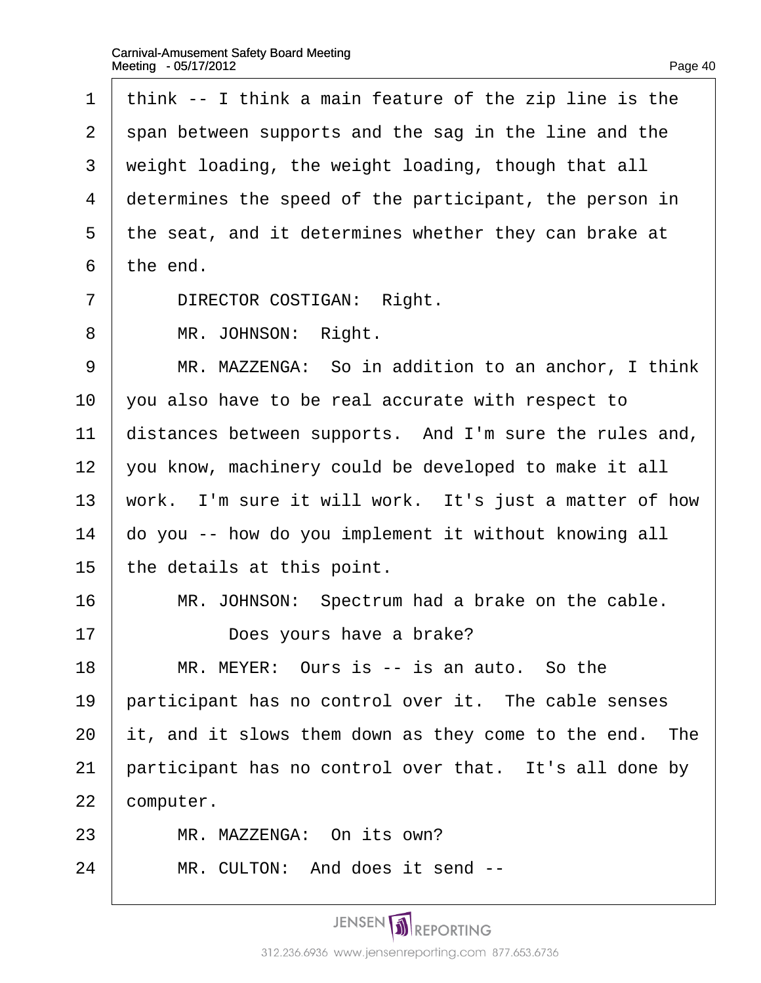| 1              | think -- I think a main feature of the zip line is the  |
|----------------|---------------------------------------------------------|
| $\overline{2}$ | span between supports and the sag in the line and the   |
| 3              | weight loading, the weight loading, though that all     |
| 4              | determines the speed of the participant, the person in  |
| 5              | the seat, and it determines whether they can brake at   |
| 6              | the end.                                                |
| $\overline{7}$ | <b>DIRECTOR COSTIGAN: Right.</b>                        |
| 8              | MR. JOHNSON: Right.                                     |
| 9              | MR. MAZZENGA: So in addition to an anchor, I think      |
| 10             | you also have to be real accurate with respect to       |
| 11             | distances between supports. And I'm sure the rules and, |
| 12             | you know, machinery could be developed to make it all   |
| 13             | work. I'm sure it will work. It's just a matter of how  |
| 14             | do you -- how do you implement it without knowing all   |
| 15             | the details at this point.                              |
| 16             | MR. JOHNSON: Spectrum had a brake on the cable.         |
| 17             | Does yours have a brake?                                |
| 18             | MR. MEYER: Ours is -- is an auto. So the                |
| 19             | participant has no control over it. The cable senses    |
| 20             | it, and it slows them down as they come to the end. The |
| 21             | participant has no control over that. It's all done by  |
| 22             | computer.                                               |
| 23             | MR. MAZZENGA: On its own?                               |
| 24             | MR. CULTON: And does it send --                         |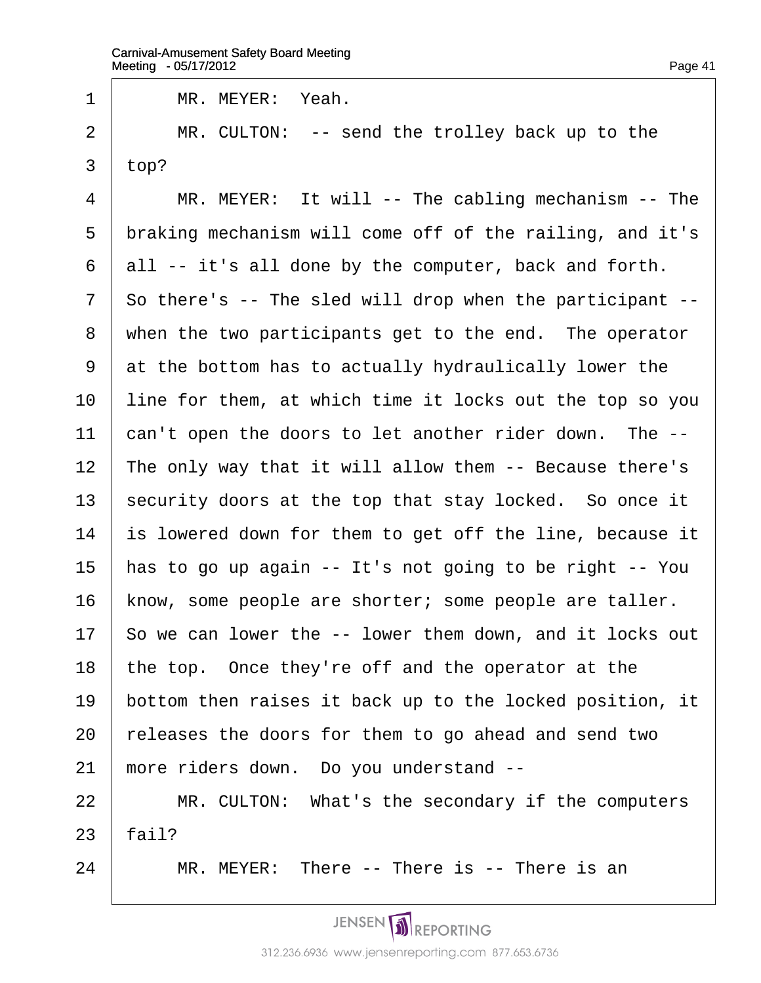| 1              | MR. MEYER: Yeah.                                         |
|----------------|----------------------------------------------------------|
| $\overline{2}$ | MR. CULTON: -- send the trolley back up to the           |
| 3              | top?                                                     |
| 4              | MR. MEYER: It will -- The cabling mechanism -- The       |
| 5              | braking mechanism will come off of the railing, and it's |
| 6              | all -- it's all done by the computer, back and forth.    |
| $\overline{7}$ | So there's -- The sled will drop when the participant -- |
| 8              | when the two participants get to the end. The operator   |
| 9              | at the bottom has to actually hydraulically lower the    |
| 10             | line for them, at which time it locks out the top so you |
| 11             | can't open the doors to let another rider down. The --   |
| 12             | The only way that it will allow them -- Because there's  |
| 13             | security doors at the top that stay locked. So once it   |
| 14             | is lowered down for them to get off the line, because it |
| 15             | has to go up again -- It's not going to be right -- You  |
| 16             | know, some people are shorter; some people are taller.   |
| 17             | So we can lower the -- lower them down, and it locks out |
| 18             | the top. Once they're off and the operator at the        |
| 19             | bottom then raises it back up to the locked position, it |
| 20             | releases the doors for them to go ahead and send two     |
| 21             | more riders down. Do you understand --                   |
| 22             | MR. CULTON: What's the secondary if the computers        |
| 23             | fail?                                                    |
| 24             | MR. MEYER: There -- There is -- There is an              |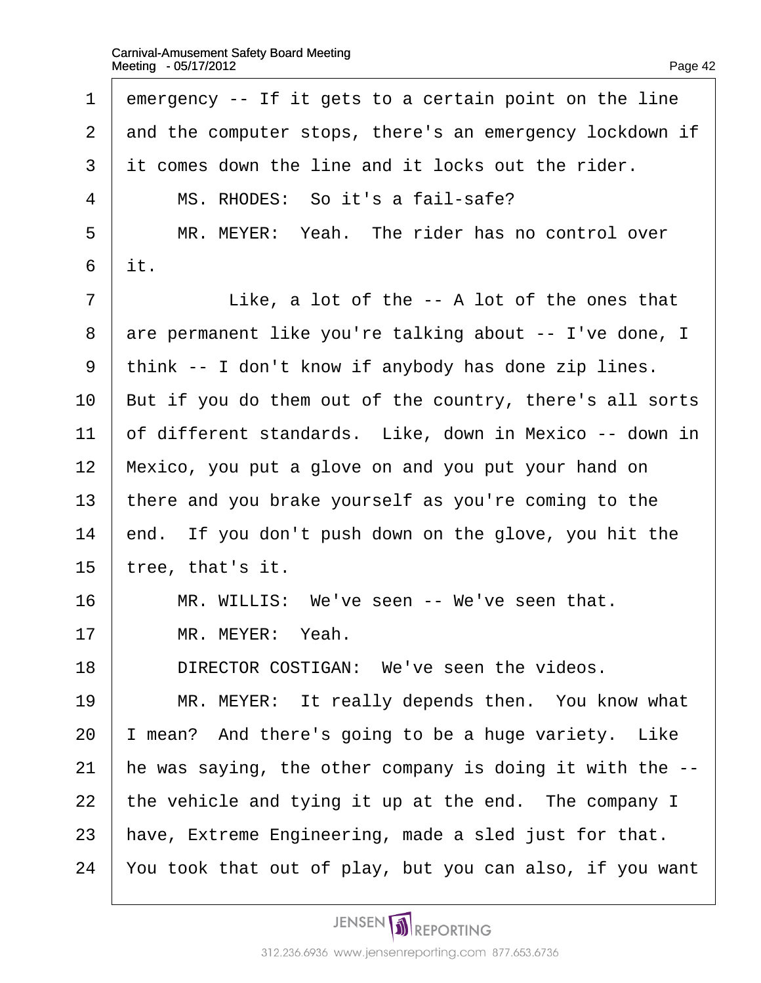| 1              | emergency -- If it gets to a certain point on the line   |
|----------------|----------------------------------------------------------|
| $\overline{2}$ | and the computer stops, there's an emergency lockdown if |
| 3              | it comes down the line and it locks out the rider.       |
| 4              | MS. RHODES: So it's a fail-safe?                         |
| 5              | MR. MEYER: Yeah. The rider has no control over           |
| 6              | it.                                                      |
| $\overline{7}$ | Like, a lot of the -- A lot of the ones that             |
| 8              | are permanent like you're talking about -- I've done, I  |
| 9              | think -- I don't know if anybody has done zip lines.     |
| 10             | But if you do them out of the country, there's all sorts |
| 11             | of different standards. Like, down in Mexico -- down in  |
| 12             | Mexico, you put a glove on and you put your hand on      |
| 13             | there and you brake yourself as you're coming to the     |
| 14             | end. If you don't push down on the glove, you hit the    |
| 15             | tree, that's it.                                         |
| 16             | MR. WILLIS: We've seen -- We've seen that.               |
| 17             | MR. MEYER: Yeah.                                         |
| 18             | DIRECTOR COSTIGAN: We've seen the videos.                |
| 19             | MR. MEYER: It really depends then. You know what         |
| 20             | mean? And there's going to be a huge variety. Like       |
| 21             | he was saying, the other company is doing it with the -- |
| 22             | the vehicle and tying it up at the end. The company I    |
| 23             | have, Extreme Engineering, made a sled just for that.    |
| 24             | You took that out of play, but you can also, if you want |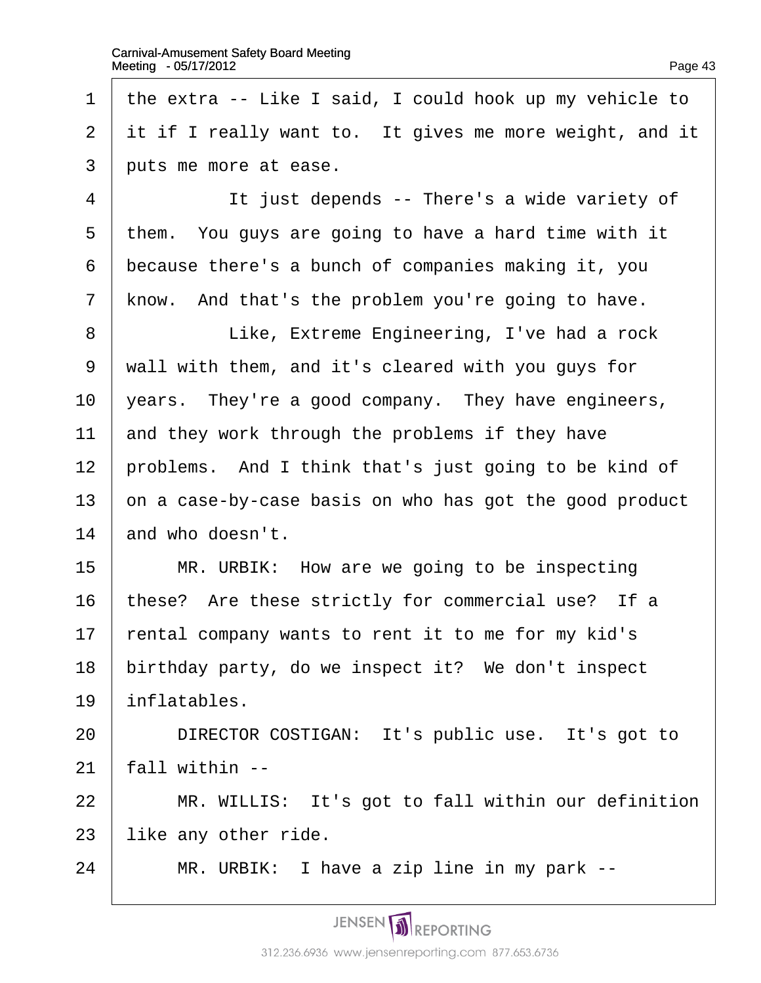1 the extra -- Like I said, I could hook up my vehicle to 2 it if I really want to. It gives me more weight, and it 3 buts me more at ease. 4 | It just depends -- There's a wide variety of 5 them. You guys are going to have a hard time with it 6 because there's a bunch of companies making it, you 7 know. And that's the problem you're going to have. 8 **Like, Extreme Engineering, I've had a rock** ·9· ·wall with them, and it's cleared with you guys for 10 years. They're a good company. They have engineers, 11 and they work through the problems if they have 12 problems. And I think that's just going to be kind of 13  $\phi$ n a case-by-case basis on who has got the good product 14 and who doesn't. 15 | MR. URBIK: How are we going to be inspecting 16 these? Are these strictly for commercial use? If a 17 rental company wants to rent it to me for my kid's 18 birthday party, do we inspect it? We don't inspect 19 inflatables. 20 | DIRECTOR COSTIGAN: It's public use. It's got to  $21$  fall within  $-$ 22 | MR. WILLIS: It's got to fall within our definition 23 like any other ride.  $24$  | MR. URBIK: I have a zip line in my park  $-$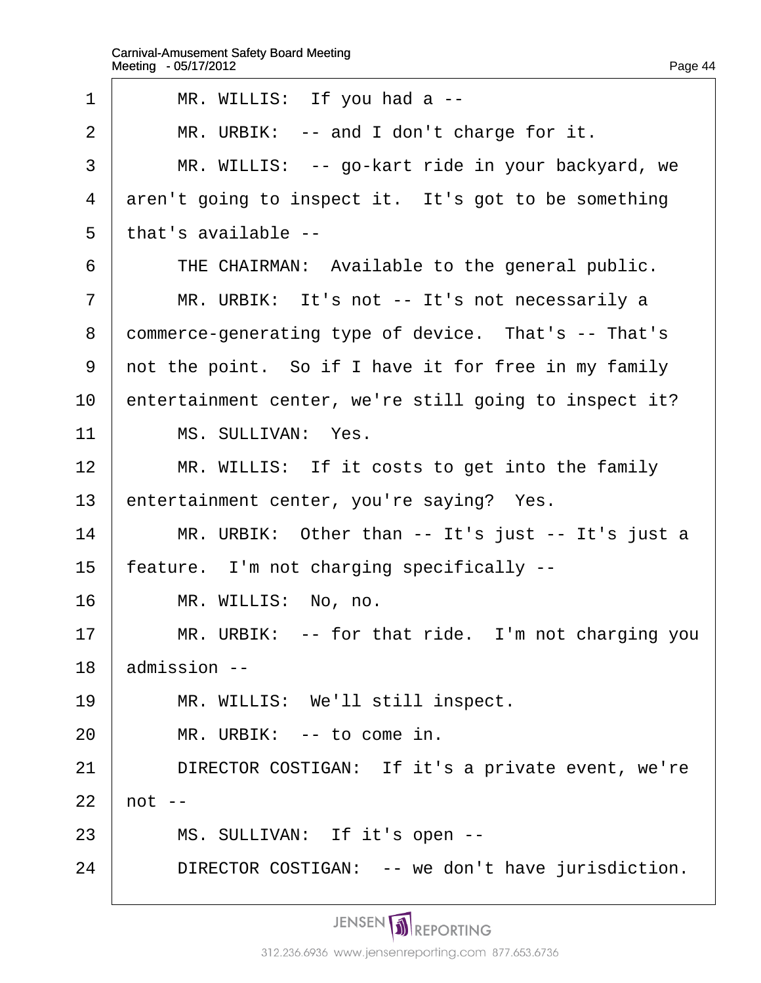$\Gamma$ 

| 1              | MR. WILLIS: If you had a --                            |
|----------------|--------------------------------------------------------|
| $\overline{2}$ | MR. URBIK: -- and I don't charge for it.               |
| 3              | MR. WILLIS: -- go-kart ride in your backyard, we       |
| 4              | aren't going to inspect it. It's got to be something   |
| 5              | that's available --                                    |
| 6              | THE CHAIRMAN: Available to the general public.         |
| 7              | MR. URBIK: It's not -- It's not necessarily a          |
| 8              | commerce-generating type of device. That's -- That's   |
| 9              | not the point. So if I have it for free in my family   |
| 10             | entertainment center, we're still going to inspect it? |
| 11             | MS. SULLIVAN: Yes.                                     |
| 12             | MR. WILLIS: If it costs to get into the family         |
| 13             | entertainment center, you're saying? Yes.              |
| 14             | MR. URBIK: Other than -- It's just -- It's just a      |
| 15             | feature. I'm not charging specifically --              |
| 16             | MR. WILLIS: No, no.                                    |
| 17             | MR. URBIK: -- for that ride. I'm not charging you      |
| 18             | admission --                                           |
| 19             | MR. WILLIS: We'll still inspect.                       |
| 20             | MR. URBIK: -- to come in.                              |
| 21             | DIRECTOR COSTIGAN: If it's a private event, we're      |
| 22             | $not -$                                                |
| 23             | MS. SULLIVAN: If it's open --                          |
| 24             | DIRECTOR COSTIGAN: -- we don't have jurisdiction.      |
|                |                                                        |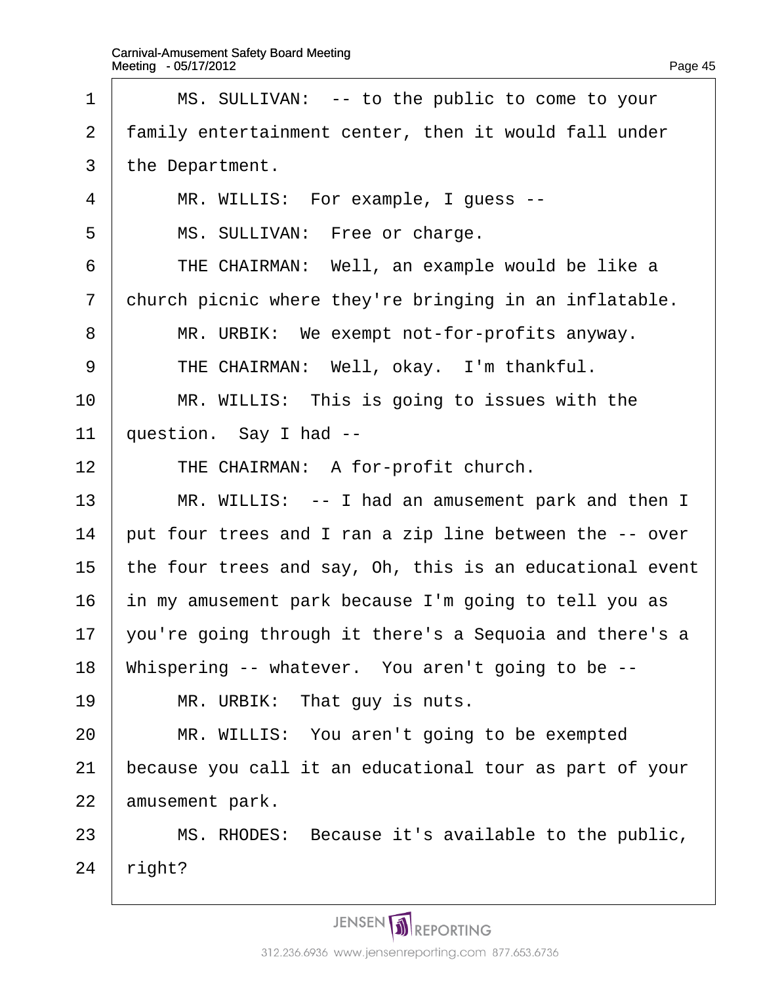| 1              | MS. SULLIVAN: -- to the public to come to your           |  |
|----------------|----------------------------------------------------------|--|
| 2              | family entertainment center, then it would fall under    |  |
| 3              | the Department.                                          |  |
| $\overline{4}$ | MR. WILLIS: For example, I guess --                      |  |
| 5              | MS. SULLIVAN: Free or charge.                            |  |
| 6              | THE CHAIRMAN: Well, an example would be like a           |  |
| $\overline{7}$ | church picnic where they're bringing in an inflatable.   |  |
| 8              | MR. URBIK: We exempt not-for-profits anyway.             |  |
| 9              | THE CHAIRMAN: Well, okay. I'm thankful.                  |  |
| 10             | MR. WILLIS: This is going to issues with the             |  |
| 11             | question. Say I had --                                   |  |
| 12             | THE CHAIRMAN: A for-profit church.                       |  |
| 13             | MR. WILLIS: -- I had an amusement park and then I        |  |
| 14             | put four trees and I ran a zip line between the -- over  |  |
| 15             | the four trees and say, Oh, this is an educational event |  |
| 16             | in my amusement park because I'm going to tell you as    |  |
| 17             | you're going through it there's a Sequoia and there's a  |  |
| 18             | Whispering -- whatever. You aren't going to be --        |  |
| 19             | MR. URBIK: That guy is nuts.                             |  |
| 20             | MR. WILLIS: You aren't going to be exempted              |  |
| 21             | because you call it an educational tour as part of your  |  |
| 22             | amusement park.                                          |  |
| 23             | MS. RHODES: Because it's available to the public,        |  |
| 24             | right?                                                   |  |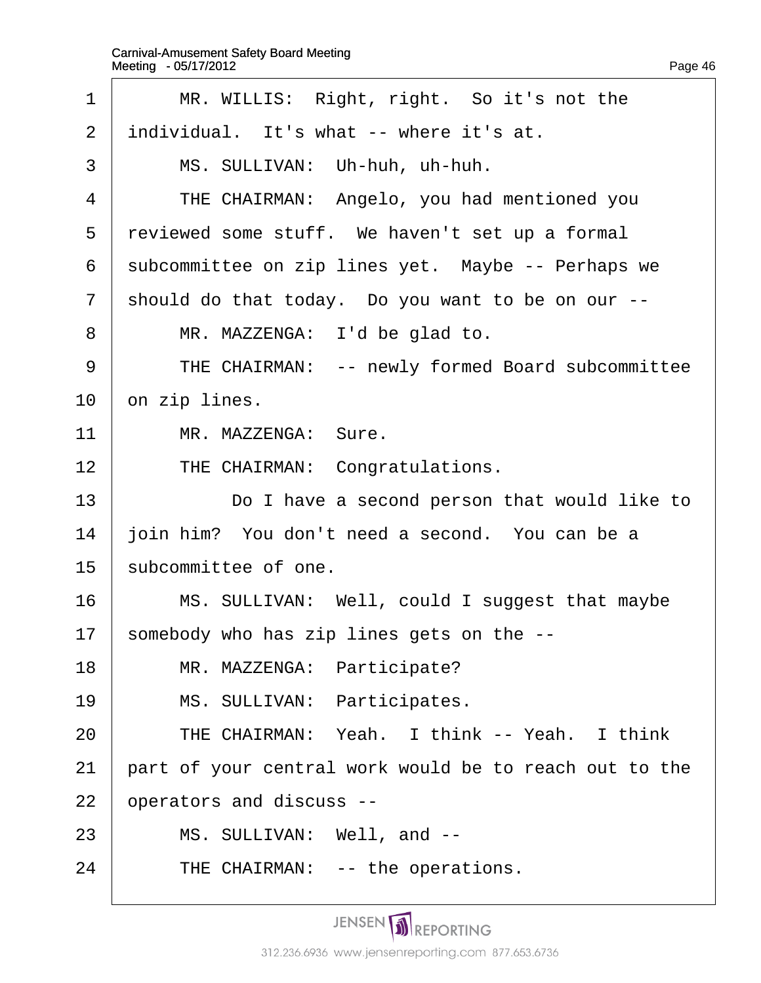$\overline{\Gamma}$ 

| 1              | MR. WILLIS: Right, right. So it's not the              |
|----------------|--------------------------------------------------------|
| 2              | individual. It's what -- where it's at.                |
| 3              | MS. SULLIVAN: Uh-huh, uh-huh.                          |
| 4              | THE CHAIRMAN: Angelo, you had mentioned you            |
| 5              | reviewed some stuff. We haven't set up a formal        |
| 6              | subcommittee on zip lines yet. Maybe -- Perhaps we     |
| $\overline{7}$ | should do that today. Do you want to be on our --      |
| 8              | MR. MAZZENGA: I'd be glad to.                          |
| 9              | THE CHAIRMAN: -- newly formed Board subcommittee       |
| 10             | on zip lines.                                          |
| 11             | MR. MAZZENGA: Sure.                                    |
| 12             | THE CHAIRMAN: Congratulations.                         |
| 13             | Do I have a second person that would like to           |
| 14             | join him? You don't need a second. You can be a        |
| 15             | subcommittee of one.                                   |
| 16             | MS. SULLIVAN: Well, could I suggest that maybe         |
| 17             | somebody who has zip lines gets on the --              |
| 18             | MR. MAZZENGA: Participate?                             |
| 19             | MS. SULLIVAN: Participates.                            |
| 20             | THE CHAIRMAN: Yeah. I think -- Yeah. I think           |
| 21             | part of your central work would be to reach out to the |
| 22             | operators and discuss --                               |
| 23             | MS. SULLIVAN: Well, and --                             |
| 24             | THE CHAIRMAN: -- the operations.                       |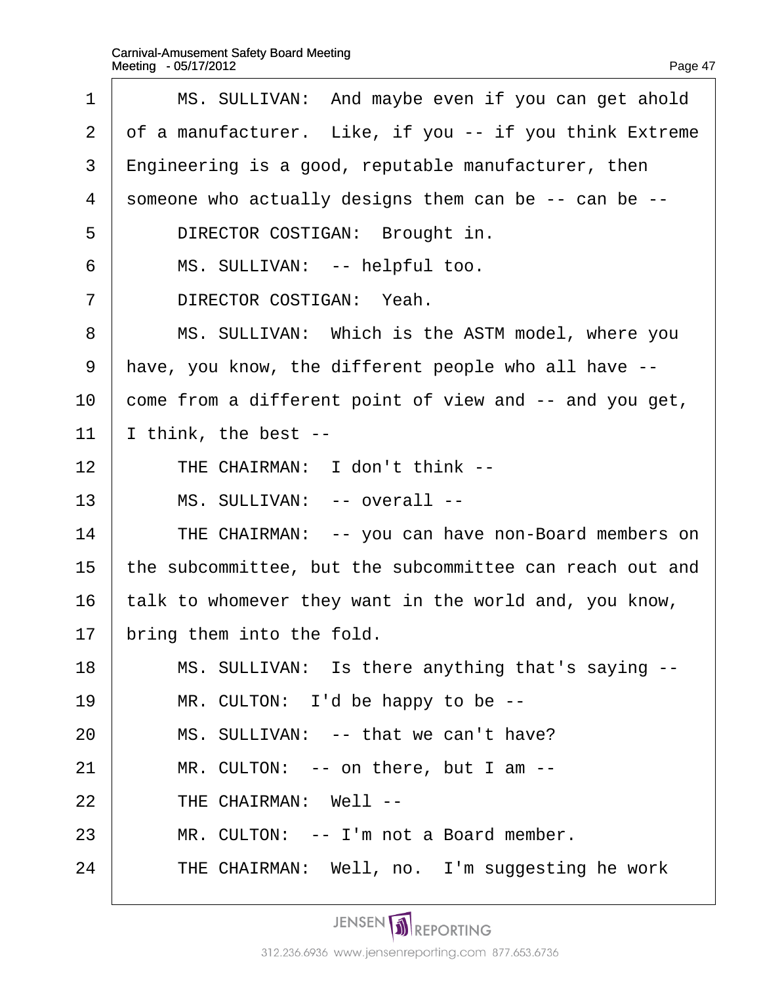| 1              | MS. SULLIVAN: And maybe even if you can get ahold        |
|----------------|----------------------------------------------------------|
| 2              | of a manufacturer. Like, if you -- if you think Extreme  |
| 3              | $E$ ngineering is a good, reputable manufacturer, then   |
| $\overline{4}$ | someone who actually designs them can be -- can be --    |
| 5              | DIRECTOR COSTIGAN: Brought in.                           |
| 6              | MS. SULLIVAN: -- helpful too.                            |
| 7              | DIRECTOR COSTIGAN: Yeah.                                 |
| 8              | MS. SULLIVAN: Which is the ASTM model, where you         |
| 9              | have, you know, the different people who all have --     |
| 10             | come from a different point of view and -- and you get,  |
| 11             | think, the best --                                       |
| 12             | THE CHAIRMAN: I don't think --                           |
| 13             | MS. SULLIVAN: -- overall --                              |
| 14             | THE CHAIRMAN: -- you can have non-Board members on       |
| 15             | the subcommittee, but the subcommittee can reach out and |
| 16             | alk to whomever they want in the world and, you know,    |
|                |                                                          |

- 16 talk to whomever they want
- 17 bring them into the fold.
- 18 | MS. SULLIVAN: Is there anything that's saying --
- 19 | MR. CULTON: I'd be happy to be --
- $20$  | MS. SULLIVAN: -- that we can't have?
- $21$  | MR. CULTON: -- on there, but I am --
- $22$   $\parallel$  THE CHAIRMAN: Well --
- $23$  | MR. CULTON: -- I'm not a Board member.
- 24 THE CHAIRMAN: Well, no. I'm suggesting he work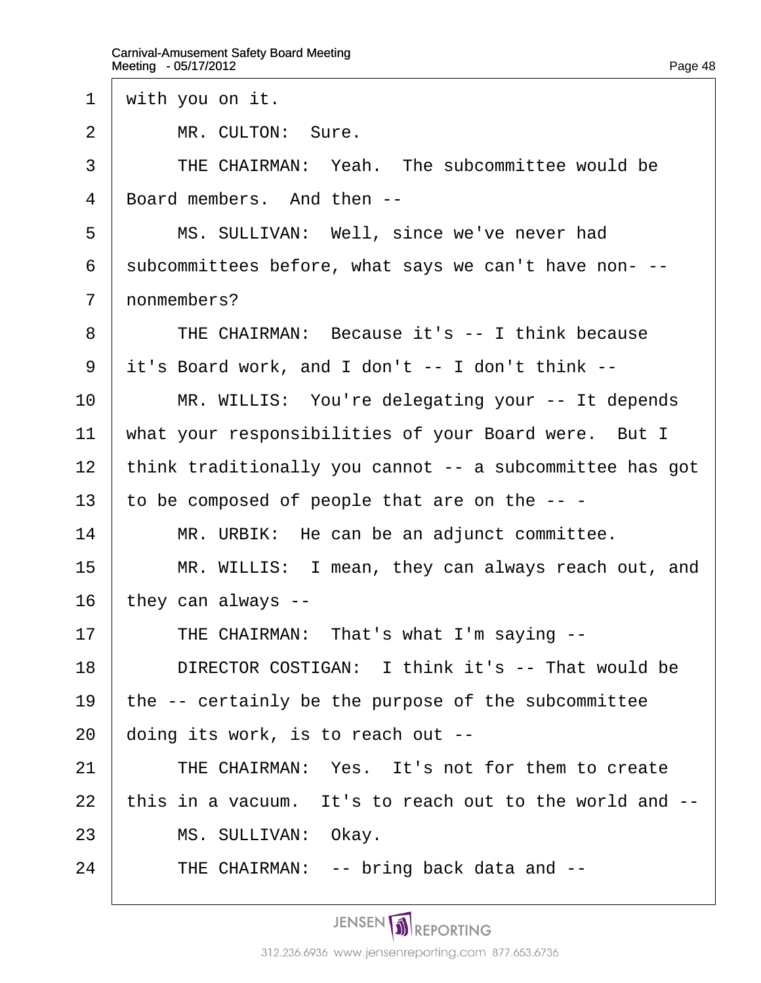- 1 with you on it.
- 2 | MR. CULTON: Sure.
- 3 | THE CHAIRMAN: Yeah. The subcommittee would be
- 4 Board members. And then --
- 5 | MS. SULLIVAN: Well, since we've never had
- 6 subcommittees before, what says we can't have non---
- 7 nonmembers?
- 8 | THE CHAIRMAN: Because it's -- I think because
- ·9· ·it's Board work, and I don't -- I don't think --
- 10 | MR. WILLIS: You're delegating your -- It depends
- 11 what your responsibilities of your Board were. But I
- 12 think traditionally you cannot -- a subcommittee has got
- 13 to be composed of people that are on the  $-$  -
- 14  $\parallel$  MR. URBIK: He can be an adjunct committee.
- 15 | MR. WILLIS: I mean, they can always reach out, and 16 they can always --
- 17 | THE CHAIRMAN: That's what I'm saying --
- 18 **DIRECTOR COSTIGAN: I think it's -- That would be**
- 19 the -- certainly be the purpose of the subcommittee
- 20 doing its work, is to reach out --
- 21 | THE CHAIRMAN: Yes. It's not for them to create
- 22 this in a vacuum. It's to reach out to the world and --
- 23 | MS. SULLIVAN: Okay.
- $24$  | THE CHAIRMAN: -- bring back data and  $-$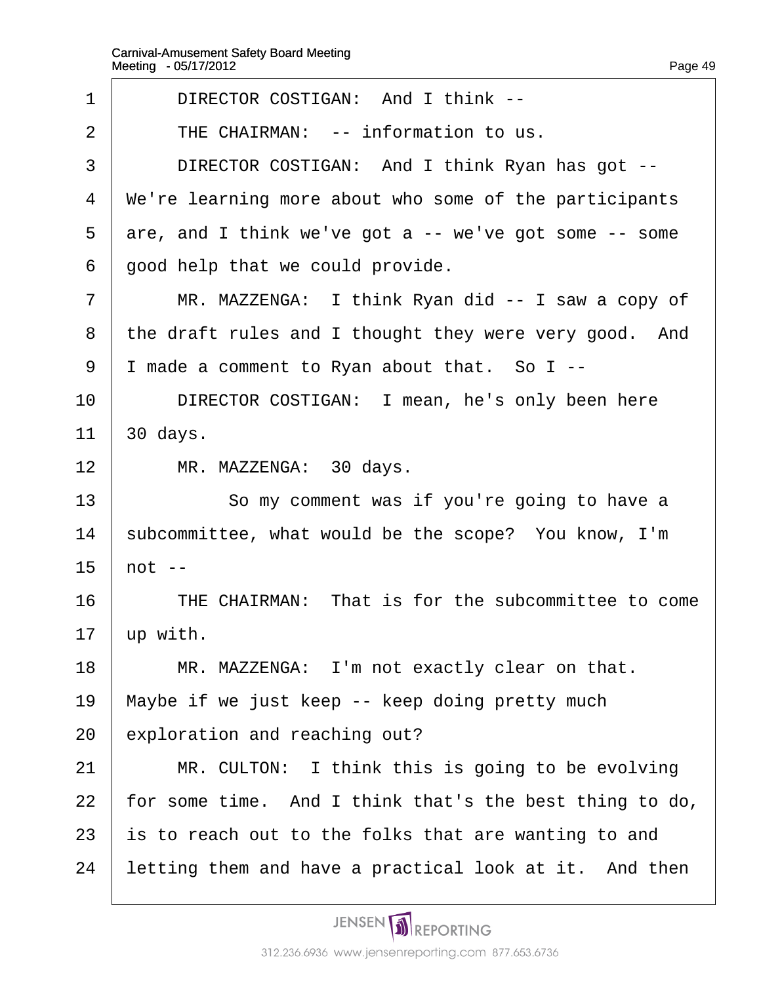| 1               | DIRECTOR COSTIGAN: And I think --                       |
|-----------------|---------------------------------------------------------|
| 2               | THE CHAIRMAN: -- information to us.                     |
| 3               | DIRECTOR COSTIGAN: And I think Ryan has got --          |
| 4               | We're learning more about who some of the participants  |
| 5               | are, and I think we've got a -- we've got some -- some  |
| 6               | good help that we could provide.                        |
| $\overline{7}$  | MR. MAZZENGA: I think Ryan did -- I saw a copy of       |
| 8               | the draft rules and I thought they were very good. And  |
| 9               | I made a comment to Ryan about that. So I --            |
| 10              | DIRECTOR COSTIGAN: I mean, he's only been here          |
| 11              | 30 days.                                                |
| 12 <sub>2</sub> | MR. MAZZENGA: 30 days.                                  |
| 13              | So my comment was if you're going to have a             |
| 14              | subcommittee, what would be the scope? You know, I'm    |
| 15              | $hot -$                                                 |
| 16              | THE CHAIRMAN: That is for the subcommittee to come      |
| 17              | up with.                                                |
| 18              | MR. MAZZENGA: I'm not exactly clear on that.            |
| 19              | Maybe if we just keep -- keep doing pretty much         |
| 20              | exploration and reaching out?                           |
| 21              | MR. CULTON: I think this is going to be evolving        |
| 22              | for some time. And I think that's the best thing to do, |
| 23              | is to reach out to the folks that are wanting to and    |
| 24              | letting them and have a practical look at it. And then  |
|                 |                                                         |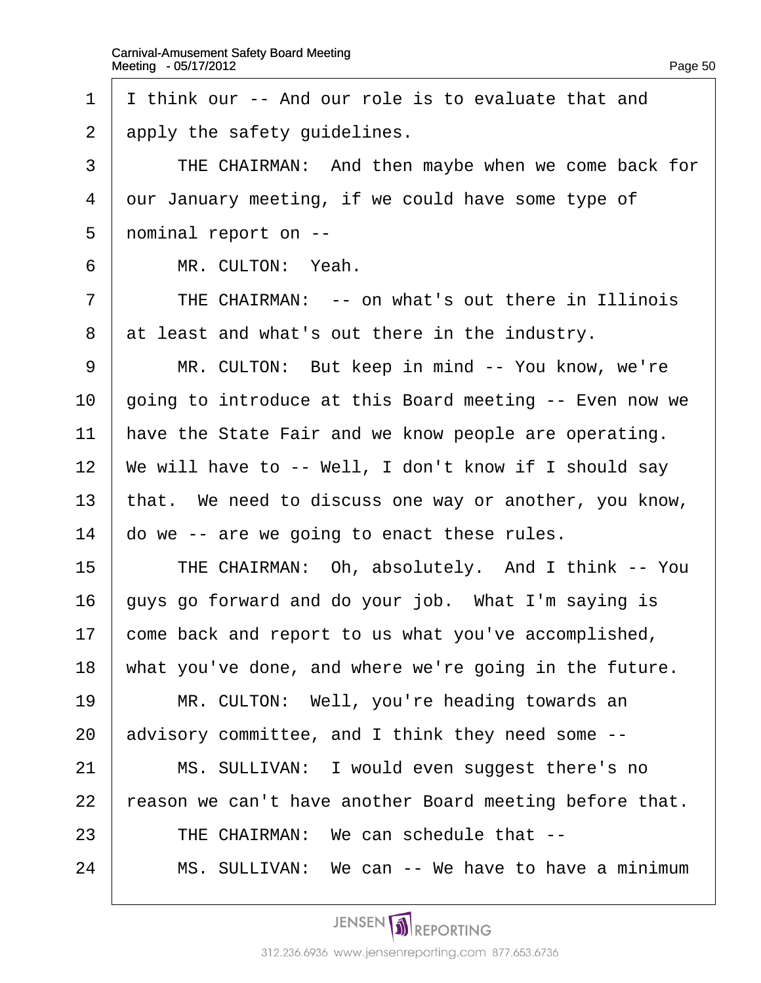1 I think our -- And our role is to evaluate that and 2 apply the safety guidelines. 3 FRICHAIRMAN: And then maybe when we come back for 4 dur January meeting, if we could have some type of 5 nominal report on --6 | MR. CULTON: Yeah.  $7$  | THE CHAIRMAN:  $-$  on what's out there in Illinois 8 at least and what's out there in the industry. 9 | MR. CULTON: But keep in mind -- You know, we're 10 going to introduce at this Board meeting -- Even now we 11 have the State Fair and we know people are operating. 12 We will have to -- Well, I don't know if I should say 13 that. We need to discuss one way or another, you know, 14  $\phi$  do we -- are we going to enact these rules. 15 | THE CHAIRMAN: Oh, absolutely. And I think -- You 16 buys go forward and do your job. What I'm saying is 17 come back and report to us what you've accomplished, 18 what you've done, and where we're going in the future. 19 | MR. CULTON: Well, you're heading towards an 20 advisory committee, and I think they need some --21 | MS. SULLIVAN: I would even suggest there's no 22 reason we can't have another Board meeting before that.  $23$  FHE CHAIRMAN: We can schedule that  $-$ 24 | MS. SULLIVAN: We can -- We have to have a minimum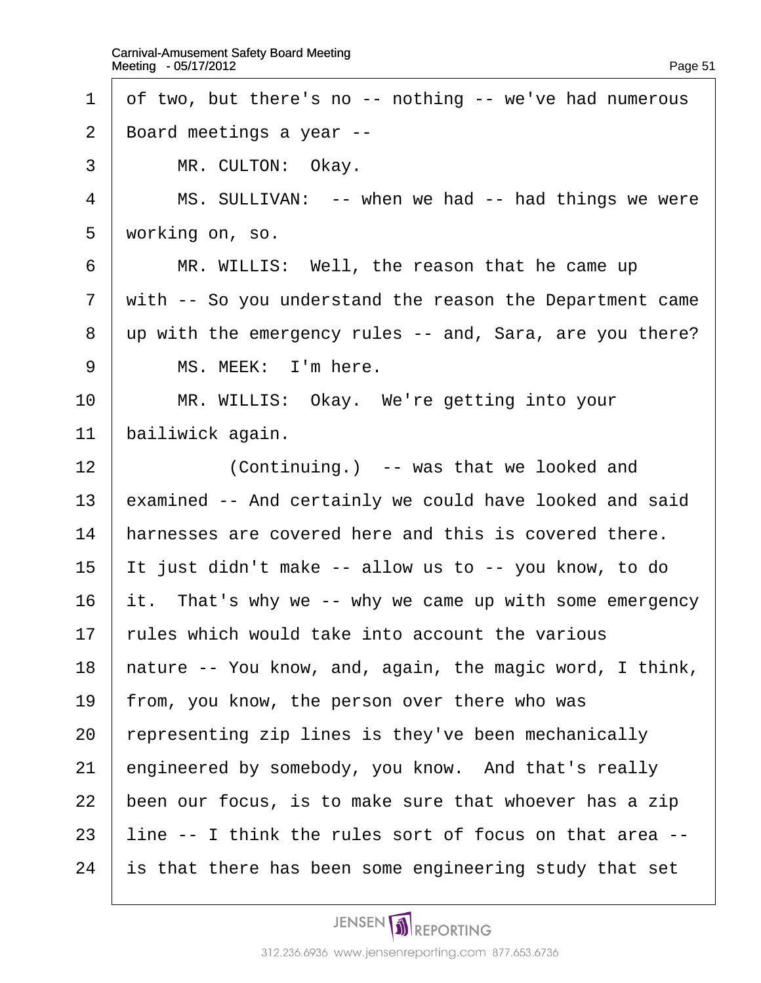1 df two, but there's no -- nothing -- we've had numerous 2 Board meetings a year --3 | MR. CULTON: Okay.  $4 \mid MS$ . SULLIVAN: -- when we had -- had things we were 5 working on, so. 6 | MR. WILLIS: Well, the reason that he came up 7 with -- So you understand the reason the Department came 8 up with the emergency rules -- and, Sara, are you there?  $9 \mid MS$ . MEEK: I'm here. 10 | MR. WILLIS: Okay. We're getting into your 11 bailiwick again. 12 **Continuing.** -- was that we looked and 13 examined -- And certainly we could have looked and said 14 harnesses are covered here and this is covered there. 15 It just didn't make -- allow us to -- you know, to do 16  $\,$  it. That's why we -- why we came up with some emergency 17 rules which would take into account the various 18 hature -- You know, and, again, the magic word, I think, 19 from, you know, the person over there who was 20 representing zip lines is they've been mechanically 21 engineered by somebody, you know. And that's really 22 been our focus, is to make sure that whoever has a zip 23 line -- I think the rules sort of focus on that area --24 is that there has been some engineering study that set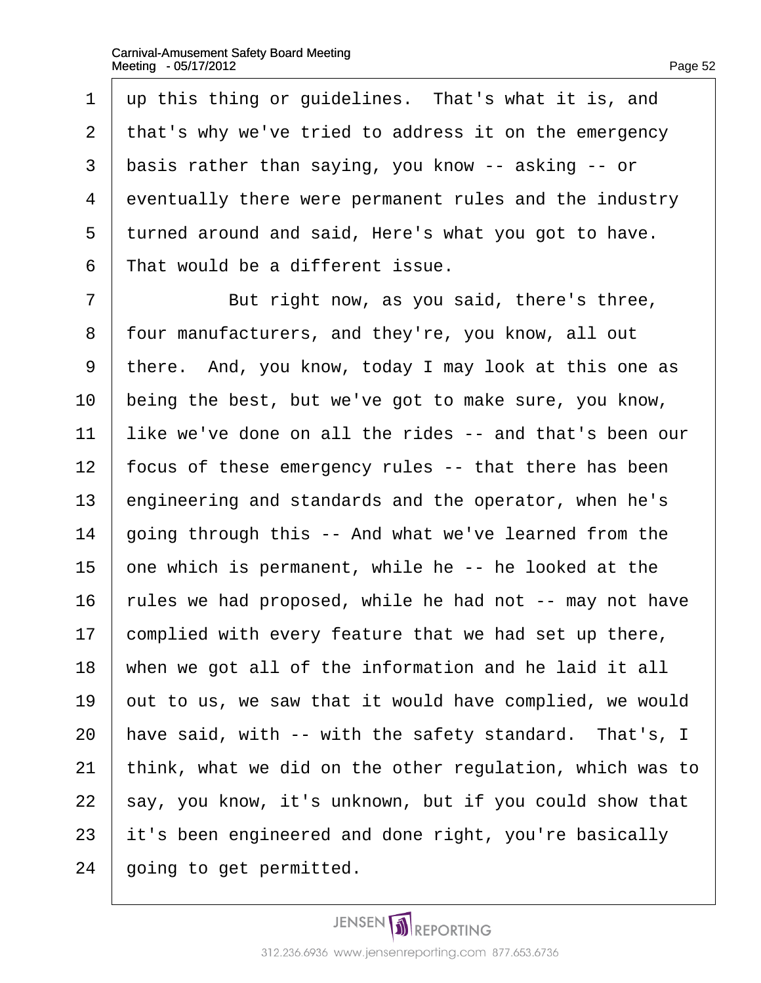1 up this thing or guidelines. That's what it is, and 2 that's why we've tried to address it on the emergency 3 basis rather than saying, you know -- asking -- or 4 eventually there were permanent rules and the industry 5 turned around and said, Here's what you got to have. 6 That would be a different issue. 7 **But right now, as you said, there's three,** 8 four manufacturers, and they're, you know, all out 9 there. And, you know, today I may look at this one as 10 being the best, but we've got to make sure, you know, 11 like we've done on all the rides -- and that's been our 12 focus of these emergency rules -- that there has been 13 engineering and standards and the operator, when he's 14 going through this -- And what we've learned from the 15  $\phi$  one which is permanent, while he -- he looked at the 16 rules we had proposed, while he had not -- may not have 17 complied with every feature that we had set up there, 18 when we got all of the information and he laid it all 19  $\theta$  out to us, we saw that it would have complied, we would 20 have said, with -- with the safety standard. That's, I 21 think, what we did on the other regulation, which was to 22 say, you know, it's unknown, but if you could show that 23 it's been engineered and done right, you're basically 24 going to get permitted.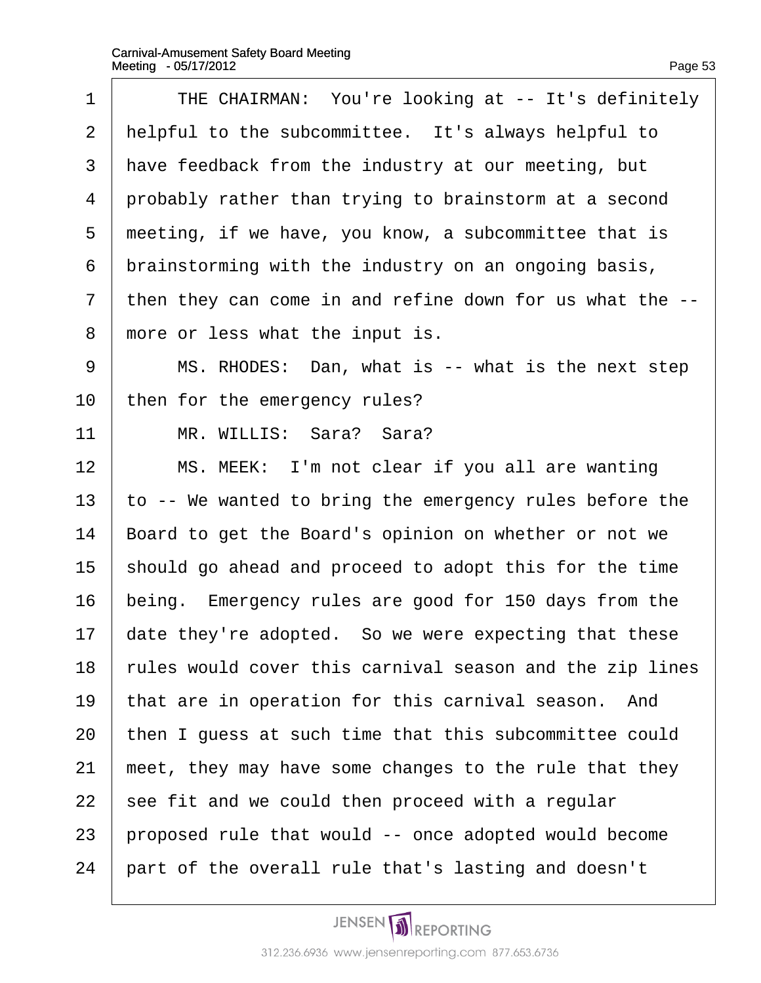$\Gamma$ 

| 1              | THE CHAIRMAN: You're looking at -- It's definitely       |
|----------------|----------------------------------------------------------|
| $\overline{2}$ | helpful to the subcommittee. It's always helpful to      |
| 3              | have feedback from the industry at our meeting, but      |
| 4              | probably rather than trying to brainstorm at a second    |
| 5              | meeting, if we have, you know, a subcommittee that is    |
| 6              | brainstorming with the industry on an ongoing basis,     |
| $\overline{7}$ | then they can come in and refine down for us what the -- |
| 8              | more or less what the input is.                          |
| 9              | MS. RHODES: Dan, what is -- what is the next step        |
| 10             | then for the emergency rules?                            |
| 11             | MR. WILLIS: Sara? Sara?                                  |
| 12             | MS. MEEK: I'm not clear if you all are wanting           |
| 13             | to -- We wanted to bring the emergency rules before the  |
| 14             | Board to get the Board's opinion on whether or not we    |
| 15             | should go ahead and proceed to adopt this for the time   |
| 16             | being. Emergency rules are good for 150 days from the    |
| 17             | date they're adopted. So we were expecting that these    |
| 18             | rules would cover this carnival season and the zip lines |
| 19             | that are in operation for this carnival season. And      |
| 20             | then I guess at such time that this subcommittee could   |
| 21             | meet, they may have some changes to the rule that they   |
| 22             | see fit and we could then proceed with a regular         |
| 23             | proposed rule that would -- once adopted would become    |
| 24             | part of the overall rule that's lasting and doesn't      |
|                |                                                          |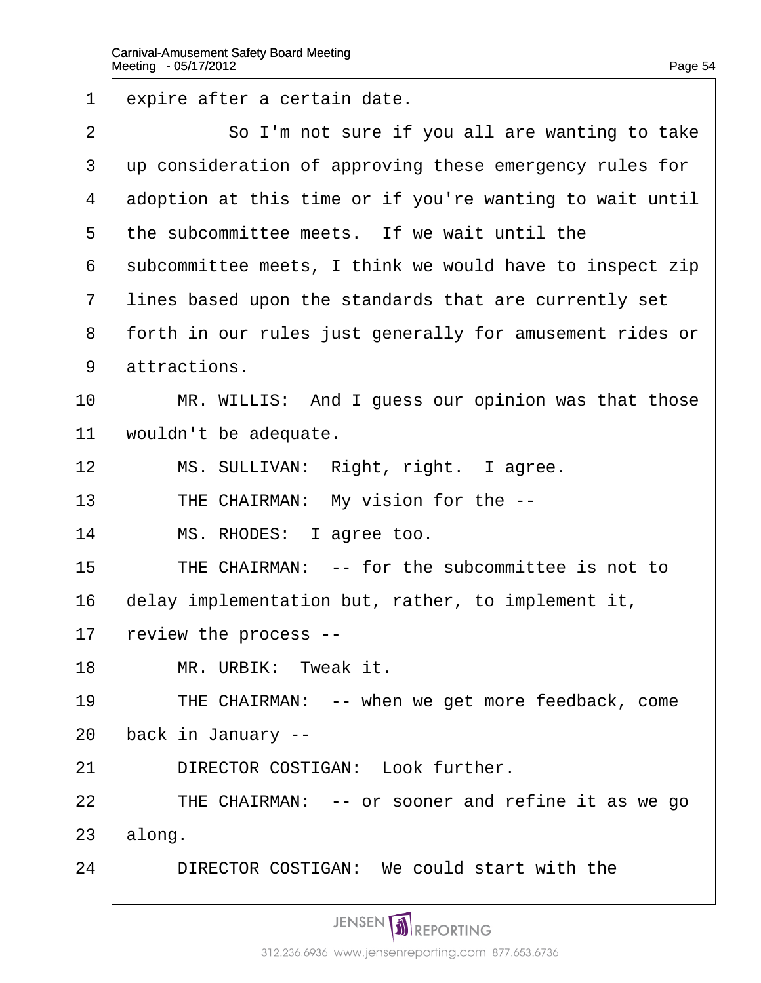| 1  | expire after a certain date.                             |
|----|----------------------------------------------------------|
| 2  | So I'm not sure if you all are wanting to take           |
| 3  | up consideration of approving these emergency rules for  |
| 4  | adoption at this time or if you're wanting to wait until |
| 5  | the subcommittee meets. If we wait until the             |
| 6  | subcommittee meets, I think we would have to inspect zip |
| 7  | lines based upon the standards that are currently set    |
| 8  | forth in our rules just generally for amusement rides or |
| 9  | attractions.                                             |
| 10 | MR. WILLIS: And I guess our opinion was that those       |
| 11 | wouldn't be adequate.                                    |
| 12 | MS. SULLIVAN: Right, right. I agree.                     |
| 13 | THE CHAIRMAN: My vision for the --                       |
| 14 | MS. RHODES: I agree too.                                 |
| 15 | THE CHAIRMAN: -- for the subcommittee is not to          |
| 16 | delay implementation but, rather, to implement it,       |
| 17 | review the process --                                    |
| 18 | MR. URBIK: Tweak it.                                     |
| 19 | THE CHAIRMAN: -- when we get more feedback, come         |
| 20 | back in January --                                       |
| 21 | DIRECTOR COSTIGAN: Look further.                         |
| 22 | THE CHAIRMAN: -- or sooner and refine it as we go        |
| 23 | along.                                                   |
| 24 | DIRECTOR COSTIGAN: We could start with the               |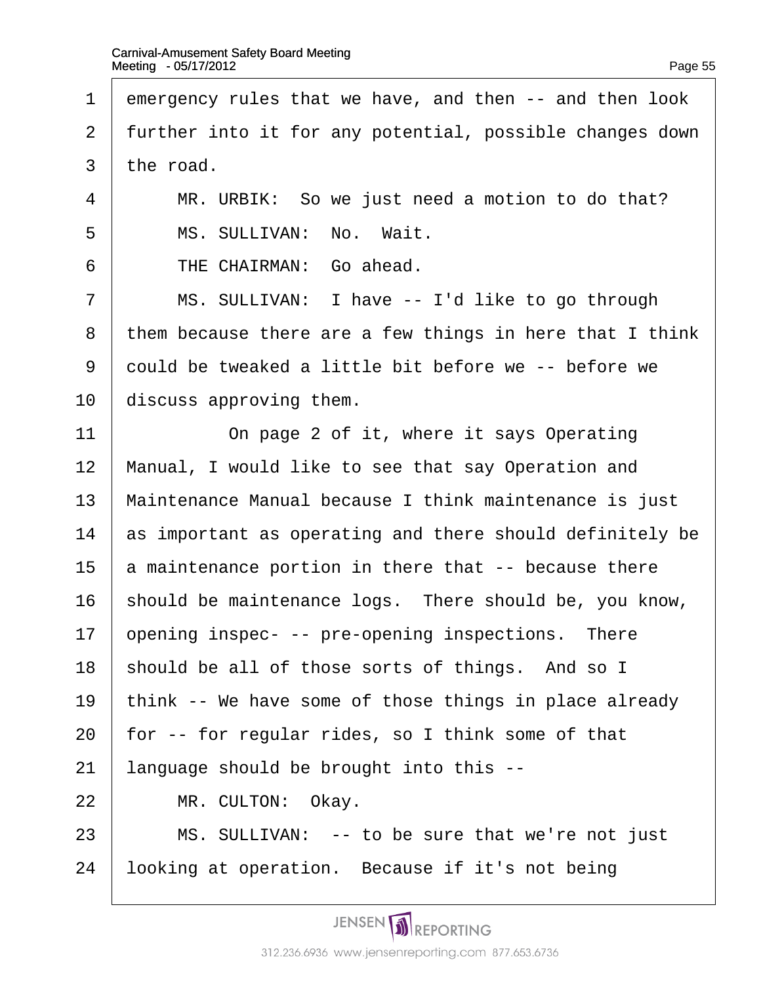| 1              | emergency rules that we have, and then -- and then look  |
|----------------|----------------------------------------------------------|
| $\overline{2}$ | further into it for any potential, possible changes down |
| 3              | the road.                                                |
| 4              | MR. URBIK: So we just need a motion to do that?          |
| 5              | MS. SULLIVAN: No. Wait.                                  |
| 6              | THE CHAIRMAN: Go ahead.                                  |
| $\overline{7}$ | MS. SULLIVAN: I have -- I'd like to go through           |
| 8              | them because there are a few things in here that I think |
| 9              | dould be tweaked a little bit before we -- before we     |
| 10             | discuss approving them.                                  |
| 11             | On page 2 of it, where it says Operating                 |
| 12             | Manual, I would like to see that say Operation and       |
| 13             | Maintenance Manual because I think maintenance is just   |
| 14             | as important as operating and there should definitely be |
| 15             | a maintenance portion in there that -- because there     |
| 16             | should be maintenance logs. There should be, you know,   |
| 17             | ppening inspec- -- pre-opening inspections. There        |
| 18             | should be all of those sorts of things. And so I         |
| 19             | think -- We have some of those things in place already   |
| 20             | for -- for regular rides, so I think some of that        |
| 21             | language should be brought into this --                  |
| 22             | MR. CULTON: Okay.                                        |
| 23             | MS. SULLIVAN: -- to be sure that we're not just          |
| 24             | looking at operation. Because if it's not being          |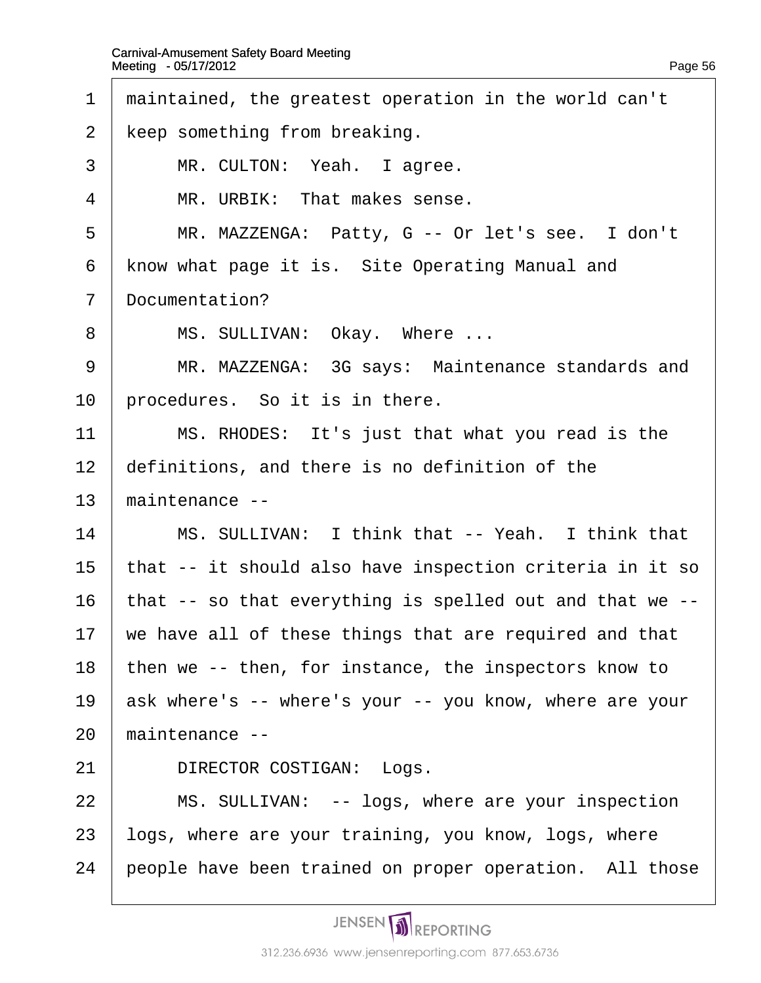- 1 maintained, the greatest operation in the world can't
- 2 keep something from breaking.
- 3 | MR. CULTON: Yeah. I agree.
- 4 | MR. URBIK: That makes sense.
- 5 | MR. MAZZENGA: Patty, G -- Or let's see. I don't
- 6 know what page it is. Site Operating Manual and
- 7 Documentation?
- 8 | MS. SULLIVAN: Okay. Where ...
- 9 | MR. MAZZENGA: 3G says: Maintenance standards and
- 10 brocedures. So it is in there.
- 11  $\parallel$  MS. RHODES: It's just that what you read is the
- 12 definitions, and there is no definition of the
- 13 maintenance --
- 14 | MS. SULLIVAN: I think that -- Yeah. I think that
- 15 that -- it should also have inspection criteria in it so
- 16 that -- so that everything is spelled out and that we --
- 17 we have all of these things that are required and that
- 18 then we -- then, for instance, the inspectors know to
- 19 ask where's -- where's your -- you know, where are your
- 20 maintenance --
- 21 | DIRECTOR COSTIGAN: Logs.
- 22 | MS. SULLIVAN: -- logs, where are your inspection
- 23 logs, where are your training, you know, logs, where
- 24 people have been trained on proper operation. All those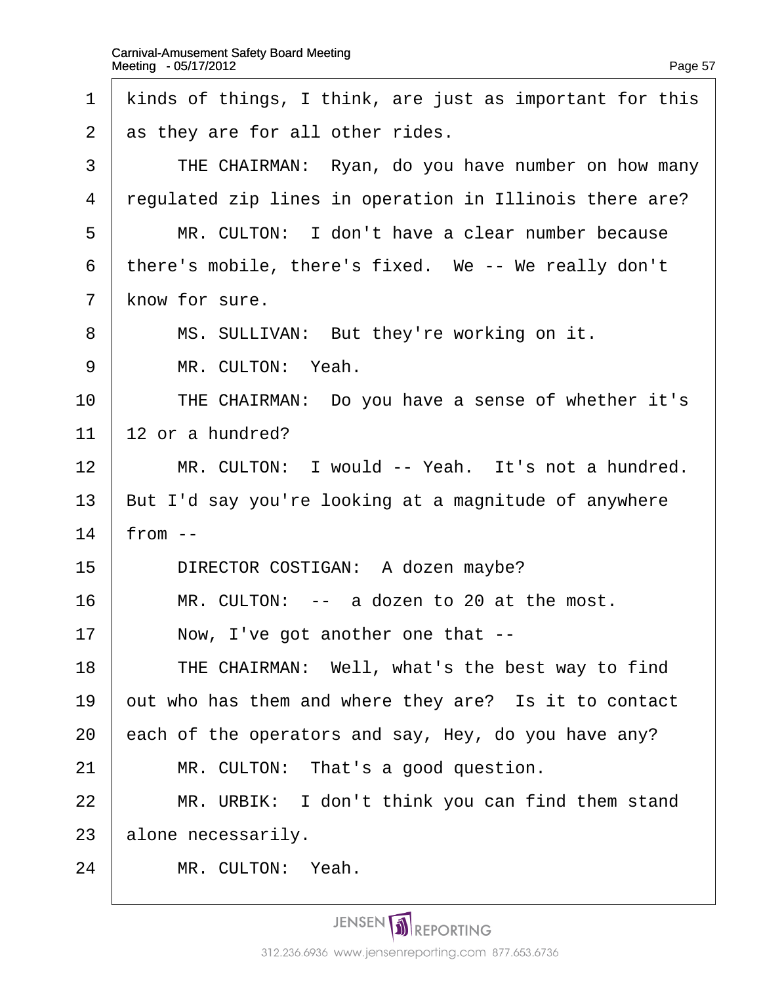| 1              | kinds of things, I think, are just as important for this |
|----------------|----------------------------------------------------------|
| 2              | as they are for all other rides.                         |
| 3              | THE CHAIRMAN: Ryan, do you have number on how many       |
| 4              | regulated zip lines in operation in Illinois there are?  |
| 5              | MR. CULTON: I don't have a clear number because          |
| 6              | there's mobile, there's fixed. We -- We really don't     |
| $\overline{7}$ | know for sure.                                           |
| 8              | MS. SULLIVAN: But they're working on it.                 |
| 9              | MR. CULTON: Yeah.                                        |
| 10             | THE CHAIRMAN: Do you have a sense of whether it's        |
| 11             | 12 or a hundred?                                         |
| 12             | MR. CULTON: I would -- Yeah. It's not a hundred.         |
| 13             | But I'd say you're looking at a magnitude of anywhere    |
| 14             | from $-$                                                 |
| 15             | DIRECTOR COSTIGAN: A dozen maybe?                        |
| 16             | MR. CULTON: -- a dozen to 20 at the most.                |
| 17             | Now, I've got another one that --                        |
| 18             | THE CHAIRMAN: Well, what's the best way to find          |
| 19             | out who has them and where they are? Is it to contact    |
| 20             | each of the operators and say, Hey, do you have any?     |
| 21             | MR. CULTON: That's a good question.                      |
| 22             | MR. URBIK: I don't think you can find them stand         |
| 23             | alone necessarily.                                       |
| 24             | MR. CULTON: Yeah.                                        |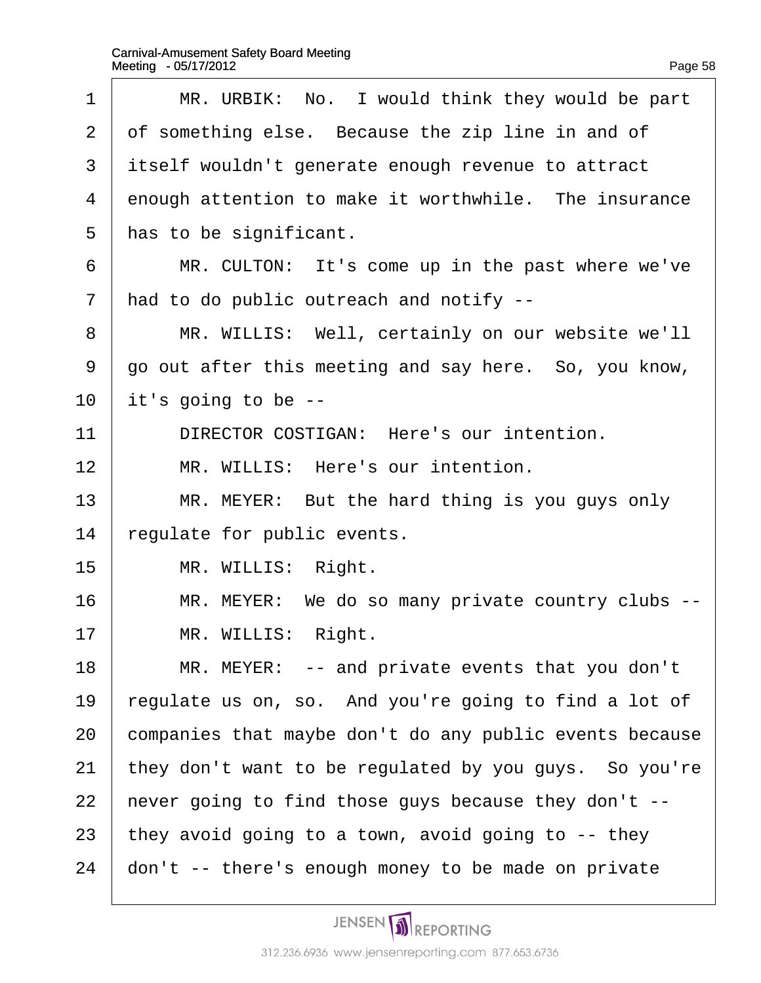| 1              | MR. URBIK: No. I would think they would be part         |
|----------------|---------------------------------------------------------|
| 2              | of something else. Because the zip line in and of       |
| 3              | itself wouldn't generate enough revenue to attract      |
| 4              | enough attention to make it worthwhile. The insurance   |
| 5              | has to be significant.                                  |
| 6              | MR. CULTON: It's come up in the past where we've        |
| $\overline{7}$ | had to do public outreach and notify --                 |
| 8              | MR. WILLIS: Well, certainly on our website we'll        |
| 9              | go out after this meeting and say here. So, you know,   |
| 10             | it's going to be --                                     |
| 11             | DIRECTOR COSTIGAN: Here's our intention.                |
| 12             | MR. WILLIS: Here's our intention.                       |
| 13             | MR. MEYER: But the hard thing is you guys only          |
| 14             | egulate for public events.                              |
| 15             | MR. WILLIS: Right.                                      |
| 16             | MR. MEYER: We do so many private country clubs --       |
| 17             | MR. WILLIS: Right.                                      |
| 18             | MR. MEYER: -- and private events that you don't         |
| 19             | egulate us on, so. And you're going to find a lot of    |
| 20             | companies that maybe don't do any public events because |
| 21             | they don't want to be regulated by you guys. So you're  |
| 22             | hever going to find those guys because they don't --    |
| 23             | they avoid going to a town, avoid going to -- they      |
| 24             | don't -- there's enough money to be made on private     |
|                |                                                         |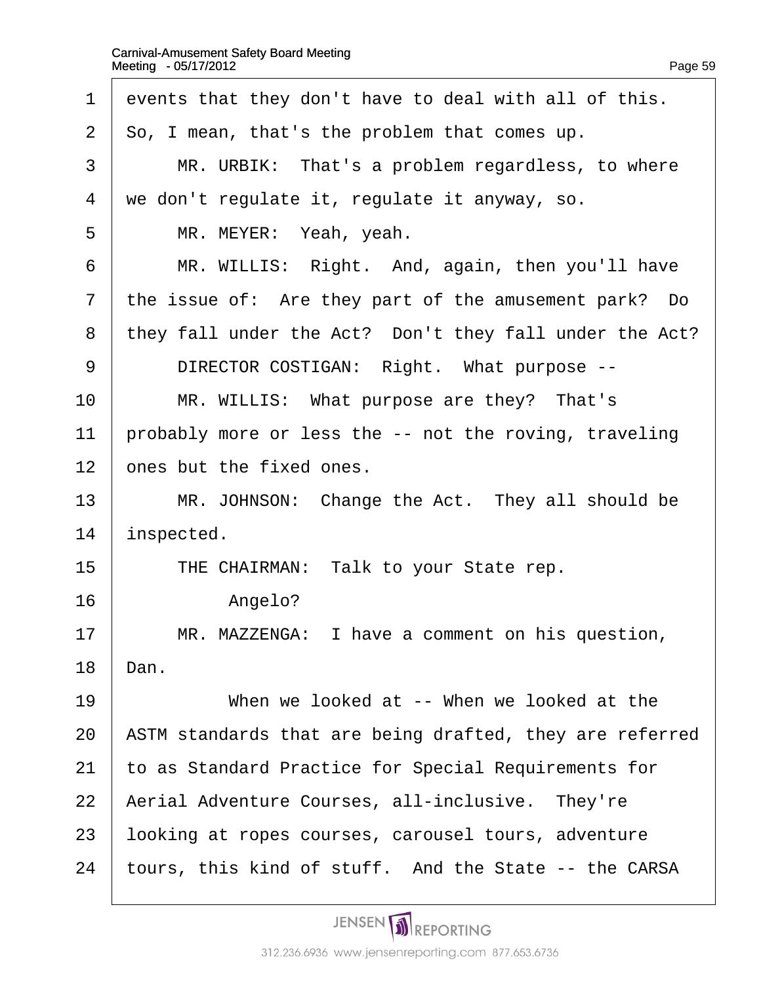| 1              | events that they don't have to deal with all of this.    |
|----------------|----------------------------------------------------------|
| 2              | So, I mean, that's the problem that comes up.            |
| 3              | MR. URBIK: That's a problem regardless, to where         |
| 4              | we don't regulate it, regulate it anyway, so.            |
| 5              | MR. MEYER: Yeah, yeah.                                   |
| 6              | MR. WILLIS: Right. And, again, then you'll have          |
| $\overline{7}$ | the issue of: Are they part of the amusement park? Do    |
| 8              | they fall under the Act? Don't they fall under the Act?  |
| 9              | DIRECTOR COSTIGAN: Right. What purpose --                |
| 10             | MR. WILLIS: What purpose are they? That's                |
| 11             | probably more or less the -- not the roving, traveling   |
| 12             | ones but the fixed ones.                                 |
| 13             | MR. JOHNSON: Change the Act. They all should be          |
| 14             | inspected.                                               |
| 15             | THE CHAIRMAN: Talk to your State rep.                    |
| 16             | Angelo?                                                  |
| 17             | MR. MAZZENGA: I have a comment on his question,          |
| 18             | Dan.                                                     |
| 19             | When we looked at -- When we looked at the               |
| 20             | ASTM standards that are being drafted, they are referred |
| 21             | to as Standard Practice for Special Requirements for     |
| 22             | Aerial Adventure Courses, all-inclusive. They're         |
| 23             | looking at ropes courses, carousel tours, adventure      |
| 24             | tours, this kind of stuff. And the State -- the CARSA    |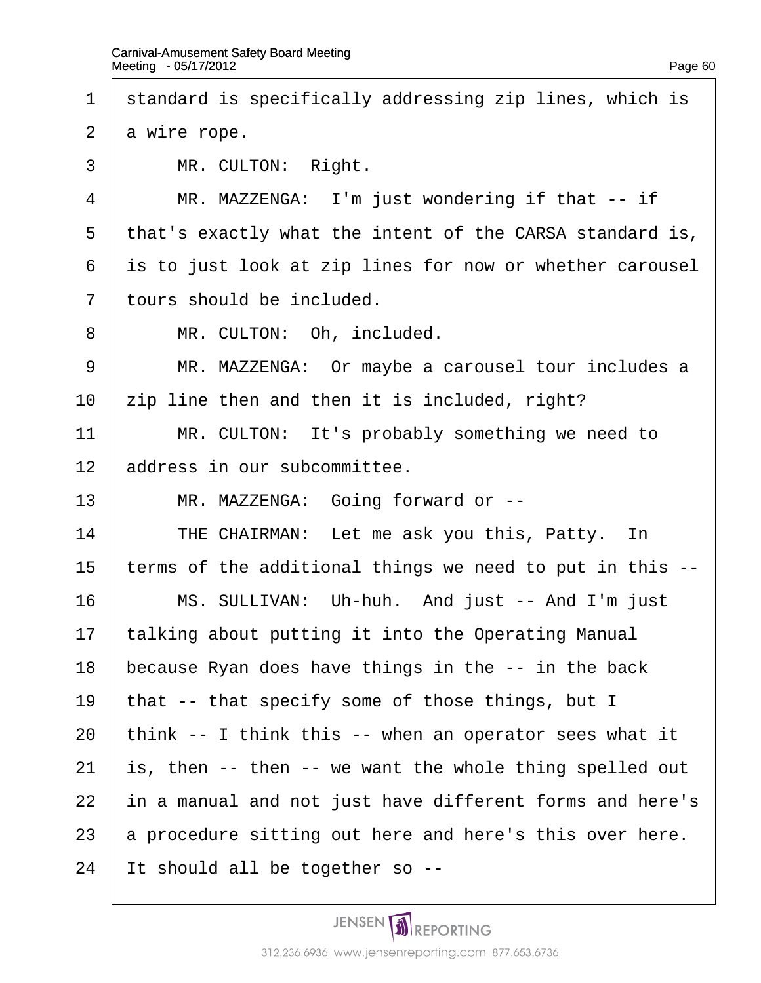- 1 standard is specifically addressing zip lines, which is
- 2 a wire rope.
- 3 | MR. CULTON: Right.
- 4 | MR. MAZZENGA: I'm just wondering if that -- if
- 5 that's exactly what the intent of the CARSA standard is,
- 6 is to just look at zip lines for now or whether carousel
- 7 tours should be included.
- 8 | MR. CULTON: Oh, included.
- 9 | MR. MAZZENGA: Or maybe a carousel tour includes a
- 10  $\pm$ ip line then and then it is included, right?
- 11 | MR. CULTON: It's probably something we need to
- 12 address in our subcommittee.
- 13 | MR. MAZZENGA: Going forward or --
- 14 | THE CHAIRMAN: Let me ask you this, Patty. In
- 15 terms of the additional things we need to put in this --
- 16 | MS. SULLIVAN: Uh-huh. And just -- And I'm just
- 17 talking about putting it into the Operating Manual
- 18 because Ryan does have things in the -- in the back
- 19 that -- that specify some of those things, but I
- 20 think -- I think this -- when an operator sees what it
- 21  $\,$  is, then -- then -- we want the whole thing spelled out
- 22 in a manual and not just have different forms and here's
- 23 a procedure sitting out here and here's this over here.
- 24 It should all be together so --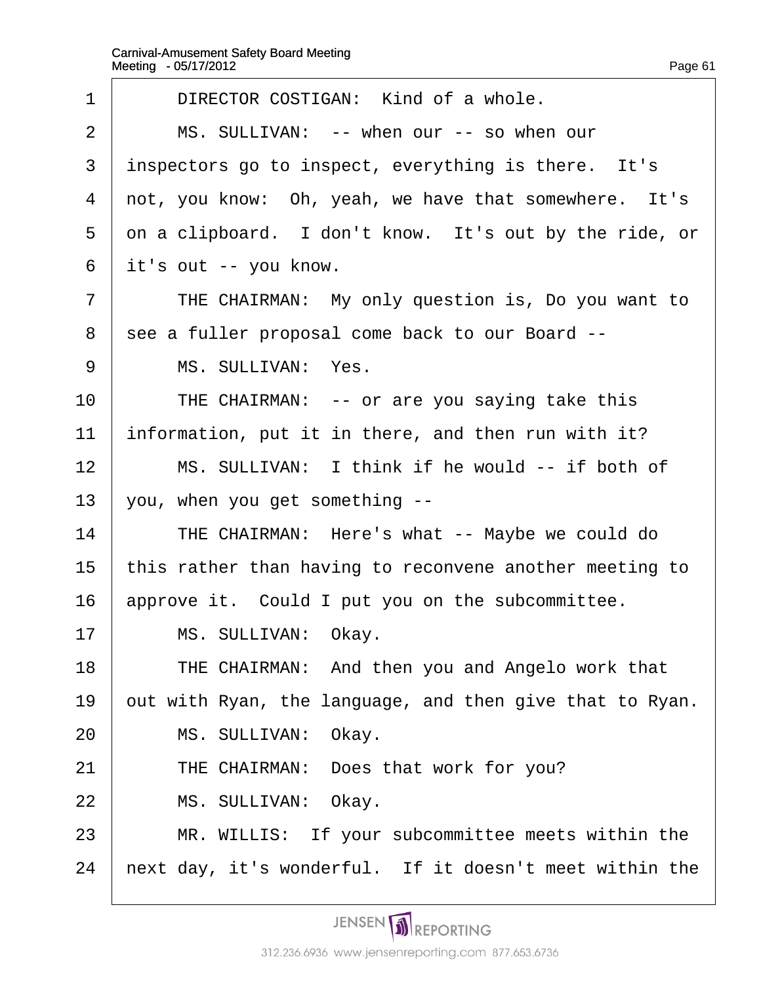| 1              | DIRECTOR COSTIGAN: Kind of a whole.                      |
|----------------|----------------------------------------------------------|
| $\overline{2}$ | MS. SULLIVAN: -- when our -- so when our                 |
| 3              | inspectors go to inspect, everything is there. It's      |
| 4              | not, you know: Oh, yeah, we have that somewhere. It's    |
| 5              | on a clipboard. I don't know. It's out by the ride, or   |
| 6              | it's out -- you know.                                    |
| $\overline{7}$ | THE CHAIRMAN: My only question is, Do you want to        |
| 8              | see a fuller proposal come back to our Board --          |
| 9              | MS. SULLIVAN: Yes.                                       |
| 10             | THE CHAIRMAN: -- or are you saying take this             |
| 11             | information, put it in there, and then run with it?      |
| 12             | MS. SULLIVAN: I think if he would -- if both of          |
| 13             | you, when you get something --                           |
| 14             | THE CHAIRMAN: Here's what -- Maybe we could do           |
| 15             | this rather than having to reconvene another meeting to  |
| 16             | approve it. Could I put you on the subcommittee.         |
| 17             | MS. SULLIVAN: Okay.                                      |
| 18             | THE CHAIRMAN: And then you and Angelo work that          |
| 19             | out with Ryan, the language, and then give that to Ryan. |
| 20             | MS. SULLIVAN: Okay.                                      |
| 21             | THE CHAIRMAN: Does that work for you?                    |
| 22             | MS. SULLIVAN: Okay.                                      |
| 23             | MR. WILLIS: If your subcommittee meets within the        |
| 24             | next day, it's wonderful. If it doesn't meet within the  |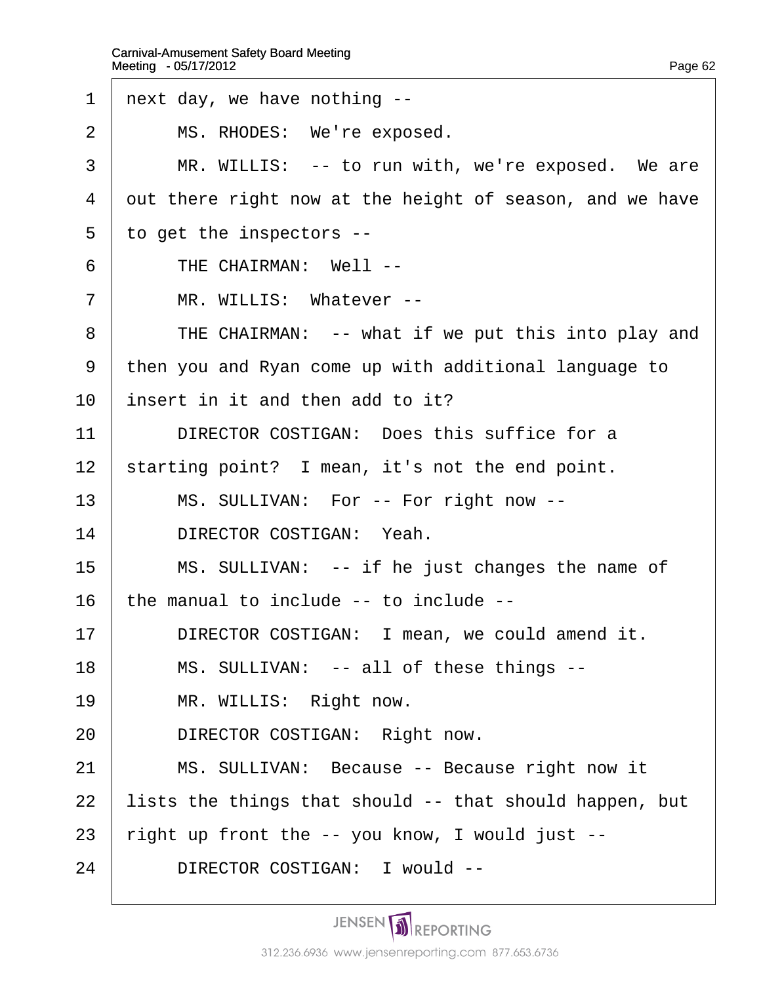1 next day, we have nothing --2 | MS. RHODES: We're exposed. 3 | MR. WILLIS: -- to run with, we're exposed. We are 4 dut there right now at the height of season, and we have 5 to get the inspectors -- $6$  | THE CHAIRMAN: Well --7 | MR. WILLIS: Whatever --8 | THE CHAIRMAN: -- what if we put this into play and ·9· ·then you and Ryan come up with additional language to 10 insert in it and then add to it? 11 | DIRECTOR COSTIGAN: Does this suffice for a 12 starting point? I mean, it's not the end point. 13 | MS. SULLIVAN: For -- For right now --14 | DIRECTOR COSTIGAN: Yeah. 15 | MS. SULLIVAN: -- if he just changes the name of 16 the manual to include -- to include --17 | DIRECTOR COSTIGAN: I mean, we could amend it. 18 | MS. SULLIVAN: -- all of these things --19 | MR. WILLIS: Right now. 20 | DIRECTOR COSTIGAN: Right now. 21 | MS. SULLIVAN: Because -- Because right now it 22 lists the things that should -- that should happen, but 23 right up front the -- you know, I would just --24 | DIRECTOR COSTIGAN: I would --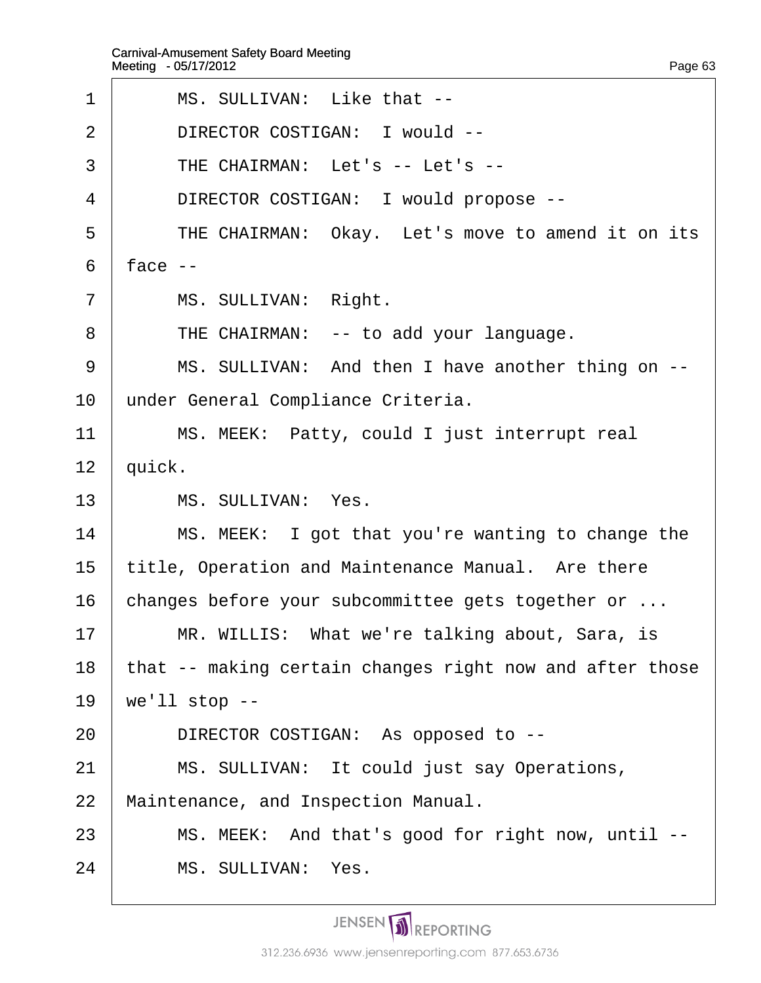- 1 | MS. SULLIVAN: Like that --2 | DIRECTOR COSTIGAN: I would -- $3$  FHE CHAIRMAN: Let's -- Let's --4 | DIRECTOR COSTIGAN: I would propose --5 | THE CHAIRMAN: Okay. Let's move to amend it on its  $6$  face  $-$ 7 | MS. SULLIVAN: Right. 8 | THE CHAIRMAN: -- to add your language. 9 | MS. SULLIVAN: And then I have another thing on --10 under General Compliance Criteria. 11 | MS. MEEK: Patty, could I just interrupt real 12 *quick.* 13 | MS. SULLIVAN: Yes.  $14$  | MS. MEEK: I got that you're wanting to change the 15 title, Operation and Maintenance Manual. Are there 16 changes before your subcommittee gets together or ... 17 | MR. WILLIS: What we're talking about, Sara, is 18 that -- making certain changes right now and after those 19  $\sqrt{w}$  we'll stop --20 | DIRECTOR COSTIGAN: As opposed to --21 | MS. SULLIVAN: It could just say Operations, 22 Maintenance, and Inspection Manual. 23 | MS. MEEK: And that's good for right now, until --
- $24$   $\parallel$  MS. SULLIVAN: Yes.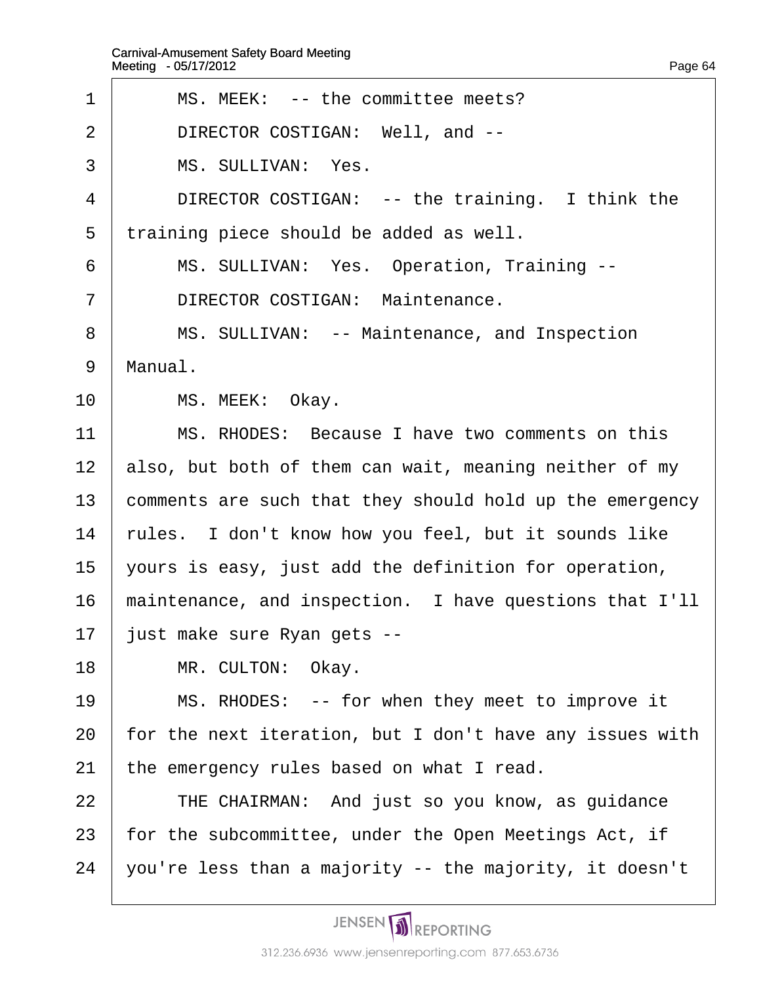| 1              | MS. MEEK: -- the committee meets?                        |
|----------------|----------------------------------------------------------|
| 2              | DIRECTOR COSTIGAN: Well, and --                          |
| 3              | MS. SULLIVAN: Yes.                                       |
| 4              | DIRECTOR COSTIGAN: -- the training. I think the          |
| 5              | training piece should be added as well.                  |
| 6              | MS. SULLIVAN: Yes. Operation, Training --                |
| $\overline{7}$ | <b>DIRECTOR COSTIGAN: Maintenance.</b>                   |
| 8              | MS. SULLIVAN: -- Maintenance, and Inspection             |
| 9              | Manual.                                                  |
| 10             | MS. MEEK: Okay.                                          |
| 11             | MS. RHODES: Because I have two comments on this          |
| 12             | also, but both of them can wait, meaning neither of my   |
| 13             | comments are such that they should hold up the emergency |
| 14             | rules. I don't know how you feel, but it sounds like     |
| 15             | yours is easy, just add the definition for operation,    |
| 16             | maintenance, and inspection. I have questions that I'll  |
| 17             | just make sure Ryan gets --                              |
| 18             | MR. CULTON: Okay.                                        |
| 19             | MS. RHODES: -- for when they meet to improve it          |
| 20             | for the next iteration, but I don't have any issues with |
| 21             | the emergency rules based on what I read.                |
| 22             | THE CHAIRMAN: And just so you know, as guidance          |
| 23             | for the subcommittee, under the Open Meetings Act, if    |
| 24             | you're less than a majority -- the majority, it doesn't  |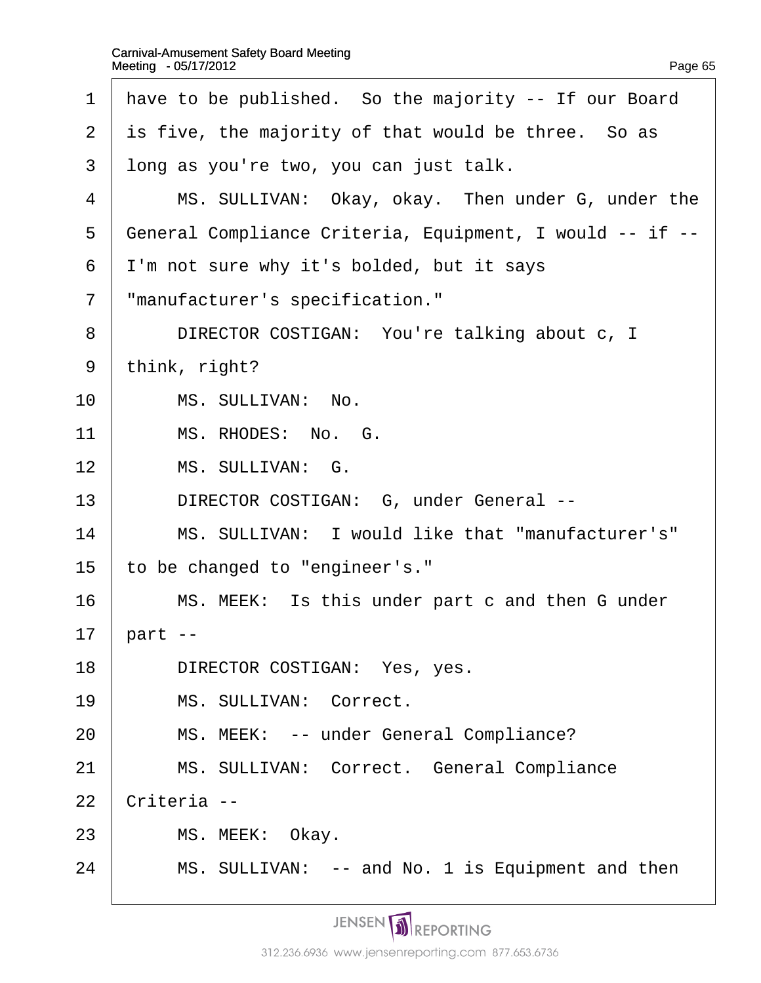| 1              | have to be published. So the majority -- If our Board    |
|----------------|----------------------------------------------------------|
| $\overline{2}$ | is five, the majority of that would be three. So as      |
| 3              | long as you're two, you can just talk.                   |
| 4              | MS. SULLIVAN: Okay, okay. Then under G, under the        |
| 5              | General Compliance Criteria, Equipment, I would -- if -- |
| 6              | I'm not sure why it's bolded, but it says                |
| 7              | "manufacturer's specification."                          |
| 8              | DIRECTOR COSTIGAN: You're talking about c, I             |
| 9              | think, right?                                            |
| 10             | MS. SULLIVAN: No.                                        |
| 11             | MS. RHODES: No. G.                                       |
| 12             | MS. SULLIVAN: G.                                         |
| 13             | DIRECTOR COSTIGAN: G, under General --                   |
| 14             | MS. SULLIVAN: I would like that "manufacturer's"         |
| 15             | to be changed to "engineer's."                           |
| 16             | MS. MEEK: Is this under part c and then G under          |
| 17             | part --                                                  |
| 18             | DIRECTOR COSTIGAN: Yes, yes.                             |
| 19             | MS. SULLIVAN: Correct.                                   |
| 20             | MS. MEEK: -- under General Compliance?                   |
| 21             | MS. SULLIVAN: Correct. General Compliance                |
| 22             | Criteria --                                              |
| 23             | MS. MEEK: Okay.                                          |
| 24             | MS. SULLIVAN: -- and No. 1 is Equipment and then         |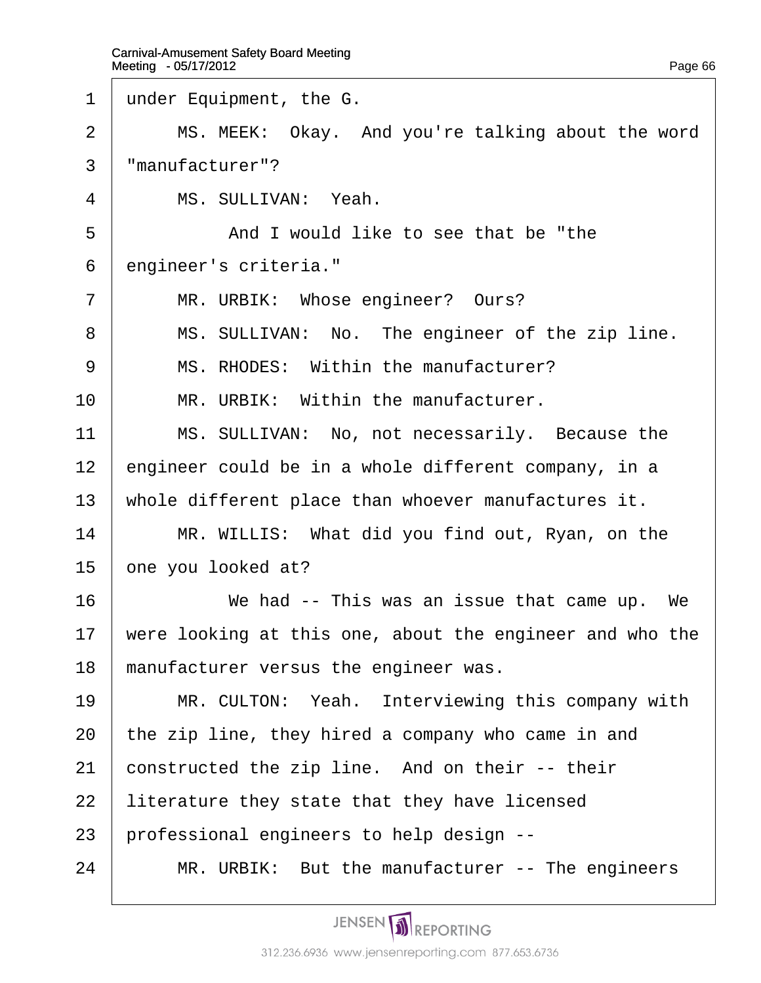- 1 under Equipment, the G.
- $2 \parallel$  MS. MEEK: Okay. And you're talking about the word
- 3 "manufacturer"?
- 4 | MS. SULLIVAN: Yeah.
- 5 **And I would like to see that be "the**
- 6 engineer's criteria."
- 7 | MR. URBIK: Whose engineer? Ours?
- 8 | MS. SULLIVAN: No. The engineer of the zip line.
- 9 | MS. RHODES: Within the manufacturer?
- $10$  | MR. URBIK: Within the manufacturer.
- 11 | MS. SULLIVAN: No, not necessarily. Because the
- 12  $\epsilon$  engineer could be in a whole different company, in a
- 13 whole different place than whoever manufactures it.
- 14 | MR. WILLIS: What did you find out, Ryan, on the
- 15 bne you looked at?
- $16$  We had -- This was an issue that came up. We
- 17 were looking at this one, about the engineer and who the
- 18 manufacturer versus the engineer was.
- 19 | MR. CULTON: Yeah. Interviewing this company with
- 20 the zip line, they hired a company who came in and
- 21 constructed the zip line. And on their -- their
- 22 literature they state that they have licensed
- 23 professional engineers to help design --
- 24 | MR. URBIK: But the manufacturer -- The engineers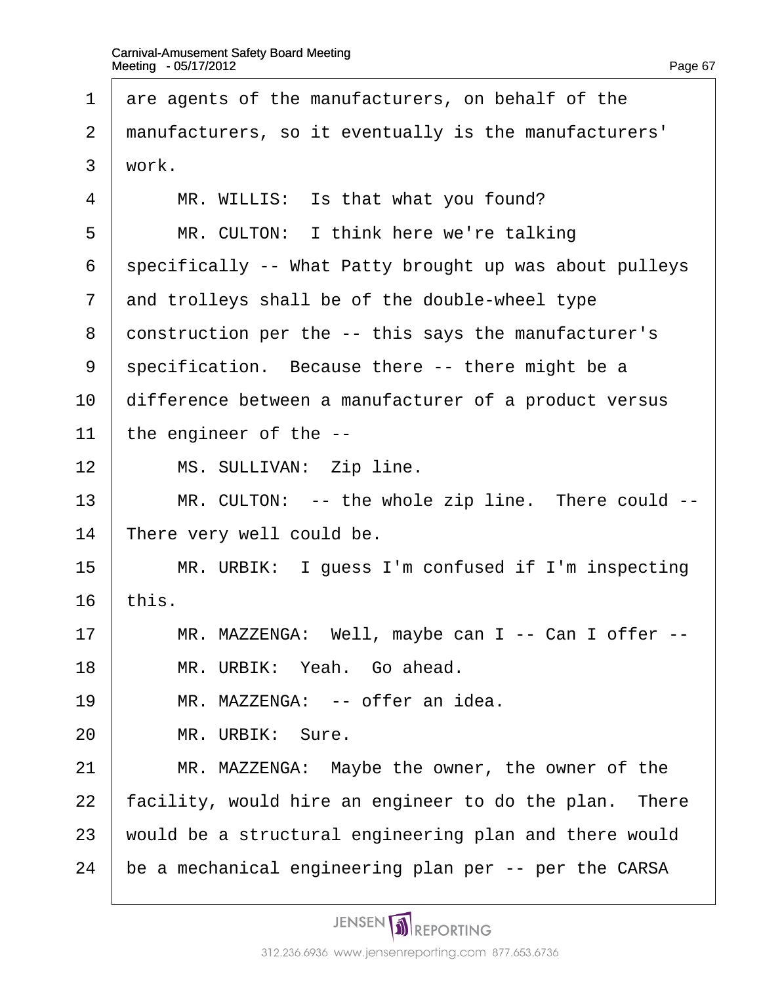1 are agents of the manufacturers, on behalf of the 2 manufacturers, so it eventually is the manufacturers' 3 work.  $4 \mid MR$ . WILLIS: Is that what you found? 5 | MR. CULTON: I think here we're talking 6 specifically -- What Patty brought up was about pulleys 7 and trolleys shall be of the double-wheel type 8 construction per the -- this says the manufacturer's 9 specification. Because there -- there might be a 10 difference between a manufacturer of a product versus 11 the engineer of the --12 | MS. SULLIVAN: Zip line. 13 | MR. CULTON: -- the whole zip line. There could --14 There very well could be. 15 | MR. URBIK: I guess I'm confused if I'm inspecting 16  $<sup>this</sup>$ .</sup> 17 | MR. MAZZENGA: Well, maybe can I -- Can I offer --18 | MR. URBIK: Yeah. Go ahead. 19 | MR. MAZZENGA: -- offer an idea. 20 | MR. URBIK: Sure. 21 | MR. MAZZENGA: Maybe the owner, the owner of the 22 facility, would hire an engineer to do the plan. There 23 would be a structural engineering plan and there would 24 be a mechanical engineering plan per -- per the CARSA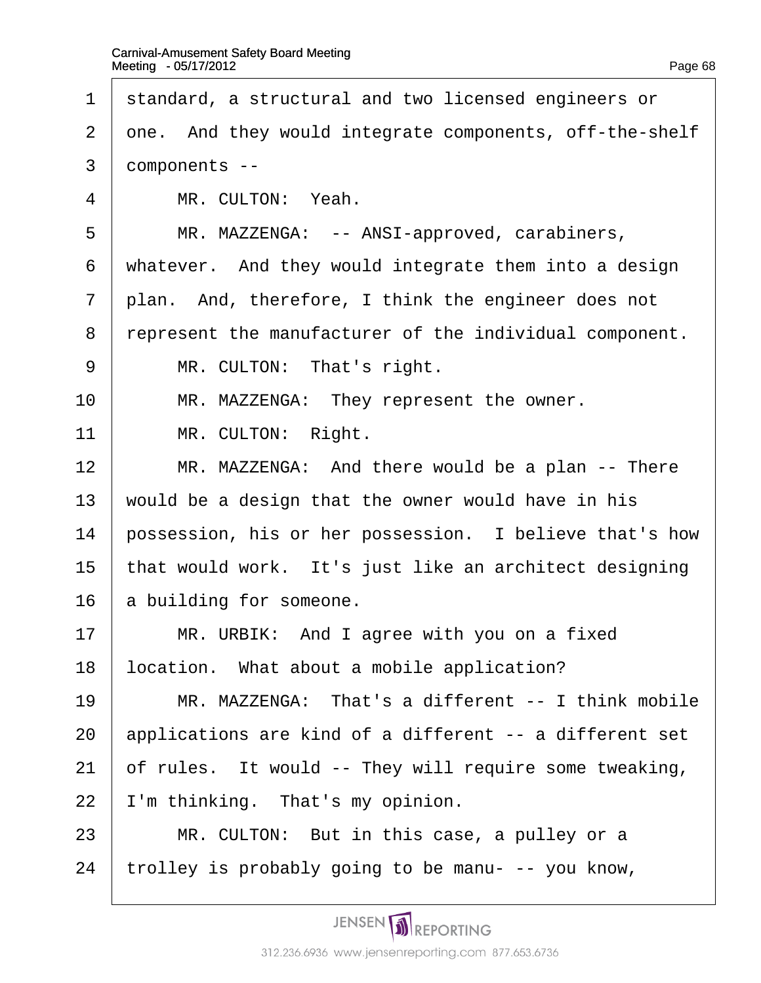- 1 standard, a structural and two licensed engineers or
- 2 dne. And they would integrate components, off-the-shelf
- 3 domponents --
- 4 | MR. CULTON: Yeah.
- 5 | MR. MAZZENGA: -- ANSI-approved, carabiners,
- 6 whatever. And they would integrate them into a design
- 7 plan. And, therefore, I think the engineer does not
- 8 represent the manufacturer of the individual component.
- 9 | MR. CULTON: That's right.
- 10 | MR. MAZZENGA: They represent the owner.
- 11 | MR. CULTON: Right.
- 12 | MR. MAZZENGA: And there would be a plan -- There
- 13 would be a design that the owner would have in his
- 14 possession, his or her possession. I believe that's how
- 15 that would work. It's just like an architect designing
- 16 **a** building for someone.
- $17$  | MR. URBIK: And I agree with you on a fixed
- 18 location. What about a mobile application?
- 19 **MR. MAZZENGA: That's a different -- I think mobile**
- 20 applications are kind of a different -- a different set
- 21 of rules. It would -- They will require some tweaking,
- 22 I'm thinking. That's my opinion.
- $23$  | MR. CULTON: But in this case, a pulley or a
- 24 trolley is probably going to be manu- -- you know,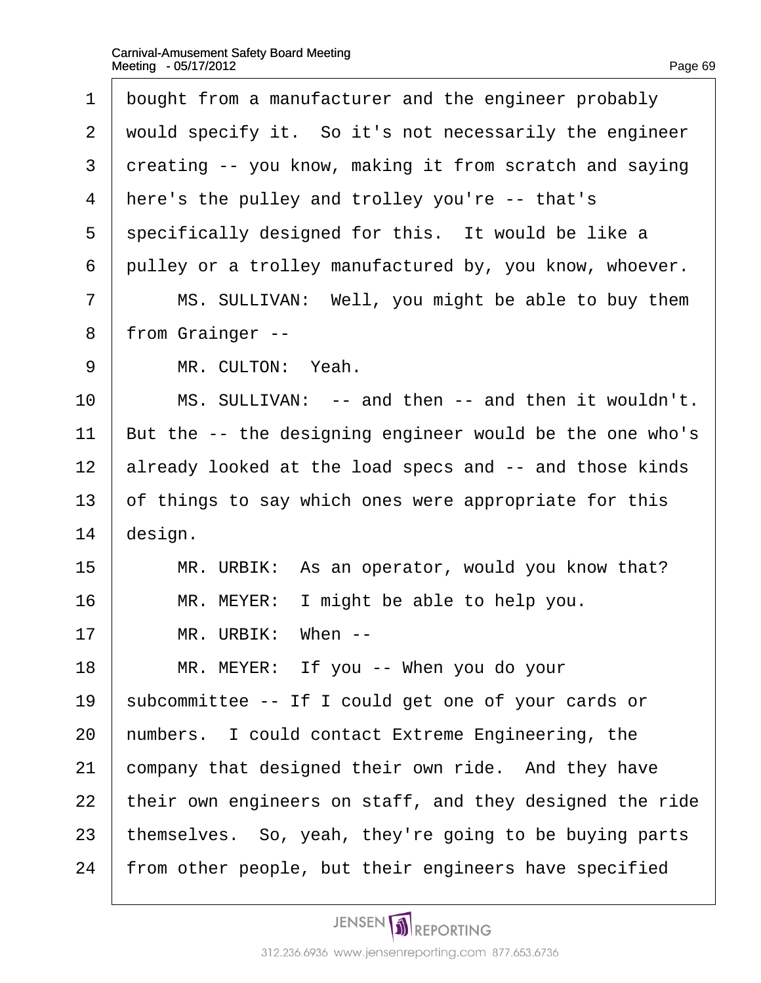| 1 bought from a manufacturer and the engineer probably    |
|-----------------------------------------------------------|
| 2 would specify it. So it's not necessarily the engineer  |
| 3 dreating -- you know, making it from scratch and saying |
| 4 here's the pulley and trolley you're -- that's          |
| 5 specifically designed for this. It would be like a      |

6 pulley or a trolley manufactured by, you know, whoever.

7 | MS. SULLIVAN: Well, you might be able to buy them

8 from Grainger --

9 | MR. CULTON: Yeah.

10 | MS. SULLIVAN: -- and then -- and then it wouldn't.

11 But the -- the designing engineer would be the one who's

12 already looked at the load specs and -- and those kinds

13 of things to say which ones were appropriate for this

14 design.

15 | MR. URBIK: As an operator, would you know that?

 $16$  | MR. MEYER: I might be able to help you.

 $17$   $\parallel$  MR. URBIK: When --

 $18$  | MR. MEYER: If you -- When you do your

19 subcommittee -- If I could get one of your cards or

20 numbers. I could contact Extreme Engineering, the

21 company that designed their own ride. And they have

22 their own engineers on staff, and they designed the ride

23 themselves. So, yeah, they're going to be buying parts

24 from other people, but their engineers have specified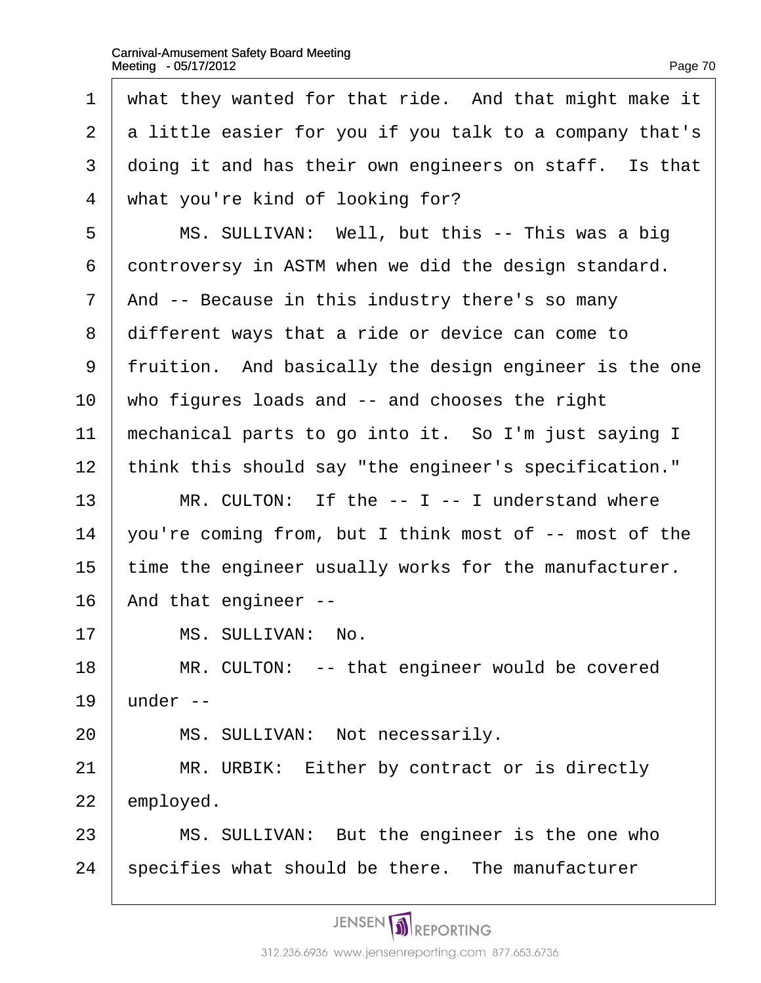| 1              | what they wanted for that ride. And that might make it  |
|----------------|---------------------------------------------------------|
| $\overline{2}$ | a little easier for you if you talk to a company that's |
| 3              | doing it and has their own engineers on staff. Is that  |
| $\overline{4}$ | what you're kind of looking for?                        |
| 5              | MS. SULLIVAN: Well, but this -- This was a big          |
| 6              | dontroversy in ASTM when we did the design standard.    |
| $\overline{7}$ | And -- Because in this industry there's so many         |
| 8              | different ways that a ride or device can come to        |
| 9              | fruition. And basically the design engineer is the one  |
| 10             | who figures loads and -- and chooses the right          |
| 11             | mechanical parts to go into it. So I'm just saying I    |
| 12             | think this should say "the engineer's specification."   |
| 13             | MR. CULTON: If the -- I -- I understand where           |
| 14             | you're coming from, but I think most of -- most of the  |
| 15             | time the engineer usually works for the manufacturer.   |
| 16             | And that engineer --                                    |
| 17             | MS. SULLIVAN: No.                                       |
| 18             | MR. CULTON: -- that engineer would be covered           |
| 19             | under --                                                |
| 20             | MS. SULLIVAN: Not necessarily.                          |
| 21             | MR. URBIK: Either by contract or is directly            |
| 22             | employed.                                               |
| 23             | MS. SULLIVAN: But the engineer is the one who           |
| 24             | specifies what should be there. The manufacturer        |
|                |                                                         |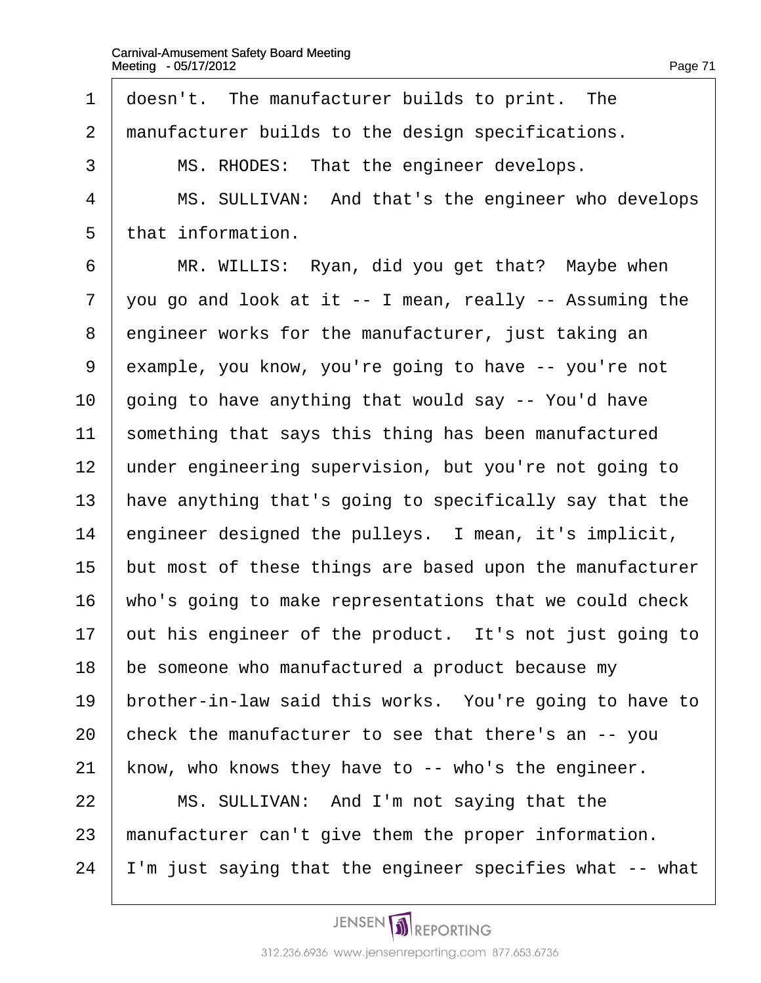1 doesn't. The manufacturer builds to print. The 2 manufacturer builds to the design specifications. 3 | MS. RHODES: That the engineer develops. 4 | MS. SULLIVAN: And that's the engineer who develops 5 that information. 6 | MR. WILLIS: Ryan, did you get that? Maybe when 7 you go and look at it -- I mean, really -- Assuming the 8 engineer works for the manufacturer, just taking an 9 example, you know, you're going to have -- you're not 10 going to have anything that would say -- You'd have 11 something that says this thing has been manufactured 12 under engineering supervision, but you're not going to 13 have anything that's going to specifically say that the 14  $\epsilon$  engineer designed the pulleys. I mean, it's implicit, 15 but most of these things are based upon the manufacturer 16 who's going to make representations that we could check 17 but his engineer of the product. It's not just going to 18 be someone who manufactured a product because my 19 brother-in-law said this works. You're going to have to 20 check the manufacturer to see that there's an -- you 21 know, who knows they have to -- who's the engineer.  $22$  | MS. SULLIVAN: And I'm not saying that the 23 manufacturer can't give them the proper information. 24 I'm just saying that the engineer specifies what -- what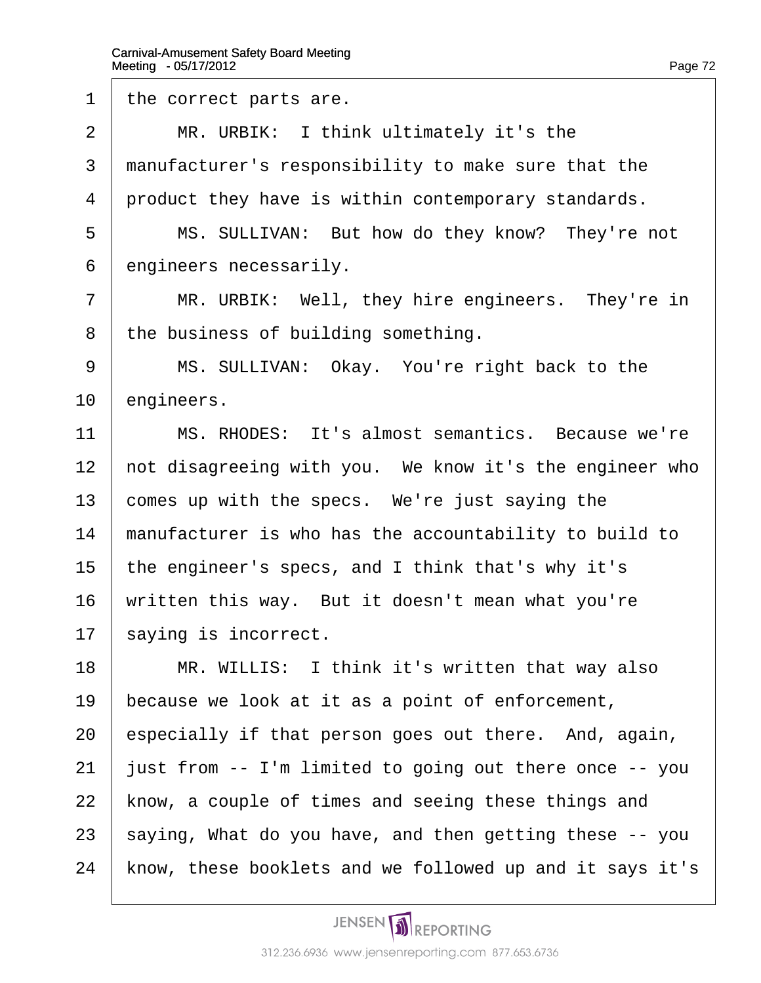1 the correct parts are.

 $2$  | MR. URBIK: I think ultimately it's the

3 manufacturer's responsibility to make sure that the

4 product they have is within contemporary standards.

5 | MS. SULLIVAN: But how do they know? They're not

6 engineers necessarily.

 $7$  | MR. URBIK: Well, they hire engineers. They're in

8 the business of building something.

9 | MS. SULLIVAN: Okay. You're right back to the

10 engineers.

11 | MS. RHODES: It's almost semantics. Because we're

12 hot disagreeing with you. We know it's the engineer who

13 comes up with the specs. We're just saying the

14 manufacturer is who has the accountability to build to

15 the engineer's specs, and I think that's why it's

16 written this way. But it doesn't mean what you're

17 saying is incorrect.

18 | MR. WILLIS: I think it's written that way also

19 because we look at it as a point of enforcement,

20 especially if that person goes out there. And, again,

21 just from -- I'm limited to going out there once -- you

22 know, a couple of times and seeing these things and

23 saying, What do you have, and then getting these -- you

24 know, these booklets and we followed up and it says it's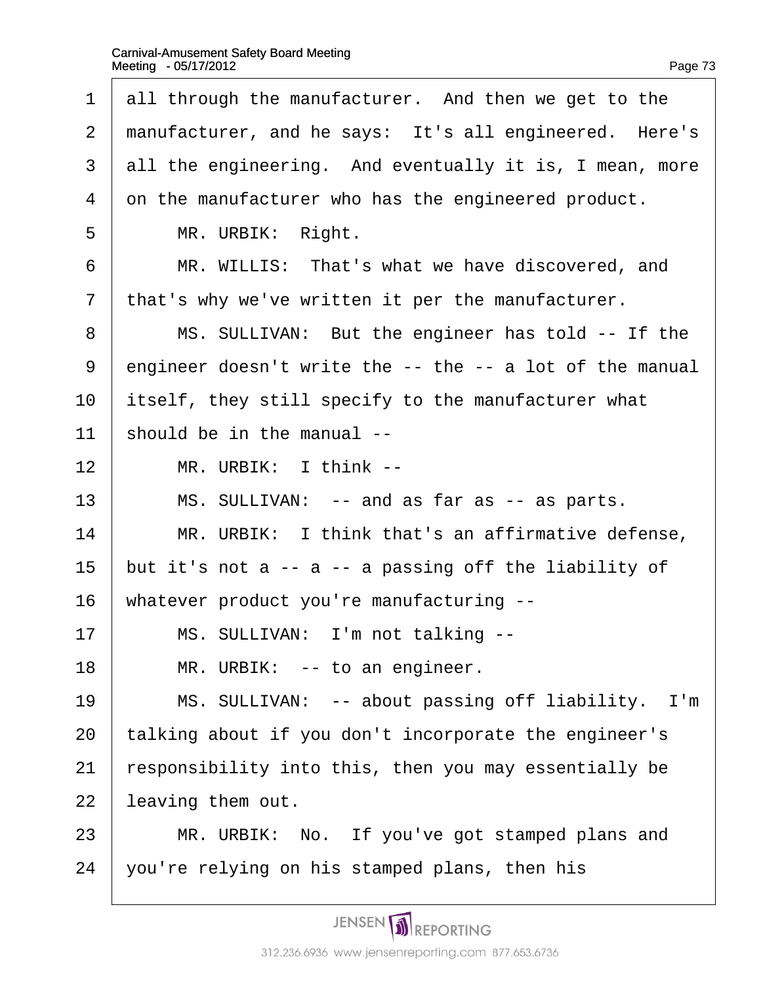| $\mathbf 1$    | all through the manufacturer. And then we get to the     |
|----------------|----------------------------------------------------------|
| $\overline{2}$ | manufacturer, and he says: It's all engineered. Here's   |
| 3              | all the engineering. And eventually it is, I mean, more  |
| 4              | on the manufacturer who has the engineered product.      |
| 5              | MR. URBIK: Right.                                        |
| 6              | MR. WILLIS: That's what we have discovered, and          |
| $\overline{7}$ | that's why we've written it per the manufacturer.        |
| 8              | MS. SULLIVAN: But the engineer has told -- If the        |
| 9              | engineer doesn't write the -- the -- a lot of the manual |
| 10             | itself, they still specify to the manufacturer what      |
| 11             | should be in the manual --                               |
| 12             | MR. URBIK: I think --                                    |
| 13             | MS. SULLIVAN: -- and as far as -- as parts.              |
| 14             | MR. URBIK: I think that's an affirmative defense,        |
| 15             | but it's not a -- a -- a passing off the liability of    |
| 16             | whatever product you're manufacturing --                 |
| 17             | MS. SULLIVAN: I'm not talking --                         |
| 18             | MR. URBIK: -- to an engineer.                            |
| 19             | MS. SULLIVAN: -- about passing off liability. I'm        |
| 20             | talking about if you don't incorporate the engineer's    |
| 21             | responsibility into this, then you may essentially be    |
| 22             | leaving them out.                                        |
| 23             | MR. URBIK: No. If you've got stamped plans and           |
| 24             | you're relying on his stamped plans, then his            |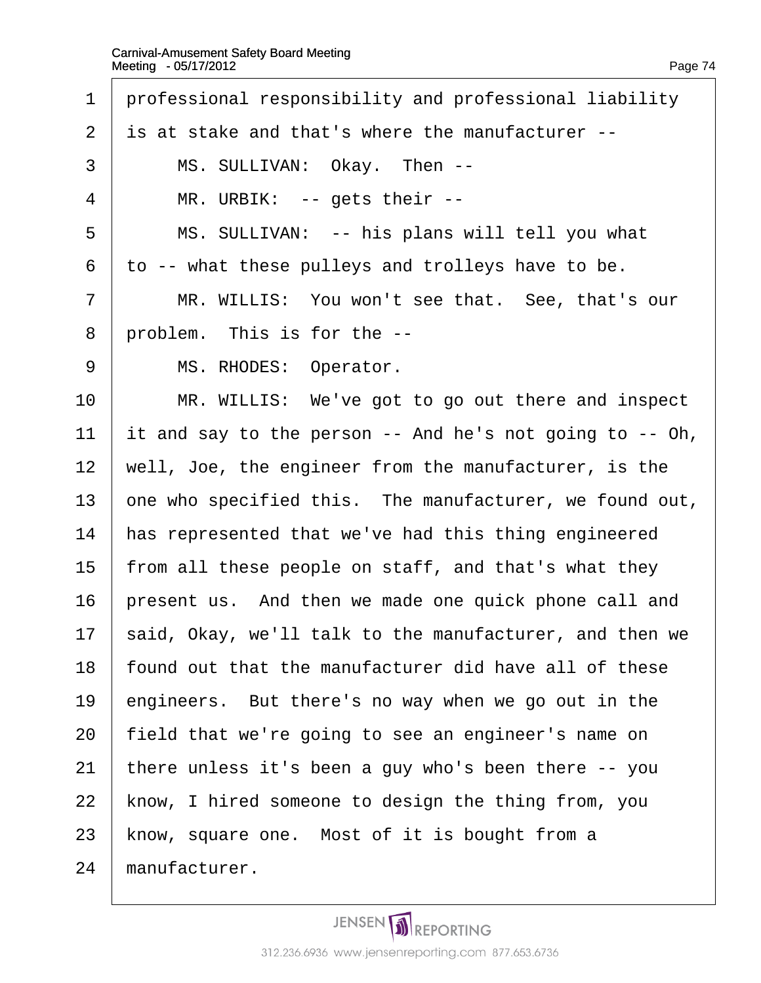1 professional responsibility and professional liability ·2· ·is at stake and that's where the manufacturer -- 3 | MS. SULLIVAN: Okay. Then -- $4 \mid MR$ . URBIK: -- gets their --5 | MS. SULLIVAN: -- his plans will tell you what  $6$  to  $-$  what these pulleys and trolleys have to be. 7 | MR. WILLIS: You won't see that. See, that's our 8 problem. This is for the --9 | MS. RHODES: Operator. 10 | MR. WILLIS: We've got to go out there and inspect 11  $\parallel$  t and say to the person -- And he's not going to  $-$  Oh, 12 well, Joe, the engineer from the manufacturer, is the 13 one who specified this. The manufacturer, we found out, 14 has represented that we've had this thing engineered 15 from all these people on staff, and that's what they 16 present us. And then we made one quick phone call and 17 said, Okay, we'll talk to the manufacturer, and then we 18 found out that the manufacturer did have all of these 19  $\epsilon$  engineers. But there's no way when we go out in the 20 field that we're going to see an engineer's name on 21 there unless it's been a guy who's been there -- you 22 know, I hired someone to design the thing from, you 23 know, square one. Most of it is bought from a 24 manufacturer.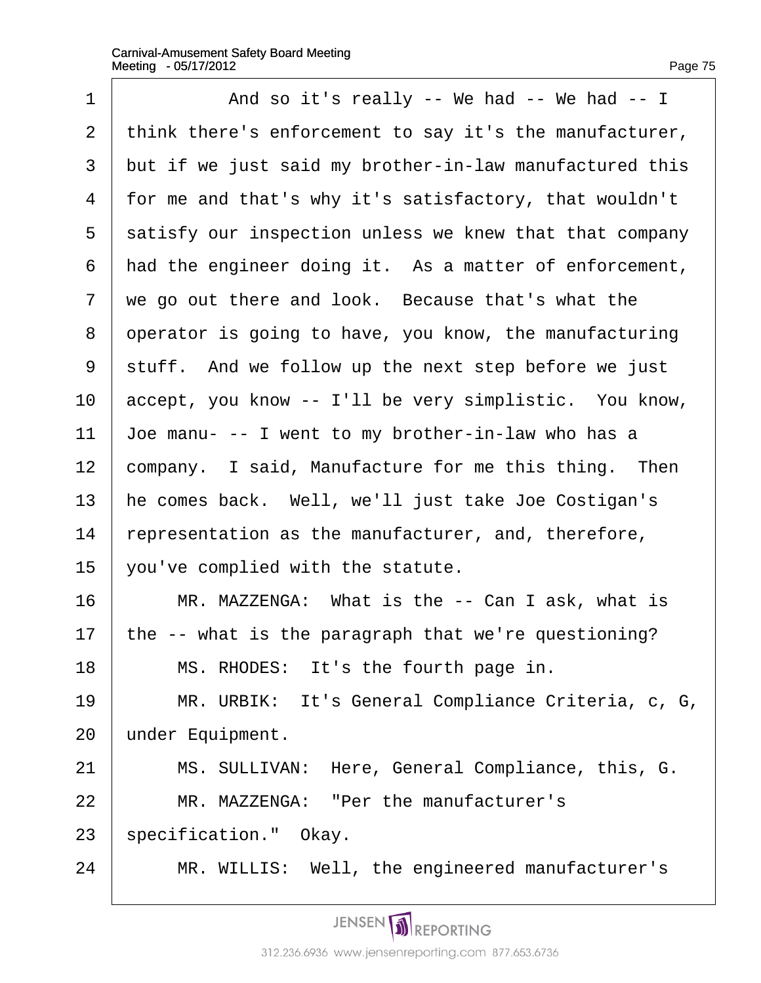| 1              | And so it's really -- We had -- We had -- I                   |
|----------------|---------------------------------------------------------------|
| $\overline{2}$ | think there's enforcement to say it's the manufacturer,       |
| 3              | but if we just said my brother-in-law manufactured this       |
| 4              | for me and that's why it's satisfactory, that wouldn't        |
| 5              | satisfy our inspection unless we knew that that company       |
| 6              | had the engineer doing it. As a matter of enforcement,        |
| $\overline{7}$ | we go out there and look. Because that's what the             |
| 8              | operator is going to have, you know, the manufacturing        |
| 9              | stuff. And we follow up the next step before we just          |
| 10             | accept, you know -- I'll be very simplistic. You know,        |
| 11             | $\sqrt{2}$ loe manu- -- I went to my brother-in-law who has a |
| 12             | company. I said, Manufacture for me this thing. Then          |
| 13             | he comes back. Well, we'll just take Joe Costigan's           |
| 14             | representation as the manufacturer, and, therefore,           |
| 15             | you've complied with the statute.                             |
| 16             | MR. MAZZENGA: What is the -- Can I ask, what is               |
| 17             | the -- what is the paragraph that we're questioning?          |
| 18             | MS. RHODES: It's the fourth page in.                          |
| 19             | MR. URBIK: It's General Compliance Criteria, c, G,            |
| 20             | under Equipment.                                              |
| 21             | MS. SULLIVAN: Here, General Compliance, this, G.              |
| 22             | MR. MAZZENGA: "Per the manufacturer's                         |
| 23             | \$pecification." Okay.                                        |
| 24             | MR. WILLIS: Well, the engineered manufacturer's               |
|                |                                                               |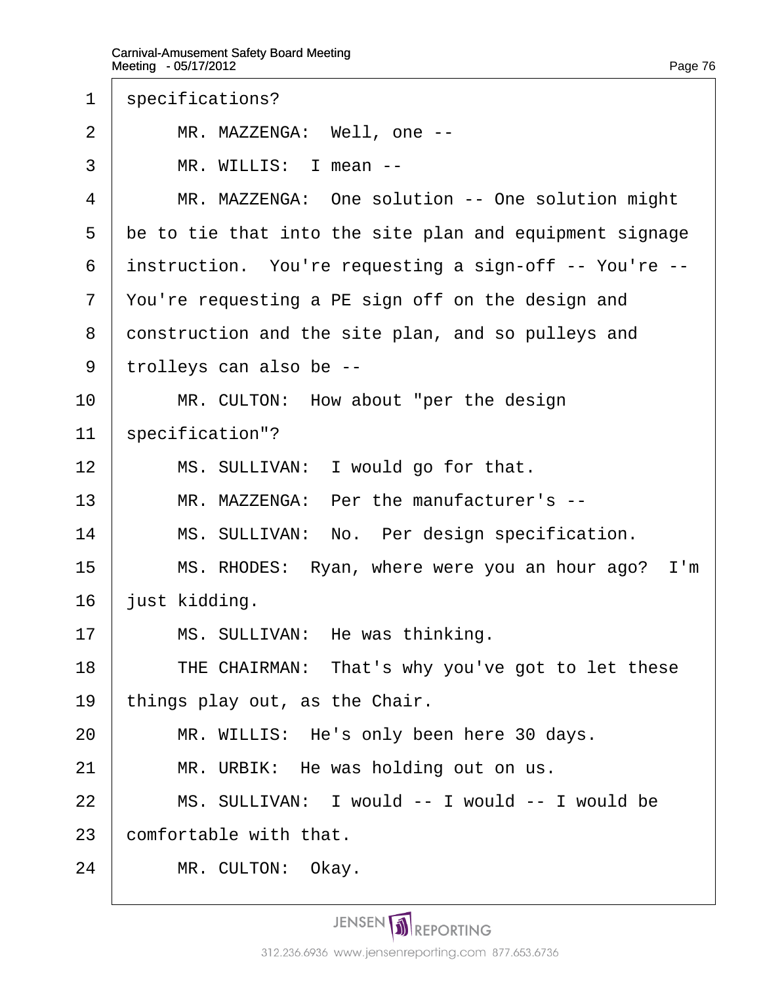1 specifications?

2 | MR. MAZZENGA: Well, one --

 $3 \parallel MR$ . WILLIS: I mean --

4 | MR. MAZZENGA: One solution -- One solution might

5 be to tie that into the site plan and equipment signage

6 instruction. You're requesting a sign-off -- You're --

7 You're requesting a PE sign off on the design and

8 construction and the site plan, and so pulleys and

- ·9· ·trolleys can also be --
- $10$  | MR. CULTON: How about "per the design

11 specification"?

 $12$  | MS. SULLIVAN: I would go for that.

13 | MR. MAZZENGA: Per the manufacturer's --

14 | MS. SULLIVAN: No. Per design specification.

15 | MS. RHODES: Ryan, where were you an hour ago? I'm

16 **just kidding.** 

17 | MS. SULLIVAN: He was thinking.

18 | THE CHAIRMAN: That's why you've got to let these

- 19 things play out, as the Chair.
- 20 | MR. WILLIS: He's only been here 30 days.
- $21$  | MR. URBIK: He was holding out on us.
- 22 | MS. SULLIVAN: I would -- I would -- I would be

23 **comfortable with that.** 

24 | MR. CULTON: Okay.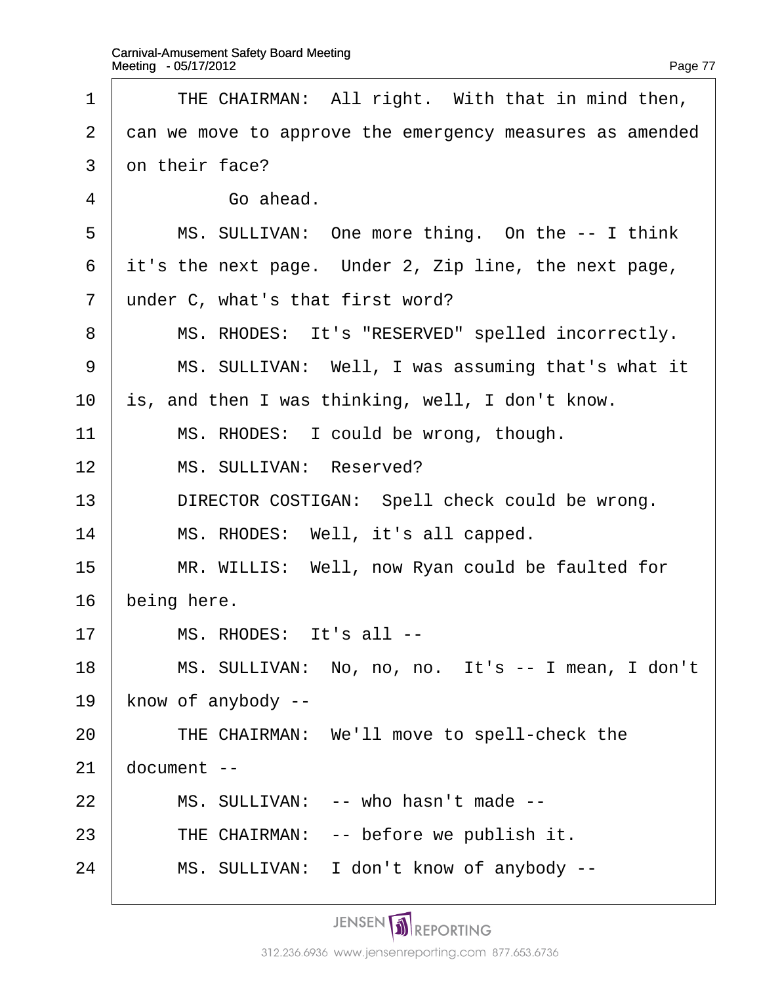16· ·being here.

19

 $21$ 

| $\mathbf 1$    | THE CHAIRMAN: All right. With that in mind then,         |  |
|----------------|----------------------------------------------------------|--|
| 2 <sup>1</sup> | can we move to approve the emergency measures as amended |  |
| 3              | on their face?                                           |  |
| 4              | Go ahead.                                                |  |
| 5              | MS. SULLIVAN: One more thing. On the -- I think          |  |
| 6              | it's the next page. Under 2, Zip line, the next page,    |  |
| $\overline{7}$ | under C, what's that first word?                         |  |
| 8              | MS. RHODES: It's "RESERVED" spelled incorrectly.         |  |
| 9              | MS. SULLIVAN: Well, I was assuming that's what it        |  |
| 10             | is, and then I was thinking, well, I don't know.         |  |
| 11             | MS. RHODES: I could be wrong, though.                    |  |
| 12             | MS. SULLIVAN: Reserved?                                  |  |
| 13             | DIRECTOR COSTIGAN: Spell check could be wrong.           |  |
| 14             | MS. RHODES: Well, it's all capped.                       |  |
| 15             | MR. WILLIS: Well, now Ryan could be faulted for          |  |
| 16             | being here.                                              |  |
| 17             | MS. RHODES: It's all --                                  |  |
| 18             | MS. SULLIVAN: No, no, no. It's -- I mean, I don't        |  |
| 19             | know of anybody --                                       |  |
| 20             | THE CHAIRMAN: We'll move to spell-check the              |  |
| 21             | document --                                              |  |
| 22             | MS. SULLIVAN: -- who hasn't made --                      |  |
| 23             | THE CHAIRMAN: -- before we publish it.                   |  |
| 24             | MS. SULLIVAN: I don't know of anybody --                 |  |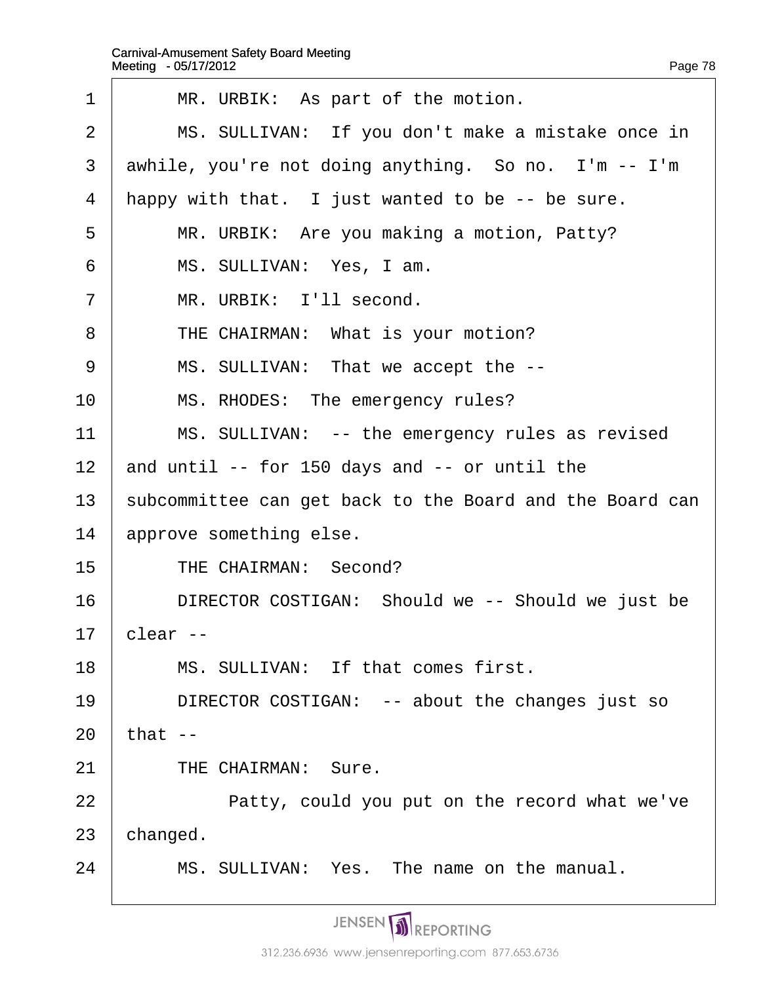| 1              | MR. URBIK: As part of the motion.                        |
|----------------|----------------------------------------------------------|
| 2              | MS. SULLIVAN: If you don't make a mistake once in        |
| 3              | awhile, you're not doing anything. So no. I'm -- I'm     |
| 4              | happy with that. I just wanted to be -- be sure.         |
| 5              | MR. URBIK: Are you making a motion, Patty?               |
| 6              | MS. SULLIVAN: Yes, I am.                                 |
| $\overline{7}$ | MR. URBIK: I'll second.                                  |
| 8              | THE CHAIRMAN: What is your motion?                       |
| 9              | MS. SULLIVAN: That we accept the --                      |
| 10             | MS. RHODES: The emergency rules?                         |
| 11             | MS. SULLIVAN: -- the emergency rules as revised          |
| 12             | and until -- for 150 days and -- or until the            |
| 13             | subcommittee can get back to the Board and the Board can |
| 14             | approve something else.                                  |
| 15             | THE CHAIRMAN: Second?                                    |
| 16             | DIRECTOR COSTIGAN: Should we -- Should we just be        |
| 17             | clear--                                                  |
| 18             | MS. SULLIVAN: If that comes first.                       |
| 19             | DIRECTOR COSTIGAN: -- about the changes just so          |
| 20             | that $-$                                                 |
| 21             | THE CHAIRMAN: Sure.                                      |
| 22             | Patty, could you put on the record what we've            |
| 23             | changed.                                                 |
| 24             | MS. SULLIVAN: Yes. The name on the manual.               |
|                |                                                          |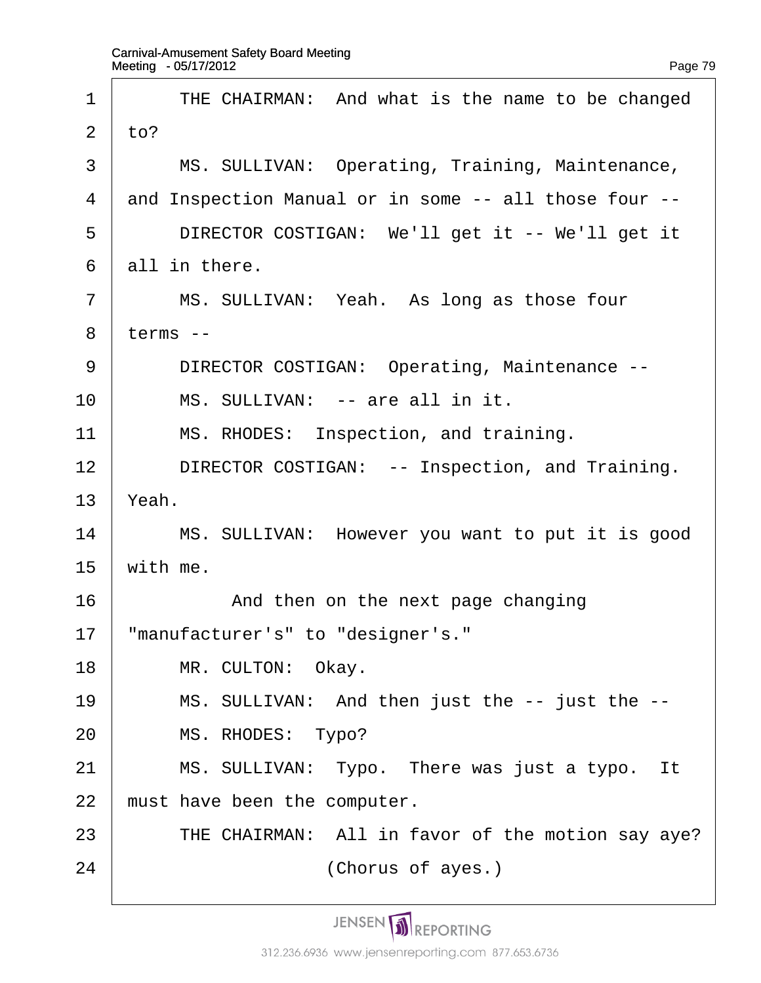| 1              | THE CHAIRMAN: And what is the name to be changed      |
|----------------|-------------------------------------------------------|
| 2              | $\mathsf{to}?$                                        |
| 3              | MS. SULLIVAN: Operating, Training, Maintenance,       |
| $\overline{4}$ | and Inspection Manual or in some -- all those four -- |
| 5              | DIRECTOR COSTIGAN: We'll get it -- We'll get it       |
| 6              | all in there.                                         |
| $\overline{7}$ | MS. SULLIVAN: Yeah. As long as those four             |
| 8              | terms --                                              |
| 9              | DIRECTOR COSTIGAN: Operating, Maintenance --          |
| 10             | MS. SULLIVAN: -- are all in it.                       |
| 11             | MS. RHODES: Inspection, and training.                 |
| 12             | DIRECTOR COSTIGAN: -- Inspection, and Training.       |
| 13             | Yeah.                                                 |
| 14             | MS. SULLIVAN: However you want to put it is good      |
| 15             | with me.                                              |
| 16             | And then on the next page changing                    |
| 17             | "manufacturer's" to "designer's."                     |
| 18             | MR. CULTON: Okay.                                     |
| 19             | MS. SULLIVAN: And then just the -- just the --        |
| 20             | MS. RHODES: Typo?                                     |
| 21             | MS. SULLIVAN: Typo. There was just a typo. It         |
| 22             | must have been the computer.                          |
| 23             | THE CHAIRMAN: All in favor of the motion say aye?     |
| 24             | (Chorus of ayes.)                                     |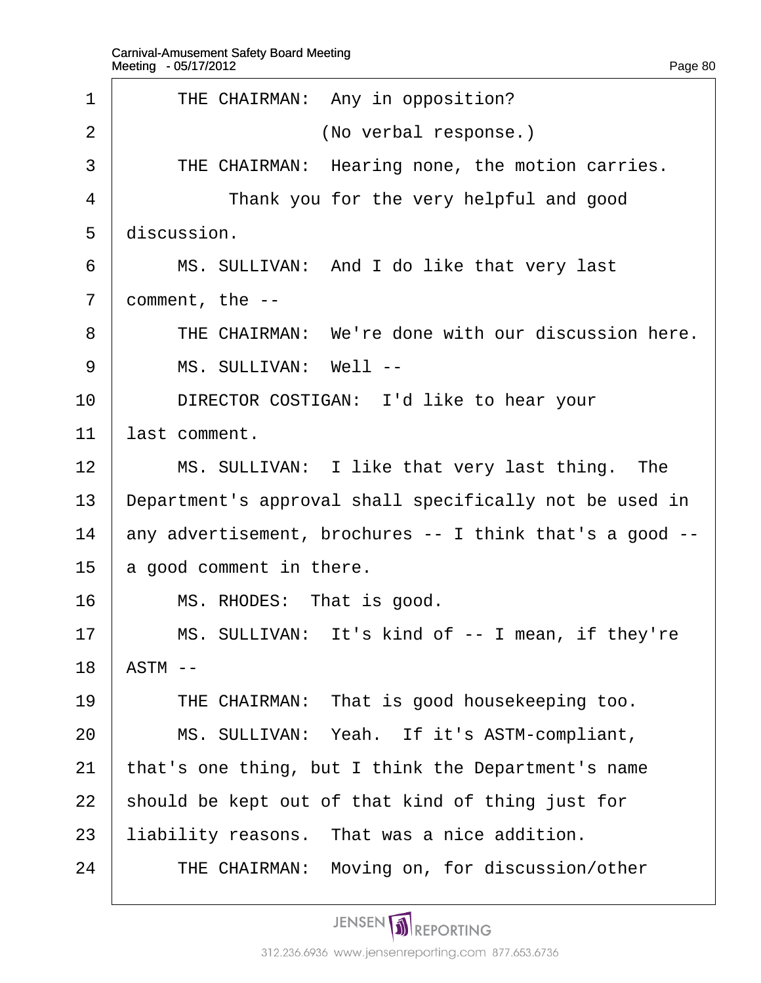| 1              | THE CHAIRMAN: Any in opposition?                         |
|----------------|----------------------------------------------------------|
| 2              | (No verbal response.)                                    |
| 3              | THE CHAIRMAN: Hearing none, the motion carries.          |
| 4              | Thank you for the very helpful and good                  |
| 5              | discussion.                                              |
| 6              | MS. SULLIVAN: And I do like that very last               |
| $\overline{7}$ | comment, the --                                          |
| 8              | THE CHAIRMAN: We're done with our discussion here.       |
| 9              | MS. SULLIVAN: Well --                                    |
| 10             | DIRECTOR COSTIGAN: I'd like to hear your                 |
| 11             | last comment.                                            |
| 12             | MS. SULLIVAN: I like that very last thing. The           |
| 13             | Department's approval shall specifically not be used in  |
| 14             | any advertisement, brochures -- I think that's a good -- |
| 15             | a good comment in there.                                 |
| 16             | MS. RHODES: That is good.                                |
| 17             | MS. SULLIVAN: It's kind of -- I mean, if they're         |
| 18             | ASTM --                                                  |
| 19             | THE CHAIRMAN: That is good housekeeping too.             |
| 20             | MS. SULLIVAN: Yeah. If it's ASTM-compliant,              |
| 21             | that's one thing, but I think the Department's name      |
| 22             | should be kept out of that kind of thing just for        |
| 23             | liability reasons. That was a nice addition.             |
| 24             | THE CHAIRMAN: Moving on, for discussion/other            |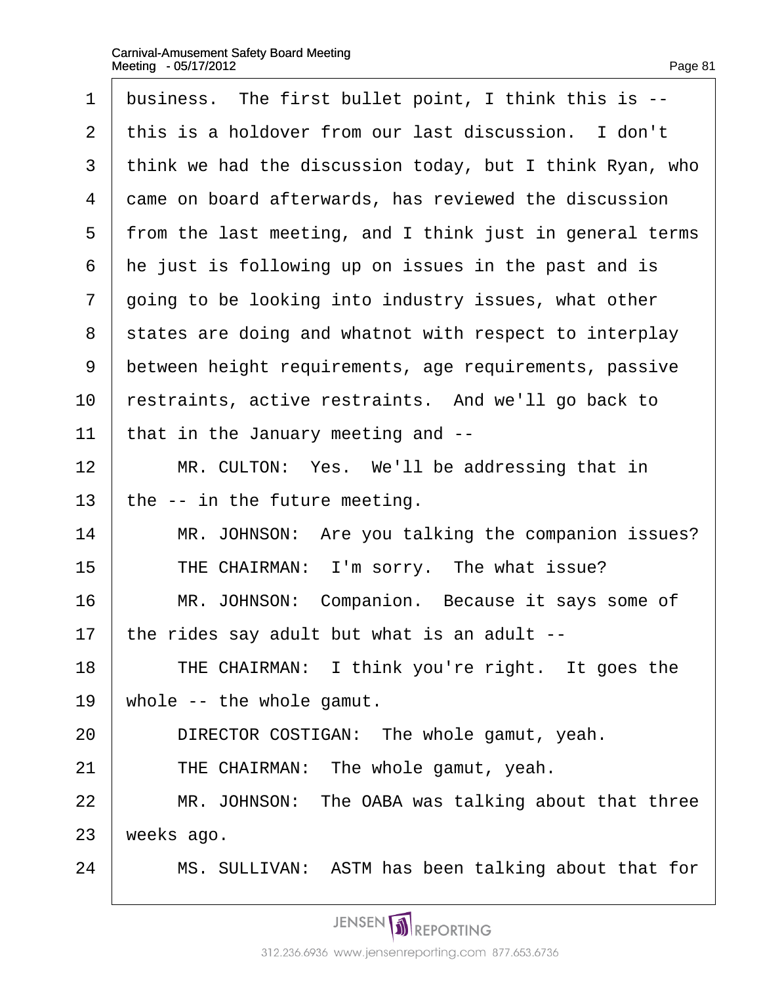| ın<br>н | ۱F | r.<br>ı |
|---------|----|---------|
|         |    |         |

| 1              | business. The first bullet point, I think this is --     |
|----------------|----------------------------------------------------------|
| 2              | this is a holdover from our last discussion. I don't     |
| 3              | think we had the discussion today, but I think Ryan, who |
| 4              | dame on board afterwards, has reviewed the discussion    |
| 5              | from the last meeting, and I think just in general terms |
| 6              | he just is following up on issues in the past and is     |
| $\overline{7}$ | going to be looking into industry issues, what other     |
| 8              | states are doing and whatnot with respect to interplay   |
| 9              | between height requirements, age requirements, passive   |
| 10             | restraints, active restraints. And we'll go back to      |
| 11             | that in the January meeting and --                       |
| 12             | MR. CULTON: Yes. We'll be addressing that in             |
| 13             | the -- in the future meeting.                            |
| 14             | MR. JOHNSON: Are you talking the companion issues?       |
| 15             | THE CHAIRMAN: I'm sorry. The what issue?                 |
| 16             | MR. JOHNSON: Companion. Because it says some of          |
| 17             | the rides say adult but what is an adult                 |
| 18             | THE CHAIRMAN: I think you're right. It goes the          |
| 19             | whole -- the whole gamut.                                |
| 20             | DIRECTOR COSTIGAN: The whole gamut, yeah.                |
| 21             | THE CHAIRMAN: The whole gamut, yeah.                     |
| 22             | MR. JOHNSON: The OABA was talking about that three       |
| 23             | weeks ago.                                               |
| 24             | MS. SULLIVAN: ASTM has been talking about that for       |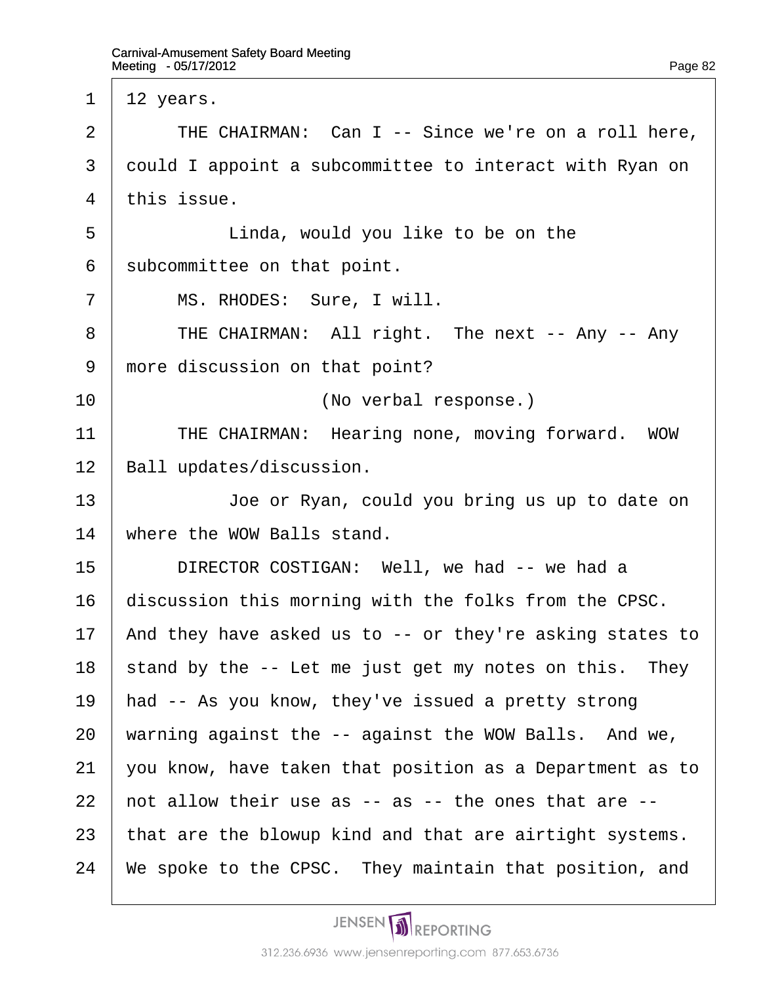1  $1/2$  years. 2  $\parallel$  THE CHAIRMAN: Can I -- Since we're on a roll here, 3 dould I appoint a subcommittee to interact with Ryan on 4 this issue. 5 **Linda, would you like to be on the** 6 subcommittee on that point. 7 | MS. RHODES: Sure, I will. 8 | THE CHAIRMAN: All right. The next -- Any -- Any 9 more discussion on that point? 10 | **Confidence** (No verbal response.) 11 | THE CHAIRMAN: Hearing none, moving forward. WOW 12 Ball updates/discussion. 13 **Joe or Ryan, could you bring us up to date on** 14 where the WOW Balls stand. 15 | DIRECTOR COSTIGAN: Well, we had -- we had a 16 discussion this morning with the folks from the CPSC. 17 And they have asked us to -- or they're asking states to 18  $\frac{1}{2}$  stand by the -- Let me just get my notes on this. They 19 had -- As you know, they've issued a pretty strong 20 warning against the -- against the WOW Balls. And we, 21  $\sqrt{v}$  vou know, have taken that position as a Department as to 22  $\mu$  hot allow their use as  $-$  as  $-$  the ones that are  $-$ 23 that are the blowup kind and that are airtight systems. 24 We spoke to the CPSC. They maintain that position, and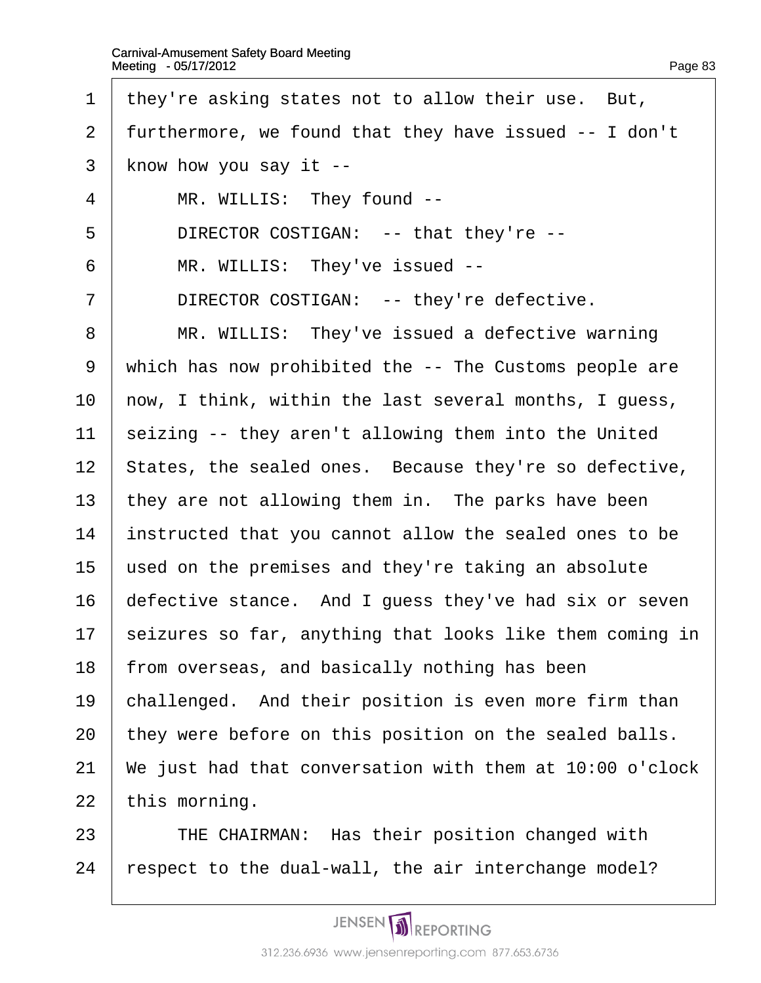- 1 they're asking states not to allow their use. But,
- 2 furthermore, we found that they have issued -- I don't
- 3 know how you say it --
- 4 | MR. WILLIS: They found --
- 5 | DIRECTOR COSTIGAN: -- that they're --
- 6 | MR. WILLIS: They've issued --
- 7 | DIRECTOR COSTIGAN: -- they're defective.
- 8 | MR. WILLIS: They've issued a defective warning
- 9 which has now prohibited the -- The Customs people are
- 10 how, I think, within the last several months, I guess,
- 11 seizing -- they aren't allowing them into the United
- 12 States, the sealed ones. Because they're so defective,
- 13 they are not allowing them in. The parks have been
- 14 instructed that you cannot allow the sealed ones to be
- 15 used on the premises and they're taking an absolute
- 16 defective stance. And I guess they've had six or seven
- 17 seizures so far, anything that looks like them coming in
- 18 from overseas, and basically nothing has been
- 19 challenged. And their position is even more firm than
- 20 they were before on this position on the sealed balls.
- 21 We just had that conversation with them at 10:00 o'clock 22 this morning.
- 23 | THE CHAIRMAN: Has their position changed with
- 24 respect to the dual-wall, the air interchange model?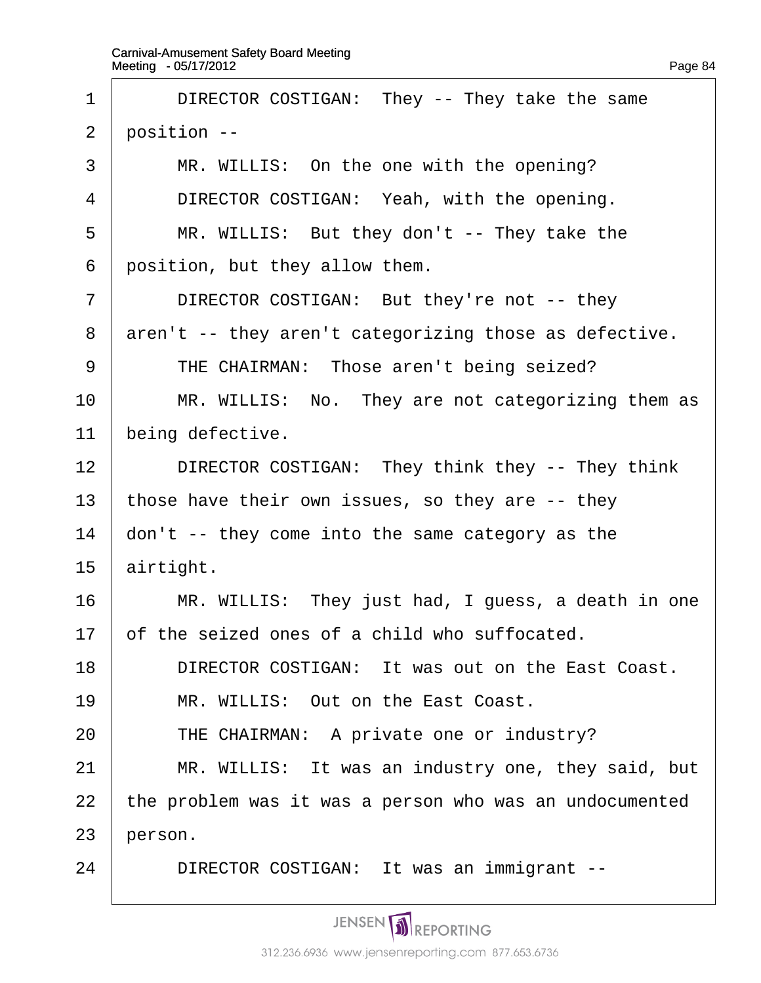| 1              | DIRECTOR COSTIGAN: They -- They take the same           |
|----------------|---------------------------------------------------------|
| $\overline{2}$ | position --                                             |
| 3              | MR. WILLIS: On the one with the opening?                |
| 4              | DIRECTOR COSTIGAN: Yeah, with the opening.              |
| 5              | MR. WILLIS: But they don't -- They take the             |
| 6              | position, but they allow them.                          |
| 7              | DIRECTOR COSTIGAN: But they're not -- they              |
| 8              | aren't -- they aren't categorizing those as defective.  |
| 9              | THE CHAIRMAN: Those aren't being seized?                |
| 10             | MR. WILLIS: No. They are not categorizing them as       |
| 11             | being defective.                                        |
| 12             | DIRECTOR COSTIGAN: They think they -- They think        |
| 13             | those have their own issues, so they are -- they        |
| 14             | don't -- they come into the same category as the        |
| 15             | airtight.                                               |
| 16             | MR. WILLIS: They just had, I guess, a death in one      |
| 17             | of the seized ones of a child who suffocated.           |
| 18             | DIRECTOR COSTIGAN: It was out on the East Coast.        |
| 19             | MR. WILLIS: Out on the East Coast.                      |
| 20             | THE CHAIRMAN: A private one or industry?                |
| 21             | MR. WILLIS: It was an industry one, they said, but      |
| 22             | the problem was it was a person who was an undocumented |
| 23             | person.                                                 |
| 24             | DIRECTOR COSTIGAN: It was an immigrant --               |
|                |                                                         |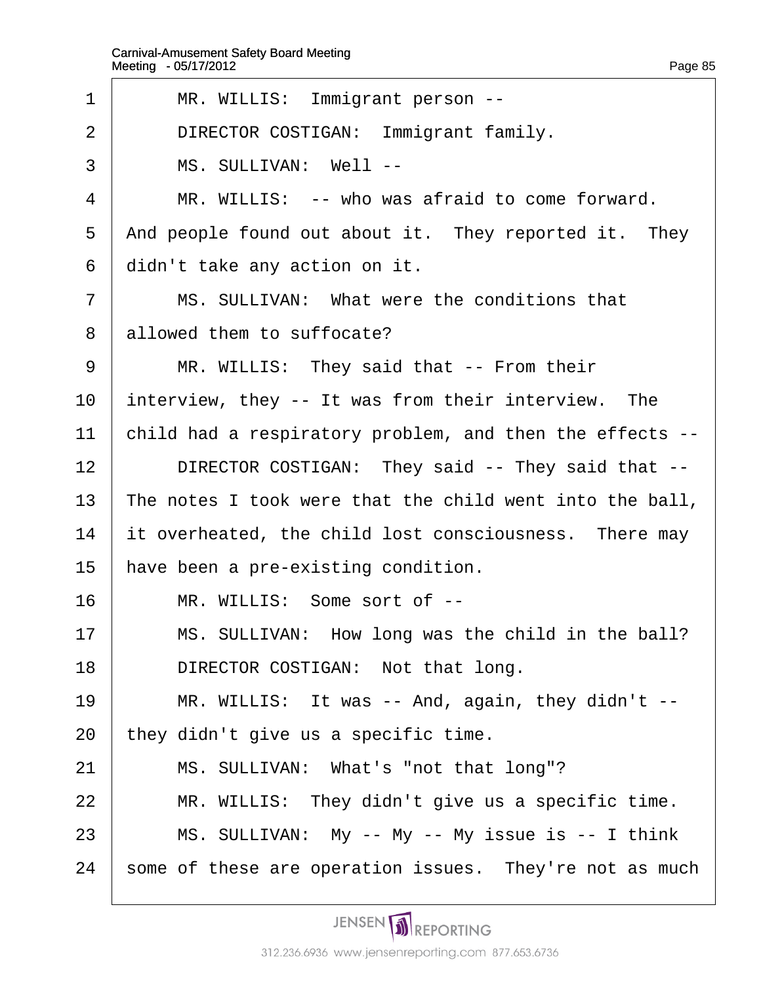| 1              | MR. WILLIS: Immigrant person --                          |
|----------------|----------------------------------------------------------|
| 2              | DIRECTOR COSTIGAN: Immigrant family.                     |
| 3              | MS. SULLIVAN: Well --                                    |
| $\overline{4}$ | MR. WILLIS: -- who was afraid to come forward.           |
| 5              | And people found out about it. They reported it. They    |
| 6              | didn't take any action on it.                            |
| 7              | MS. SULLIVAN: What were the conditions that              |
| 8              | allowed them to suffocate?                               |
| 9              | MR. WILLIS: They said that -- From their                 |
| 10             | interview, they -- It was from their interview. The      |
| 11             | child had a respiratory problem, and then the effects -- |
| 12             | DIRECTOR COSTIGAN: They said -- They said that --        |
| 13             | The notes I took were that the child went into the ball, |
| 14             | it overheated, the child lost consciousness. There may   |
| 15             | have been a pre-existing condition.                      |
| 16             | MR. WILLIS: Some sort of --                              |
| 17             | MS. SULLIVAN: How long was the child in the ball?        |
| 18             | DIRECTOR COSTIGAN: Not that long.                        |
| 19             | MR. WILLIS: It was -- And, again, they didn't --         |
| 20             | they didn't give us a specific time.                     |
| 21             | MS. SULLIVAN: What's "not that long"?                    |
| 22             | MR. WILLIS: They didn't give us a specific time.         |
| 23             | MS. SULLIVAN: My -- My -- My issue is -- I think         |
| 24             | some of these are operation issues. They're not as much  |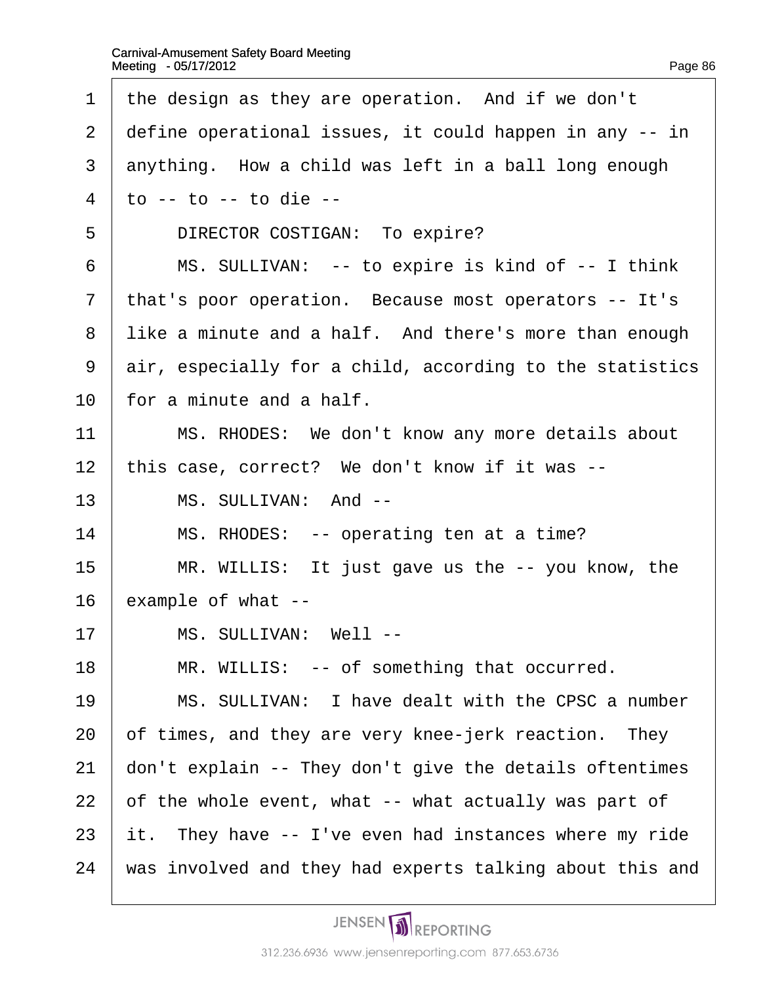| $\mathbf 1$    | the design as they are operation. And if we don't                                  |
|----------------|------------------------------------------------------------------------------------|
| $\overline{2}$ | define operational issues, it could happen in any -- in                            |
| 3              | anything. How a child was left in a ball long enough                               |
| 4              | $\mathfrak{g}$ - $\mathfrak{g}$ - $\mathfrak{g}$ - $\mathfrak{g}$ - $\mathfrak{g}$ |
| 5              | DIRECTOR COSTIGAN: To expire?                                                      |
| 6              | MS. SULLIVAN: -- to expire is kind of -- I think                                   |
| $\overline{7}$ | that's poor operation. Because most operators -- It's                              |
| 8              | like a minute and a half. And there's more than enough                             |
| 9              | air, especially for a child, according to the statistics                           |
| 10             | for a minute and a half.                                                           |
| 11             | MS. RHODES: We don't know any more details about                                   |
| 12             | this case, correct? We don't know if it was --                                     |
| 13             | MS. SULLIVAN: And --                                                               |
| 14             | MS. RHODES: -- operating ten at a time?                                            |
| 15             | MR. WILLIS: It just gave us the -- you know, the                                   |
| 16             | example of what --                                                                 |
| 17             | MS. SULLIVAN: Well--                                                               |
| 18             | MR. WILLIS: -- of something that occurred.                                         |
| 19             | MS. SULLIVAN: I have dealt with the CPSC a number                                  |
| 20             | of times, and they are very knee-jerk reaction. They                               |
| 21             | don't explain -- They don't give the details oftentimes                            |
| 22             | of the whole event, what -- what actually was part of                              |
| 23             | it. They have -- I've even had instances where my ride                             |
| 24             | was involved and they had experts talking about this and                           |
|                |                                                                                    |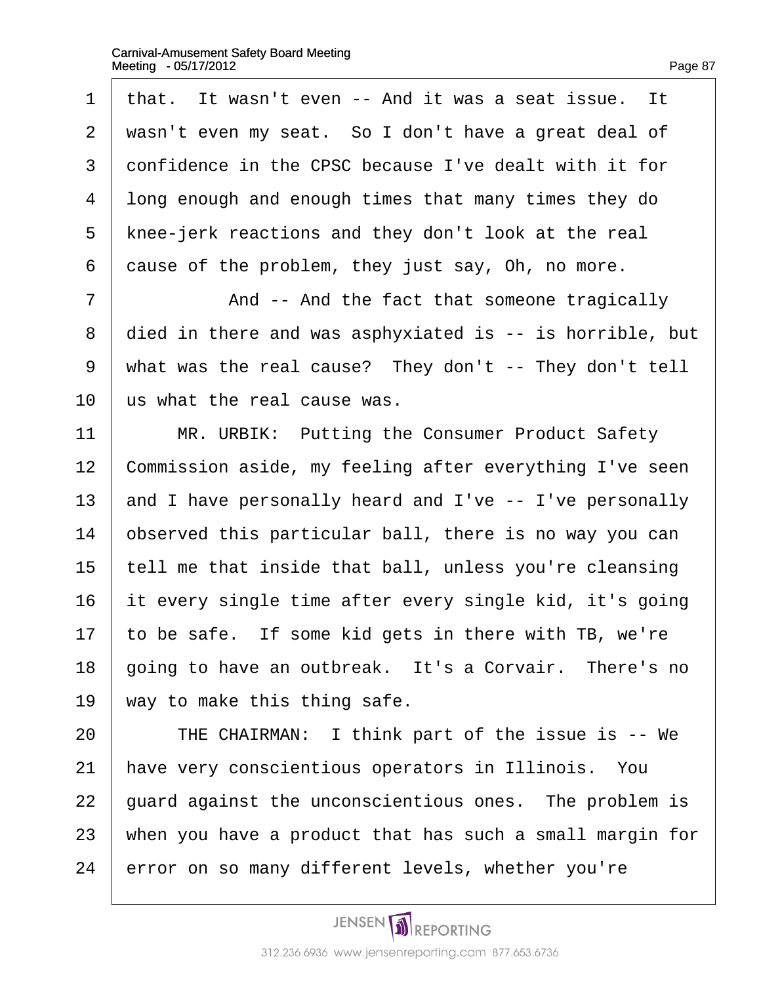1 that. It wasn't even -- And it was a seat issue. It 2 wasn't even my seat. So I don't have a great deal of 3 donfidence in the CPSC because I've dealt with it for 4 long enough and enough times that many times they do 5 knee-jerk reactions and they don't look at the real 6 dause of the problem, they just say, Oh, no more. 7 | And -- And the fact that someone tragically 8 died in there and was asphyxiated is -- is horrible, but 9 what was the real cause? They don't -- They don't tell 10 us what the real cause was. 11 | MR. URBIK: Putting the Consumer Product Safety 12 Commission aside, my feeling after everything I've seen 13 and I have personally heard and I've -- I've personally 14 bbserved this particular ball, there is no way you can 15 tell me that inside that ball, unless you're cleansing 16 it every single time after every single kid, it's going 17 to be safe. If some kid gets in there with TB, we're 18 going to have an outbreak. It's a Corvair. There's no 19 way to make this thing safe. 20 | THE CHAIRMAN: I think part of the issue is -- We 21 have very conscientious operators in Illinois. You 22 guard against the unconscientious ones. The problem is 23 when you have a product that has such a small margin for 24 error on so many different levels, whether you're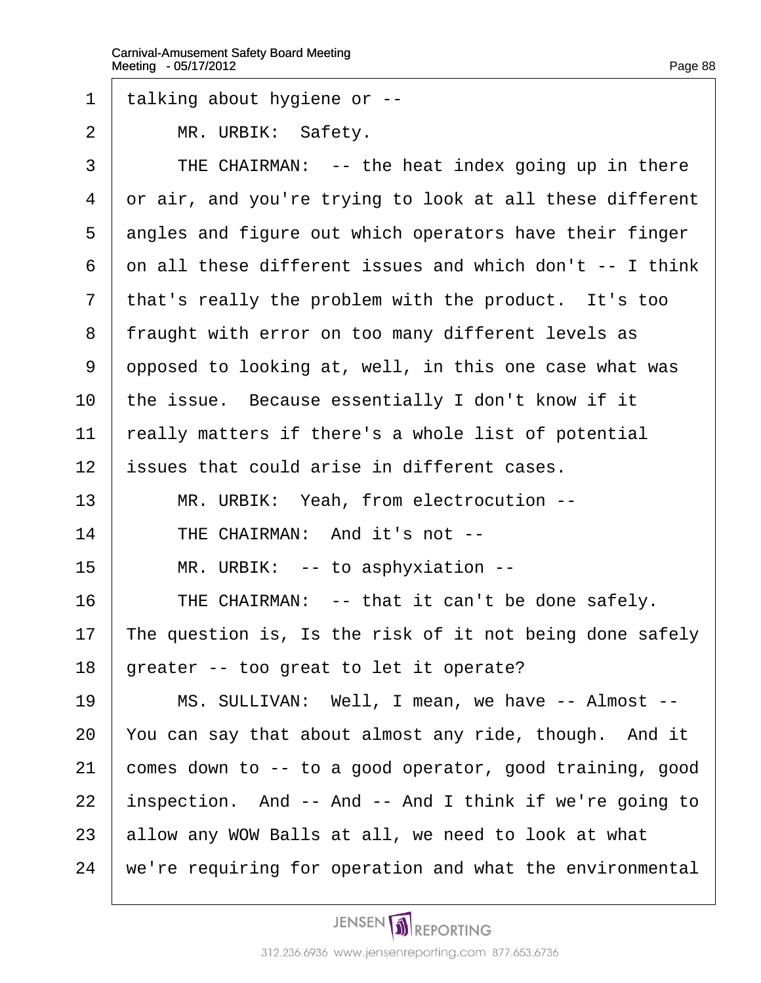- ·1· ·talking about hygiene or --
- 2 | MR. URBIK: Safety.
- $3$  | THE CHAIRMAN: -- the heat index going up in there
- 4 dr air, and you're trying to look at all these different
- 5 dngles and figure out which operators have their finger
- 6 dn all these different issues and which don't -- I think
- 7 that's really the problem with the product. It's too
- 8 fraught with error on too many different levels as
- 9 dpposed to looking at, well, in this one case what was
- 10 the issue. Because essentially I don't know if it
- 11 really matters if there's a whole list of potential
- 12 **issues that could arise in different cases.**
- 13 | MR. URBIK: Yeah, from electrocution --
- 14 | THE CHAIRMAN: And it's not --
- 15 | MR. URBIK: -- to asphyxiation --
- 16 **THE CHAIRMAN:** -- that it can't be done safely.
- 17 The question is, Is the risk of it not being done safely
- 18 greater -- too great to let it operate?
- 19 | MS. SULLIVAN: Well, I mean, we have -- Almost --
- 20 You can say that about almost any ride, though. And it
- 21 comes down to -- to a good operator, good training, good
- 22 inspection. And -- And -- And I think if we're going to
- 23 allow any WOW Balls at all, we need to look at what
- 24 we're requiring for operation and what the environmental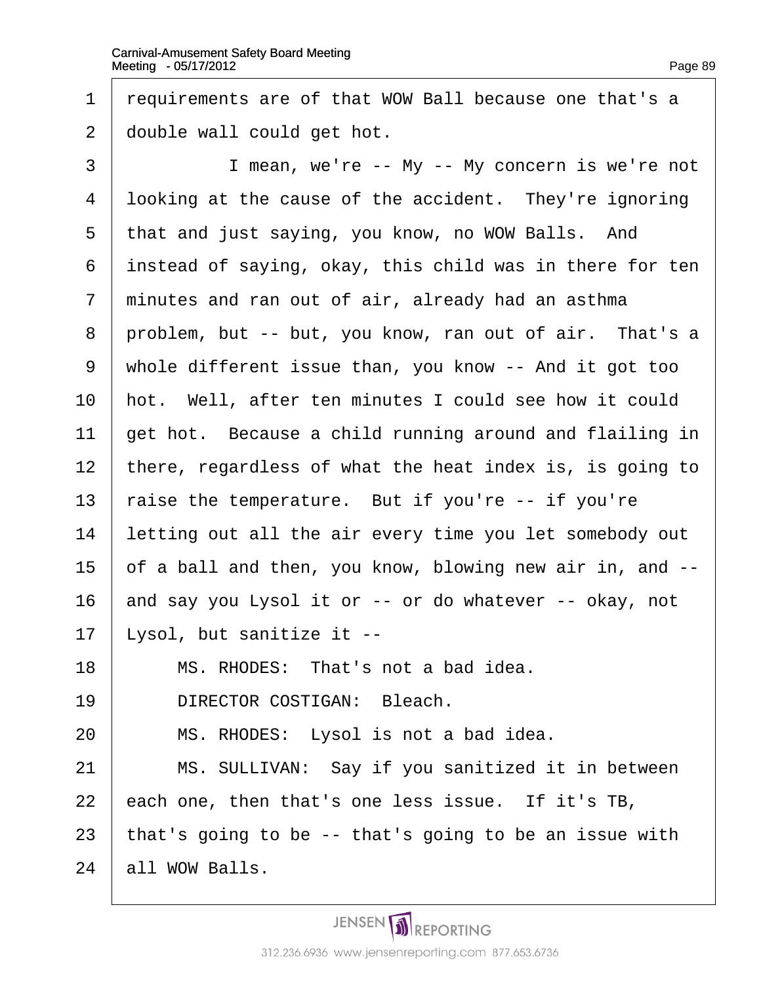1 requirements are of that WOW Ball because one that's a 2 double wall could get hot. 3 | I mean, we're -- My -- My concern is we're not 4 looking at the cause of the accident. They're ignoring 5 that and just saying, you know, no WOW Balls. And 6 instead of saying, okay, this child was in there for ten 7 minutes and ran out of air, already had an asthma 8 problem, but -- but, you know, ran out of air. That's a ·9· ·whole different issue than, you know -- And it got too 10 hot. Well, after ten minutes I could see how it could 11 get hot. Because a child running around and flailing in 12 there, regardless of what the heat index is, is going to 13 raise the temperature. But if you're -- if you're 14 letting out all the air every time you let somebody out 15  $\theta$  a ball and then, you know, blowing new air in, and  $-$ 16 and say you Lysol it or -- or do whatever -- okay, not 17 Lysol, but sanitize it -- $18$  | MS. RHODES: That's not a bad idea. 19 | DIRECTOR COSTIGAN: Bleach.  $20$  | MS. RHODES: Lysol is not a bad idea. 21 | MS. SULLIVAN: Say if you sanitized it in between 22  $\,$  each one, then that's one less issue. If it's TB, 23 that's going to be -- that's going to be an issue with

24 **all WOW Balls.**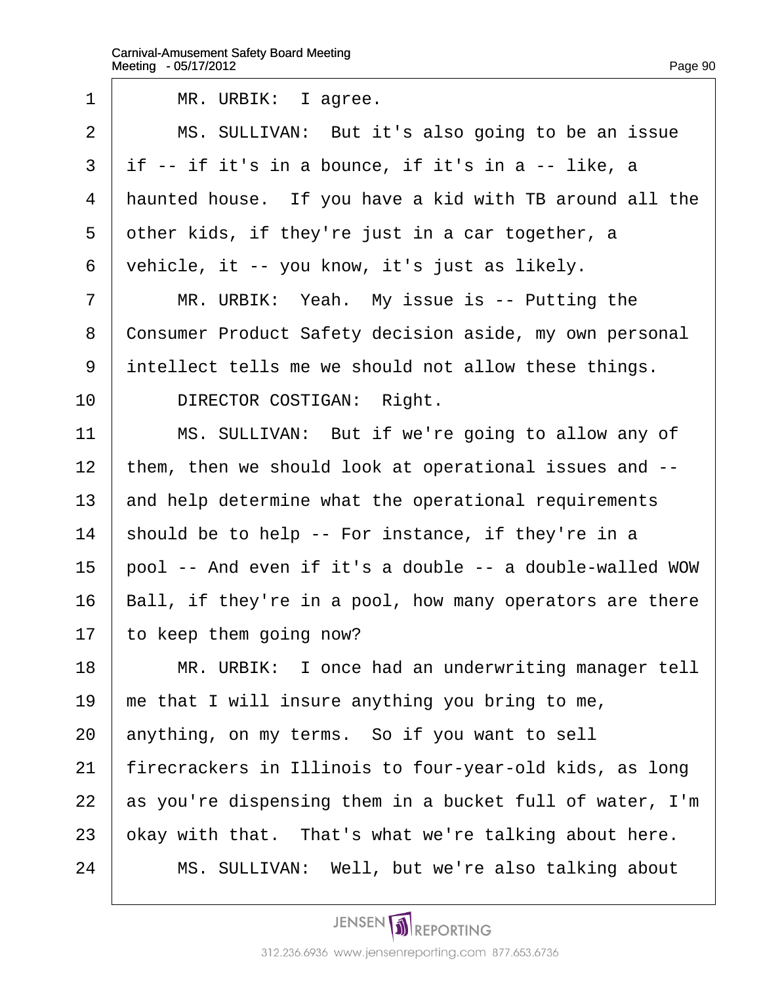| 1              | MR. URBIK: I agree.                                      |
|----------------|----------------------------------------------------------|
| $\overline{2}$ | MS. SULLIVAN: But it's also going to be an issue         |
| 3              | if -- if it's in a bounce, if it's in a -- like, a       |
| 4              | haunted house. If you have a kid with TB around all the  |
| 5              | other kids, if they're just in a car together, a         |
| 6              | vehicle, it -- you know, it's just as likely.            |
| $\overline{7}$ | MR. URBIK: Yeah. My issue is -- Putting the              |
| 8              | Consumer Product Safety decision aside, my own personal  |
| 9              | intellect tells me we should not allow these things.     |
| 10             | DIRECTOR COSTIGAN: Right.                                |
| 11             | MS. SULLIVAN: But if we're going to allow any of         |
| 12             | them, then we should look at operational issues and --   |
| 13             | and help determine what the operational requirements     |
| 14             | should be to help -- For instance, if they're in a       |
| 15             | pool -- And even if it's a double -- a double-walled WOW |
| 16             | Ball, if they're in a pool, how many operators are there |
| 17             | to keep them going now?                                  |
| 18             | MR. URBIK: I once had an underwriting manager tell       |
| 19             | me that I will insure anything you bring to me,          |
| 20             | anything, on my terms. So if you want to sell            |
| 21             | firecrackers in Illinois to four-year-old kids, as long  |
| 22             | as you're dispensing them in a bucket full of water, I'm |
| 23             | pkay with that. That's what we're talking about here.    |
| 24             | MS. SULLIVAN: Well, but we're also talking about         |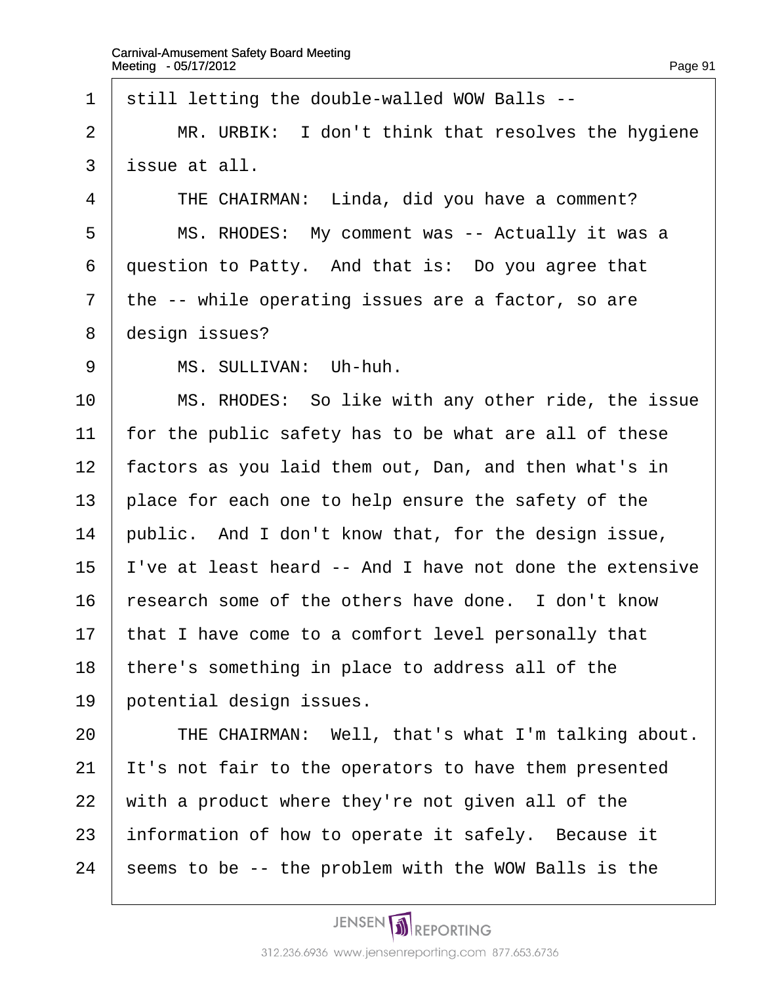1 still letting the double-walled WOW Balls --2  $\parallel$  MR. URBIK: I don't think that resolves the hygiene 3 issue at all.  $4$  | THE CHAIRMAN: Linda, did you have a comment? 5 | MS. RHODES: My comment was -- Actually it was a 6 duestion to Patty. And that is: Do you agree that 7 the -- while operating issues are a factor, so are 8 design issues? 9 | MS. SULLIVAN: Uh-huh. 10 | MS. RHODES: So like with any other ride, the issue 11 for the public safety has to be what are all of these 12 factors as you laid them out, Dan, and then what's in 13 place for each one to help ensure the safety of the 14 public. And I don't know that, for the design issue, 15 I've at least heard -- And I have not done the extensive 16 research some of the others have done. I don't know 17 that I have come to a comfort level personally that 18 there's something in place to address all of the 19 potential design issues. 20 | THE CHAIRMAN: Well, that's what I'm talking about. 21 It's not fair to the operators to have them presented 22 with a product where they're not given all of the 23 information of how to operate it safely. Because it 24 seems to be -- the problem with the WOW Balls is the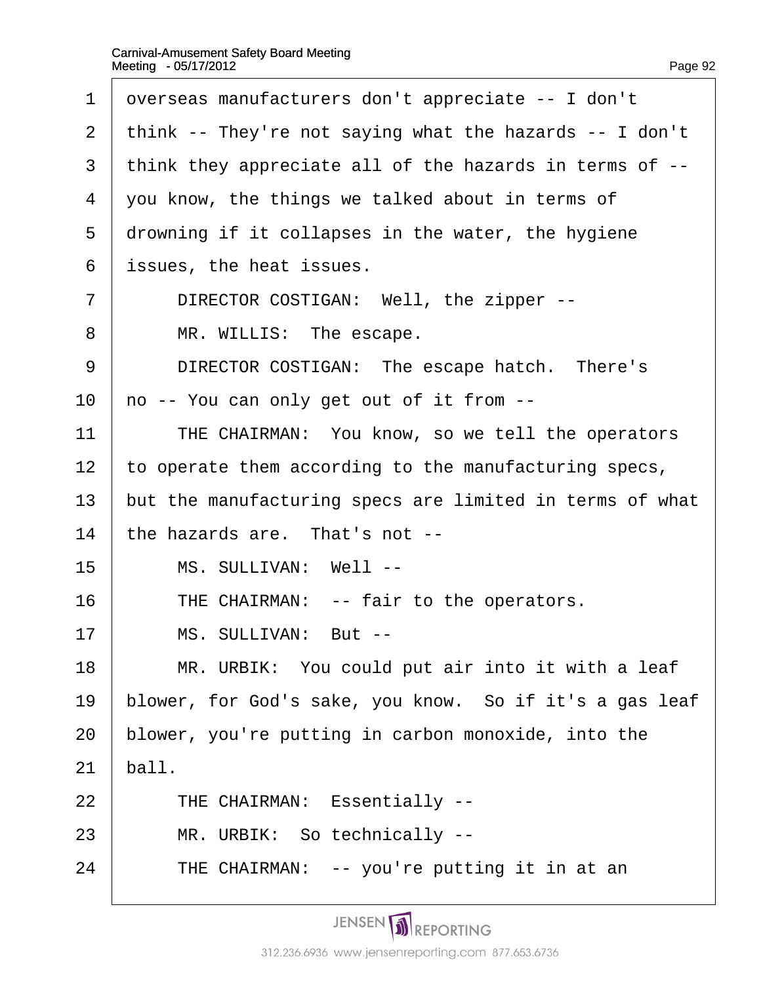| $\mathbf 1$    | dverseas manufacturers don't appreciate -- I don't       |
|----------------|----------------------------------------------------------|
| 2              | think -- They're not saying what the hazards -- I don't  |
| 3              | think they appreciate all of the hazards in terms of --  |
| 4              | you know, the things we talked about in terms of         |
| 5              | drowning if it collapses in the water, the hygiene       |
| 6              | issues, the heat issues.                                 |
| $\overline{7}$ | DIRECTOR COSTIGAN: Well, the zipper --                   |
| 8              | MR. WILLIS: The escape.                                  |
| 9              | DIRECTOR COSTIGAN: The escape hatch. There's             |
| 10             | no -- You can only get out of it from --                 |
| 11             | THE CHAIRMAN: You know, so we tell the operators         |
| 12             | to operate them according to the manufacturing specs,    |
| 13             | but the manufacturing specs are limited in terms of what |
| 14             | the hazards are. That's not --                           |
| 15             | MS. SULLIVAN: Well --                                    |
| 16             | THE CHAIRMAN: -- fair to the operators.                  |
| 17             | MS. SULLIVAN: But --                                     |
| 18             | MR. URBIK: You could put air into it with a leaf         |
| 19             | blower, for God's sake, you know. So if it's a gas leaf  |
| 20             | blower, you're putting in carbon monoxide, into the      |
| 21             | ball.                                                    |
| 22             | <b>THE CHAIRMAN: Essentially --</b>                      |
| 23             | MR. URBIK: So technically --                             |
| 24             | THE CHAIRMAN: -- you're putting it in at an              |
|                |                                                          |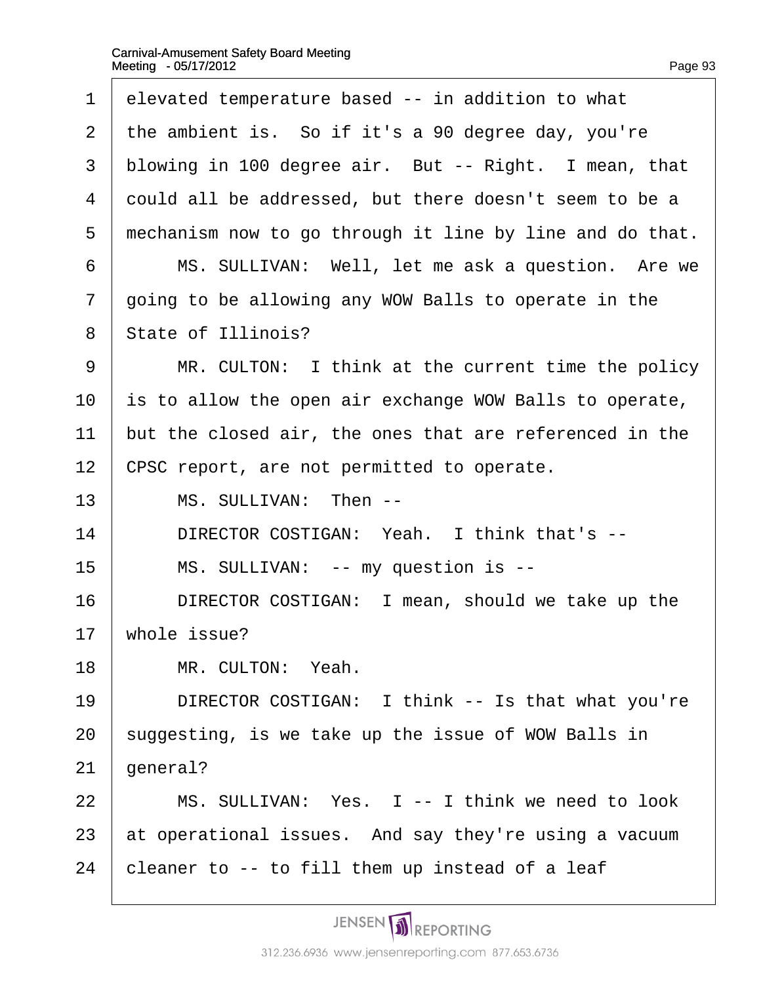| 1              | elevated temperature based -- in addition to what        |
|----------------|----------------------------------------------------------|
| 2              | the ambient is. So if it's a 90 degree day, you're       |
| 3              | blowing in 100 degree air. But -- Right. I mean, that    |
| 4              | dould all be addressed, but there doesn't seem to be a   |
| 5              | mechanism now to go through it line by line and do that. |
| 6              | MS. SULLIVAN: Well, let me ask a question. Are we        |
| $\overline{7}$ | going to be allowing any WOW Balls to operate in the     |
| 8              | State of Illinois?                                       |
| 9              | MR. CULTON: I think at the current time the policy       |
| 10             | is to allow the open air exchange WOW Balls to operate,  |
| 11             | but the closed air, the ones that are referenced in the  |
| 12             | CPSC report, are not permitted to operate.               |
| 13             | MS. SULLIVAN: Then --                                    |
| 14             | DIRECTOR COSTIGAN: Yeah. I think that's --               |
| 15             | MS. SULLIVAN: -- my question is --                       |
| 16             | DIRECTOR COSTIGAN: I mean, should we take up the         |
| 17             | whole issue?                                             |
| 18             | MR. CULTON: Yeah.                                        |
| 19             | DIRECTOR COSTIGAN: I think -- Is that what you're        |
| 20             | suggesting, is we take up the issue of WOW Balls in      |
| 21             | general?                                                 |
| 22             | MS. SULLIVAN: Yes. I -- I think we need to look          |
| 23             | at operational issues. And say they're using a vacuum    |
| 24             | cleaner to -- to fill them up instead of a leaf          |
|                |                                                          |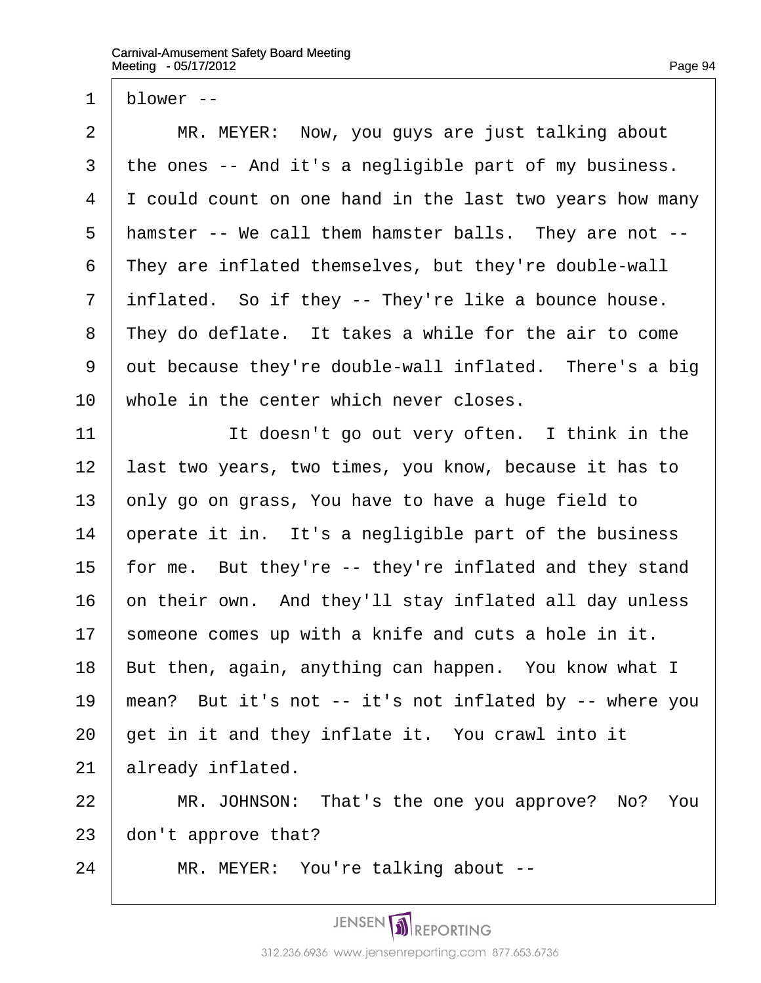1 blower --

 $2 \parallel MR$ . MEYER: Now, you guys are just talking about 3 the ones -- And it's a negligible part of my business. 4 I could count on one hand in the last two years how many 5 hamster -- We call them hamster balls. They are not --6 They are inflated themselves, but they're double-wall 7 inflated. So if they -- They're like a bounce house. 8 They do deflate. It takes a while for the air to come 9 dut because they're double-wall inflated. There's a big 10 whole in the center which never closes.  $11$  | It doesn't go out very often. I think in the 12 last two years, two times, you know, because it has to 13  $\epsilon$  only go on grass, You have to have a huge field to 14 b operate it in. It's a negligible part of the business 15 for me. But they're -- they're inflated and they stand 16 on their own. And they'll stay inflated all day unless 17 someone comes up with a knife and cuts a hole in it. 18 But then, again, anything can happen. You know what I 19 mean? But it's not -- it's not inflated by -- where you 20 get in it and they inflate it. You crawl into it 21 **already inflated.** 22 | MR. JOHNSON: That's the one you approve? No? You 23 don't approve that?

24 | MR. MEYER: You're talking about --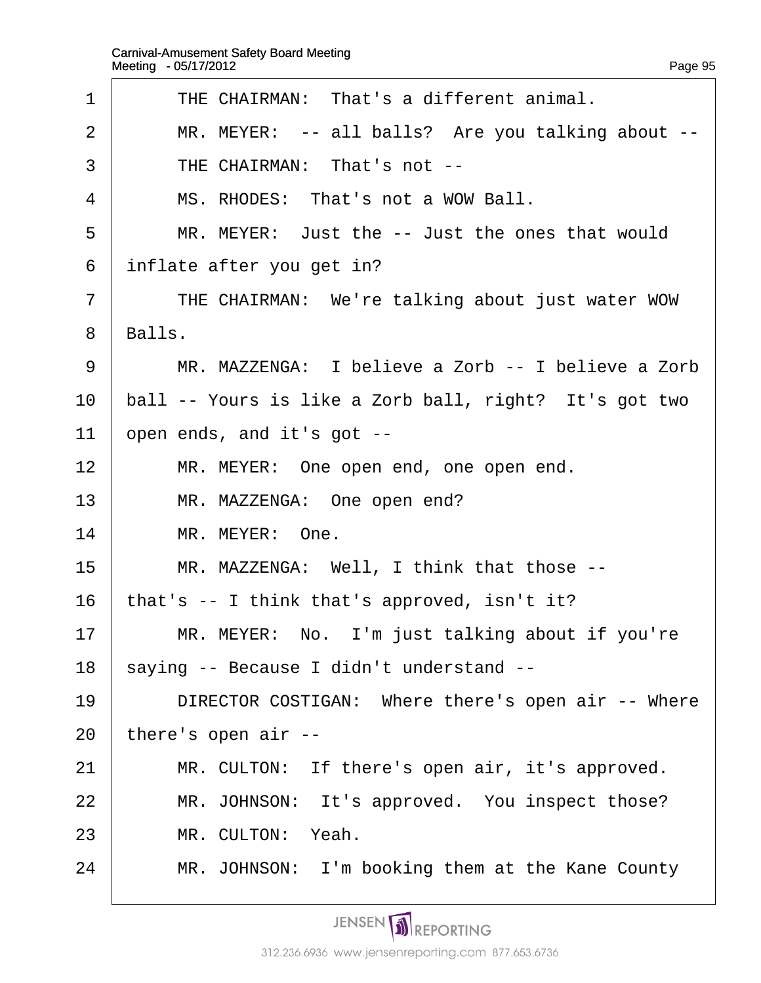| 1              | THE CHAIRMAN: That's a different animal.               |
|----------------|--------------------------------------------------------|
| $\overline{2}$ | MR. MEYER: -- all balls? Are you talking about --      |
| 3              | THE CHAIRMAN: That's not --                            |
| 4              | MS. RHODES: That's not a WOW Ball.                     |
| 5              | MR. MEYER: Just the -- Just the ones that would        |
| 6              | inflate after you get in?                              |
| $\overline{7}$ | THE CHAIRMAN: We're talking about just water WOW       |
| 8              | Balls.                                                 |
| 9              | MR. MAZZENGA: I believe a Zorb -- I believe a Zorb     |
| 10             | ball -- Yours is like a Zorb ball, right? It's got two |
| 11             | open ends, and it's got --                             |
| 12             | MR. MEYER: One open end, one open end.                 |
| 13             | MR. MAZZENGA: One open end?                            |
| 14             | MR. MEYER: One.                                        |
| 15             | MR. MAZZENGA: Well, I think that those --              |
| 16             | that's -- I think that's approved, isn't it?           |
| 17             | MR. MEYER: No. I'm just talking about if you're        |
| 18             | \$aying -- Because I didn't understand --              |
| 19             | DIRECTOR COSTIGAN: Where there's open air -- Where     |
| 20             | there's open air --                                    |
| 21             | MR. CULTON: If there's open air, it's approved.        |
| 22             | MR. JOHNSON: It's approved. You inspect those?         |
| 23             | MR. CULTON: Yeah.                                      |
| 24             | MR. JOHNSON: I'm booking them at the Kane County       |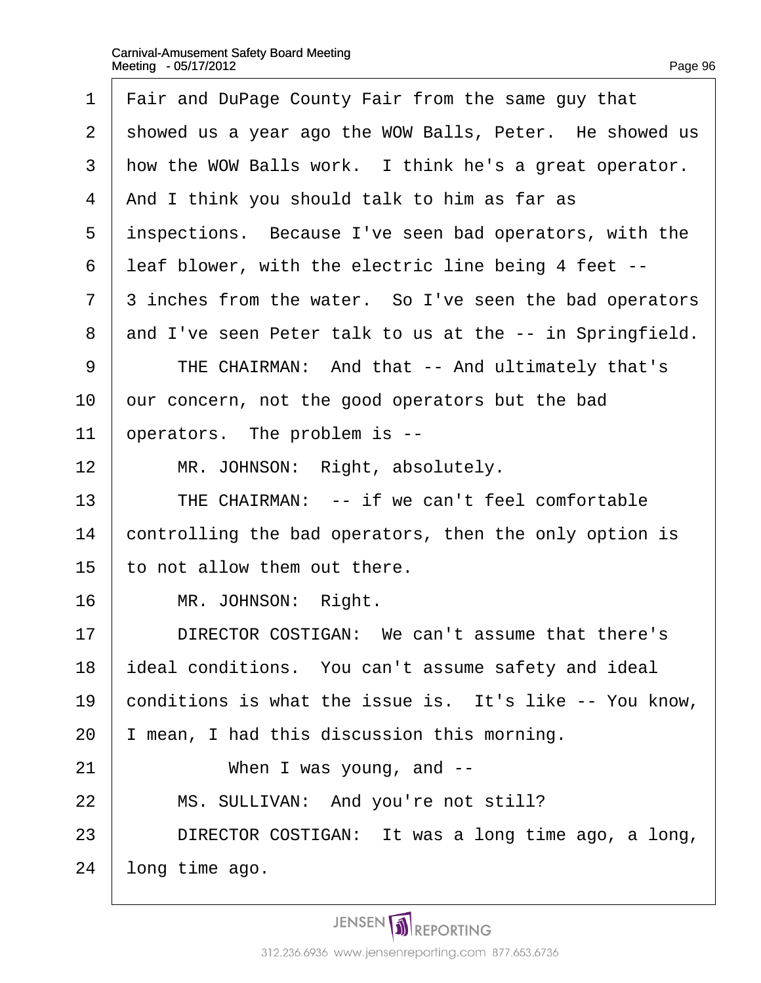- 1 Fair and DuPage County Fair from the same guy that
- 2 showed us a year ago the WOW Balls, Peter. He showed us
- 3 how the WOW Balls work. I think he's a great operator.
- 4 And I think you should talk to him as far as
- 5 inspections. Because I've seen bad operators, with the
- ·6· ·leaf blower, with the electric line being 4 feet --
- 7 3 inches from the water. So I've seen the bad operators
- 8 and I've seen Peter talk to us at the -- in Springfield.
- 9 | THE CHAIRMAN: And that -- And ultimately that's
- 10 our concern, not the good operators but the bad
- 11 b perators. The problem is --
- 12 | MR. JOHNSON: Right, absolutely.
- 13 | THE CHAIRMAN: -- if we can't feel comfortable
- 14 controlling the bad operators, then the only option is
- 15 to not allow them out there.
- 16 | MR. JOHNSON: Right.
- 17 **I** DIRECTOR COSTIGAN: We can't assume that there's
- 18 **ideal conditions.** You can't assume safety and ideal
- 19 conditions is what the issue is. It's like -- You know,
- 20  $\parallel$  mean, I had this discussion this morning.
- $21$   $\parallel$  When I was young, and --
- 22 | MS. SULLIVAN: And you're not still?
- 23 | DIRECTOR COSTIGAN: It was a long time ago, a long,
- 24 long time ago.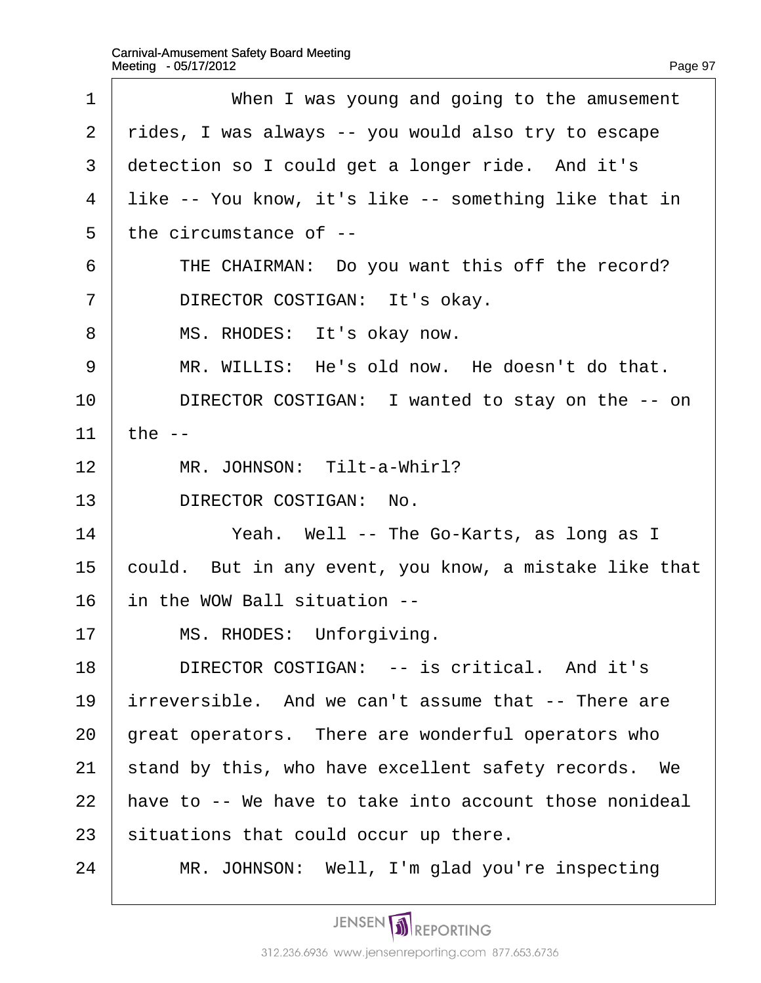| 1              | When I was young and going to the amusement            |
|----------------|--------------------------------------------------------|
| 2              | rides, I was always -- you would also try to escape    |
| 3              | detection so I could get a longer ride. And it's       |
| 4              | like -- You know, it's like -- something like that in  |
| 5              | the circumstance of --                                 |
| 6              | THE CHAIRMAN: Do you want this off the record?         |
| $\overline{7}$ | DIRECTOR COSTIGAN: It's okay.                          |
| 8              | MS. RHODES: It's okay now.                             |
| 9              | MR. WILLIS: He's old now. He doesn't do that.          |
| 10             | DIRECTOR COSTIGAN: I wanted to stay on the -- on       |
| 11             | the --                                                 |
| 12             | MR. JOHNSON: Tilt-a-Whirl?                             |
| 13             | DIRECTOR COSTIGAN: No.                                 |
| 14             | Yeah. Well -- The Go-Karts, as long as I               |
| 15             | could. But in any event, you know, a mistake like that |
| 16             | in the WOW Ball situation --                           |
| 17             | MS. RHODES: Unforgiving.                               |
| 18             | DIRECTOR COSTIGAN: -- is critical. And it's            |
| 19             | irreversible. And we can't assume that -- There are    |
| 20             | great operators. There are wonderful operators who     |
| 21             | stand by this, who have excellent safety records. We   |
| 22             | have to -- We have to take into account those nonideal |
| 23             | situations that could occur up there.                  |
| 24             | MR. JOHNSON: Well, I'm glad you're inspecting          |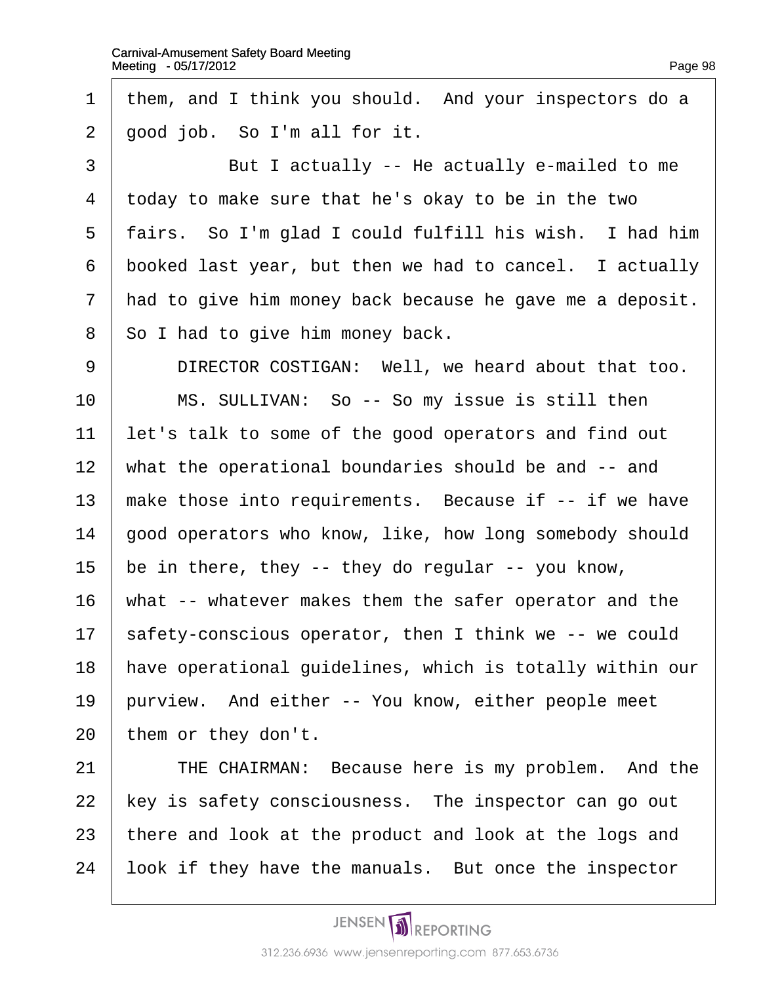| $\mathbf 1$     | them, and I think you should. And your inspectors do a   |
|-----------------|----------------------------------------------------------|
| $\overline{2}$  | good job. So I'm all for it.                             |
| 3               | But I actually -- He actually e-mailed to me             |
| 4               | to the two to make sure that he's okay to be in the two  |
| 5               | fairs. So I'm glad I could fulfill his wish. I had him   |
| 6               | booked last year, but then we had to cancel. I actually  |
| 7               | had to give him money back because he gave me a deposit. |
| 8               | So I had to give him money back.                         |
| 9               | DIRECTOR COSTIGAN: Well, we heard about that too.        |
| 10              | MS. SULLIVAN: So -- So my issue is still then            |
| 11              | let's talk to some of the good operators and find out    |
| 12              | what the operational boundaries should be and -- and     |
| 13              | make those into requirements. Because if -- if we have   |
| 14              | good operators who know, like, how long somebody should  |
| 15              | be in there, they -- they do regular -- you know,        |
| 16              | what -- whatever makes them the safer operator and the   |
| 17 <sub>2</sub> | \$afety-conscious operator, then I think we -- we could  |
| 18              | have operational guidelines, which is totally within our |
| 19              | purview. And either -- You know, either people meet      |
| 20              | them or they don't.                                      |
| 21              | THE CHAIRMAN: Because here is my problem. And the        |
| 22              | key is safety consciousness. The inspector can go out    |
| 23              | there and look at the product and look at the logs and   |
| 24              | look if they have the manuals. But once the inspector    |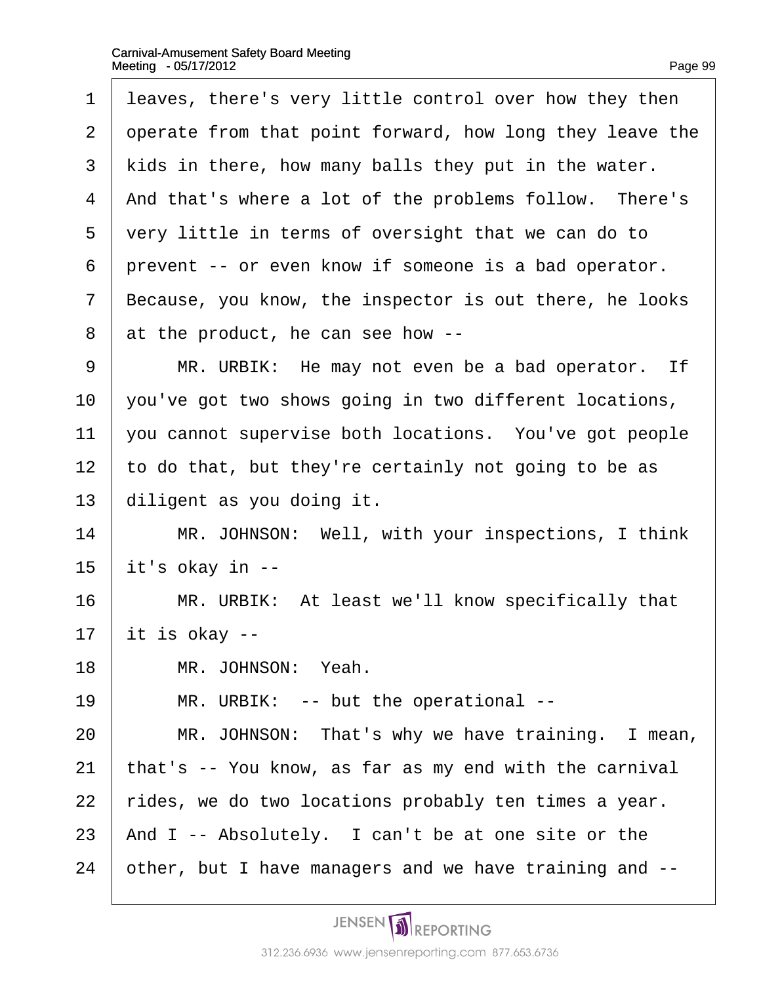| 1              | leaves, there's very little control over how they then   |
|----------------|----------------------------------------------------------|
| 2              | operate from that point forward, how long they leave the |
| 3              | kids in there, how many balls they put in the water.     |
| 4              | And that's where a lot of the problems follow. There's   |
| 5              | very little in terms of oversight that we can do to      |
| 6              | prevent -- or even know if someone is a bad operator.    |
| $\overline{7}$ | Because, you know, the inspector is out there, he looks  |
| 8              | at the product, he can see how --                        |
| 9              | MR. URBIK: He may not even be a bad operator. If         |
| 10             | you've got two shows going in two different locations,   |
| 11             | you cannot supervise both locations. You've got people   |
| 12             | to do that, but they're certainly not going to be as     |
| 13             | diligent as you doing it.                                |
| 14             | MR. JOHNSON: Well, with your inspections, I think        |
| 15             | it's okay in --                                          |
| 16             | MR. URBIK: At least we'll know specifically that         |
| 17             | it is okay --                                            |
| 18             | MR. JOHNSON: Yeah.                                       |
| 19             | MR. URBIK: -- but the operational --                     |
| 20             | MR. JOHNSON: That's why we have training. I mean,        |
| 21             | that's -- You know, as far as my end with the carnival   |

22  $\frac{1}{2}$  rides, we do two locations probably ten times a year.

23  $\,$  And I -- Absolutely. I can't be at one site or the

24 other, but I have managers and we have training and --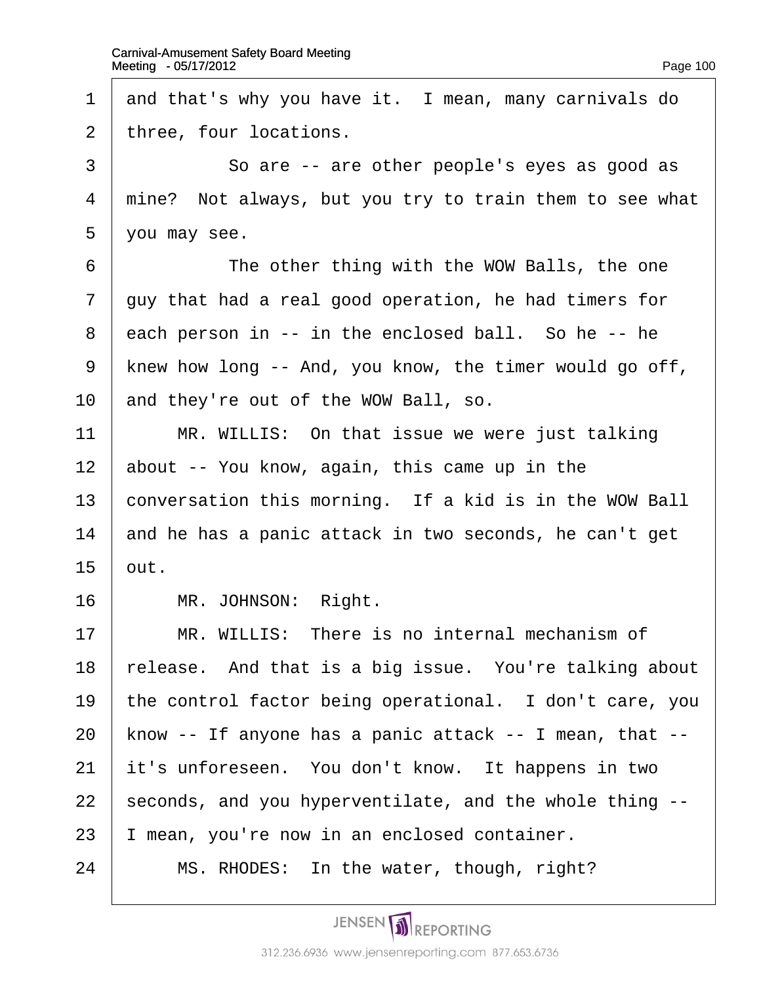$\overline{\Gamma}$ 

| 1              | and that's why you have it. I mean, many carnivals do   |
|----------------|---------------------------------------------------------|
| 2              | three, four locations.                                  |
| 3              | So are -- are other people's eyes as good as            |
| 4              | mine? Not always, but you try to train them to see what |
| 5              | you may see.                                            |
| 6              | The other thing with the WOW Balls, the one             |
| $\overline{7}$ | guy that had a real good operation, he had timers for   |
| 8              | each person in -- in the enclosed ball. So he -- he     |
| 9              | knew how long -- And, you know, the timer would go off, |
| 10             | and they're out of the WOW Ball, so.                    |
| 11             | MR. WILLIS: On that issue we were just talking          |
| 12             | about -- You know, again, this came up in the           |
| 13             | conversation this morning. If a kid is in the WOW Ball  |
| 14             | and he has a panic attack in two seconds, he can't get  |
| 15             | but.                                                    |
| 16             | MR. JOHNSON: Right.                                     |
| 17             | MR. WILLIS: There is no internal mechanism of           |
| 18             | release. And that is a big issue. You're talking about  |
| 19             | the control factor being operational. I don't care, you |
| 20             | know -- If anyone has a panic attack -- I mean, that -- |
| 21             | it's unforeseen. You don't know. It happens in two      |
| 22             | seconds, and you hyperventilate, and the whole thing -- |
| 23             | mean, you're now in an enclosed container.              |
| 24             | MS. RHODES: In the water, though, right?                |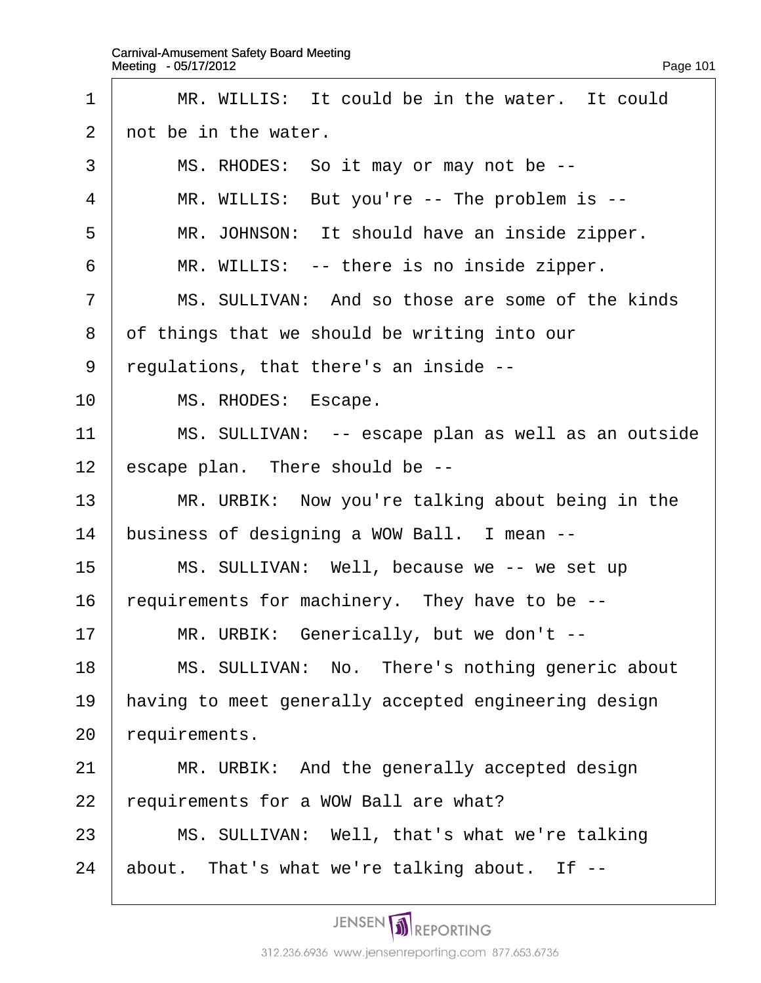| 1              | MR. WILLIS: It could be in the water. It could       |
|----------------|------------------------------------------------------|
| 2              | not be in the water.                                 |
| 3              | MS. RHODES: So it may or may not be --               |
| 4              | MR. WILLIS: But you're -- The problem is --          |
| 5              | MR. JOHNSON: It should have an inside zipper.        |
| 6              | MR. WILLIS: -- there is no inside zipper.            |
| $\overline{7}$ | MS. SULLIVAN: And so those are some of the kinds     |
| 8              | of things that we should be writing into our         |
| 9              | regulations, that there's an inside --               |
| 10             | MS. RHODES: Escape.                                  |
| 11             | MS. SULLIVAN: -- escape plan as well as an outside   |
| 12             | escape plan. There should be --                      |
| 13             | MR. URBIK: Now you're talking about being in the     |
| 14             | business of designing a WOW Ball. I mean --          |
| 15             | MS. SULLIVAN: Well, because we -- we set up          |
| 16             | requirements for machinery. They have to be --       |
| 17             | MR. URBIK: Generically, but we don't --              |
| 18             | MS. SULLIVAN: No. There's nothing generic about      |
| 19             | having to meet generally accepted engineering design |
| 20             | requirements.                                        |
| 21             | MR. URBIK: And the generally accepted design         |
| 22             | requirements for a WOW Ball are what?                |
| 23             | MS. SULLIVAN: Well, that's what we're talking        |
| 24             | about. That's what we're talking about. If --        |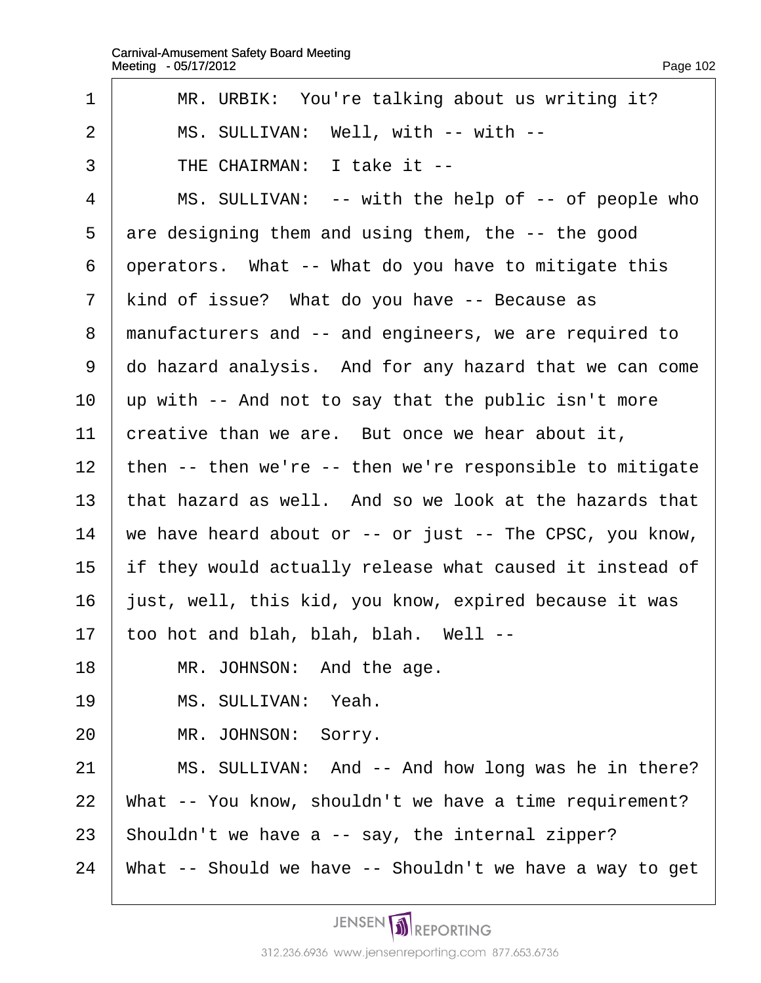| 1              | MR. URBIK: You're talking about us writing it?           |
|----------------|----------------------------------------------------------|
| $\overline{2}$ | MS. SULLIVAN: Well, with -- with --                      |
| 3              | THE CHAIRMAN: I take it --                               |
| $\overline{4}$ | MS. SULLIVAN: -- with the help of -- of people who       |
| 5              | are designing them and using them, the -- the good       |
| 6              | operators. What -- What do you have to mitigate this     |
| 7              | kind of issue? What do you have -- Because as            |
| 8              | manufacturers and -- and engineers, we are required to   |
| 9              | do hazard analysis. And for any hazard that we can come  |
| 10             | up with -- And not to say that the public isn't more     |
| 11             | creative than we are. But once we hear about it,         |
| 12             | then -- then we're -- then we're responsible to mitigate |
| 13             | that hazard as well. And so we look at the hazards that  |
| 14             | we have heard about or -- or just -- The CPSC, you know, |
| 15             | if they would actually release what caused it instead of |
| 16             | just, well, this kid, you know, expired because it was   |
| 17             | too hot and blah, blah, blah. Well --                    |
| 18             | MR. JOHNSON: And the age.                                |
| 19             | MS. SULLIVAN: Yeah.                                      |
| 20             | MR. JOHNSON: Sorry.                                      |
| 21             | MS. SULLIVAN: And -- And how long was he in there?       |
| 22             | What -- You know, shouldn't we have a time requirement?  |
| 23             | Shouldn't we have a -- say, the internal zipper?         |
| 24             | What -- Should we have -- Shouldn't we have a way to get |
|                |                                                          |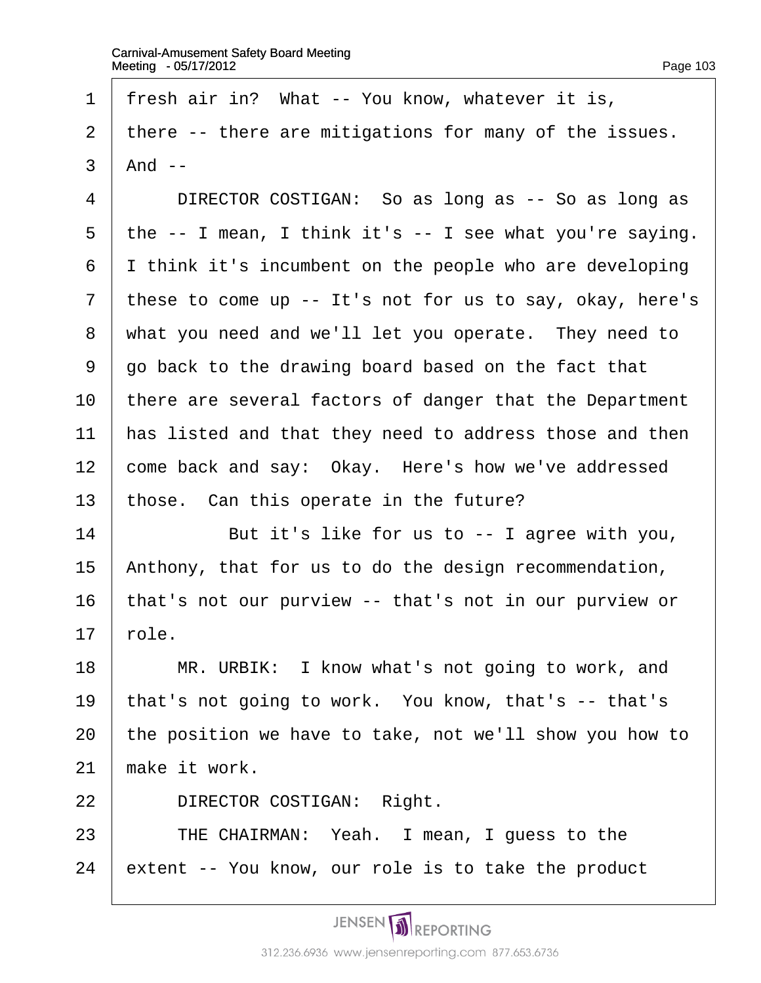- 1 fresh air in? What -- You know, whatever it is,
- 2 there -- there are mitigations for many of the issues.
- $3$  And --
- 4 | DIRECTOR COSTIGAN: So as long as -- So as long as
- 5 the -- I mean, I think it's -- I see what you're saying.
- 6 I think it's incumbent on the people who are developing
- 7 these to come up -- It's not for us to say, okay, here's
- 8 what you need and we'll let you operate. They need to
- ·9· ·go back to the drawing board based on the fact that
- 10 there are several factors of danger that the Department
- 11 has listed and that they need to address those and then
- 12 come back and say: Okay. Here's how we've addressed
- 13 those. Can this operate in the future?
- $14$  **But it's like for us to -- I agree with you,**
- 15 Anthony, that for us to do the design recommendation,
- 16 that's not our purview -- that's not in our purview or
- $17$  role.
- 18 | MR. URBIK: I know what's not going to work, and
- 19 that's not going to work. You know, that's -- that's
- 20 the position we have to take, not we'll show you how to
- 21 make it work.
- 22 | DIRECTOR COSTIGAN: Right.
- 23 | THE CHAIRMAN: Yeah. I mean, I quess to the
- 24 extent -- You know, our role is to take the product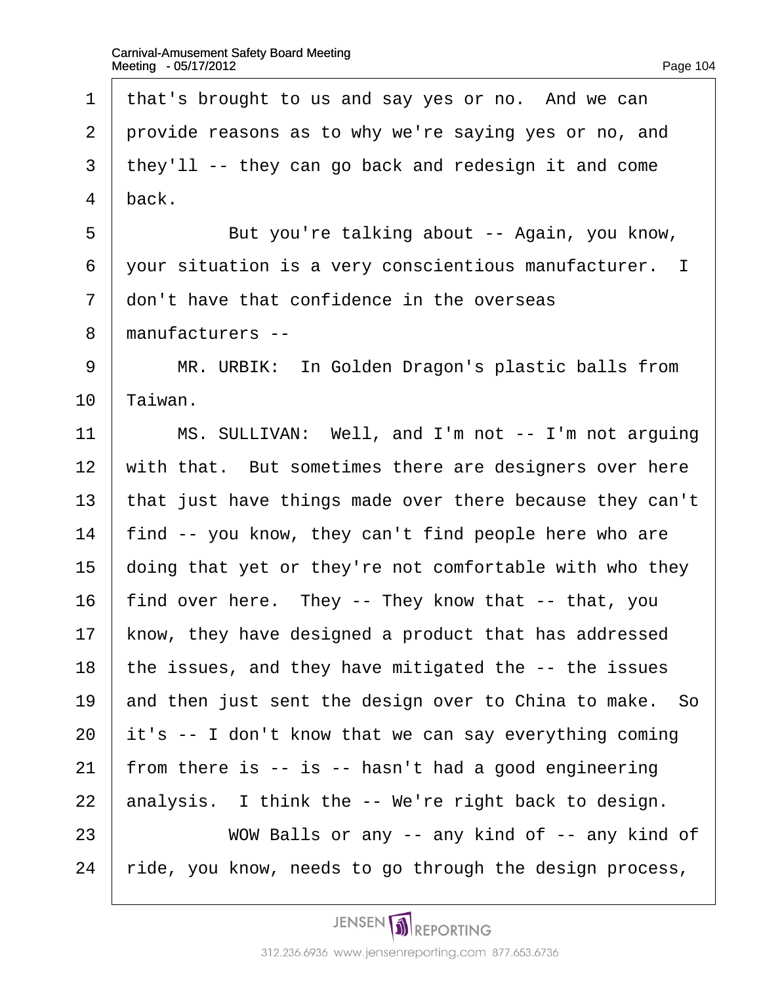1 that's brought to us and say yes or no. And we can 2 provide reasons as to why we're saying yes or no, and 3 they'll -- they can go back and redesign it and come 4 back. 5 **But you're talking about -- Again, you know,** 6 your situation is a very conscientious manufacturer. I 7 don't have that confidence in the overseas 8 manufacturers --9 | MR. URBIK: In Golden Dragon's plastic balls from 10 Taiwan. 11 | MS. SULLIVAN: Well, and I'm not -- I'm not arguing 12 with that. But sometimes there are designers over here 13 that just have things made over there because they can't 14 find -- you know, they can't find people here who are 15  $\phi$  doing that yet or they're not comfortable with who they 16 find over here. They -- They know that -- that, you 17 know, they have designed a product that has addressed 18 the issues, and they have mitigated the -- the issues 19 and then just sent the design over to China to make. So 20  $\dot{\mathbf{r}}$  it's -- I don't know that we can say everything coming 21 from there is  $-$  is  $-$  hasn't had a good engineering 22 analysis. I think the -- We're right back to design. 23 • WOW Balls or any -- any kind of -- any kind of 24 ride, you know, needs to go through the design process,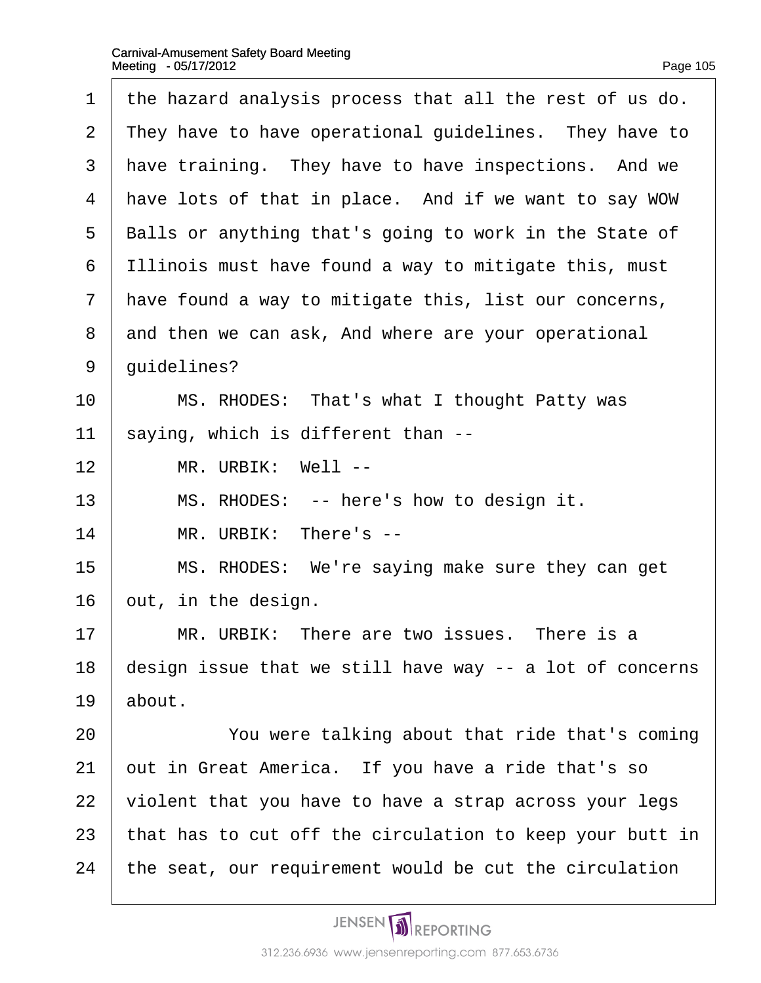| 1              | the hazard analysis process that all the rest of us do.  |
|----------------|----------------------------------------------------------|
| $\overline{2}$ | They have to have operational guidelines. They have to   |
| 3              | have training. They have to have inspections. And we     |
| 4              | have lots of that in place. And if we want to say WOW    |
| 5              | Balls or anything that's going to work in the State of   |
| 6              | Illinois must have found a way to mitigate this, must    |
| $\overline{7}$ | have found a way to mitigate this, list our concerns,    |
| 8              | and then we can ask, And where are your operational      |
| 9              | duidelines?                                              |
| 10             | MS. RHODES: That's what I thought Patty was              |
| 11             | \$aying, which is different than --                      |
| 12             | MR. URBIK: Well --                                       |
| 13             | MS. RHODES: -- here's how to design it.                  |
| 14             | MR. URBIK: There's --                                    |
| 15             | MS. RHODES: We're saying make sure they can get          |
| 16             | but, in the design.                                      |
| 17             | MR. URBIK: There are two issues. There is a              |
| 18             | design issue that we still have way -- a lot of concerns |
| 19             | about.                                                   |
| 20             | You were talking about that ride that's coming           |
| 21             | put in Great America. If you have a ride that's so       |
| 22             | violent that you have to have a strap across your legs   |
| 23             | that has to cut off the circulation to keep your butt in |
| 24             | the seat, our requirement would be cut the circulation   |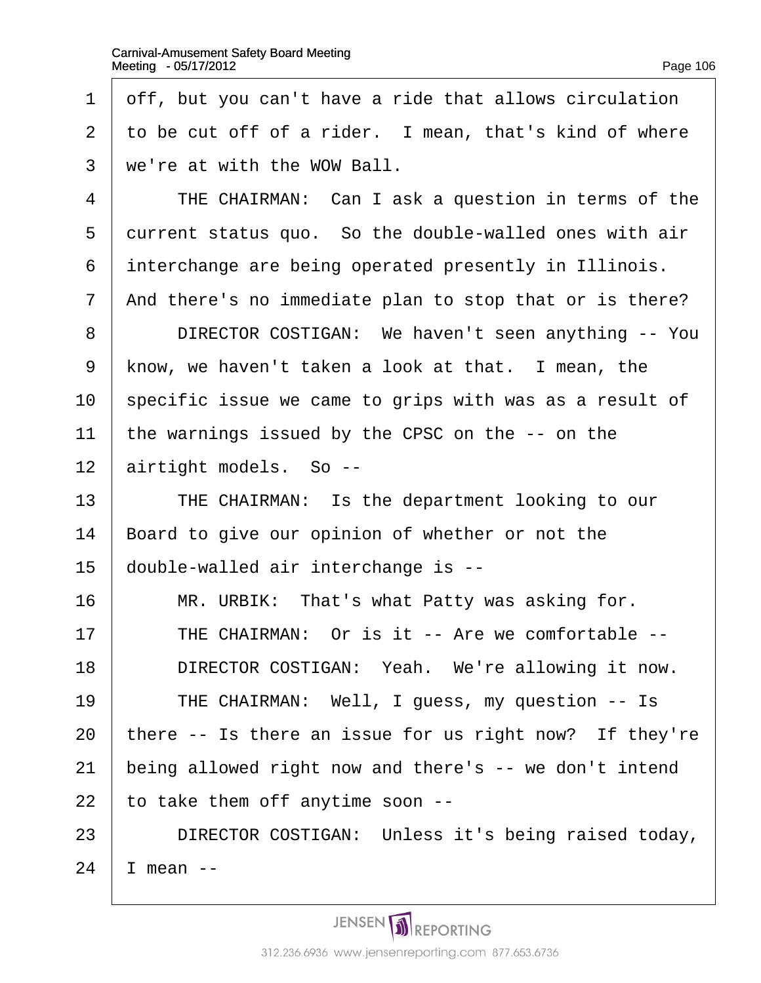| 1              | off, but you can't have a ride that allows circulation  |
|----------------|---------------------------------------------------------|
| 2              | to be cut off of a rider. I mean, that's kind of where  |
| 3              | we're at with the WOW Ball.                             |
| 4              | THE CHAIRMAN: Can I ask a question in terms of the      |
| 5              | durrent status quo. So the double-walled ones with air  |
| 6              | interchange are being operated presently in Illinois.   |
| $\overline{7}$ | And there's no immediate plan to stop that or is there? |
| 8              | DIRECTOR COSTIGAN: We haven't seen anything -- You      |
| 9              | know, we haven't taken a look at that. I mean, the      |
| 10             | specific issue we came to grips with was as a result of |
| 11             | the warnings issued by the CPSC on the -- on the        |
| 12             | airtight models. So --                                  |
| 13             | THE CHAIRMAN: Is the department looking to our          |
| 14             | Board to give our opinion of whether or not the         |
| 15             | double-walled air interchange is --                     |
| 16             | MR. URBIK: That's what Patty was asking for.            |
| 17             | THE CHAIRMAN: Or is it -- Are we comfortable --         |
| 18             | DIRECTOR COSTIGAN: Yeah. We're allowing it now.         |
| 19             | THE CHAIRMAN: Well, I guess, my question -- Is          |
| 20             | there -- Is there an issue for us right now? If they're |
| 21             | being allowed right now and there's -- we don't intend  |
| 22             | to take them off anytime soon --                        |
| 23             | DIRECTOR COSTIGAN: Unless it's being raised today,      |
|                |                                                         |

24  $|$  mean --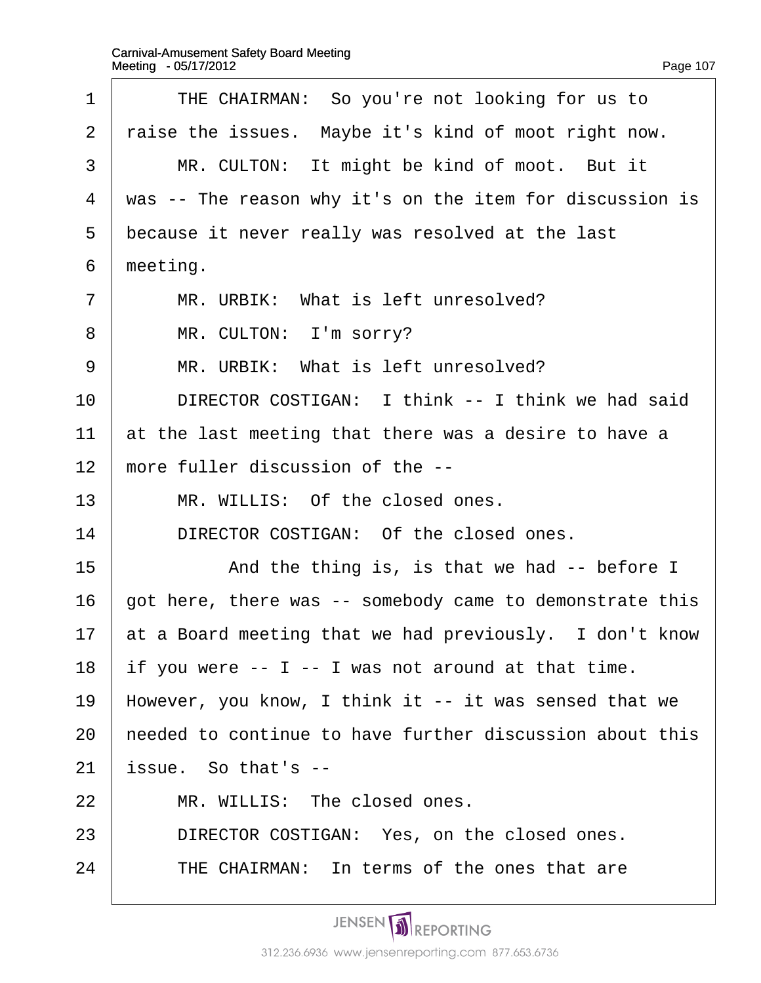| 1              | THE CHAIRMAN: So you're not looking for us to            |
|----------------|----------------------------------------------------------|
| $\overline{2}$ | raise the issues. Maybe it's kind of moot right now.     |
| 3              | MR. CULTON: It might be kind of moot. But it             |
| 4              | was -- The reason why it's on the item for discussion is |
| 5              | because it never really was resolved at the last         |
| 6              | meeting.                                                 |
| $\overline{7}$ | MR. URBIK: What is left unresolved?                      |
| 8              | MR. CULTON: I'm sorry?                                   |
| 9              | MR. URBIK: What is left unresolved?                      |
| 10             | DIRECTOR COSTIGAN: I think -- I think we had said        |
| 11             | at the last meeting that there was a desire to have a    |
| 12             | more fuller discussion of the --                         |
| 13             | MR. WILLIS: Of the closed ones.                          |
| 14             | DIRECTOR COSTIGAN: Of the closed ones.                   |
| 15             | And the thing is, is that we had -- before I             |
| 16             | got here, there was -- somebody came to demonstrate this |
| 17             | at a Board meeting that we had previously. I don't know  |
| 18             | if you were -- I -- I was not around at that time.       |
| 19             | However, you know, I think it -- it was sensed that we   |
| 20             | heeded to continue to have further discussion about this |
| 21             | issue. So that's --                                      |
| 22             | MR. WILLIS: The closed ones.                             |
| 23             | DIRECTOR COSTIGAN: Yes, on the closed ones.              |
| 24             | THE CHAIRMAN: In terms of the ones that are              |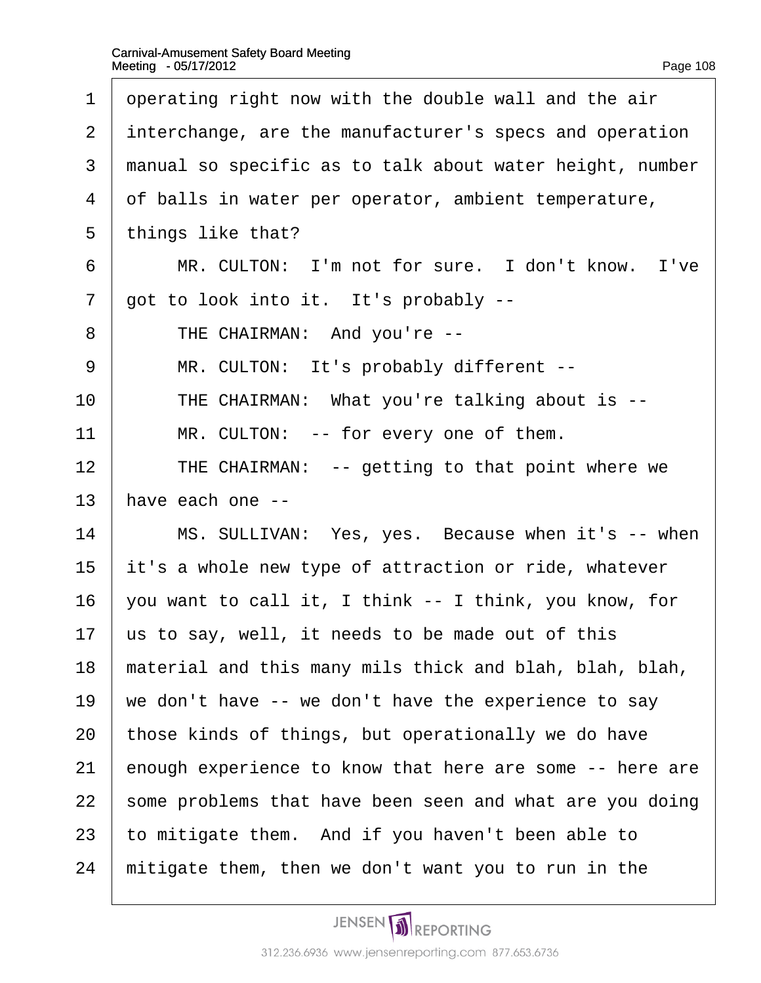<span id="page-108-0"></span>

| 1              | operating right now with the double wall and the air     |
|----------------|----------------------------------------------------------|
|                |                                                          |
| $\overline{2}$ | interchange, are the manufacturer's specs and operation  |
| 3              | manual so specific as to talk about water height, number |
| 4              | of balls in water per operator, ambient temperature,     |
| 5              | things like that?                                        |
| 6              | MR. CULTON: I'm not for sure. I don't know. I've         |
| $\overline{7}$ | got to look into it. It's probably --                    |
| 8              | THE CHAIRMAN: And you're --                              |
| 9              | MR. CULTON: It's probably different --                   |
| 10             | THE CHAIRMAN: What you're talking about is --            |
| 11             | MR. CULTON: -- for every one of them.                    |
| 12             | THE CHAIRMAN: -- getting to that point where we          |
| 13             | have each one --                                         |
| 14             | MS. SULLIVAN: Yes, yes. Because when it's -- when        |
| 15             | it's a whole new type of attraction or ride, whatever    |
| 16             | you want to call it, I think -- I think, you know, for   |
| 17             | us to say, well, it needs to be made out of this         |
| 18             | material and this many mils thick and blah, blah, blah,  |
| 19             | we don't have -- we don't have the experience to say     |
| 20             | those kinds of things, but operationally we do have      |
| 21             | enough experience to know that here are some -- here are |
| 22             | some problems that have been seen and what are you doing |
| 23             | to mitigate them. And if you haven't been able to        |
| 24             | mitigate them, then we don't want you to run in the      |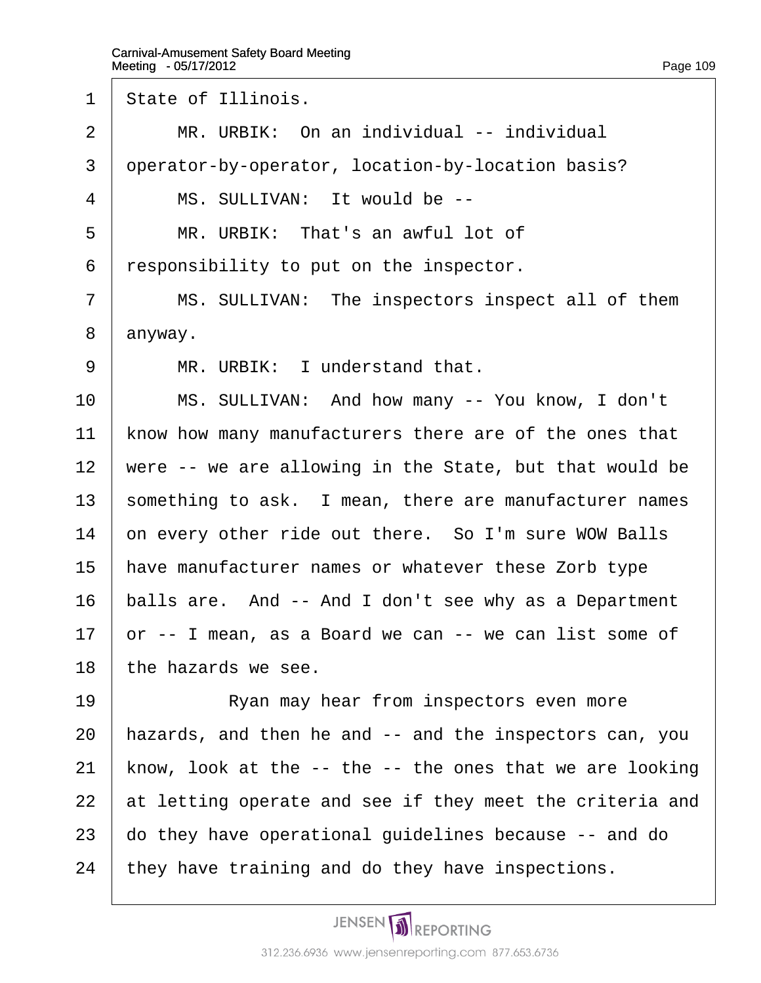<span id="page-109-0"></span>1 State of Illinois.

 $2 \parallel MR$ . URBIK: On an individual -- individual

3 deperator-by-operator, location-by-location basis?

4 | MS. SULLIVAN: It would be --

 $5 \parallel MR$ . URBIK: That's an awful lot of

·6· ·responsibility to put on the inspector.

7 | MS. SULLIVAN: The inspectors inspect all of them

8 anyway.

9 | MR. URBIK: I understand that.

10 | MS. SULLIVAN: And how many -- You know, I don't

11 know how many manufacturers there are of the ones that

12 were -- we are allowing in the State, but that would be

13 something to ask. I mean, there are manufacturer names

14 on every other ride out there. So I'm sure WOW Balls

15 have manufacturer names or whatever these Zorb type

16 balls are. And -- And I don't see why as a Department

17  $\sigma$  -- I mean, as a Board we can -- we can list some of

18 the hazards we see.

19 **No. 8** Ryan may hear from inspectors even more 20 hazards, and then he and -- and the inspectors can, you 21 know, look at the  $-$ - the  $-$ - the ones that we are looking 22 at letting operate and see if they meet the criteria and 23 do they have operational guidelines because -- and do 24 they have training and do they have inspections.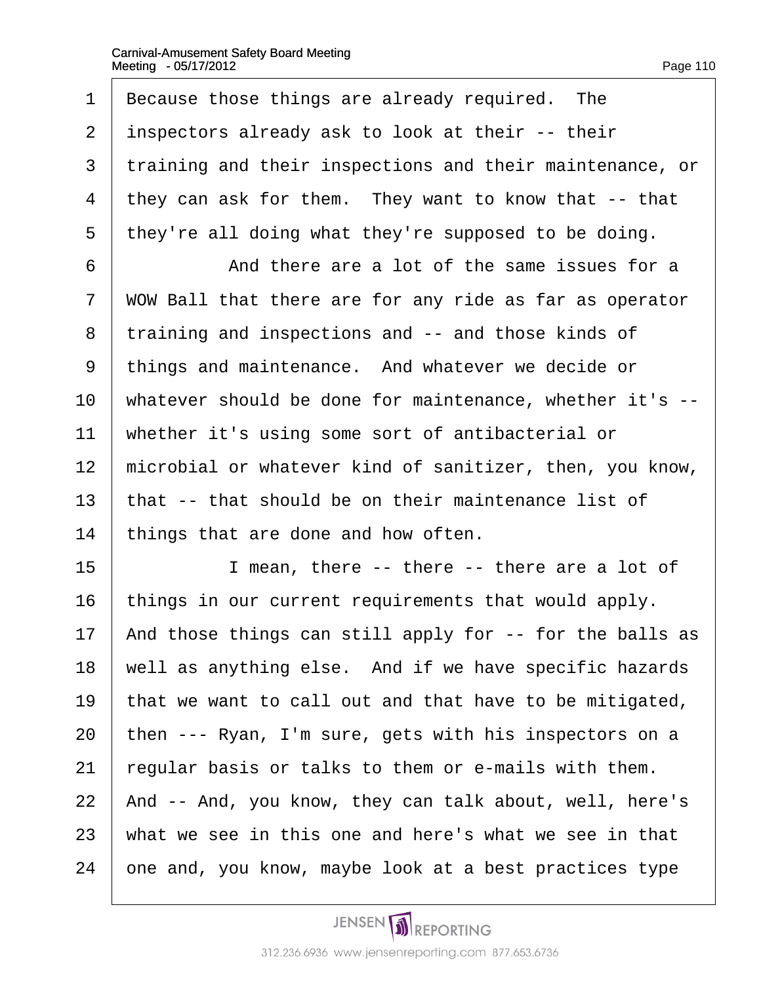<span id="page-110-0"></span>1 Because those things are already required. The 2 inspectors already ask to look at their -- their 3 training and their inspections and their maintenance, or 4 they can ask for them. They want to know that -- that 5 they're all doing what they're supposed to be doing.  $6 \mid$  And there are a lot of the same issues for a 7 WOW Ball that there are for any ride as far as operator 8 training and inspections and -- and those kinds of 9 things and maintenance. And whatever we decide or 10 whatever should be done for maintenance, whether it's --11 whether it's using some sort of antibacterial or 12 microbial or whatever kind of sanitizer, then, you know, 13 that -- that should be on their maintenance list of 14 things that are done and how often.  $15$  I mean, there -- there -- there are a lot of 16 things in our current requirements that would apply. 17 And those things can still apply for -- for the balls as 18 well as anything else. And if we have specific hazards 19 that we want to call out and that have to be mitigated, 20 then --- Ryan, I'm sure, gets with his inspectors on a 21 regular basis or talks to them or e-mails with them. 22 And -- And, you know, they can talk about, well, here's 23 what we see in this one and here's what we see in that 24 one and, you know, maybe look at a best practices type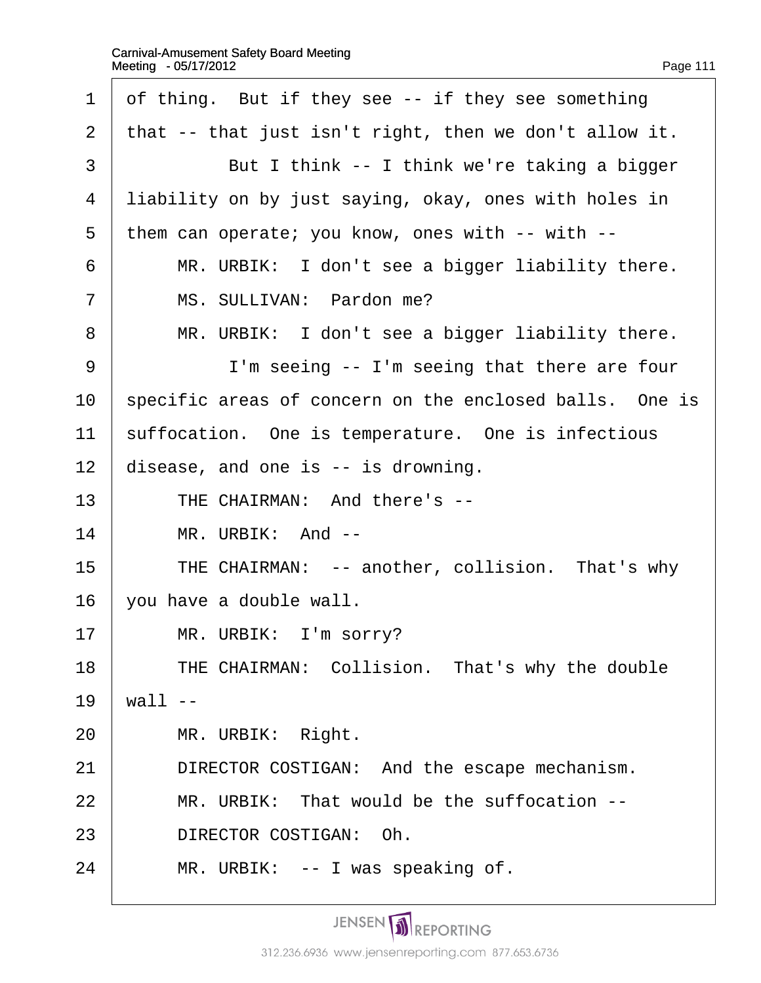<span id="page-111-0"></span>

| 1  | of thing. But if they see -- if they see something      |
|----|---------------------------------------------------------|
| 2  | that -- that just isn't right, then we don't allow it.  |
| 3  | But I think -- I think we're taking a bigger            |
| 4  | liability on by just saying, okay, ones with holes in   |
| 5  | them can operate; you know, ones with -- with --        |
| 6  | MR. URBIK: I don't see a bigger liability there.        |
| 7  | MS. SULLIVAN: Pardon me?                                |
| 8  | MR. URBIK: I don't see a bigger liability there.        |
| 9  | I'm seeing -- I'm seeing that there are four            |
| 10 | specific areas of concern on the enclosed balls. One is |
| 11 | suffocation. One is temperature. One is infectious      |
| 12 | disease, and one is -- is drowning.                     |
| 13 | THE CHAIRMAN: And there's --                            |
| 14 | MR. URBIK: And --                                       |
| 15 | THE CHAIRMAN: -- another, collision. That's why         |
| 16 | you have a double wall.                                 |
| 17 | MR. URBIK: I'm sorry?                                   |
| 18 | THE CHAIRMAN: Collision. That's why the double          |
| 19 | wall --                                                 |
| 20 | MR. URBIK: Right.                                       |
| 21 | DIRECTOR COSTIGAN: And the escape mechanism.            |
| 22 | MR. URBIK: That would be the suffocation --             |
| 23 | DIRECTOR COSTIGAN: Oh.                                  |
| 24 | MR. URBIK: -- I was speaking of.                        |
|    |                                                         |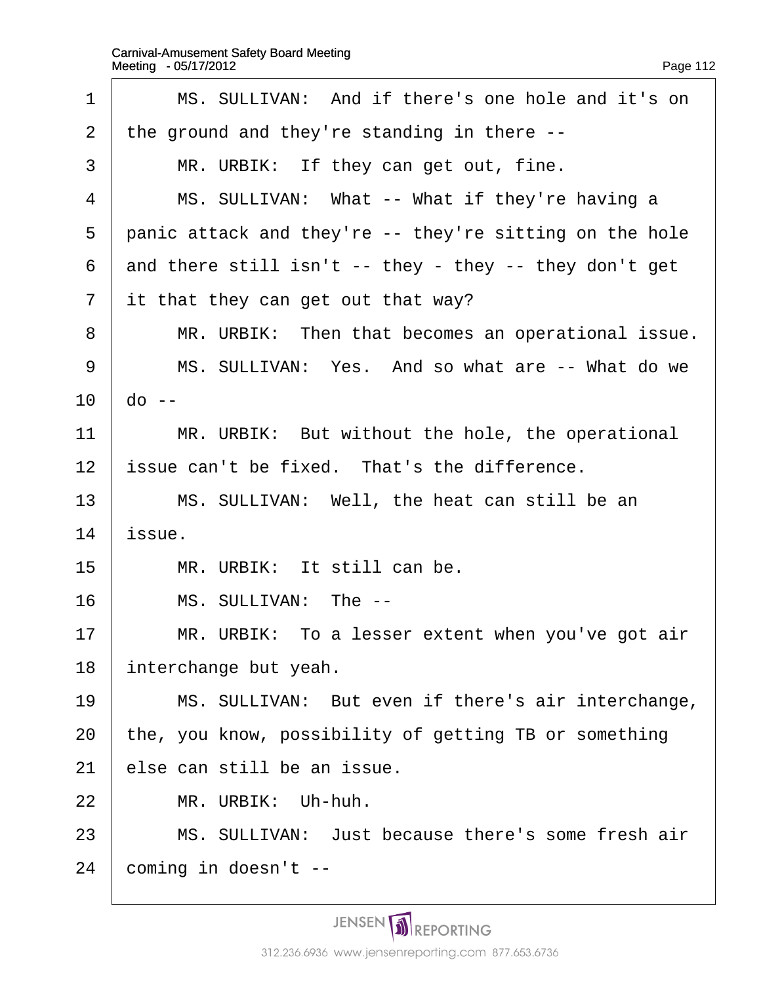<span id="page-112-0"></span>

| 1              | MS. SULLIVAN: And if there's one hole and it's on       |
|----------------|---------------------------------------------------------|
| 2              | the ground and they're standing in there --             |
| 3              | MR. URBIK: If they can get out, fine.                   |
| 4              | MS. SULLIVAN: What -- What if they're having a          |
| 5              | panic attack and they're -- they're sitting on the hole |
| 6              | and there still isn't -- they - they -- they don't get  |
| $\overline{7}$ | it that they can get out that way?                      |
| 8              | MR. URBIK: Then that becomes an operational issue.      |
| 9              | MS. SULLIVAN: Yes. And so what are -- What do we        |
| 10             | do --                                                   |
| 11             | MR. URBIK: But without the hole, the operational        |
| 12             | issue can't be fixed. That's the difference.            |
| 13             | MS. SULLIVAN: Well, the heat can still be an            |
| 14             | issue.                                                  |
| 15             | MR. URBIK: It still can be.                             |
| 16             | MS. SULLIVAN: The --                                    |
| 17             | MR. URBIK: To a lesser extent when you've got air       |
| 18             | interchange but yeah.                                   |
| 19             | MS. SULLIVAN: But even if there's air interchange,      |
| 20             | the, you know, possibility of getting TB or something   |
| 21             | else can still be an issue.                             |
| 22             | MR. URBIK: Uh-huh.                                      |
| 23             | MS. SULLIVAN: Just because there's some fresh air       |
| 24             | coming in doesn't --                                    |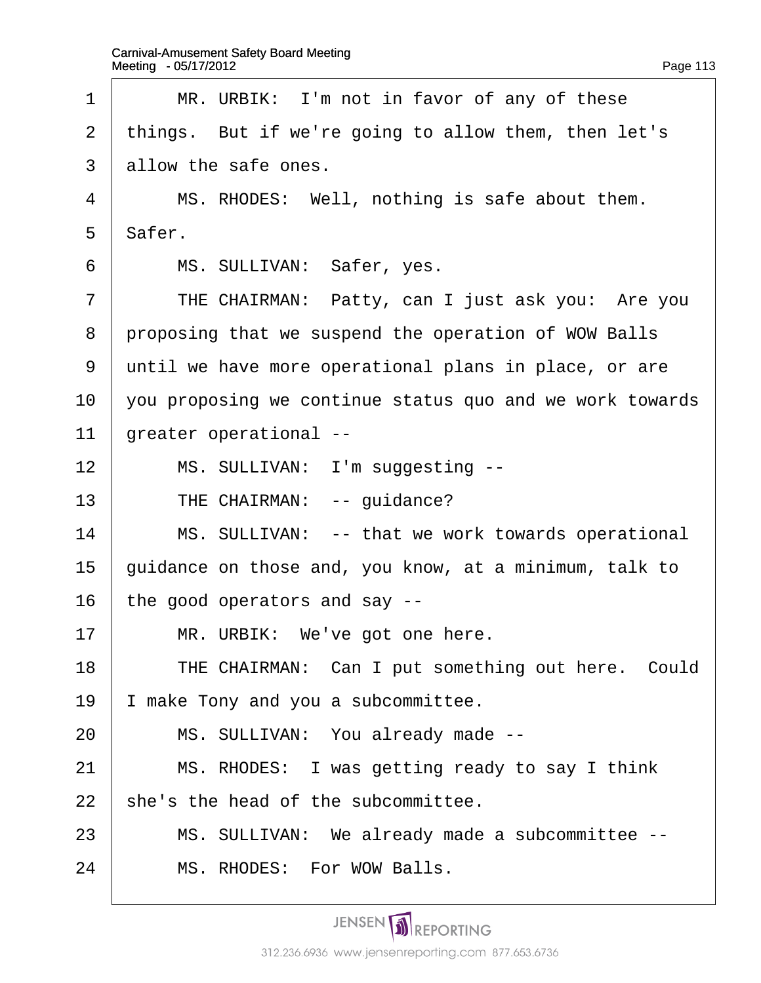<span id="page-113-0"></span>

| 1              | MR. URBIK: I'm not in favor of any of these              |
|----------------|----------------------------------------------------------|
| 2              | things. But if we're going to allow them, then let's     |
| 3              | allow the safe ones.                                     |
| 4              | MS. RHODES: Well, nothing is safe about them.            |
| 5              | Safer.                                                   |
| 6              | MS. SULLIVAN: Safer, yes.                                |
| $\overline{7}$ | THE CHAIRMAN: Patty, can I just ask you: Are you         |
| 8              | proposing that we suspend the operation of WOW Balls     |
| 9              | until we have more operational plans in place, or are    |
| 10             | you proposing we continue status quo and we work towards |
| 11             | greater operational --                                   |
| 12             | MS. SULLIVAN: I'm suggesting --                          |
| 13             | THE CHAIRMAN: -- guidance?                               |
| 14             | MS. SULLIVAN: -- that we work towards operational        |
| 15             | guidance on those and, you know, at a minimum, talk to   |
| 16             | the good operators and say --                            |
| 17             | MR. URBIK: We've got one here.                           |
| 18             | THE CHAIRMAN: Can I put something out here. Could        |
| 19             | make Tony and you a subcommittee.                        |
| 20             | MS. SULLIVAN: You already made --                        |
| 21             | MS. RHODES: I was getting ready to say I think           |
| 22             | she's the head of the subcommittee.                      |
| 23             | MS. SULLIVAN: We already made a subcommittee --          |
| 24             | MS. RHODES: For WOW Balls.                               |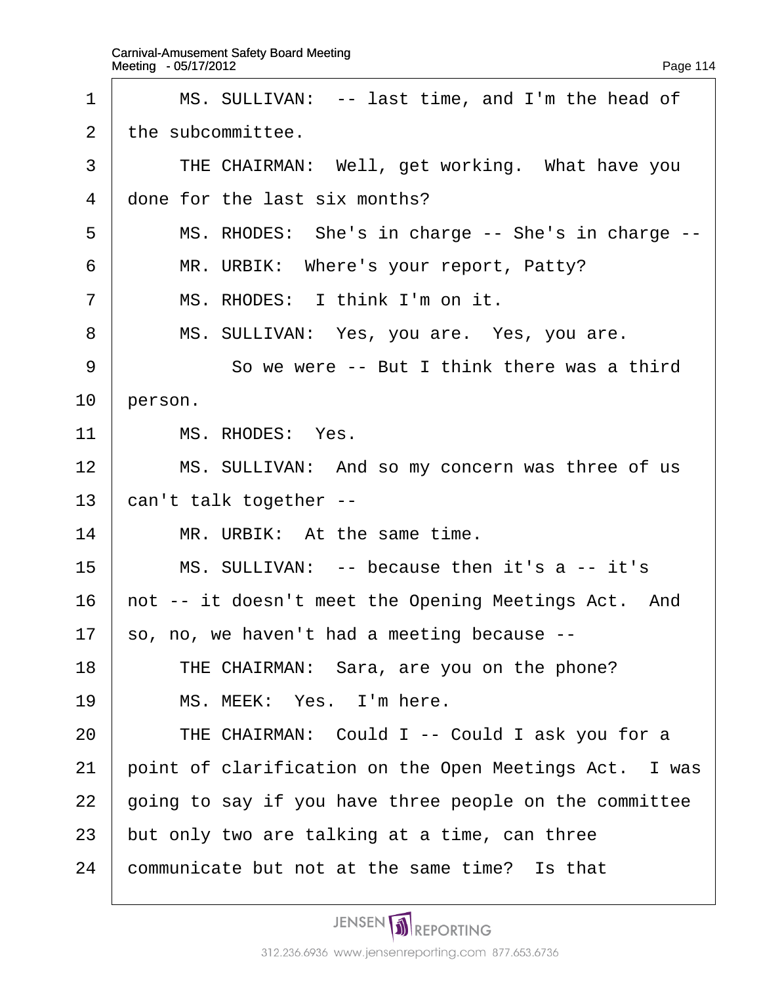<span id="page-114-0"></span>

| 1              | MS. SULLIVAN: -- last time, and I'm the head of        |
|----------------|--------------------------------------------------------|
| 2              | the subcommittee.                                      |
| 3              | THE CHAIRMAN: Well, get working. What have you         |
| 4              | done for the last six months?                          |
| 5              | MS. RHODES: She's in charge -- She's in charge --      |
| 6              | MR. URBIK: Where's your report, Patty?                 |
| $\overline{7}$ | MS. RHODES: I think I'm on it.                         |
| 8              | MS. SULLIVAN: Yes, you are. Yes, you are.              |
| 9              | So we were -- But I think there was a third            |
| 10             | person.                                                |
| 11             | MS. RHODES: Yes.                                       |
| 12             | MS. SULLIVAN: And so my concern was three of us        |
| 13             | can't talk together --                                 |
| 14             | MR. URBIK: At the same time.                           |
| 15             | MS. SULLIVAN: -- because then it's a -- it's           |
| 16             | hot -- it doesn't meet the Opening Meetings Act. And   |
| 17             | so, no, we haven't had a meeting because --            |
| 18             | THE CHAIRMAN: Sara, are you on the phone?              |
| 19             | MS. MEEK: Yes. I'm here.                               |
| 20             | THE CHAIRMAN: Could I -- Could I ask you for a         |
| 21             | point of clarification on the Open Meetings Act. I was |
| 22             | going to say if you have three people on the committee |
| 23             | but only two are talking at a time, can three          |
| 24             | communicate but not at the same time? Is that          |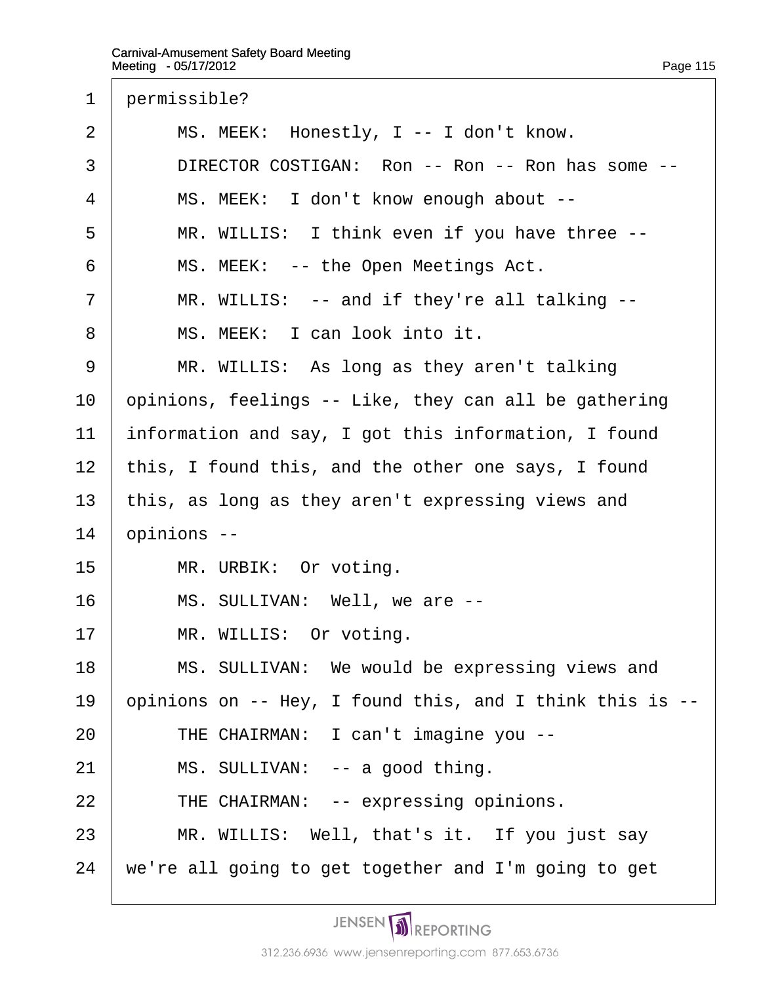<span id="page-115-0"></span>

| $\mathbf 1$    | permissible?                                             |
|----------------|----------------------------------------------------------|
| $\overline{2}$ | MS. MEEK: Honestly, I -- I don't know.                   |
| 3              | DIRECTOR COSTIGAN: Ron -- Ron -- Ron has some --         |
| 4              | MS. MEEK: I don't know enough about --                   |
| 5              | MR. WILLIS: I think even if you have three --            |
| 6              | MS. MEEK: -- the Open Meetings Act.                      |
| $\overline{7}$ | MR. WILLIS: -- and if they're all talking --             |
| 8              | MS. MEEK: I can look into it.                            |
| 9              | MR. WILLIS: As long as they aren't talking               |
| 10             | opinions, feelings -- Like, they can all be gathering    |
| 11             | information and say, I got this information, I found     |
| 12             | this, I found this, and the other one says, I found      |
| 13             | this, as long as they aren't expressing views and        |
| 14             | ppinions --                                              |
| 15             | MR. URBIK: Or voting.                                    |
| 16             | MS. SULLIVAN: Well, we are --                            |
| 17             | MR. WILLIS: Or voting.                                   |
| 18             | MS. SULLIVAN: We would be expressing views and           |
| 19             | opinions on -- Hey, I found this, and I think this is -- |
| 20             | THE CHAIRMAN: I can't imagine you --                     |
| 21             | MS. SULLIVAN: -- a good thing.                           |
| 22             | THE CHAIRMAN: -- expressing opinions.                    |
| 23             | MR. WILLIS: Well, that's it. If you just say             |
| 24             | we're all going to get together and I'm going to get     |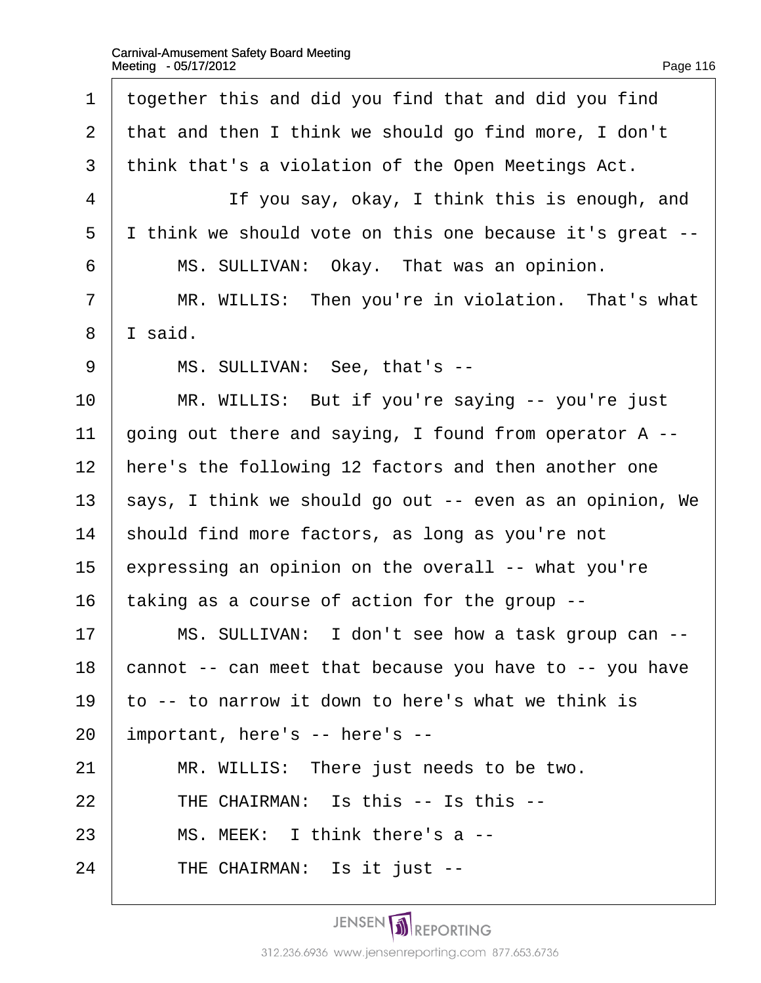| Page 116 |  |  |
|----------|--|--|

<span id="page-116-0"></span>

| 1                        | together this and did you find that and did you find      |
|--------------------------|-----------------------------------------------------------|
| $\overline{2}$           | that and then I think we should go find more, I don't     |
| 3                        | think that's a violation of the Open Meetings Act.        |
| $\overline{\mathcal{A}}$ | If you say, okay, I think this is enough, and             |
| 5                        | I think we should vote on this one because it's great --  |
| 6                        | MS. SULLIVAN: Okay. That was an opinion.                  |
| $\overline{7}$           | MR. WILLIS: Then you're in violation. That's what         |
| 8                        | I said.                                                   |
| 9                        | MS. SULLIVAN: See, that's --                              |
| 10                       | MR. WILLIS: But if you're saying -- you're just           |
| 11                       | going out there and saying, I found from operator A --    |
| 12                       | here's the following 12 factors and then another one      |
| 13                       | \$ays, I think we should go out -- even as an opinion, We |
| 14                       | should find more factors, as long as you're not           |
| 15                       | expressing an opinion on the overall -- what you're       |
| 16                       | taking as a course of action for the group --             |
| 17                       | MS. SULLIVAN: I don't see how a task group can --         |
| 18                       | cannot -- can meet that because you have to -- you have   |
| 19                       | to -- to narrow it down to here's what we think is        |
| 20                       | important, here's -- here's --                            |
| 21                       | MR. WILLIS: There just needs to be two.                   |
| 22                       | THE CHAIRMAN: Is this -- Is this --                       |
| 23                       | MS. MEEK: I think there's a --                            |
| 24                       | THE CHAIRMAN: Is it just --                               |
|                          |                                                           |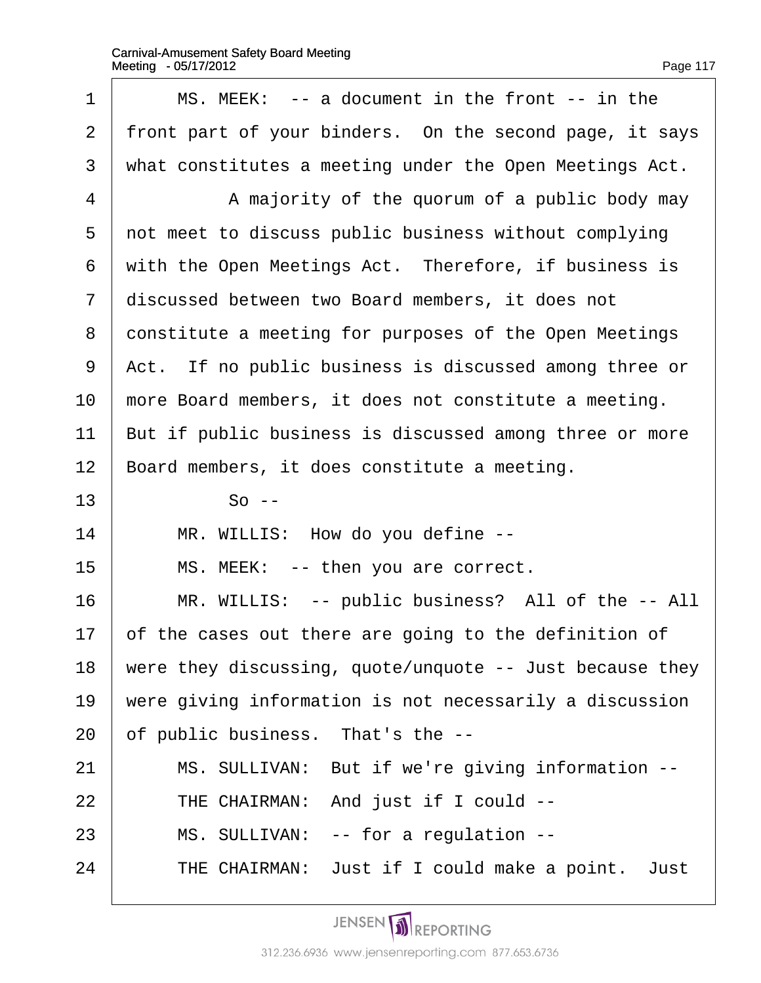<span id="page-117-0"></span>

| 1  | MS. MEEK: -- a document in the front -- in the           |
|----|----------------------------------------------------------|
| 2  | front part of your binders. On the second page, it says  |
| 3  | what constitutes a meeting under the Open Meetings Act.  |
| 4  | A majority of the quorum of a public body may            |
| 5  | not meet to discuss public business without complying    |
| 6  | with the Open Meetings Act. Therefore, if business is    |
| 7  | discussed between two Board members, it does not         |
| 8  | constitute a meeting for purposes of the Open Meetings   |
| 9  | Act. If no public business is discussed among three or   |
| 10 | more Board members, it does not constitute a meeting.    |
| 11 | But if public business is discussed among three or more  |
| 12 | Board members, it does constitute a meeting.             |
| 13 | $So -$                                                   |
| 14 | MR. WILLIS: How do you define --                         |
| 15 | MS. MEEK: -- then you are correct.                       |
| 16 | MR. WILLIS: -- public business? All of the -- All        |
| 17 | of the cases out there are going to the definition of    |
| 18 | were they discussing, quote/unquote -- Just because they |
| 19 | were giving information is not necessarily a discussion  |
| 20 | of public business. That's the --                        |
| 21 | MS. SULLIVAN: But if we're giving information --         |
| 22 | THE CHAIRMAN: And just if I could --                     |
| 23 | MS. SULLIVAN: -- for a regulation --                     |
| 24 | THE CHAIRMAN: Just if I could make a point. Just         |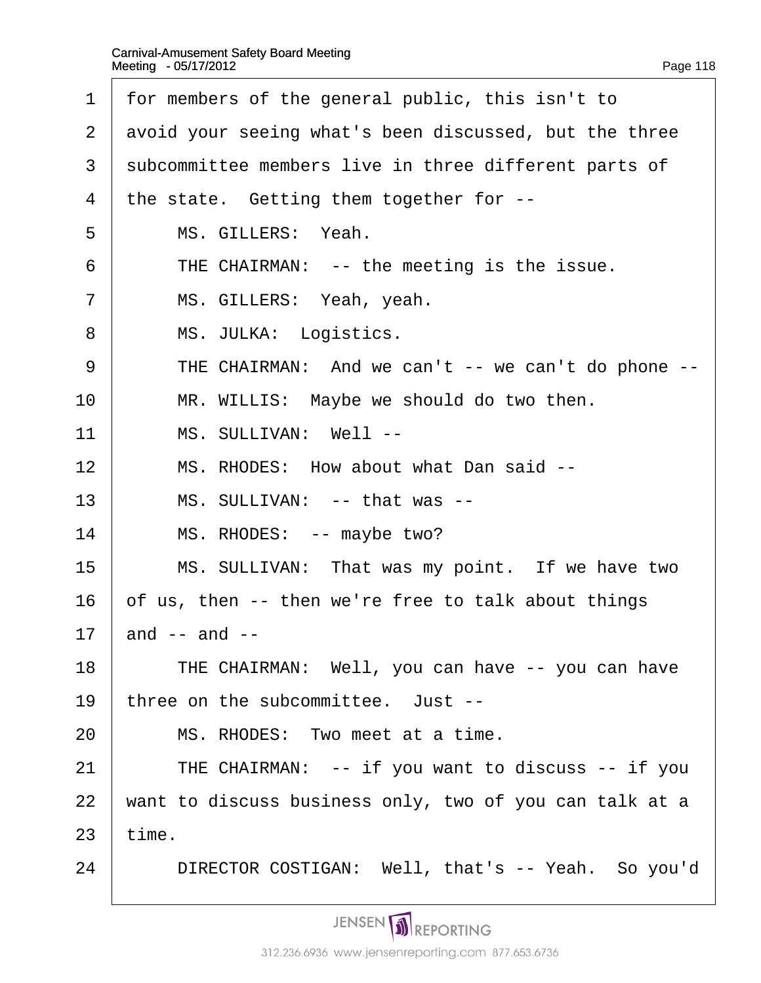- <span id="page-118-0"></span>1 for members of the general public, this isn't to
- 2 avoid your seeing what's been discussed, but the three
- 3 subcommittee members live in three different parts of
- 4 the state. Getting them together for --
- 5 | MS. GILLERS: Yeah.
- $6$  | THE CHAIRMAN: -- the meeting is the issue.
- 7 | MS. GILLERS: Yeah, yeah.
- 8 | MS. JULKA: Logistics.
- 9 | THE CHAIRMAN: And we can't -- we can't do phone --
- $10$  | MR. WILLIS: Maybe we should do two then.
- 11 | MS. SULLIVAN: Well --
- 12 | MS. RHODES: How about what Dan said --
- 13 | MS. SULLIVAN: -- that was --
- 14 | MS. RHODES: -- maybe two?
- 15 | MS. SULLIVAN: That was my point. If we have two
- 16 b f us, then -- then we're free to talk about things

17  $\Delta$  and -- and --

- 18 | THE CHAIRMAN: Well, you can have -- you can have
- 19 three on the subcommittee. Just --
- 20 | MS. RHODES: Two meet at a time.
- 21  $\parallel$  THE CHAIRMAN: -- if you want to discuss -- if you
- 22 want to discuss business only, two of you can talk at a

 $23$  time.

24 | DIRECTOR COSTIGAN: Well, that's -- Yeah. So you'd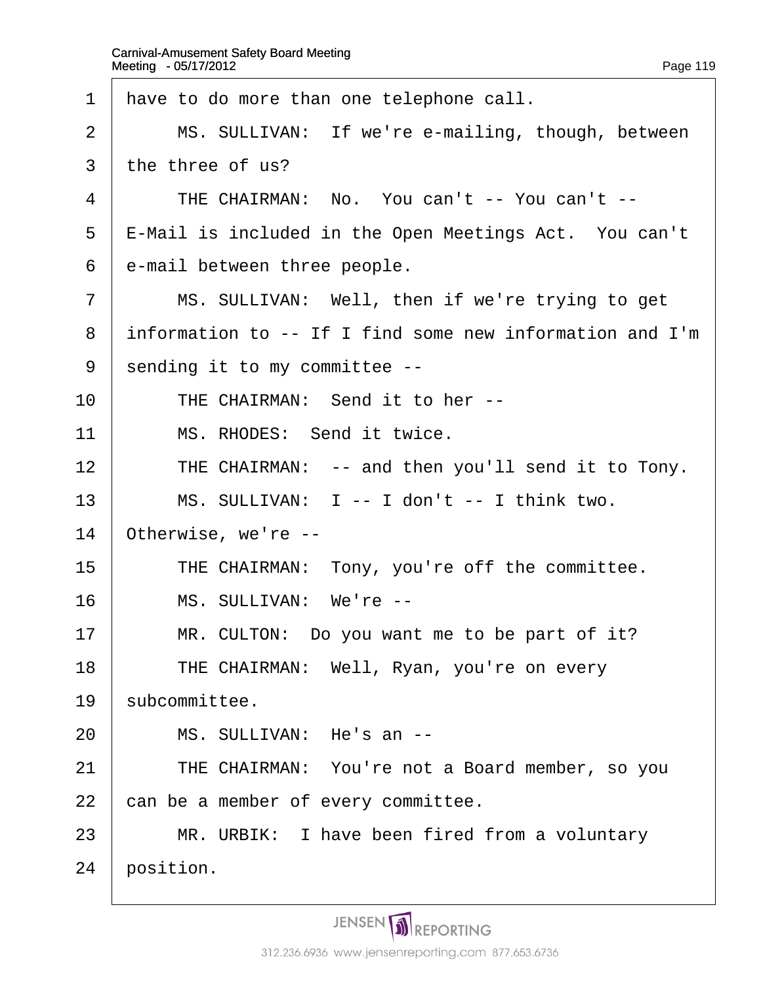<span id="page-119-0"></span>

| 1  | have to do more than one telephone call.                 |
|----|----------------------------------------------------------|
| 2  | MS. SULLIVAN: If we're e-mailing, though, between        |
| 3  | the three of us?                                         |
| 4  | THE CHAIRMAN: No. You can't -- You can't --              |
| 5  | E-Mail is included in the Open Meetings Act. You can't   |
| 6  | e-mail between three people.                             |
| 7  | MS. SULLIVAN: Well, then if we're trying to get          |
| 8  | information to -- If I find some new information and I'm |
| 9  | sending it to my committee --                            |
| 10 | THE CHAIRMAN: Send it to her --                          |
| 11 | MS. RHODES: Send it twice.                               |
| 12 | THE CHAIRMAN: -- and then you'll send it to Tony.        |
| 13 | MS. SULLIVAN: I -- I don't -- I think two.               |
| 14 | Otherwise, we're --                                      |
| 15 | THE CHAIRMAN: Tony, you're off the committee.            |
| 16 | MS. SULLIVAN: We're --                                   |
| 17 | MR. CULTON: Do you want me to be part of it?             |
| 18 | THE CHAIRMAN: Well, Ryan, you're on every                |
| 19 | subcommittee.                                            |
| 20 | MS. SULLIVAN: He's an --                                 |
| 21 | THE CHAIRMAN: You're not a Board member, so you          |
| 22 | can be a member of every committee.                      |
| 23 | MR. URBIK: I have been fired from a voluntary            |
| 24 | position.                                                |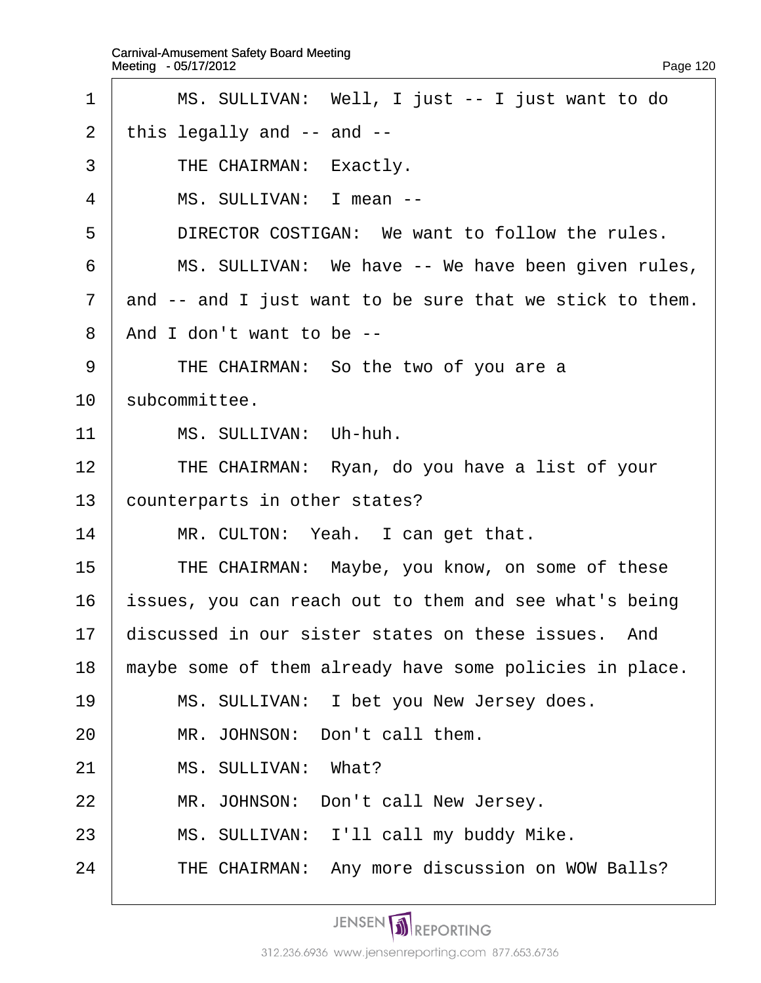<span id="page-120-0"></span>

| 1              | MS. SULLIVAN: Well, I just -- I just want to do          |
|----------------|----------------------------------------------------------|
| 2              | this legally and -- and --                               |
| 3              | THE CHAIRMAN: Exactly.                                   |
| 4              | MS. SULLIVAN: I mean --                                  |
| 5              | DIRECTOR COSTIGAN: We want to follow the rules.          |
| 6              | MS. SULLIVAN: We have -- We have been given rules,       |
| $\overline{7}$ | and -- and I just want to be sure that we stick to them. |
| 8              | And I don't want to be --                                |
| 9              | THE CHAIRMAN: So the two of you are a                    |
| 10             | \$ubcommittee.                                           |
| 11             | MS. SULLIVAN: Uh-huh.                                    |
| 12             | THE CHAIRMAN: Ryan, do you have a list of your           |
| 13             | counterparts in other states?                            |
| 14             | MR. CULTON: Yeah. I can get that.                        |
| 15             | THE CHAIRMAN: Maybe, you know, on some of these          |
| 16             | issues, you can reach out to them and see what's being   |
| 17             | discussed in our sister states on these issues. And      |
| 18             | maybe some of them already have some policies in place.  |
| 19             | MS. SULLIVAN: I bet you New Jersey does.                 |
| 20             | MR. JOHNSON: Don't call them.                            |
| 21             | MS. SULLIVAN: What?                                      |
| 22             | MR. JOHNSON: Don't call New Jersey.                      |
| 23             | MS. SULLIVAN: I'll call my buddy Mike.                   |
| 24             | THE CHAIRMAN: Any more discussion on WOW Balls?          |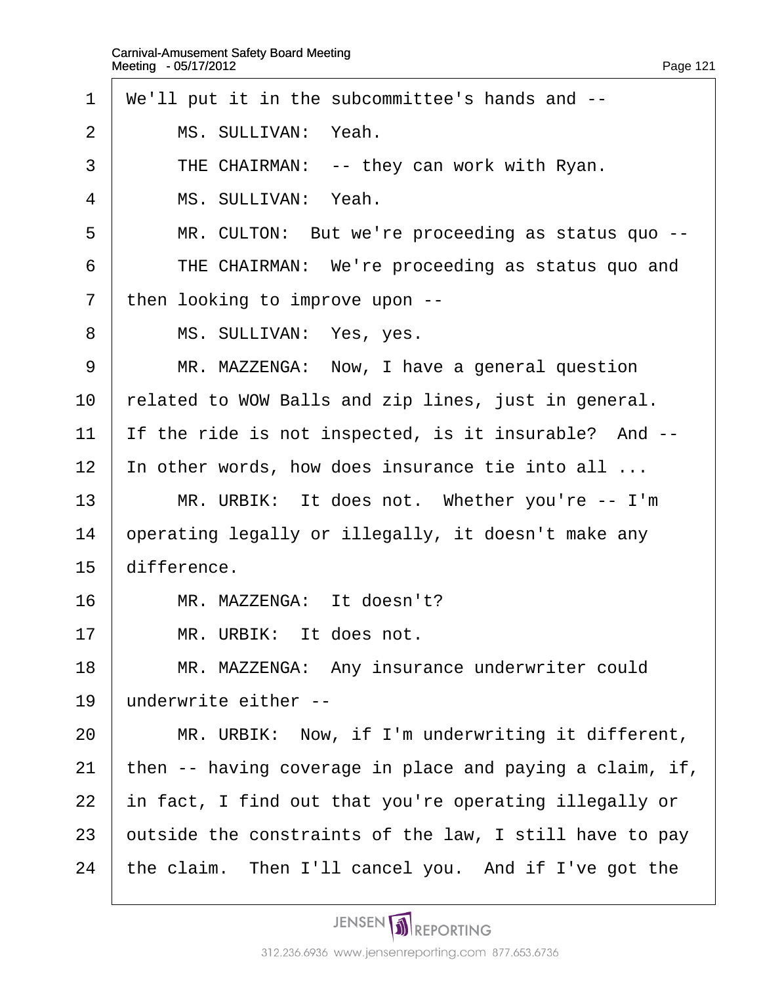- <span id="page-121-0"></span>·1· ·We'll put it in the subcommittee's hands and --
- 2 | MS. SULLIVAN: Yeah.
- 3 | THE CHAIRMAN: -- they can work with Ryan.
- 4 | MS. SULLIVAN: Yeah.
- 5 | MR. CULTON: But we're proceeding as status quo --
- 6 **FIME CHAIRMAN:** We're proceeding as status quo and
- 7 then looking to improve upon --
- 8 | MS. SULLIVAN: Yes, yes.
- 9 | MR. MAZZENGA: Now, I have a general question
- 10 related to WOW Balls and zip lines, just in general.
- 11 If the ride is not inspected, is it insurable? And --
- 12 In other words, how does insurance tie into all ...
- 13 | MR. URBIK: It does not. Whether you're -- I'm
- 14 **p** operating legally or illegally, it doesn't make any
- 15 difference.
- 16 | MR. MAZZENGA: It doesn't?
- $17$   $\parallel$  MR. URBIK: It does not.
- 18 | MR. MAZZENGA: Any insurance underwriter could
- 19 underwrite either --
- 20 | MR. URBIK: Now, if I'm underwriting it different,
- 21 then  $-$  having coverage in place and paying a claim, if,
- 22 in fact, I find out that you're operating illegally or
- 23 butside the constraints of the law, I still have to pay
- 24 the claim. Then I'll cancel you. And if I've got the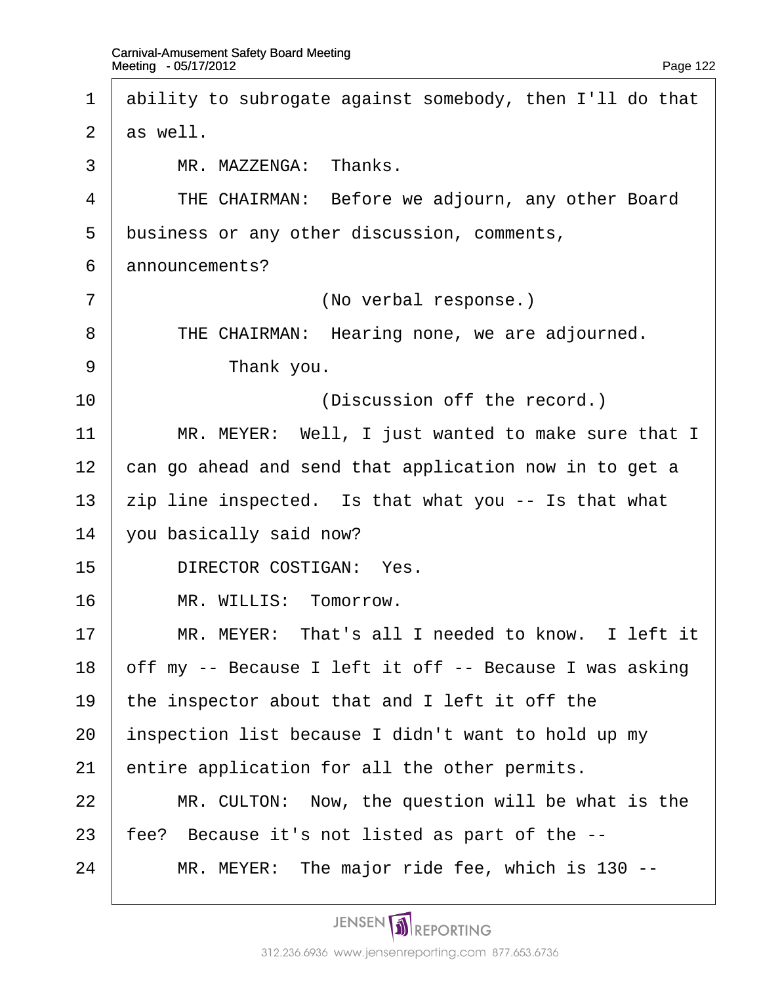<span id="page-122-0"></span>

| $\mathbf 1$    | ability to subrogate against somebody, then I'll do that          |
|----------------|-------------------------------------------------------------------|
| 2              | as well.                                                          |
| 3              | MR. MAZZENGA: Thanks.                                             |
| 4              | THE CHAIRMAN: Before we adjourn, any other Board                  |
| 5              | business or any other discussion, comments,                       |
| 6              | announcements?                                                    |
| $\overline{7}$ | (No verbal response.)                                             |
| 8              | THE CHAIRMAN: Hearing none, we are adjourned.                     |
| 9              | Thank you.                                                        |
| 10             | (Discussion off the record.)                                      |
| 11             | MR. MEYER: Well, I just wanted to make sure that I                |
| 12             | can go ahead and send that application now in to get a            |
| 13             | $\frac{1}{2}$ ip line inspected. Is that what you -- Is that what |
| 14             | you basically said now?                                           |
| 15             | <b>DIRECTOR COSTIGAN: Yes.</b>                                    |
| 16             | MR. WILLIS: Tomorrow.                                             |
| 17             | MR. MEYER: That's all I needed to know. I left it                 |
| 18             | off my -- Because I left it off -- Because I was asking           |
| 19             | the inspector about that and I left it off the                    |
| 20             | inspection list because I didn't want to hold up my               |
| 21             | entire application for all the other permits.                     |
| 22             | MR. CULTON: Now, the question will be what is the                 |
| 23             | fee? Because it's not listed as part of the --                    |
| 24             | MR. MEYER: The major ride fee, which is 130 --                    |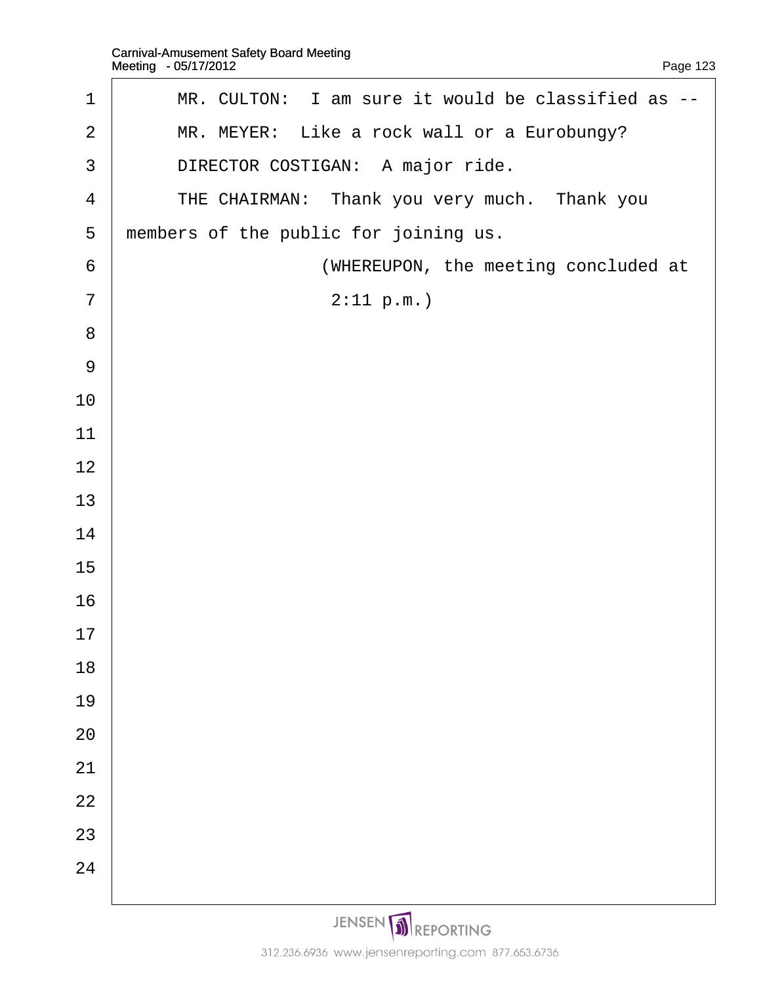<span id="page-123-0"></span>

| 1              | MR. CULTON: I am sure it would be classified as -- |
|----------------|----------------------------------------------------|
| $\overline{2}$ | MR. MEYER: Like a rock wall or a Eurobungy?        |
| 3              | DIRECTOR COSTIGAN: A major ride.                   |
| 4              | THE CHAIRMAN: Thank you very much. Thank you       |
| 5              | members of the public for joining us.              |
| 6              | (WHEREUPON, the meeting concluded at               |
| $\overline{7}$ | 2:11 p.m.                                          |
| 8              |                                                    |
| 9              |                                                    |
| 10             |                                                    |
| 11             |                                                    |
| 12             |                                                    |
| 13             |                                                    |
| 14             |                                                    |
| 15             |                                                    |
| 16             |                                                    |
| 17             |                                                    |
| 18             |                                                    |
| 19             |                                                    |
| 20             |                                                    |
| 21             |                                                    |
| 22             |                                                    |
| 23             |                                                    |
| 24             |                                                    |
|                |                                                    |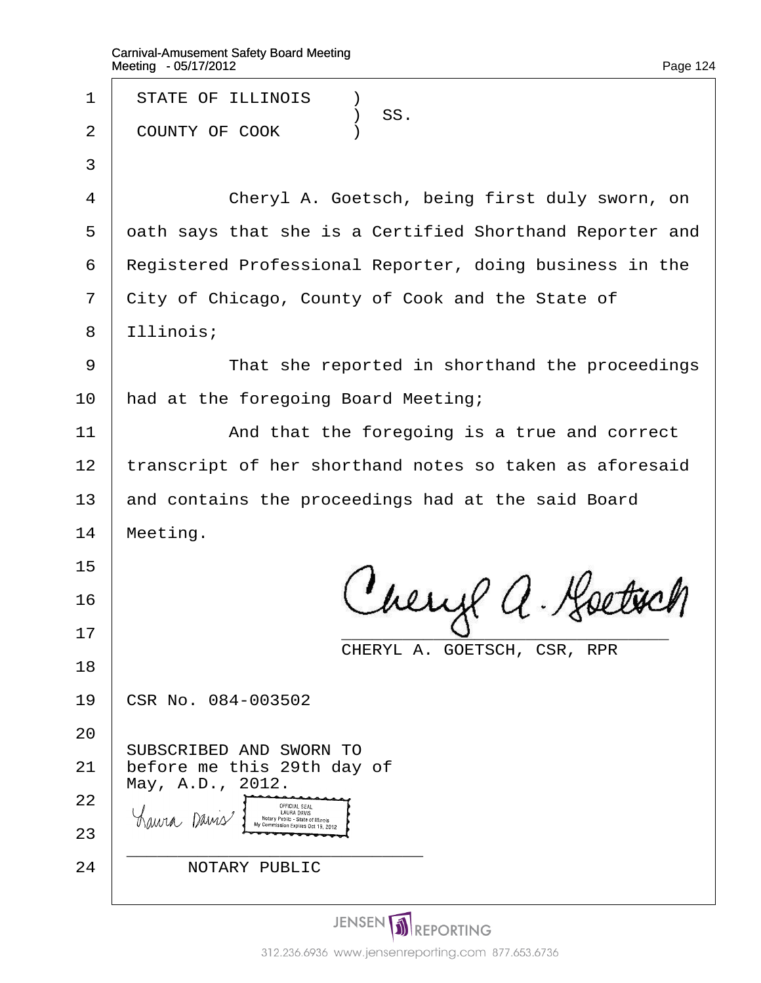| 1  | <b>STATE OF ILLINOIS</b><br>$\lambda$                    |  |
|----|----------------------------------------------------------|--|
| 2  | ) SS.<br>COUNTY OF COOK<br>$\lambda$                     |  |
| 3  |                                                          |  |
| 4  | Cheryl A. Goetsch, being first duly sworn, on            |  |
| 5  | dath says that she is a Certified Shorthand Reporter and |  |
| 6  | Registered Professional Reporter, doing business in the  |  |
| 7  | City of Chicago, County of Cook and the State of         |  |
| 8  | Illinois;                                                |  |
| 9  | That she reported in shorthand the proceedings           |  |
| 10 | had at the foregoing Board Meeting;                      |  |
| 11 | And that the foregoing is a true and correct             |  |
| 12 | transcript of her shorthand notes so taken as aforesaid  |  |
| 13 | and contains the proceedings had at the said Board       |  |
| 14 | Meeting.                                                 |  |
| 15 |                                                          |  |
| 16 |                                                          |  |
| 17 | CHERYL A. GOETSCH, CSR, RPR                              |  |
| 18 |                                                          |  |
| 19 | CSR No. 084-003502                                       |  |
| 20 | SUBSCRIBED AND SWORN TO                                  |  |
| 21 | before me this 29th day of                               |  |
| 22 | May, A.D., 2012.                                         |  |
| 23 |                                                          |  |
| 24 | <b>NOTARY PUBLIC</b>                                     |  |
|    |                                                          |  |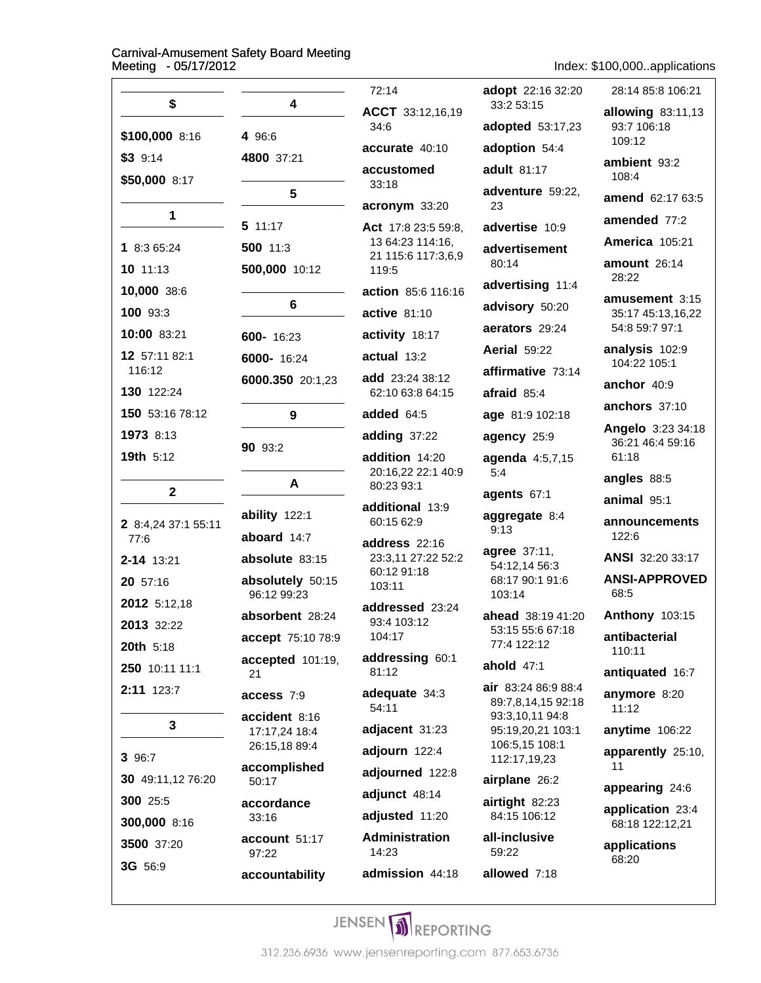Index: \$100,000..applications

| \$                          | 4                            | 72:14                                  | adopt 22:16 32:20<br>33:2 53:15                              | 28:14 85:8 106:21                   |
|-----------------------------|------------------------------|----------------------------------------|--------------------------------------------------------------|-------------------------------------|
|                             |                              | ACCT 33:12,16,19<br>34:6               | adopted 53:17,23                                             | allowing 83:11,13<br>93:7 106:18    |
| \$100,000 8:16              | 4 96:6                       | accurate 40:10                         | adoption 54:4                                                | 109:12                              |
| $$3$ 9:14                   | 4800 37:21                   | accustomed                             | adult 81:17                                                  | ambient 93:2                        |
| \$50,000 8:17               | $5\phantom{.0}$              | 33:18                                  | adventure 59:22,                                             | 108:4                               |
| $\mathbf 1$                 |                              | acronym 33:20                          | 23                                                           | amend 62:17 63:5                    |
|                             | 511:17                       | Act 17:8 23:5 59:8,                    | advertise 10:9                                               | amended 77:2                        |
| 1 8:3 65:24                 | 500 11:3                     | 13 64:23 114:16,<br>21 115:6 117:3,6,9 | advertisement                                                | <b>America 105:21</b>               |
| 10 11:13                    | 500,000 10:12                | 119:5                                  | 80:14                                                        | amount 26:14<br>28:22               |
| 10,000 38:6                 |                              | action 85:6 116:16                     | advertising 11:4                                             | amusement 3:15                      |
| 100 93:3                    | 6                            | active 81:10                           | advisory 50:20                                               | 35:17 45:13,16,22                   |
| 10:00 83:21                 | 600- 16:23                   | activity 18:17                         | aerators 29:24                                               | 54:8 59:7 97:1                      |
| 12 57:11 82:1               | 6000- 16:24                  | actual 13:2                            | <b>Aerial 59:22</b>                                          | analysis 102:9<br>104:22 105:1      |
| 116:12                      | 6000.350 20:1,23             | add 23:24 38:12                        | affirmative 73:14                                            | anchor 40:9                         |
| 130 122:24                  |                              | 62:10 63:8 64:15                       | afraid 85:4                                                  | anchors 37:10                       |
| 150 53:16 78:12             | 9                            | added 64:5                             | age 81:9 102:18                                              | Angelo 3:23 34:18                   |
| 1973 8:13                   | 90 93:2                      | adding 37:22                           | agency 25:9                                                  | 36:21 46:4 59:16                    |
| 19th 5:12                   |                              | addition 14:20                         | agenda 4:5,7,15                                              | 61:18                               |
| $\mathbf{2}$                | A                            | 20:16,22 22:1 40:9<br>80:23 93:1       | 5:4                                                          | angles 88:5                         |
|                             |                              | additional 13:9                        | agents 67:1                                                  | animal 95:1                         |
| 2 8:4,24 37:1 55:11<br>77:6 | ability 122:1<br>aboard 14:7 | 60:15 62:9                             | aggregate 8:4<br>9:13                                        | announcements<br>122:6              |
| 2-14 13:21                  | absolute 83:15               | address 22:16<br>23:3,11 27:22 52:2    | <b>agree</b> 37:11,<br>54:12,14 56:3                         | ANSI 32:20 33:17                    |
| 20 57:16                    | absolutely 50:15             | 60:12 91:18<br>103:11                  | 68:17 90:1 91:6                                              | <b>ANSI-APPROVED</b>                |
| 2012 5:12,18                | 96:12 99:23                  | addressed 23:24                        | 103:14                                                       | 68:5                                |
| 2013 32:22                  | absorbent 28:24              | 93:4 103:12                            | ahead 38:19 41:20<br>53:15 55:6 67:18                        | <b>Anthony 103:15</b>               |
| 20th 5:18                   | accept 75:10 78:9            | 104:17                                 | 77:4 122:12                                                  | antibacterial<br>110:11             |
| 250 10:11 11:1              | accepted 101:19,<br>21       | addressing 60:1<br>81:12               | ahold $47:1$                                                 | antiquated 16:7                     |
| 2:11 123:7                  | access 7:9<br>accident 8:16  | adequate 34:3<br>54:11                 | air 83:24 86:9 88:4<br>89:7,8,14,15 92:18<br>93:3,10,11 94:8 | anymore 8:20<br>11:12               |
| 3                           | 17:17,24 18:4                | adjacent 31:23                         | 95:19,20,21 103:1                                            | anytime 106:22                      |
| 3 96:7                      | 26:15,18 89:4                | adjourn 122:4                          | 106:5,15 108:1<br>112:17,19,23                               | apparently 25:10,                   |
| 30 49:11,12 76:20           | accomplished<br>50:17        | adjourned 122:8                        | airplane 26:2                                                | 11                                  |
| 300 25:5                    | accordance                   | adjunct 48:14                          | airtight 82:23                                               | appearing 24:6                      |
| 300,000 8:16                | 33:16                        | adjusted 11:20                         | 84:15 106:12                                                 | application 23:4<br>68:18 122:12,21 |
| 3500 37:20                  | account 51:17<br>97:22       | <b>Administration</b><br>14:23         | all-inclusive<br>59:22                                       | applications                        |
| 3G 56:9                     | accountability               | admission 44:18                        | allowed 7:18                                                 | 68:20                               |
|                             |                              |                                        |                                                              |                                     |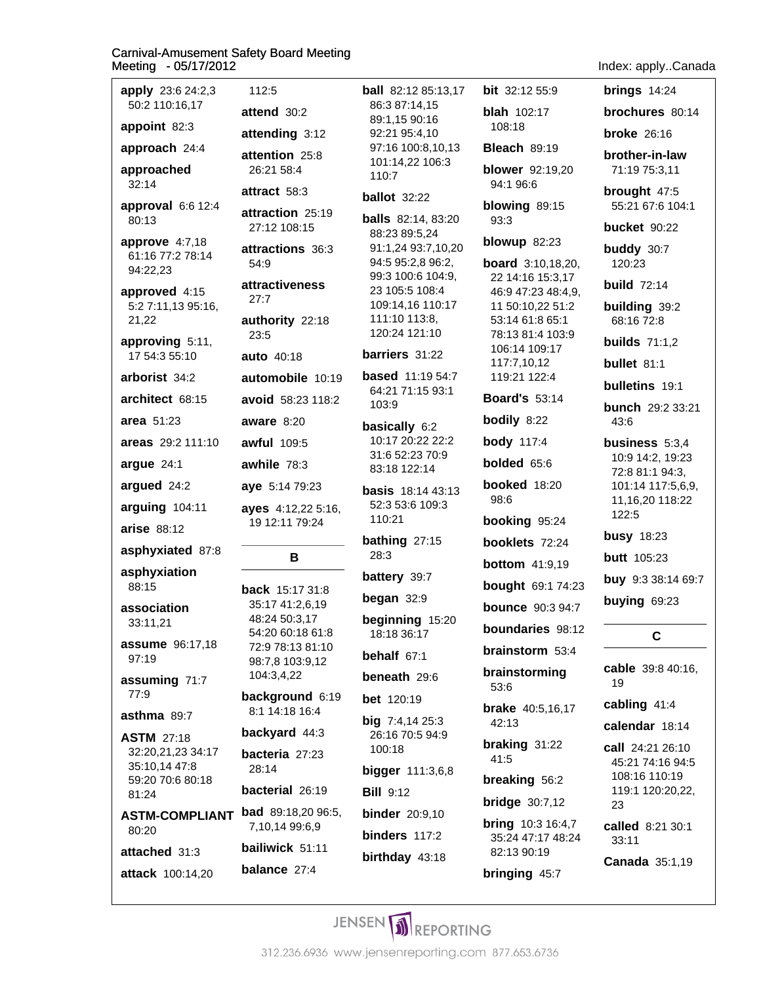| apply 23:6 24:2,3<br>50:2 110:16,17            | 112:5                                                   |  |
|------------------------------------------------|---------------------------------------------------------|--|
| <b>appoint</b> 82:3                            | attend 30:2                                             |  |
| approach 24:4                                  | attending 3:12                                          |  |
| approached                                     | attention 25:8<br>26:21 58:4                            |  |
| 32:14                                          | attract 58:3                                            |  |
| approval 6:6 12:4<br>80:13                     | attraction 25:19<br>27:12 108:15                        |  |
| approve 4:7,18<br>61:16 77:2 78:14<br>94:22,23 | attractions 36:3<br>54:9                                |  |
| approved 4:15<br>5:2 7:11,13 95:16,            | attractiveness<br>27:7                                  |  |
| 21,22<br>approving 5:11,                       | authority 22:18<br>23:5                                 |  |
| 17 54:3 55:10                                  | auto 40:18                                              |  |
| arborist 34:2                                  | automobile 10:19                                        |  |
| architect 68:15                                | <b>avoid</b> 58:23 118:2                                |  |
| <b>area</b> 51:23                              | aware $8:20$                                            |  |
| <b>areas</b> 29:2 111:10                       | <b>awful</b> 109:5                                      |  |
| argue 24:1                                     | awhile 78:3                                             |  |
|                                                |                                                         |  |
| argued 24:2                                    | aye 5:14 79:23                                          |  |
| arguing 104:11                                 | ayes 4:12,22 5:16,                                      |  |
| <b>arise</b> 88:12                             | 19 12:11 79:24                                          |  |
| asphyxiated 87:8                               | в                                                       |  |
| asphyxiation<br>88:15                          | <b>back</b> 15:17 31:8                                  |  |
| association<br>33:11,21                        | 35:17 41:2,6,19<br>48:24 50:3,17                        |  |
| assume 96:17,18<br>97:19                       | 54:20 60:18 61:8<br>72:9 78:13 81:10<br>98:7,8 103:9,12 |  |
| assuming 71:7<br>77:9                          | 104:3,4,22<br>background 6:19                           |  |
| <b>asthma</b> 89:7                             | 8:1 14:18 16:4                                          |  |
| <b>ASTM</b> 27:18                              | backyard 44:3                                           |  |
| 32:20,21,23 34:17<br>35:10,14 47:8             | bacteria 27:23<br>28:14                                 |  |
| 59:20 70:6 80:18<br>81:24                      | <b>bacterial</b> 26:19                                  |  |
| ASTM-COMPLIANT<br>80:20                        | <b>bad</b> 89:18,20 96:5,<br>7,10,14 99:6,9             |  |
| attached 31:3                                  | bailiwick 51:11                                         |  |

**ball** 82:12 85:13,17 86:3 87:14.15 89:1,15 90:16 92:21 95:4,10 97:16 100:8,10,13 101:14,22 106:3 110:7 **ballot** 32:22 **balls** 82:14, 83:20 88:23 89:5,24 91:1,24 93:7,10,20 94:5 95:2.8 96:2. 99:3 100:6 104:9, 23 105:5 108:4 109:14,16 110:17 111:10 113:8, 120:24 121:10 barriers 31:22 **based** 11:19 54:7 64:21 71:15 93:1 103:9 basically 6:2 10:17 20:22 22:2 31:6 52:23 70:9 83:18 122:14 **basis** 18:14 43:13 52:3 53:6 109:3 110:21 bathing  $27:15$ 28:3 battery 39:7 began  $32:9$ beginning 15:20 18:18 36:17 behalf  $67:1$ beneath 29:6 **bet** 120:19 **big**  $7:4,1425:3$ 26:16 70:5 94:9 100:18 bigger 111:3,6,8 **Bill 9:12 binder** 20:9,10 binders  $117:2$ birthday 43:18

bit 32:12 55:9 **blah** 102:17 108:18 **Bleach 89:19 blower** 92:19,20 94:1 96:6 blowing 89:15 93:3 blowup  $82:23$ **board** 3:10,18,20, 22 14:16 15:3,17 46:9 47:23 48:4,9, 11 50:10,22 51:2 53:14 61:8 65:1 78:13 81:4 103:9 106:14 109:17 117:7,10,12 119:21 122:4 **Board's 53:14** bodily 8:22 **body** 117:4 **bolded** 65:6 booked 18:20 98:6 booking 95:24 booklets 72:24 **bottom** 41:9,19 **bought** 69:1 74:23 **bounce** 90:3 94:7 boundaries 98:12 brainstorm 53:4 brainstorming 53:6 **brake** 40:5,16,17 42:13 braking 31:22 41:5 **breaking 56:2 bridge** 30:7,12 **bring** 10:3 16:4,7 35:24 47:17 48:24

82:13 90:19

bringing 45:7

#### Ind

| ndex: applyCanada                                                                                         |
|-----------------------------------------------------------------------------------------------------------|
| brings $14:24$                                                                                            |
| brochures 80:14                                                                                           |
| <b>broke</b> $26:16$                                                                                      |
| brother-in-law<br>71:19 75:3,11                                                                           |
| brought 47:5<br>55:21 67:6 104:1                                                                          |
| <b>bucket</b> 90:22                                                                                       |
| buddy 30:7<br>120:23                                                                                      |
| <b>build 72:14</b>                                                                                        |
| building 39:2<br>68:16 72:8                                                                               |
| builds $71:1,2$                                                                                           |
| <b>bullet</b> 81:1                                                                                        |
| bulletins 19:1                                                                                            |
| bunch 29:2 33:21<br>43:6                                                                                  |
| business 5:3,4<br>10:9 14:2, 19:23<br>72:8 81:1 94:3,<br>101:14 117:5,6,9,<br>11, 16, 20 118: 22<br>122:5 |
| <b>busy</b> 18:23                                                                                         |

**butt** 105:23 buy 9:3 38:14 69:7

buying 69:23

### $\mathbf c$

cable 39:8 40:16, 19

cabling 41:4

calendar 18:14

call 24:21 26:10 45:21 74:16 94:5 108:16 110:19 119:1 120:20,22, 23

called 8:21 30:1  $33:11$ 

Canada 35:1,19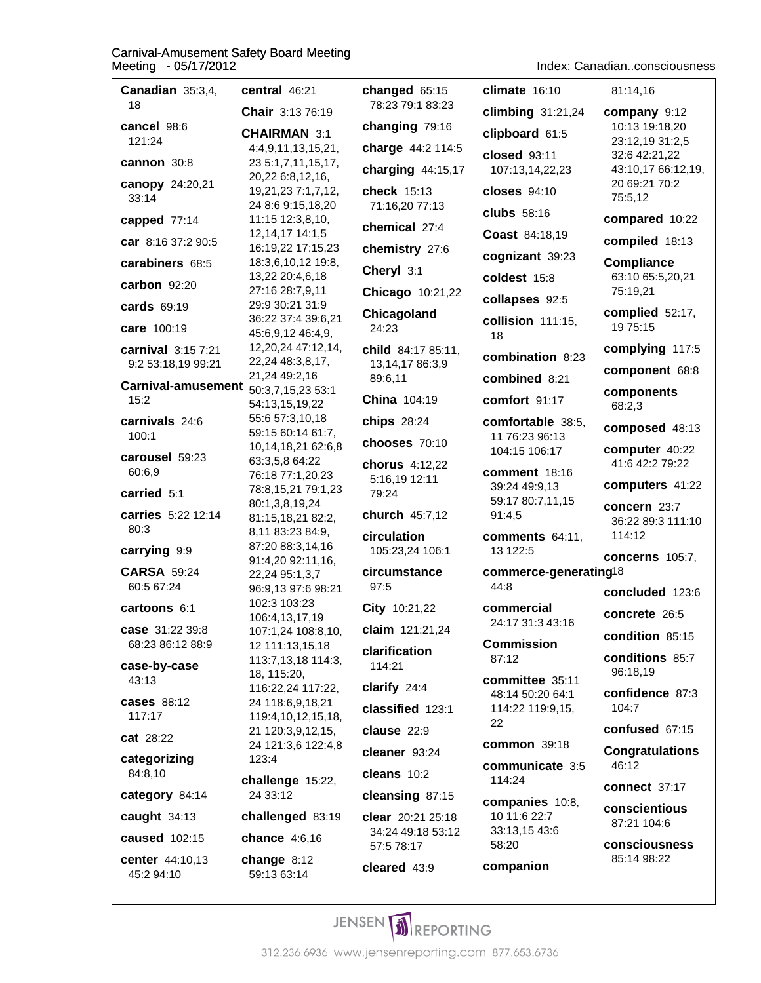Index: Canadian..consciousness

| Canadian 35:3,4,                     | central 46:21                            | changed 65:15                 | $climate$ 16:10                      | 81:14.16                            |
|--------------------------------------|------------------------------------------|-------------------------------|--------------------------------------|-------------------------------------|
| 18                                   | Chair 3:13 76:19                         | 78:23 79:1 83:23              | climbing 31:21,24                    | company 9:12                        |
| cancel 98:6<br>121:24                | <b>CHAIRMAN 3:1</b>                      | changing 79:16                | clipboard 61:5                       | 10:13 19:18,20<br>23:12,19 31:2,5   |
| cannon 30:8                          | 4:4,9,11,13,15,21,<br>23 5:1,7,11,15,17, | charge 44:2 114:5             | closed 93:11                         | 32:6 42:21,22                       |
| canopy 24:20,21                      | 20,22 6:8,12,16,                         | charging 44:15,17             | 107:13,14,22,23                      | 43:10,17 66:12,19,<br>20 69:21 70:2 |
| 33:14                                | 19,21,23 7:1,7,12,<br>24 8:6 9:15,18,20  | check 15:13<br>71:16,20 77:13 | closes $94:10$                       | 75:5,12                             |
| capped 77:14                         | 11:15 12:3,8,10,                         | chemical 27:4                 | clubs $58:16$                        | compared 10:22                      |
| car 8:16 37:2 90:5                   | 12, 14, 17 14: 1, 5<br>16:19,22 17:15,23 | chemistry 27:6                | <b>Coast 84:18,19</b>                | compiled 18:13                      |
| carabiners 68:5                      | 18:3,6,10,12 19:8,                       |                               | cognizant 39:23                      | <b>Compliance</b>                   |
| carbon 92:20                         | 13,22 20:4,6,18<br>27:16 28:7,9,11       | Cheryl 3:1                    | coldest 15:8                         | 63:10 65:5,20,21                    |
| cards 69:19                          | 29:9 30:21 31:9                          | Chicago 10:21,22              | collapses 92:5                       | 75:19,21                            |
| care 100:19                          | 36:22 37:4 39:6,21                       | Chicagoland<br>24:23          | collision 111:15,                    | complied 52:17,<br>19 75:15         |
| carnival 3:15 7:21                   | 45:6,9,12 46:4,9,<br>12,20,24 47:12,14,  | child 84:17 85:11,            | 18                                   | complying 117:5                     |
| 9:2 53:18,19 99:21                   | 22,24 48:3,8,17,                         | 13,14,17 86:3,9               | combination 8:23                     | component 68:8                      |
| Carnival-amusement 50:3,7,15,23 53:1 | 21,24 49:2,16                            | 89:6,11                       | combined 8:21                        | components                          |
| 15:2                                 | 54:13,15,19,22                           | China 104:19                  | comfort 91:17                        | 68:2,3                              |
| carnivals 24:6<br>100:1              | 55:6 57:3,10,18<br>59:15 60:14 61:7,     | <b>chips</b> 28:24            | comfortable 38:5,                    | composed 48:13                      |
| carousel 59:23                       | 10,14,18,21 62:6,8                       | chooses 70:10                 | 11 76:23 96:13<br>104:15 106:17      | computer 40:22                      |
| 60:6,9                               | 63:3,5,8 64:22<br>76:18 77:1,20,23       | chorus 4:12,22                | comment 18:16                        | 41:6 42:2 79:22                     |
| carried 5:1                          | 78:8,15,21 79:1,23                       | 5:16,19 12:11<br>79:24        | 39:24 49:9,13                        | computers 41:22                     |
| carries 5:22 12:14                   | 80:1,3,8,19,24<br>81:15,18,21 82:2,      | church 45:7,12                | 59:17 80:7,11,15<br>91:4,5           | concern 23:7                        |
| 80:3                                 | 8,11 83:23 84:9,                         | circulation                   | comments 64:11,                      | 36:22 89:3 111:10<br>114:12         |
| carrying 9:9                         | 87:20 88:3,14,16<br>91:4,20 92:11,16,    | 105:23,24 106:1               | 13 122:5                             | concerns 105:7,                     |
| <b>CARSA 59:24</b>                   | 22,24 95:1,3,7                           | circumstance                  | commerce-generating <sup>18</sup>    |                                     |
| 60:5 67:24                           | 96:9,13 97:6 98:21<br>102:3 103:23       | 97:5                          | 44:8                                 | concluded 123:6                     |
| cartoons 6:1                         | 106:4,13,17,19                           | City 10:21,22                 | commercial<br>24:17 31:3 43:16       | concrete 26:5                       |
| case 31:22 39:8<br>68:23 86:12 88:9  | 107:1,24 108:8,10,<br>12 111:13,15,18    | claim $121:21,24$             | <b>Commission</b>                    | condition 85:15                     |
| case-by-case                         | 113:7,13,18 114:3,                       | clarification<br>114:21       | 87:12                                | conditions 85:7                     |
| 43:13                                | 18, 115:20,<br>116:22,24 117:22,         | clarify 24:4                  | committee 35:11                      | 96:18,19                            |
| <b>cases</b> 88:12                   | 24 118:6,9,18,21                         | classified 123:1              | 48:14 50:20 64:1<br>114:22 119:9,15, | confidence 87:3<br>104:7            |
| 117:17                               | 119:4,10,12,15,18,<br>21 120:3,9,12,15,  | clause 22:9                   | 22                                   | confused 67:15                      |
| cat 28:22                            | 24 121:3,6 122:4,8                       | cleaner 93:24                 | common 39:18                         | <b>Congratulations</b>              |
| categorizing<br>84:8,10              | 123:4                                    | cleans 10:2                   | communicate 3:5                      | 46:12                               |
| category 84:14                       | challenge 15:22,<br>24 33:12             | cleansing 87:15               | 114:24                               | <b>connect 37:17</b>                |
| caught $34:13$                       | challenged 83:19                         | <b>clear</b> 20:21 25:18      | companies 10:8,<br>10 11:6 22:7      | conscientious                       |
| caused 102:15                        | chance 4:6,16                            | 34:24 49:18 53:12             | 33:13,15 43:6                        | 87:21 104:6                         |
| center 44:10,13                      | change $8:12$                            | 57:5 78:17                    | 58:20                                | consciousness<br>85:14 98:22        |
| 45:2 94:10                           | 59:13 63:14                              | cleared 43:9                  | companion                            |                                     |
|                                      |                                          |                               |                                      |                                     |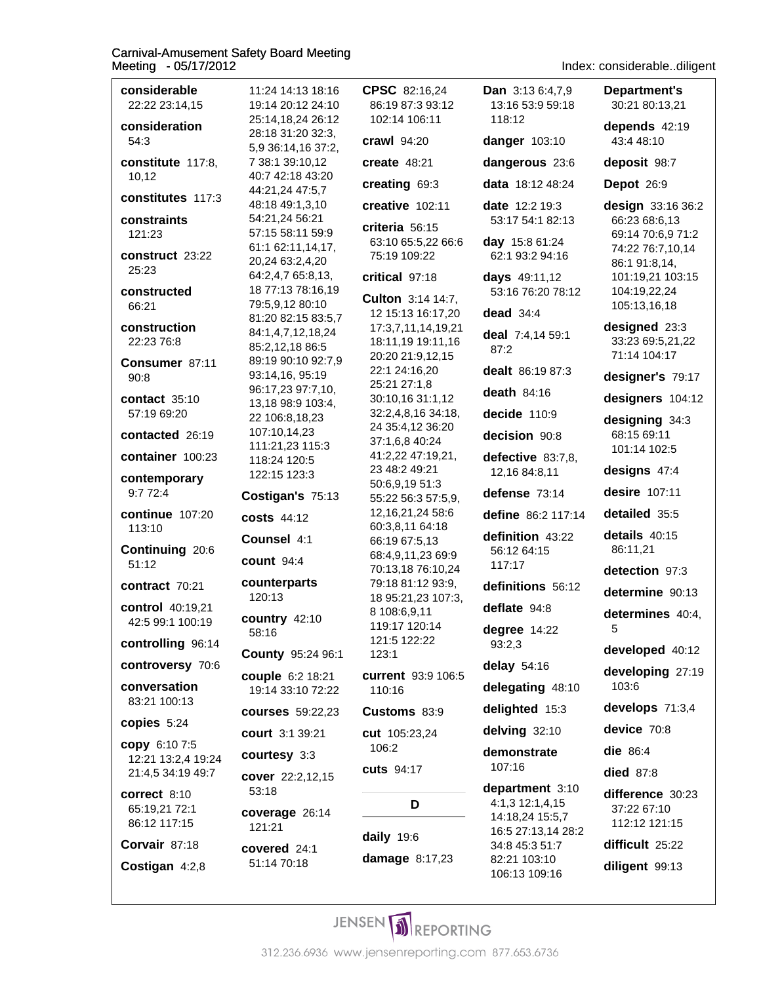considerable CPSC 82:16.24 **Department's** 11:24 14:13 18:16 **Dan** 3:13 6:4.7.9 22:22 23:14.15 19:14 20:12 24:10 86:19 87:3 93:12 13:16 53:9 59:18 30:21 80:13.21 25:14,18,24 26:12 102:14 106:11 118:12 consideration depends 42:19 28:18 31:20 32:3, 54:3 crawl 94:20 danger 103:10 43:4 48:10 5.9 36:14.16 37:2. constitute 117:8, 7 38:1 39:10,12  $create$  48:21 dangerous 23:6 deposit 98:7 10.12 40:7 42:18 43:20 creating 69:3 data 18:12 48:24 Depot 26:9 44:21,24 47:5,7 constitutes 117:3 48:18 49:1,3,10 creative 102:11 date 12:2 19:3 design 33:16 36:2 constraints 54:21,24 56:21 53:17 54:1 82:13 66:23 68:6,13 criteria 56:15 57:15 58:11 59:9 121:23 69:14 70:6,9 71:2 day 15:8 61:24 63:10 65:5,22 66:6 61:1 62:11,14,17, 74:22 76:7,10,14 construct 23:22 75:19 109:22 62:1 93:2 94:16 20,24 63:2,4,20 86:1 91:8,14, 25:23 64:2,4,7 65:8,13, critical 97:18 days 49:11,12 101:19,21 103:15 18 77:13 78:16,19 104:19,22,24 constructed 53:16 76:20 78:12 Culton 3:14 14:7, 66:21 79:5,9,12 80:10 105:13,16,18 dead  $34:4$ 12 15:13 16:17,20 81:20 82:15 83:5,7 construction 17:3,7,11,14,19,21 designed 23:3 84:1,4,7,12,18,24 deal 7:4,14 59:1 33:23 69:5,21,22 22:23 76:8 18:11,19 19:11,16 85:2,12,18 86:5 87:2 71:14 104:17 20:20 21:9,12,15 89:19 90:10 92:7,9 Consumer 87:11 dealt 86:19 87:3 22:1 24:16,20 93:14,16, 95:19 designer's 79:17  $90:8$ 25:21 27:1.8 96:17,23 97:7,10, death  $84:16$ contact  $35:10$ 30:10,16 31:1,12 designers 104:12 13,18 98:9 103:4, 57:19 69:20 32:2,4,8,16 34:18, decide  $110:9$ 22 106:8,18,23 designing 34:3 24 35:4,12 36:20 107:10,14,23 68:15 69:11 contacted 26:19 decision 90:8 37:1,6,8 40:24 111:21,23 115:3 101:14 102:5 container 100:23 41:2,22 47:19,21, defective 83:7,8, 118:24 120:5 23 48:2 49:21 designs 47:4 12,16 84:8,11 122:15 123:3 contemporary 50:6,9,19 51:3 desire 107:11  $9:772:4$ defense 73:14 Costigan's 75:13 55:22 56:3 57:5,9, detailed 35:5 **continue** 107:20 12, 16, 21, 24 58: 6 define 86:2 117:14 **costs 44:12** 60:3,8,11 64:18 113:10 details  $40:15$ definition 43:22 Counsel 4:1 66:19 67:5,13 Continuing 20:6 56:12 64:15 86:11,21 68:4,9,11,23 69:9 **count** 94:4  $51:12$ 117:17 70:13,18 76:10,24 detection 97:3 counterparts 79:18 81:12 93:9, contract 70:21 definitions 56:12 determine 90:13 120:13 18 95:21,23 107:3, control 40:19,21 deflate 94:8 8 108:6,9,11 determines 40:4, country 42:10 42:5 99:1 100:19 119:17 120:14 degree 14:22 5 58:16 121:5 122:22 controlling 96:14 93:2,3 developed 40:12 County 95:24 96:1  $123:1$ controversy 70:6 delay 54:16 developing 27:19 current 93:9 106:5 couple 6:2 18:21 conversation 103:6 delegating 48:10 110:16 19:14 33:10 72:22 83:21 100:13 delighted 15:3 develops 71:3,4 **courses** 59:22,23 Customs 83:9 copies 5:24 device 70:8 delving 32:10 court 3:1 39:21 cut 105:23,24 copy 6:10 7:5 106:2 die 86:4 demonstrate courtesy 3:3 12:21 13:2,4 19:24 107:16 cuts 94:17 **died** 87:8 21:4,5 34:19 49:7 cover 22:2,12,15 department 3:10 53:18 difference 30:23  $correct 8:10$ D 4:1,3 12:1,4,15 65:19,21 72:1 37:22 67:10 coverage 26:14 14:18,24 15:5,7 86:12 117:15 112:12 121:15 121:21 16:5 27:13,14 28:2 daily 19:6 Corvair 87:18 difficult 25:22 34:8 45:3 51:7 covered 24:1 damage 8:17,23 82:21 103:10 51:14 70:18 Costigan 4:2,8 diligent 99:13 106:13 109:16

Index: considerable..diligent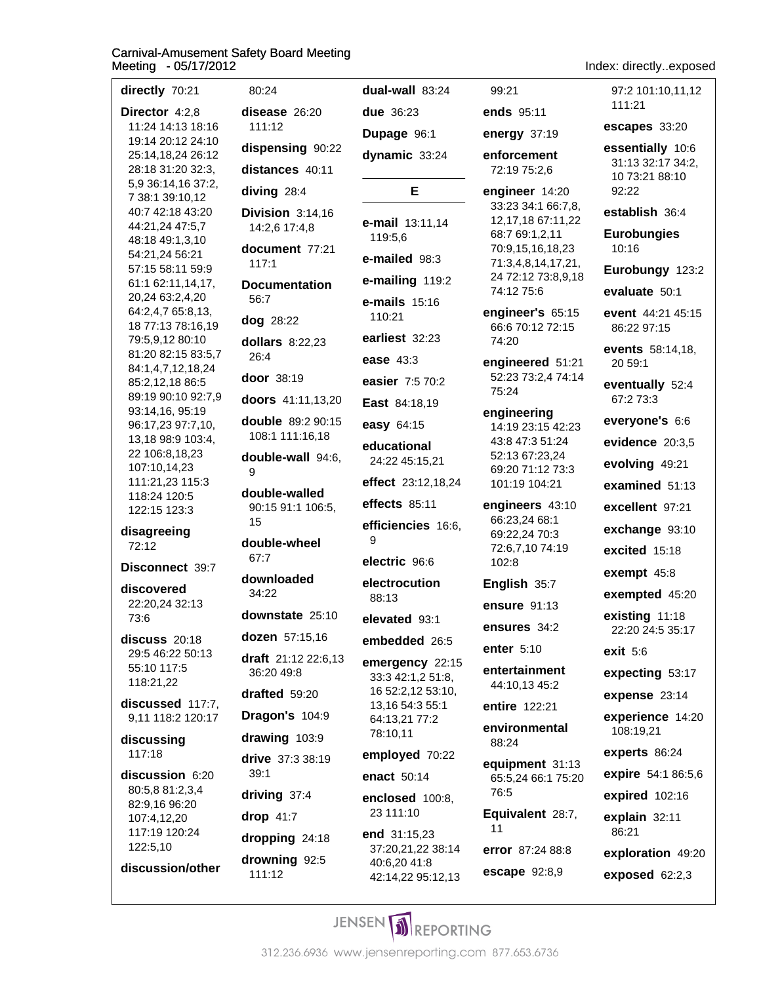| directly 70:21                          | 80:24                                | dual-wall 83:24                        | 99:21                                       | 97:2 101:10,11,12                                       |
|-----------------------------------------|--------------------------------------|----------------------------------------|---------------------------------------------|---------------------------------------------------------|
| Director 4:2,8                          | disease 26:20                        | due 36:23                              | ends 95:11                                  | 111:21                                                  |
| 11:24 14:13 18:16<br>19:14 20:12 24:10  | 111:12                               | Dupage 96:1                            | energy 37:19                                | escapes 33:20                                           |
| 25:14,18,24 26:12<br>28:18 31:20 32:3,  | dispensing 90:22<br>distances 40:11  | dynamic 33:24                          | enforcement<br>72:19 75:2,6                 | essentially 10:6<br>31:13 32:17 34:2,<br>10 73:21 88:10 |
| 5,9 36:14,16 37:2,<br>7 38:1 39:10,12   | diving 28:4                          | Е                                      | engineer 14:20                              | 92:22                                                   |
| 40:7 42:18 43:20                        | Division 3:14,16                     | e-mail 13:11,14                        | 33:23 34:1 66:7,8,<br>12, 17, 18 67: 11, 22 | establish 36:4                                          |
| 44:21,24 47:5,7<br>48:18 49:1,3,10      | 14:2,6 17:4,8                        | 119:5,6                                | 68:7 69:1,2,11                              | <b>Eurobungies</b>                                      |
| 54:21,24 56:21                          | document 77:21<br>117:1              | e-mailed 98:3                          | 70:9,15,16,18,23<br>71:3,4,8,14,17,21,      | 10:16                                                   |
| 57:15 58:11 59:9<br>61:1 62:11,14,17,   | <b>Documentation</b>                 | e-mailing 119:2                        | 24 72:12 73:8,9,18                          | Eurobungy 123:2                                         |
| 20,24 63:2,4,20                         | 56:7                                 | $e$ -mails $15:16$                     | 74:12 75:6                                  | evaluate 50:1                                           |
| 64:2,4,7 65:8,13,<br>18 77:13 78:16,19  | dog 28:22                            | 110:21                                 | engineer's 65:15<br>66:6 70:12 72:15        | event 44:21 45:15<br>86:22 97:15                        |
| 79:5,9,12 80:10                         | dollars $8:22,23$                    | earliest 32:23                         | 74:20                                       | events 58:14,18,                                        |
| 81:20 82:15 83:5,7<br>84:1,4,7,12,18,24 | 26:4                                 | ease 43:3                              | engineered 51:21                            | 20 59:1                                                 |
| 85:2,12,18 86:5                         | door 38:19                           | easier 7:5 70:2                        | 52:23 73:2,4 74:14<br>75:24                 | eventually 52:4                                         |
| 89:19 90:10 92:7,9<br>93:14,16, 95:19   | doors 41:11,13,20                    | East 84:18,19                          | engineering                                 | 67:2 73:3                                               |
| 96:17,23 97:7,10,                       | double 89:2 90:15<br>108:1 111:16,18 | easy 64:15                             | 14:19 23:15 42:23                           | everyone's 6:6                                          |
| 13,18 98:9 103:4,<br>22 106:8,18,23     | double-wall 94:6,                    | educational                            | 43:8 47:3 51:24<br>52:13 67:23,24           | evidence 20:3,5                                         |
| 107:10,14,23                            | 9                                    | 24:22 45:15,21                         | 69:20 71:12 73:3                            | evolving 49:21                                          |
| 111:21,23 115:3<br>118:24 120:5         | double-walled                        | effect 23:12,18,24                     | 101:19 104:21                               | examined 51:13                                          |
| 122:15 123:3                            | 90:15 91:1 106:5,<br>15              | effects 85:11                          | engineers 43:10<br>66:23,24 68:1            | excellent 97:21                                         |
| disagreeing                             | double-wheel                         | efficiencies 16:6,<br>9                | 69:22,24 70:3                               | exchange 93:10                                          |
| 72:12                                   | 67:7                                 | electric 96:6                          | 72:6,7,10 74:19<br>102:8                    | excited $15:18$                                         |
| Disconnect 39:7                         | downloaded                           | electrocution                          | English 35:7                                | exempt 45:8                                             |
| discovered<br>22:20,24 32:13            | 34:22                                | 88:13                                  | ensure 91:13                                | exempted 45:20                                          |
| 73:6                                    | downstate 25:10                      | elevated 93:1                          | ensures 34:2                                | existing 11:18                                          |
| discuss 20:18                           | dozen 57:15,16                       | embedded 26:5                          | enter 5:10                                  | 22:20 24:5 35:17                                        |
| 29:5 46:22 50:13<br>55:10 117:5         | $draff$ 21:12 22:6,13                | emergency 22:15                        | entertainment                               | exit 5:6                                                |
| 118:21,22                               | 36:20 49:8                           | 33:3 42:1,2 51:8,<br>16 52:2,12 53:10, | 44:10,13 45:2                               | expecting 53:17                                         |
| discussed 117:7,                        | drafted 59:20                        | 13,16 54:3 55:1                        | entire 122:21                               | expense 23:14                                           |
| 9,11 118:2 120:17                       | Dragon's 104:9                       | 64:13,21 77:2<br>78:10,11              | environmental                               | experience 14:20<br>108:19,21                           |
| discussing<br>117:18                    | drawing 103:9                        | employed 70:22                         | 88:24                                       | experts 86:24                                           |
| discussion 6:20                         | drive 37:3 38:19<br>39:1             | enact 50:14                            | equipment 31:13<br>65:5,24 66:1 75:20       | expire 54:1 86:5,6                                      |
| 80:5,8 81:2,3,4                         | driving 37:4                         | enclosed 100:8,                        | 76:5                                        | expired 102:16                                          |
| 82:9,16 96:20<br>107:4,12,20            | drop $41:7$                          | 23 111:10                              | Equivalent 28:7,                            | explain 32:11                                           |
| 117:19 120:24                           | dropping 24:18                       | end $31:15,23$                         | 11                                          | 86:21                                                   |
| 122:5,10                                | drowning 92:5                        | 37:20,21,22 38:14<br>40:6,20 41:8      | error 87:24 88:8                            | exploration 49:20                                       |
| discussion/other                        | 111:12                               | 42:14,22 95:12,13                      | <b>escape</b> 92:8,9                        | exposed 62:2,3                                          |
|                                         |                                      |                                        |                                             |                                                         |

Index: directly..exposed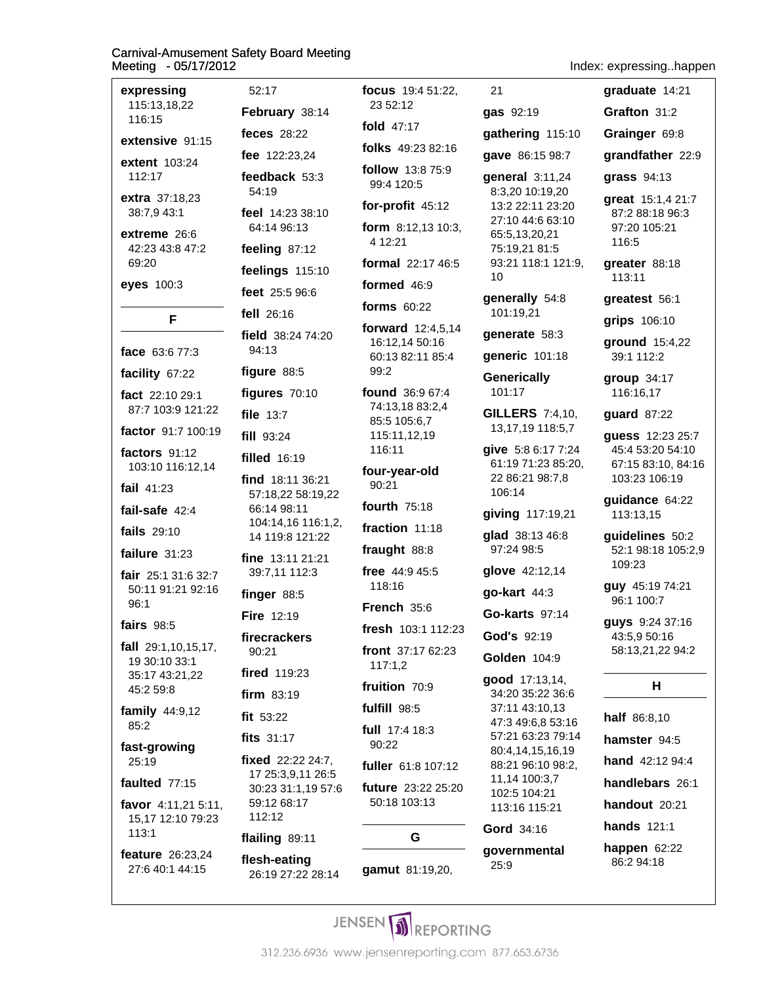| expressing<br>115:13,18,22<br>116:15                                |
|---------------------------------------------------------------------|
| extensive 91:15                                                     |
| extent 103:24<br>112:17                                             |
| extra 37:18,23<br>38:7,9 43:1                                       |
| extreme 26:6<br>42:23 43:8 47:2<br>69:20                            |
| eyes 100:3                                                          |
| F                                                                   |
| <b>face</b> 63:6 77:3                                               |
| facility 67:22                                                      |
| fact 22:10 29:1<br>87:7 103:9 121:22                                |
| factor 91:7 100:19                                                  |
| factors 91:12<br>103:10 116:12,14                                   |
| fail $41:23$                                                        |
| fail-safe 42:4                                                      |
| <b>fails</b> 29:10                                                  |
| failure 31:23                                                       |
| fair 25:1 31:6 32:7<br>50:11 91:21 92:16<br>96:1                    |
| <b>fairs</b> 98:5                                                   |
| fall 29:1,10,15,17,<br>19 30:10 33:1<br>35:17 43:21,22<br>45:2 59:8 |
| family $44:9,12$<br>85:2                                            |
| fast-growing<br>25:19                                               |
| faulted 77:15                                                       |
| favor 4:11,21 5:11,<br>15,17 12:10 79:23<br>113:1                   |
| feature 26:23,24<br>27:6 40:1 44:15                                 |

52:17 February 38:14 feces 28:22 fee 122:23,24 feedback 53:3 54:19 feel 14:23 38:10 64:14 96:13 feeling 87:12 feelings 115:10 feet 25:5 96:6 fell 26:16 field 38:24 74:20 94:13 figure 88:5 figures 70:10 file 13:7 fill 93:24 filled 16:19 find 18:11 36:21 57:18,22 58:19,22 66:14 98:11 104:14,16 116:1,2, 14 119:8 121:22 fine 13:11 21:21 39:7,11 112:3 finger 88:5 Fire 12:19 firecrackers 90:21 **fired** 119:23 firm 83:19 fit 53:22 fits 31:17 fixed 22:22 24:7. 17 25:3,9,11 26:5 30:23 31:1,19 57:6 59:12 68:17 112:12 flailing 89:11 flesh-eating 26:19 27:22 28:14

focus 19:4 51:22, 23 52:12 fold 47:17 folks 49:23 82:16 follow 13:8 75:9 99:4 120:5 for-profit 45:12 form  $8:12,13$  10:3, 4 12:21 formal 22:17 46:5 formed 46:9 forms 60:22 forward 12:4,5,14 16:12,14 50:16 60:13 82:11 85:4 99:2 found 36:9 67:4 74:13,18 83:2,4 85:5 105:6,7 115:11,12,19 116:11 four-year-old 90:21 fourth 75:18 fraction 11:18 fraught 88:8 free 44:9 45:5 118:16 French 35:6 fresh 103:1 112:23 front 37:17 62:23  $117:1.2$ fruition 70:9 fulfill 98:5 full 17:4 18:3 90:22 fuller 61:8 107:12 future 23:22 25:20 50:18 103:13 G gamut 81:19,20,

gave 86:15 98:7 general 3:11,24 8:3,20 10:19,20 13:2 22:11 23:20 27:10 44:6 63:10 65:5,13,20,21 75:19,21 81:5 93:21 118:1 121:9  $10$ generally 54:8 101:19,21 generate 58:3 generic 101:18 **Generically** 101:17 **GILLERS** 7:4,10, 13, 17, 19 118: 5, 7 give 5:8 6:17 7:24 61:19 71:23 85:20 22 86:21 98:7,8 106:14 giving 117:19,21 glad 38:13 46:8 97:24 98:5 glove 42:12,14 qo-kart 44:3 Go-karts 97:14 God's 92:19 Golden 104:9 good 17:13,14, 34:20 35:22 36:6 37:11 43:10.13 47:3 49:6,8 53:16 57:21 63:23 79:14 80:4,14,15,16,19 88:21 96:10 98:2, 11,14 100:3,7 102:5 104:21 113:16 115:21 Gord 34:16 qovernmental 25:9

|                                                                                                                                          | Index: expressinghappe                                                                                    |
|------------------------------------------------------------------------------------------------------------------------------------------|-----------------------------------------------------------------------------------------------------------|
| 21                                                                                                                                       | graduate 14:21                                                                                            |
| <b>gas</b> 92:19                                                                                                                         | Grafton 31:2                                                                                              |
| gathering 115:10                                                                                                                         | Grainger 69:8                                                                                             |
| gave 86:15 98:7                                                                                                                          | grandfather 22:9                                                                                          |
| general 3:11,24<br>8:3,20 10:19,20<br>13:2 22:11 23:20<br>27:10 44:6 63:10<br>65:5,13,20,21<br>75:19,21 81:5<br>93:21 118:1 121:9,<br>10 | grass $94:13$<br>great 15:1,4 21:7<br>87:2 88:18 96:3<br>97:20 105:21<br>116:5<br>greater 88:18<br>113:11 |
| generally 54:8<br>101:19,21                                                                                                              | greatest 56:1<br>grips 106:10                                                                             |
| generate 58:3                                                                                                                            | ground 15:4,22                                                                                            |
| generic 101:18                                                                                                                           | 39:1 112:2                                                                                                |
| <b>Generically</b><br>101:17                                                                                                             | group 34:17<br>116:16,17                                                                                  |
| <b>GILLERS</b> 7:4,10,<br>13, 17, 19 118: 5, 7<br>give 5:8 6:17 7:24<br>61:19 71:23 85:20,<br>22 86:21 98:7,8                            | guard 87:22<br><b>guess</b> 12:23 25:7<br>45:4 53:20 54:10<br>67:15 83:10, 84:16<br>103:23 106:19         |
| 106:14<br>giving 117:19,21                                                                                                               | guidance 64:22<br>113:13,15                                                                               |
| glad 38:13 46:8<br>97:24 98:5                                                                                                            | quidelines 50:2<br>52:1 98:18 105:2,9                                                                     |
| glove 42:12,14                                                                                                                           | 109:23                                                                                                    |
| go-kart 44:3                                                                                                                             | <b>guy</b> 45:19 74:21<br>96:1 100:7                                                                      |
| <b>Go-karts</b> 97:14                                                                                                                    | guys 9:24 37:16                                                                                           |
| God's 92:19                                                                                                                              | 43:5,9 50:16                                                                                              |
| <b>Golden 104:9</b>                                                                                                                      | 58:13,21,22 94:2                                                                                          |
| good 17:13,14,                                                                                                                           | н                                                                                                         |

half 86:8,10 hamster 94:5 hand 42:12 94:4 handlebars 26:1 handout 20:21 **hands** 121:1 happen  $62:22$ 86:2 94:18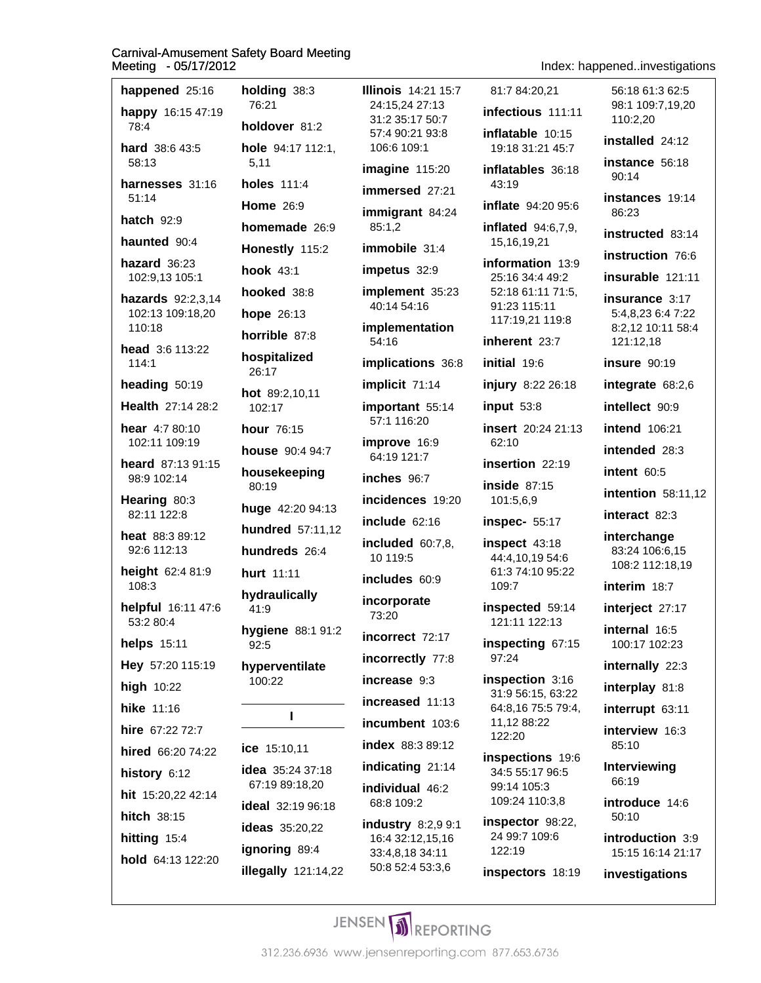happened 25:16 holding  $38:3$ **Illinois** 14:21 15:7 76:21 24:15.24 27:13 happy 16:15 47:19 31:2 35:17 50:7 holdover 81:2 78:4 57:4 90:21 93:8 hard 38:6 43:5 hole 94:17 112:1. 106:6 109:1 58:13  $5,11$ imagine 115:20 harnesses 31:16 **holes** 111:4 43:19 immersed 27:21  $51.14$ **Home** 26:9 immigrant 84:24 hatch  $92:9$ homemade 26:9 85:1.2 haunted 90:4 immobile  $31:4$ Honestly 115:2 hazard  $36:23$ **hook** 43:1 impetus 32:9 102:9,13 105:1 implement 35:23 hooked 38:8 hazards 92:2,3,14 40:14 54:16 hope 26:13 102:13 109:18,20 implementation 110:18 horrible 87:8 54:16 head 3:6 113:22 hospitalized  $114:1$ implications 36:8 26:17 heading  $50:19$ implicit 71:14 hot 89:2,10,11 Health 27:14 28:2 important 55:14 102:17 57:1 116:20 hear 4:7 80:10 hour 76:15 102:11 109:19 improve 16:9 62:10 house 90:4 94:7 64:19 121:7 heard 87:13 91:15 housekeeping 98:9 102:14 inches 96:7 80:19 incidences 19:20 Hearing 80:3 101:5,6,9 huge 42:20 94:13 82:11 122:8 include 62:16 **hundred** 57:11,12 heat 88:3 89:12 included 60:7,8, 92:6 112:13 hundreds 26:4 10 119:5 height 62:4 81:9 hurt 11:11 includes 60:9 108:3 109:7 hydraulically incorporate helpful 16:11 47:6 41:9 73:20 53:2 80:4 hygiene 88:1 91:2 incorrect 72:17 helps 15:11  $92:5$ 97:24 incorrectly 77:8 Hey 57:20 115:19 hyperventilate increase 9:3 100:22 high 10:22 increased 11:13 hike 11:16  $\mathbf{I}$ incumbent 103:6 hire 67:22 72:7 122:20 index 88:3 89:12 ice 15:10,11 hired 66:20 74:22 indicating 21:14 idea 35:24 37:18 history 6:12 67:19 89:18,20 individual 46:2 hit 15:20,22 42:14 68:8 109:2 ideal 32:19 96:18 hitch 38:15 industry 8:2,9 9:1 **ideas** 35:20,22 hitting 15:4 16:4 32:12,15,16 ignoring 89:4 122:19 33:4,8,18 34:11 hold 64:13 122:20 50:8 52:4 53:3,6 illegally  $121:14,22$ 

Index: happened..investigations

81:7 84:20.21 56:18 61:3 62:5 98:1 109:7.19.20 infectious 111:11 110:2.20 inflatable 10:15 installed 24:12 19:18 31:21 45:7 instance 56:18 inflatables 36:18  $90:14$ instances 19:14 inflate 94:20 95:6 86:23 inflated  $94:6,7,9$ , instructed 83:14 15, 16, 19, 21 information 13:9 25:16 34:4 49:2 52:18 61:11 71:5. 91:23 115:11 117:19,21 119:8 inherent 23:7 initial 19:6 injury 8:22 26:18  $input 53:8$ insert 20:24 21:13 insertion 22:19 inside  $87:15$ inspec- 55:17 inspect 43:18 44:4,10,19 54:6 61:3 74:10 95:22 inspected 59:14 121:11 122:13 inspecting 67:15 inspection 3:16 31:9 56:15, 63:22 64:8,16 75:5 79:4, 11,12 88:22 inspections 19:6 34:5 55:17 96:5 99:14 105:3 109:24 110:3,8 inspector 98:22. 24 99:7 109:6

inspectors 18:19

instruction 76.6 insurable 121:11 insurance 3:17 5:4,8,23 6:4 7:22 8:2,12 10:11 58:4 121:12,18 insure 90:19 integrate  $68:2,6$ intellect 90:9 **intend** 106:21 intended 28:3 intent 60:5 **intention** 58:11,12 interact 82:3 interchange 83:24 106:6.15 108:2 112:18,19

interim 18:7

interject 27:17

internal 16:5 100:17 102:23

internally 22:3

interplay 81:8

interrupt 63:11

interview 16:3 85:10

**Interviewing** 66:19

introduce 14:6  $50:10$ 

introduction 3:9 15:15 16:14 21:17

investigations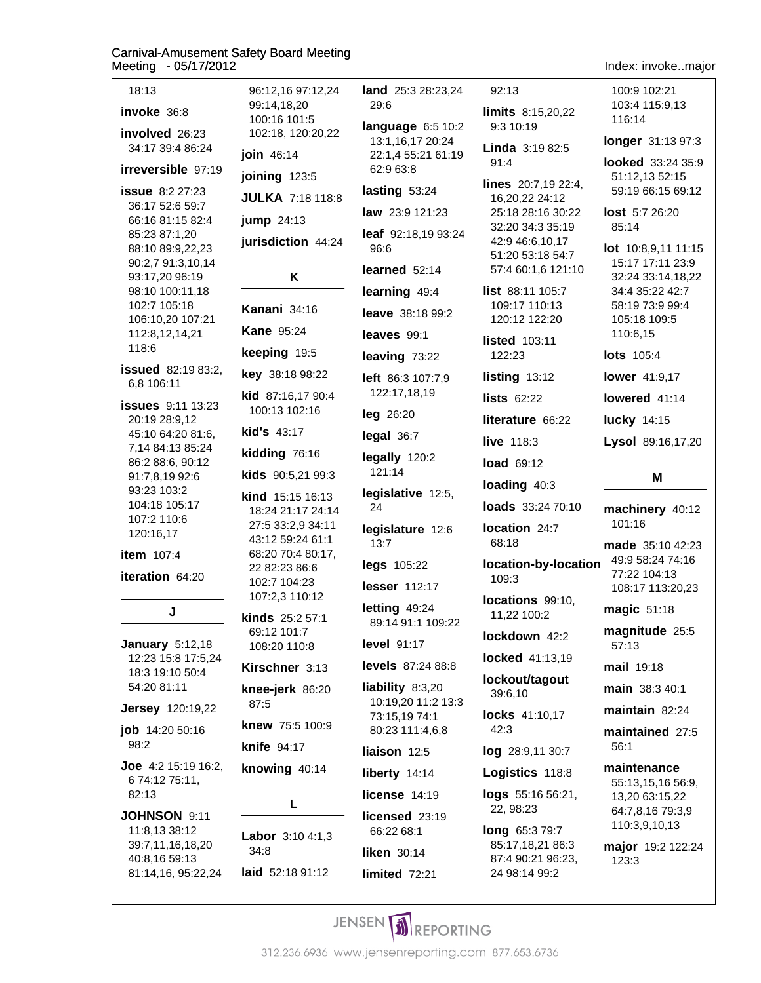| 18:13                                                                                                                                                                                                                       |
|-----------------------------------------------------------------------------------------------------------------------------------------------------------------------------------------------------------------------------|
| invoke 36:8                                                                                                                                                                                                                 |
| involved 26:23<br>34:17 39:4 86:24                                                                                                                                                                                          |
| irreversible 97:19                                                                                                                                                                                                          |
| <b>issue</b> 8:2 27:23<br>36:17 52:6 59:7<br>66:16 81:15 82:4<br>85:23 87:1,20<br>88:10 89:9,22,23<br>90:2,7 91:3,10,14<br>93:17,20 96:19<br>98:10 100:11,18<br>102:7 105:18<br>106:10,20 107:21<br>112:8,12,14,21<br>118:6 |
| <b>issued</b> 82:19 83:2,<br>6,8 106:11                                                                                                                                                                                     |
| <b>issues</b> 9:11 13:23<br>20:19 28:9,12<br>45:10 64:20 81:6,<br>7,14 84:13 85:24<br>86:2 88:6, 90:12<br>91:7,8,19 92:6<br>93:23 103:2<br>104:18 105:17<br>107:2 110:6<br>120:16,17                                        |
| <b>item</b> 107:4                                                                                                                                                                                                           |
| iteration 64:20                                                                                                                                                                                                             |
| J                                                                                                                                                                                                                           |
| <b>January 5:12,18</b><br>12:23 15:8 17:5,24<br>18:3 19:10 50:4<br>54:20 81:11                                                                                                                                              |
| <b>Jersey</b> 120:19,22                                                                                                                                                                                                     |
| job 14:20 50:16<br>98:2                                                                                                                                                                                                     |
| Joe 4:2 15:19 16:2,<br>674:1275:11,<br>82:13                                                                                                                                                                                |
| JOHNSON 9:11<br>11:8,13 38:12<br>39:7,11,16,18,20<br>40:8,16 59:13<br>81:14,16, 95:22,24                                                                                                                                    |

| 96:12,16 97:12,24<br>99:14,18,20<br>100:16 101:5           | land <sub>2</sub><br>29:6           |
|------------------------------------------------------------|-------------------------------------|
| 102:18, 120:20,22                                          | langua<br>13:1,1                    |
| join 46:14                                                 | 22:1,4<br>62:96                     |
| joining 123:5                                              | lasting                             |
| <b>JULKA 7:18 118:8</b>                                    | law $23$                            |
| jump 24:13                                                 | leaf 92                             |
| jurisdiction 44:24                                         | 96:6                                |
| ĸ                                                          | learne                              |
|                                                            | learnir                             |
| Kanani 34:16                                               | leave                               |
| <b>Kane 95:24</b>                                          | leaves                              |
| keeping 19:5                                               | leaving                             |
| key 38:18 98:22                                            | left 86                             |
| kid 87:16,17 90:4<br>100:13 102:16                         | 122:1                               |
|                                                            | leg 26                              |
| kid's 43:17                                                | legal:                              |
| kidding 76:16<br>kids 90:5,21 99:3                         | legally<br>121:1                    |
| kind 15:15 16:13<br>18:24 21:17 24:14<br>27:5 33:2,9 34:11 | legisla<br>24<br>legisla            |
| 43:12 59:24 61:1<br>68:20 70:4 80:17,                      | 13:7                                |
| 22 82:23 86:6                                              | legs 1                              |
| 102:7 104:23<br>107:2,3 110:12                             | lesser                              |
| kinds 25:2 57:1                                            | letting<br>89:14                    |
| 69:12 101:7<br>108:20 110:8                                | level (                             |
| Kirschner 3:13                                             | levels                              |
| knee-jerk 86:20<br>87:5<br>knew 75:5 100:9                 | liabilit<br>10:19<br>73:15<br>80:23 |
| knife 94:17                                                | liaisor                             |
| knowing 40:14                                              | liberty                             |
|                                                            | licens                              |
| L                                                          | licens                              |
| Labor 3:10 4:1,3                                           | 66:22                               |
| 34:8                                                       | liken:                              |
| laid 52:18 91:12                                           | limiter                             |

age 6:5 10:2 6,17 20:24 155:21 61:19  $3:8$  $953:24$ 3:9 121:23 2:18,19 93:24  $d$  52:14 ng 49:4 38:18 99:2  $99:1$ g 73:22  $3:3$  107:7,9 7,18,19  $:20$ 36:7  $120:2$ 4 ative  $12:5$ , ature  $12:6$ 05:22 112:17 49:24 91:1 109:22 91:17 87:24 88:8  $y 8:3,20$ 20 11:2 13:3 19 74:1 111:4,6,8 1 12:5  $14:14$ e 14:19 ed 23:19 68:1  $30:14$ limited 72:21

5:3 28:23,24  $92:13$ limits 8:15,20,22 9:3 10:19 **Linda**  $3:1982:5$  $91:4$ lines 20:7,19 22:4, 16,20,22 24:12 25:18 28:16 30:22 32:20 34:3 35:19 42:9 46:6,10,17 51:20 53:18 54:7 57:4 60:1,6 121:10 list 88:11 105:7 109:17 110:13 120:12 122:20 **listed** 103:11 122:23  $listing 13:12$ **lists 62:22** literature 66:22 live 118:3 load 69:12 loading 40:3 loads 33:24 70:10 location 24:7 68:18 location-by-location 109:3 locations 99:10. 11,22 100:2 lockdown 42:2 locked 41:13,19 lockout/tagout 39:6,10 locks 41:10,17  $42:3$ log 28:9,11 30:7 Logistics 118:8 logs 55:16 56:21, 22, 98:23 long 65:3 79:7 85:17,18,21 86:3

Index: invoke..major

100:9 102:21 103:4 115:9.13 116:14 longer 31:13 97:3 looked 33:24 35:9

51:12,13 52:15 59:19 66:15 69:12

lost 5:7 26:20 85:14

lot 10:8,9,11 11:15 15:17 17:11 23:9 32:24 33:14,18,22 34:4 35:22 42:7 58:19 73:9 99:4 105:18 109:5 110:6,15

**lots** 105:4

lower 41:9,17

lowered 41:14

**lucky** 14:15

Lysol 89:16,17,20

#### M

machinery 40:12 101:16

made 35:10 42:23 49:9 58:24 74:16 77:22 104:13 108:17 113:20,23

magic 51:18

magnitude 25:5  $57:13$ 

mail 19:18

main 38:3 40:1

maintain 82:24

maintained 27:5  $56:1$ 

#### maintenance

55:13,15,16 56:9, 13,20 63:15,22 64:7,8,16 79:3,9 110:3,9,10,13

major 19:2 122:24 123:3

87:4 90:21 96:23,

24 98:14 99:2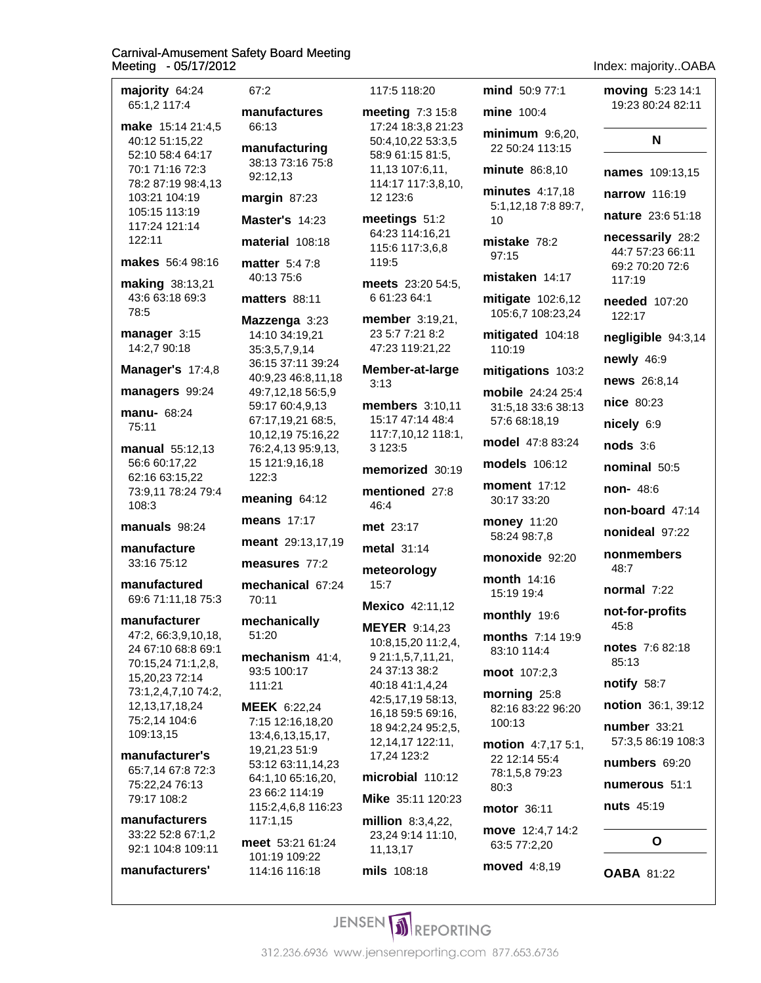| majority 64:24<br>65:1,2 117:4                            |        |
|-----------------------------------------------------------|--------|
| make 15:14 21:4,5<br>40:12 51:15,22                       | m<br>m |
| 52:10 58:4 64:17<br>70:1 71:16 72:3<br>78:2 87:19 98:4,13 |        |
| 103:21 104:19                                             | m      |
| 105:15 113:19<br>117:24 121:14                            | M      |
| 122:11                                                    | m      |
| makes 56:4 98:16                                          | m      |
| making 38:13,21<br>43:6 63:18 69:3<br>78:5                | m      |
| manager 3:15                                              | M      |
| 14:2,7 90:18                                              |        |
| Manager's 17:4,8                                          |        |
| managers 99:24                                            |        |
| manu- 68:24<br>75:11                                      |        |
| manual 55:12,13                                           |        |
| 56:6 60:17,22<br>62:16 63:15,22                           |        |
| 73:9,11 78:24 79:4<br>108:3                               | m      |
| manuals 98:24                                             | m      |
| manufacture                                               | m      |
| 33:16 75:12                                               | m      |
| manufactured<br>69:6 71:11,18 75:3                        | m      |
| manufacturer                                              | m      |
| 47:2, 66:3,9,10,18,<br>24 67:10 68:8 69:1                 | m      |
| 70:15,24 71:1,2,8,<br>15,20,23 72:14                      |        |
| 73:1,2,4,7,10 74:2,<br>12, 13, 17, 18, 24                 |        |
| 75:2,14 104:6                                             | Μ      |
| 109:13,15                                                 |        |
| manufacturer's<br>65:7,14 67:8 72:3                       |        |
| 75:22,24 76:13<br>79:17 108:2                             |        |
| manufacturers                                             |        |
| 33:22 52:8 67:1,2                                         | m      |
| 92:1 104:8 109:11<br>manufacturers'                       |        |
|                                                           |        |
|                                                           |        |

| 67:2                                                                                                                                                                                                                                          | 117:5 118:20                                                                                                                                       |
|-----------------------------------------------------------------------------------------------------------------------------------------------------------------------------------------------------------------------------------------------|----------------------------------------------------------------------------------------------------------------------------------------------------|
| manufactures<br>66:13<br>manufacturing<br>38:13 73:16 75:8<br>92:12,13<br>margin 87:23                                                                                                                                                        | meeting 7:3<br>17:24 18:3,8<br>50:4,10,22 53<br>58:9 61:15 81<br>11,13 107:6,1<br>114:17 117:3,<br>12 123:6                                        |
| Master's $14:23$<br>material 108:18<br>matter 5:47:8<br>40:13 75:6                                                                                                                                                                            | meetings 51<br>64:23 114:16,<br>115:6 117:3,6<br>119:5<br>meets 23:20                                                                              |
| <b>matters</b> 88:11<br>Mazzenga 3:23<br>14:10 34:19,21<br>35:3,5,7,9,14<br>36:15 37:11 39:24<br>40:9,23 46:8,11,18<br>49:7,12,18 56:5,9<br>59:17 60:4,9,13<br>67:17,19,21 68:5,<br>10,12,19 75:16,22<br>76:2,4,13 95:9,13,<br>15 121:9,16,18 | 6 61:23 64:1<br>member 3:19<br>23 5:7 7:21 8:<br>47:23 119:21,<br>Member-at-la<br>3:13<br>members 3:1<br>15:17 47:14 4<br>117:7,10,12 1<br>3 123:5 |
| 122:3<br>meaning 64:12                                                                                                                                                                                                                        | memorized :<br>mentioned 2<br>46:4                                                                                                                 |
| means 17:17<br>meant 29:13,17,19                                                                                                                                                                                                              | met 23:17<br>$metal$ 31:14                                                                                                                         |
| measures 77:2<br>mechanical 67:24<br>70:11                                                                                                                                                                                                    | meteorology<br>15:7<br>Mexico 42:11                                                                                                                |
| mechanically<br>51:20<br>mechanism 41:4,<br>93:5 100:17<br>111:21                                                                                                                                                                             | <b>MEYER</b> 9:14,<br>10:8,15,20 11<br>9 21:1,5,7,11,<br>24 37:13 38:2<br>40:18 41:1,4,                                                            |
| MEEK 6:22,24<br>7:15 12:16,18,20<br>13:4,6,13,15,17,<br>19,21,23 51:9<br>53:12 63:11,14,23<br>64:1,10 65:16,20,<br>23 66:2 114:19<br>115:2,4,6,8 116:23                                                                                       | 42:5,17,1958<br>16,18 59:5 69<br>18 94:2,24 95<br>12, 14, 17 122:<br>17,24 123:2<br>microbial 11<br>Mike 35:11 12                                  |
| 117:1,15<br>meet 53:21 61:24<br>101:19 109:22                                                                                                                                                                                                 | million $8:3,4,$<br>23,24 9:14 11<br>11,13,17                                                                                                      |

114:16 116:18

ting 7:3 15:8 24 18:3,8 21:23 4,10,22 53:3,5 9 61:15 81:5, 13 107:6,11, 1:17 117:3,8,10, tings  $51:2$ 23 114:16,21 :6 117:3,6,8 **ts**  $23:2054:5$ , 1:23 64:1 **hber** 3:19,21, 5:7 7:21 8:2 23 119:21,22 ber-at-large **bers** 3:10,11 17 47:14 48:4 ':7,10,12 118:1, **norized** 30:19 tioned 27:8 al 31:14 eorology ico 42:11,12 ER 9:14,23 8, 15, 20 11: 2, 4, 1:1,5,7,11,21, 37:13 38:2 18 41:1,4,24 5,17,19 58:13, 18 59:5 69:16, 94:2,24 95:2,5, 14,17 122:11, obial 110:12 35:11 120:23 **on** 8:3,4,22, 24 9:14 11:10,

### mind 50:9 77:1 mine 100:4 minimum  $9:6,2$ 22 50:24 113:1 minute 86:8,10 minutes  $4:17,1$ 5:1,12,18 7:8 8  $10$ mistake 78:2  $97:15$ mistaken 14:1 mitigate 102:6 105:6,7 108:23, mitigated 104: 110:19 mitigations 10 mobile 24:24 2 31:5,18 33:6 38 57:6 68:18,19 model 47:8 83: models 106:12 moment 17:12 30:17 33:20 money 11:20 58:24 98:7,8 monoxide 92:2 month 14:16 15:19 19:4 monthly 19:6 **months** 7:14 1 83:10 114:4 moot 107:2,3 morning 25:8 82:16 83:22 96 100:13 **motion** 4:7,17 22 12:14 55:4 78:1,5,8 79:23  $80:3$ motor 36:11 move 12:4,7 14

63:5 77:2,20 moved 4:8,19

 $\overline{\bigcirc}$   $\overline{\bigcirc}$  ARA  $m \cdot 1$ 

|                          | <b>moving</b> $5:23$ 14:1<br>19:23 80:24 82:11                    |
|--------------------------|-------------------------------------------------------------------|
| 20,<br>5                 | N                                                                 |
| $\overline{\phantom{a}}$ | names 109:13,15                                                   |
| 18                       | <b>narrow</b> 116:19                                              |
| 9:7,                     | nature 23:6 51:18                                                 |
| 7                        | necessarily 28:2<br>44:7 57:23 66:11<br>69:2 70:20 72:6<br>117:19 |
| ,12<br>,24               | <b>needed</b> 107:20<br>122:17                                    |
| :18                      | negligible 94:3,14                                                |
|                          | newly 46:9                                                        |
| )3:2                     | news 26:8,14                                                      |
| .5:4<br>3:13             | <b>nice</b> 80:23                                                 |
|                          | nicely 6:9                                                        |
| 24                       | $\text{nodes } 3:6$                                               |
|                          | nominal 50:5                                                      |
|                          | <b>non-</b> 48:6                                                  |
|                          | non-board 47:14                                                   |
|                          | nonideal 97:22                                                    |
| 20                       | nonmembers<br>48:7                                                |
|                          | normal $7:22$                                                     |
| 9:9                      | not-for-profits<br>45:8                                           |
|                          | notes 7:6 82:18<br>85:13                                          |
|                          | notify 58:7                                                       |
| :20                      | notion 36:1, 39:12                                                |
| 5:1,                     | number 33:21<br>57:3,5 86:19 108:3                                |
|                          | numbers 69:20                                                     |
|                          | numerous 51:1                                                     |
|                          | <b>nuts</b> 45:19                                                 |
| 1:2                      | O                                                                 |
|                          | <b>OABA 81:22</b>                                                 |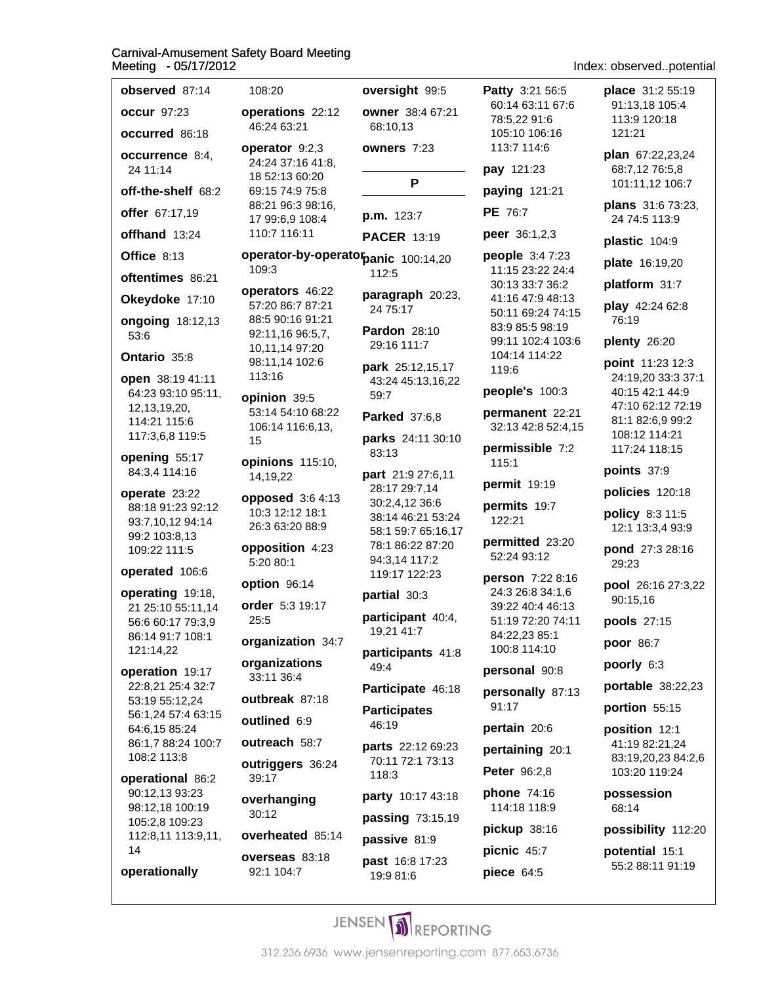| observed 87:14                                                            | 108:20                                                 | ov                        |
|---------------------------------------------------------------------------|--------------------------------------------------------|---------------------------|
| <b>occur</b> 97:23                                                        | operations 22:12                                       | ow                        |
| <b>occurred</b> 86:18                                                     | 46:24 63:21                                            | 6                         |
| occurrence 8:4,<br>24 11:14                                               | operator 9:2,3<br>24:24 37:16 41:8,<br>18 52:13 60:20  | ow                        |
| off-the-shelf 68:2                                                        | 69:15 74:9 75:8                                        |                           |
| offer 67:17,19                                                            | 88:21 96:3 98:16,<br>17 99:6,9 108:4                   | p.r                       |
| offhand 13:24                                                             | 110:7 116:11                                           | PA                        |
| Office 8:13                                                               | operator-by-operator <sub>pa</sub>                     |                           |
| oftentimes 86:21                                                          | 109:3                                                  | 11                        |
| Okeydoke 17:10                                                            | operators 46:22<br>57:20 86:7 87:21                    | pa                        |
| <b>ongoing</b> 18:12,13<br>53:6                                           | 88:5 90:16 91:21<br>92:11,16 96:5,7,                   | 2<br>Pa<br>2!             |
| Ontario 35:8                                                              | 10,11,14 97:20<br>98:11,14 102:6                       | pa                        |
| open 38:19 41:11                                                          | 113:16                                                 | 4.                        |
| 64:23 93:10 95:11,<br>12, 13, 19, 20,                                     | opinion 39:5                                           | 5                         |
| 114:21 115:6                                                              | 53:14 54:10 68:22<br>106:14 116:6,13,                  | Pa                        |
| 117:3,6,8 119:5                                                           | 15                                                     | pa<br>8                   |
| opening 55:17<br>84:3,4 114:16                                            | opinions 115:10,<br>14,19,22                           | pa                        |
| operate 23:22<br>88:18 91:23 92:12<br>93:7,10,12 94:14<br>99:2 103:8,13   | opposed 3:6 4:13<br>10:3 12:12 18:1<br>26:3 63:20 88:9 | 2١<br>31<br>3<br><b>5</b> |
| 109:22 111:5                                                              | opposition 4:23<br>5:20 80:1                           | 7 <sup>i</sup><br>9,      |
| operated 106:6                                                            | option 96:14                                           | $1^{\circ}$               |
| operating 19:18,<br>21 25:10 55:11,14                                     | order 5:3 19:17                                        | рa<br>pa                  |
| 56:6 60:17 79:3,9                                                         | 25:5                                                   |                           |
| 86:14 91:7 108:1<br>121:14,22                                             | organization 34:7                                      | 1<br>pa                   |
| operation 19:17                                                           | organizations<br>33:11 36:4                            | 4                         |
| 22:8,21 25:4 32:7<br>53:19 55:12,24                                       | outbreak 87:18                                         | Pa                        |
| 56:1,24 57:4 63:15                                                        | <b>outlined 6:9</b>                                    | Pa                        |
| 64:6,15 85:24<br>86:1,7 88:24 100:7                                       | outreach 58:7                                          | 41                        |
| 108:2 113:8                                                               | <b>outriggers</b> 36:24                                | pa<br>7                   |
| operational 86:2                                                          | 39:17                                                  | $\mathbf{1}$              |
| 90:12,13 93:23<br>98:12,18 100:19<br>105:2,8 109:23<br>112:8,11 113:9,11, | overhanging<br>30:12                                   | рa<br>рa                  |
|                                                                           | overheated 85:14                                       | pa                        |
| 14<br>operationally                                                       | overseas 83:18<br>92:1 104:7                           | pa<br>1!                  |
|                                                                           |                                                        |                           |

|         | oversight 99:5                                                                                                                                        |
|---------|-------------------------------------------------------------------------------------------------------------------------------------------------------|
| 2       | owner 38:4 67:21<br>68:10,13                                                                                                                          |
| ۱,      | owners 7:23                                                                                                                                           |
|         | P                                                                                                                                                     |
| i,      | <b>p.m.</b> 123:7                                                                                                                                     |
|         | PACER 13:19                                                                                                                                           |
|         | e <b>rator<sub>panic 100:14,20</sub></b><br>112:5                                                                                                     |
|         | paragraph 20:23,<br>24 75:17                                                                                                                          |
|         | <b>Pardon</b> 28:10<br>29:16 111:7                                                                                                                    |
|         | park 25:12,15,17<br>43:24 45:13,16,22<br>59:7                                                                                                         |
| 2       | Parked 37:6,8                                                                                                                                         |
|         | parks 24:11 30:10<br>83:13                                                                                                                            |
| ۱,<br>3 | part 21:9 27:6,11<br>28:17 29:7,14<br>30:2,4,12 36:6<br>38:14 46:21 53:24<br>58:1 59:7 65:16,17<br>78:1 86:22 87:20<br>94:3,14 117:2<br>119:17 122:23 |
|         | <b>partial</b> 30:3                                                                                                                                   |
| 1:7     | participant 40:4,<br>19,21 41:7                                                                                                                       |
|         | participants 41:8<br>49:4                                                                                                                             |
|         | Participate 46:18                                                                                                                                     |
|         | <b>Participates</b><br>46:19                                                                                                                          |
| 4       | parts 22:12 69:23<br>70:11 72:1 73:13<br>118:3                                                                                                        |
|         | party 10:17 43:18                                                                                                                                     |
|         | <b>passing 73:15,19</b>                                                                                                                               |
| 14      | <b>passive</b> 81:9                                                                                                                                   |
|         | $225 + 46.0 17.22$                                                                                                                                    |

**st** 16:8 17:23 9:9 81:6

Patty 3:21 56:5 60:14 63:11 67:6 78:5.22 91:6 105:10 106:16 113:7 114:6 pay 121:23 paying 121:21 PE 76:7 peer 36:1,2,3 people 3:47:23 11:15 23:22 24:4 30:13 33:7 36:2 41:16 47:9 48:13 50:11 69:24 74:15 83:9 85:5 98:19 99:11 102:4 103:6 104:14 114:22 119:6 people's 100:3 permanent 22:21 32:13 42:8 52:4,15 permissible 7:2 115:1 permit 19:19 permits 19:7 122:21 permitted 23:20 52:24 93:12 person 7:22 8:16 24:3 26:8 34:1,6 39:22 40:4 46:13 51:19 72:20 74:11 84:22,23 85:1 100:8 114:10 personal 90:8 personally 87:13 91:17 pertain 20:6 pertaining 20:1 Peter 96:2,8 **phone 74:16** 

114:18 118:9

pickup 38:16

picnic 45:7

piece 64:5

place 31:2 55:19 91:13.18 105:4 113:9 120:18 121:21 plan 67:22,23,24 68:7,12 76:5,8 101:11,12 106:7

Index: observed..potential

plans 31:6 73:23, 24 74:5 113:9

plastic 104:9

plate 16:19,20

platform 31:7

play 42:24 62:8 76:19

plenty 26:20

point 11:23 12:3 24:19,20 33:3 37:1 40:15 42:1 44:9 47:10 62:12 72:19 81:1 82:6,9 99:2 108:12 114:21 117:24 118:15

points 37:9

policies 120:18

policy 8:3 11:5 12:1 13:3,4 93:9

pond 27:3 28:16 29:23

pool 26:16 27:3,22 90:15,16

pools 27:15

poor 86:7

poorly 6:3

portable 38:22,23

portion 55:15

position 12:1 41:19 82:21,24 83:19,20,23 84:2,6 103:20 119:24

possession 68:14

possibility 112:20

potential 15:1 55:2 88:11 91:19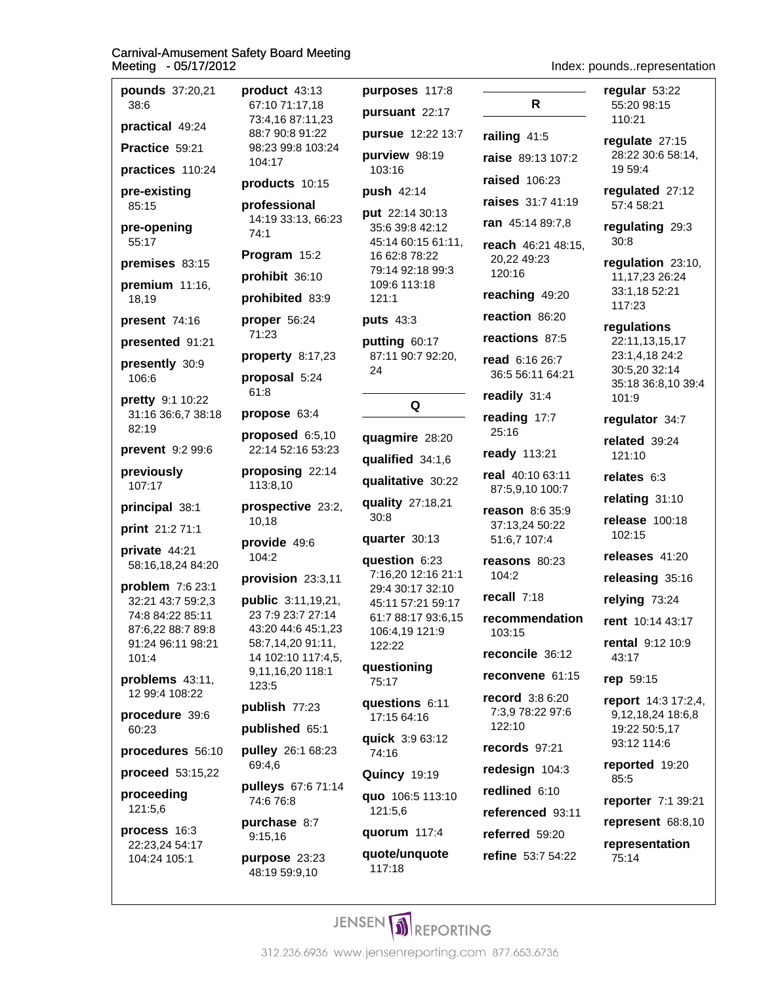| pounds 37:20,21<br>38:6               | product 43:13<br>67:10 71:17,18         | purposes 117:8<br>pursuant 22:17        | R                                   | regular 53:22<br>55:20 98:15                          |
|---------------------------------------|-----------------------------------------|-----------------------------------------|-------------------------------------|-------------------------------------------------------|
| practical 49:24                       | 73:4,16 87:11,23<br>88:7 90:8 91:22     | pursue 12:22 13:7                       | railing $41:5$                      | 110:21                                                |
| Practice 59:21                        | 98:23 99:8 103:24                       | purview 98:19                           | raise 89:13 107:2                   | regulate 27:15<br>28:22 30:6 58:14,                   |
| practices 110:24                      | 104:17                                  | 103:16                                  |                                     | 19 59:4                                               |
| pre-existing                          | products 10:15                          | push 42:14                              | raised 106:23                       | regulated 27:12                                       |
| 85:15                                 | professional                            | put 22:14 30:13                         | raises 31:7 41:19                   | 57:4 58:21                                            |
| pre-opening                           | 14:19 33:13, 66:23<br>74:1              | 35:6 39:8 42:12                         | ran 45:14 89:7,8                    | regulating 29:3<br>30:8                               |
| 55:17                                 | Program 15:2                            | 45:14 60:15 61:11,<br>16 62:8 78:22     | reach 46:21 48:15,<br>20,22 49:23   | regulation 23:10,                                     |
| premises 83:15<br>premium 11:16,      | prohibit 36:10                          | 79:14 92:18 99:3<br>109:6 113:18        | 120:16                              | 11, 17, 23 26: 24                                     |
| 18,19                                 | prohibited 83:9                         | 121:1                                   | reaching 49:20                      | 33:1,18 52:21<br>117:23                               |
| present 74:16                         | proper 56:24                            | puts 43:3                               | reaction 86:20                      | regulations                                           |
| presented 91:21                       | 71:23                                   | putting 60:17                           | reactions 87:5                      | 22:11,13,15,17                                        |
| presently 30:9<br>106:6               | property 8:17,23<br>proposal 5:24       | 87:11 90:7 92:20,<br>24                 | read 6:16 26:7<br>36:5 56:11 64:21  | 23:1,4,18 24:2<br>30:5,20 32:14<br>35:18 36:8,10 39:4 |
| pretty 9:1 10:22                      | 61:8                                    |                                         | readily 31:4                        | 101:9                                                 |
| 31:16 36:6,7 38:18<br>82:19           | propose 63:4                            | Q                                       | reading 17:7                        | regulator 34:7                                        |
|                                       | proposed 6:5,10<br>22:14 52:16 53:23    | quagmire 28:20                          | 25:16                               | related 39:24                                         |
| prevent 9:2 99:6                      | proposing 22:14                         | qualified 34:1,6                        | ready 113:21                        | 121:10                                                |
| previously<br>107:17                  | 113:8,10                                | qualitative 30:22                       | real 40:10 63:11<br>87:5,9,10 100:7 | relates 6:3                                           |
| principal 38:1                        | prospective 23:2,                       | quality 27:18,21                        | reason 8:6 35:9                     | relating 31:10                                        |
| print 21:2 71:1                       | 10,18                                   | 30:8                                    | 37:13,24 50:22                      | release 100:18<br>102:15                              |
| private 44:21                         | provide 49:6                            | quarter 30:13                           | 51:6,7 107:4                        | releases 41:20                                        |
| 58:16,18,24 84:20                     | 104:2                                   | question 6:23<br>7:16,20 12:16 21:1     | reasons 80:23<br>104:2              |                                                       |
| problem 7:6 23:1                      | provision 23:3,11                       | 29:4 30:17 32:10                        | recall 7:18                         | releasing 35:16                                       |
| 32:21 43:7 59:2,3<br>74:8 84:22 85:11 | public 3:11,19,21,<br>23 7:9 23:7 27:14 | 45:11 57:21 59:17<br>61:7 88:17 93:6,15 | recommendation                      | relying 73:24                                         |
| 87:6,22 88:7 89:8                     | 43:20 44:6 45:1,23                      | 106:4,19 121:9                          | 103:15                              | rent 10:14 43:17                                      |
| 91:24 96:11 98:21<br>101:4            | 58:7,14,20 91:11,<br>14 102:10 117:4,5, | 122:22<br>questioning                   | reconcile 36:12                     | rental 9:12 10:9<br>43:17                             |
| problems 43:11,                       | 9,11,16,20 118:1<br>123:5               | 75:17                                   | reconvene 61:15                     | rep 59:15                                             |
| 12 99:4 108:22                        | publish 77:23                           | questions 6:11                          | record 3:8 6:20<br>7:3,9 78:22 97:6 | <b>report</b> 14:3 17:2,4,                            |
| procedure 39:6<br>60:23               | published 65:1                          | 17:15 64:16                             | 122:10                              | 9,12,18,24 18:6,8<br>19:22 50:5,17                    |
| procedures 56:10                      | pulley 26:1 68:23                       | quick 3:9 63:12<br>74:16                | records 97:21                       | 93:12 114:6                                           |
| proceed 53:15,22                      | 69:4,6                                  | <b>Quincy 19:19</b>                     | redesign 104:3                      | reported 19:20                                        |
| proceeding                            | pulleys 67:6 71:14                      | quo 106:5 113:10                        | redlined 6:10                       | 85:5                                                  |
| 121:5,6                               | 74:6 76:8                               | 121:5,6                                 | referenced 93:11                    | reporter 7:1 39:21                                    |
| process 16:3                          | purchase 8:7<br>9:15,16                 | quorum 117:4                            | referred 59:20                      | represent 68:8,10                                     |
| 22:23,24 54:17<br>104:24 105:1        | purpose 23:23<br>48:19 59:9,10          | quote/unquote<br>117:18                 | refine 53:7 54:22                   | representation<br>75:14                               |
|                                       |                                         |                                         |                                     |                                                       |

Index: pounds..representation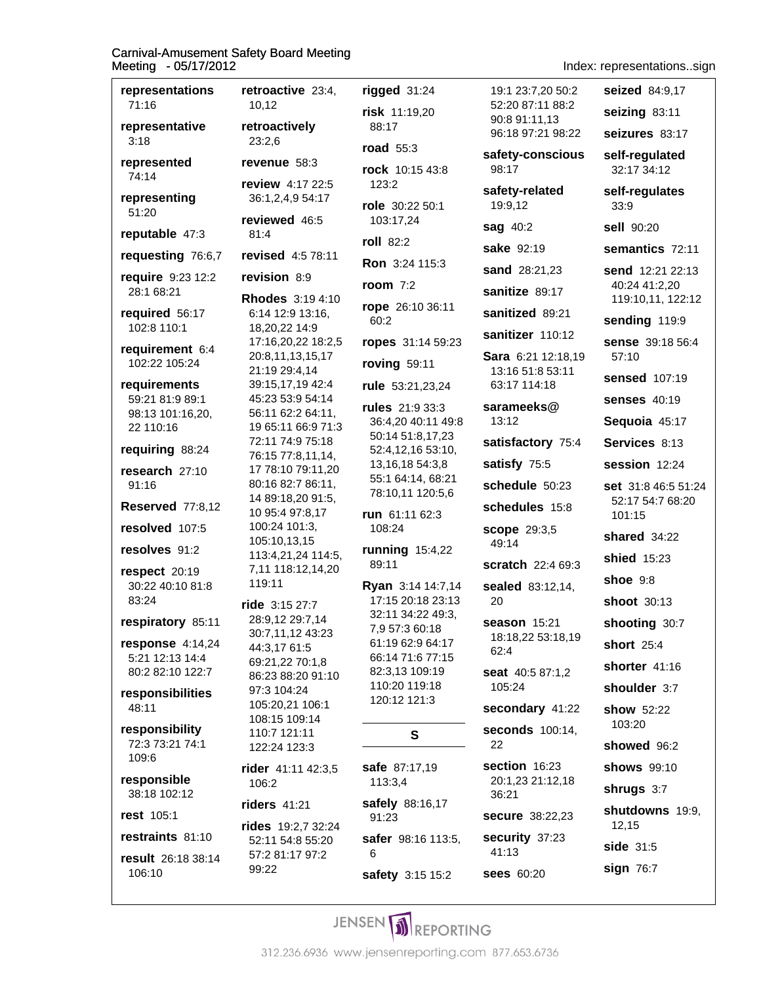representations retroactive 23:4. 71:16 10.12 retroactively representative  $3:18$  $23:2,6$ represented revenue 58:3 74:14 review 4:17 22:5 representing 36:1,2,4,9 54:17 51:20 reviewed 46:5 reputable 47:3  $81:4$ requesting 76:6.7 revised 4:5 78:11 require 9:23 12:2 revision 8:9 28:1 68:21 **Rhodes** 3:19 4:10 required 56:17 6:14 12:9 13:16, 102:8 110:1 18,20,22 14:9 17:16,20,22 18:2,5 requirement 6:4 20:8,11,13,15,17 102:22 105:24 21:19 29:4,14 39:15,17,19 42:4 requirements 59:21 81:9 89:1 45:23 53:9 54:14 98:13 101:16,20, 56:11 62:2 64:11. 22 110:16 19 65:11 66:9 71:3 72:11 74:9 75:18 requiring 88:24 76:15 77:8,11,14, research 27:10 17 78:10 79:11,20 80:16 82:7 86:11, 91:16 14 89:18,20 91:5, **Reserved 77:8.12** 10 95:4 97:8,17 resolved 107:5 100:24 101:3, 105:10,13,15 resolves 91:2 113:4,21,24 114:5, 7,11 118:12,14,20 respect 20:19 119:11 30:22 40:10 81:8 83:24 ride 3:15 27:7 28:9,12 29:7,14 respiratory 85:11 30:7,11,12 43:23 response  $4:14.24$ 44:3,17 61:5 5:21 12:13 14:4 69:21,22 70:1,8 80:2 82:10 122:7 86:23 88:20 91:10 97:3 104:24 responsibilities 105:20,21 106:1 48:11 108:15 109:14 responsibility 110:7 121:11 72:3 73:21 74:1 122:24 123:3 109:6 rider 41:11 42:3,5 responsible 106:2 38:18 102:12 riders 41:21 rest 105:1 rides 19:2.7 32:24 restraints 81:10 52:11 54:8 55:20 57:2 81:17 97:2 result 26:18 38:14 99:22 106:10

|   | rigged 31:24                                                                                                                                                             |
|---|--------------------------------------------------------------------------------------------------------------------------------------------------------------------------|
|   | risk 11:19,20<br>88:17                                                                                                                                                   |
|   | road $55:3$                                                                                                                                                              |
|   | rock 10:15 43:8<br>123:2                                                                                                                                                 |
|   | role 30:22 50:1<br>103:17,24                                                                                                                                             |
|   | roll 82:2                                                                                                                                                                |
|   | Ron 3:24 115:3                                                                                                                                                           |
|   | <b>room</b> 7:2                                                                                                                                                          |
|   | rope 26:10 36:11<br>60:2                                                                                                                                                 |
| 5 | ropes 31:14 59:23                                                                                                                                                        |
|   | roving 59:11                                                                                                                                                             |
|   | rule 53:21,23,24                                                                                                                                                         |
| Ŝ | rules 21:9 33:3<br>36:4,20 40:11 49:8<br>50:14 51:8,17,23<br>52:4,12,16 53:10,<br>13, 16, 18 54: 3, 8<br>55:1 64:14, 68:21<br>78:10,11 120:5,6                           |
|   | run 61:11 62:3<br>108:24                                                                                                                                                 |
|   | running 15:4,22<br>89:11                                                                                                                                                 |
|   | Ryan 3:14 14:7,14<br>17:15 20:18 23:13<br>32:11 34:22 49:3,<br>7,9 57:3 60:18<br>61:19 62:9 64:17<br>66:14 71:6 77:15<br>82:3,13 109:19<br>110:20 119:18<br>120:12 121:3 |
|   | s                                                                                                                                                                        |
|   | safe 87:17,19<br>113:3,4                                                                                                                                                 |
|   | <b>safely</b> 88:16,17<br>91:23                                                                                                                                          |
|   | safer 98:16 113:5,<br>6                                                                                                                                                  |
|   | safety 3:15 15:2                                                                                                                                                         |

Index: representations..sign

98:17

 $49.14$ 

20

 $62:4$ 

22

36:21

 $41:13$ 

seized 84:9.17 19:1 23:7.20 50:2 52:20 87:11 88:2 seizing 83:11 90:8 91:11.13 96:18 97:21 98:22 seizures 83:17 safety-conscious self-regulated 32:17 34:12 safety-related self-requlates 19:9,12  $33:9$ **sag 40:2** sell 90:20 sake 92:19 semantics 72:11 sand 28:21,23 send 12:21 22:13 40:24 41:2,20 sanitize 89:17 119:10,11, 122:12 sanitized 89:21 sending 119:9 sanitizer 110:12 sense 39:18 56:4 Sara 6:21 12:18.19 57:10 13:16 51:8 53:11 sensed 107:19 63:17 114:18 senses  $40:19$ sarameeks@  $13:12$ Sequoia 45:17 satisfactory 75:4 Services 8:13 satisfy 75:5 session 12:24 schedule 50:23 set 31:8 46:5 51:24 52:17 54:7 68:20 schedules 15:8  $101:15$ **scope** 29:3,5 shared 34:22 shied  $15:23$ scratch 22:4 69:3 shoe  $9:8$ sealed 83:12.14. shoot 30:13 season 15:21 shooting 30:7 18:18,22 53:18,19 short 25:4 shorter 41:16 seat 40:5 87:1.2 105:24 shoulder 3:7 secondary 41:22 show 52:22 103:20 seconds 100:14. showed 96:2 section 16:23 shows 99:10 20:1.23 21:12.18 shrugs 3:7 shutdowns 19:9. secure 38:22.23 12,15 security 37:23 side 31:5 sign 76:7 **sees** 60:20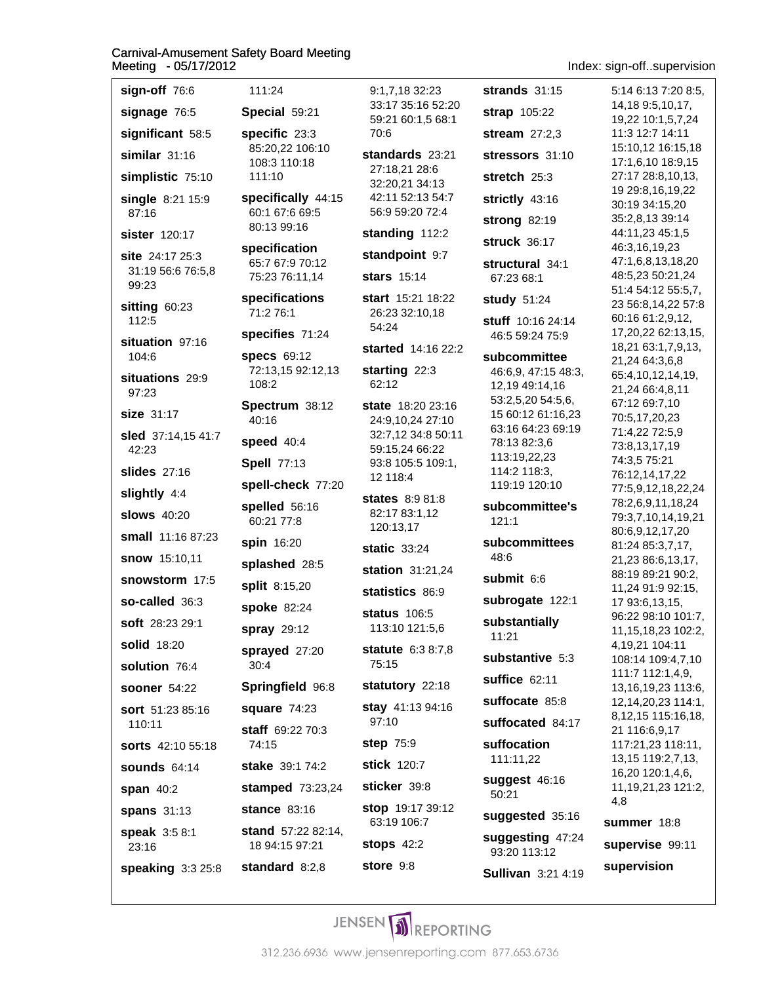### **Carnival-Amusement Safety Board Meeting**

Index: sign-off..supervision

| leeting -05/17/2012                                   |                            |
|-------------------------------------------------------|----------------------------|
| sign-off 76:6                                         | 111                        |
| signage 76:5                                          | Spec                       |
| significant 58:5<br>similar 31:16<br>simplistic 75:10 | spec<br>85:2<br>108<br>111 |
| single 8:21 15:9<br>87:16                             | spec<br>60:1<br>80:1       |
| <b>sister</b> 120:17                                  | spec                       |
| site 24:17 25:3<br>31:19 56:6 76:5,8<br>99:23         | 65:7<br>75:2               |
| sitting 60:23<br>112:5                                | spec<br>71:2               |
| situation 97:16                                       | spec                       |
| 104:6<br>situations 29:9<br>97:23                     | spec<br>72:1<br>108        |
| <b>size</b> 31:17                                     | Spec<br>40:1               |
| sled 37:14,15 41:7                                    | spee                       |
| 42:23<br>slides 27:16                                 | <b>Spel</b>                |
|                                                       | spell                      |
| slightly 4:4<br><b>slows</b> 40:20                    | spell<br>60:2              |
| small 11:16 87:23                                     | spin                       |
| snow 15:10,11                                         | splas                      |
| snowstorm 17:5                                        | split                      |
| so-called 36:3                                        | spok                       |
| <b>soft</b> 28:23 29:1                                | spra                       |
| solid 18:20                                           | spra                       |
| solution 76:4                                         | 30:4                       |
| <b>sooner</b> 54:22                                   | Sprii                      |
| sort 51:23 85:16<br>110:11                            | squa                       |
| sorts 42:10 55:18                                     | staff<br>74:1              |
| <b>sounds 64:14</b>                                   | <b>stak</b>                |
| span 40:2                                             | stam                       |
| spans 31:13                                           | stan                       |
| speak 3:5 8:1<br>23:16                                | stan<br>18 9               |
| <b>speaking</b> 3:3 25:8                              | stan                       |

| aroty Doard moothig                                                                                                                                             |                                                                                                                                                                             |
|-----------------------------------------------------------------------------------------------------------------------------------------------------------------|-----------------------------------------------------------------------------------------------------------------------------------------------------------------------------|
| 111:24<br>Special 59:21<br>specific 23:3<br>85:20,22 106:10<br>108:3 110:18<br>111:10<br>specifically 44:15<br>60:1 67:6 69:5                                   | 9:1,7,18 32:<br>33:17 35:16<br>59:21 60:1,5<br>70:6<br>standards 2<br>27:18,21 28:<br>32:20,21 34:<br>42:11 52:13<br>56:9 59:20 7                                           |
| 80:13 99:16                                                                                                                                                     | standing 11                                                                                                                                                                 |
| specification<br>65:7 67:9 70:12<br>75:23 76:11,14                                                                                                              | standpoint<br>stars $15:14$                                                                                                                                                 |
| specifications<br>71:2 76:1                                                                                                                                     | start 15:21 1<br>26:23 32:10,<br>54:24                                                                                                                                      |
| specifies 71:24                                                                                                                                                 | started 14:1                                                                                                                                                                |
| specs 69:12<br>72:13,15 92:12,13<br>108:2                                                                                                                       | starting 22:<br>62:12                                                                                                                                                       |
| Spectrum 38:12<br>40:16<br>speed 40:4<br><b>Spell 77:13</b><br>spell-check 77:20<br>spelled 56:16<br>60:21 77:8<br>spin 16:20<br>splashed 28:5<br>split 8:15,20 | state 18:20 2<br>24:9,10,242<br>32:7,12 34:8<br>59:15,24 66:<br>93:8 105:5 1<br>12 118:4<br><b>states</b> 8:98<br>82:17 83:1,1<br>120:13,17<br>static 33:24<br>station 31:2 |
| spoke 82:24                                                                                                                                                     | statistics 8                                                                                                                                                                |
| spray 29:12                                                                                                                                                     | status 106:5<br>113:10 121:                                                                                                                                                 |
| sprayed 27:20<br>30:4                                                                                                                                           | statute 6:38<br>75:15                                                                                                                                                       |
| Springfield 96:8                                                                                                                                                | statutory 22                                                                                                                                                                |
| square 74:23                                                                                                                                                    | stay 41:139<br>97:10                                                                                                                                                        |
| staff 69:22 70:3<br>74:15                                                                                                                                       | step 75:9                                                                                                                                                                   |
| stake 39:1 74:2                                                                                                                                                 | stick 120:7                                                                                                                                                                 |
| stamped 73:23,24                                                                                                                                                | sticker 39:8                                                                                                                                                                |
| stance $83:16$<br>stand 57:22 82:14,                                                                                                                            | stop 19:173<br>63:19 106:7                                                                                                                                                  |
| 18 94:15 97:21                                                                                                                                                  | <b>stops 42:2</b>                                                                                                                                                           |
| standard $8:2,8$                                                                                                                                                | store 9:8                                                                                                                                                                   |

23 strands  $31:15$ 52:20 strap 105:22 68:1 stream  $27:2.3$ 23:21 stressors 31:10 6: stretch 25:3  $:13$ 54:7 strictly 43:16  $2:4$ strong 82:19  $2:2$ **struck 36:17**  $9:7$ structural 34:1 67:23 68:1  $8:22$ study 51:24  $.18$ stuff 10:16 24:14 46:5 59:24 75:9 6 22:2 subcommittee 3 46:6,9, 47:15 48:3, 12,19 49:14,16 53:2,5,20 54:5,6, 23:16 15 60:12 61:16,23  $27:10$ 63:16 64:23 69:19 50:11 78:13 82:3,6 :22 113:19,22,23 09:1, 114:2 118:3, 119:19 120:10  $1:8$ subcommittee's  $\overline{2}$  $121:1$ subcommittees 48:6  $24.24$ submit 6:6 6:9 subrogate 122:1  $\overline{\phantom{0}}$ substantially 5,6 11:21  $8:7,8$ substantive 5:3 suffice 62:11  $2:18$ suffocate 85:8 4:16 suffocated 84:17 suffocation 111:11,22 suggest 46:16 50:21 39:12 suggested 35:16 suggesting 47:24 93:20 113:12 Sullivan 3:21 4:19

5:14 6:13 7:20 8:5, 14.18 9:5.10.17. 19,22 10:1,5,7,24 11:3 12:7 14:11 15:10,12 16:15,18 17:1,6,10 18:9,15 27:17 28:8,10,13, 19 29:8,16,19,22 30:19 34:15,20 35:2,8,13 39:14 44:11,23 45:1,5 46:3,16,19,23 47:1,6,8,13,18,20 48:5,23 50:21,24 51:4 54:12 55:5,7, 23 56:8,14,22 57:8 60:16 61:2,9,12, 17,20,22 62:13,15, 18,21 63:1,7,9,13, 21,24 64:3,6,8 65:4,10,12,14,19, 21,24 66:4,8,11 67:12 69:7,10 70:5,17,20,23 71:4,22 72:5,9 73:8,13,17,19 74:3,5 75:21 76:12,14,17,22 77:5,9,12,18,22,24 78:2,6,9,11,18,24 79:3,7,10,14,19,21 80:6,9,12,17,20 81:24 85:3,7,17, 21,23 86:6,13,17, 88:19 89:21 90:2, 11,24 91:9 92:15, 17 93:6,13,15, 96:22 98:10 101:7, 11, 15, 18, 23 102: 2, 4,19,21 104:11 108:14 109:4,7,10 111:7 112:1,4,9, 13, 16, 19, 23 113: 6, 12, 14, 20, 23 114: 1, 8, 12, 15 115: 16, 18, 21 116:6,9,17 117:21,23 118:11, 13, 15 119: 2, 7, 13, 16,20 120:1,4,6, 11, 19, 21, 23 121: 2, 4,8 summer 18:8 supervise 99:11

supervision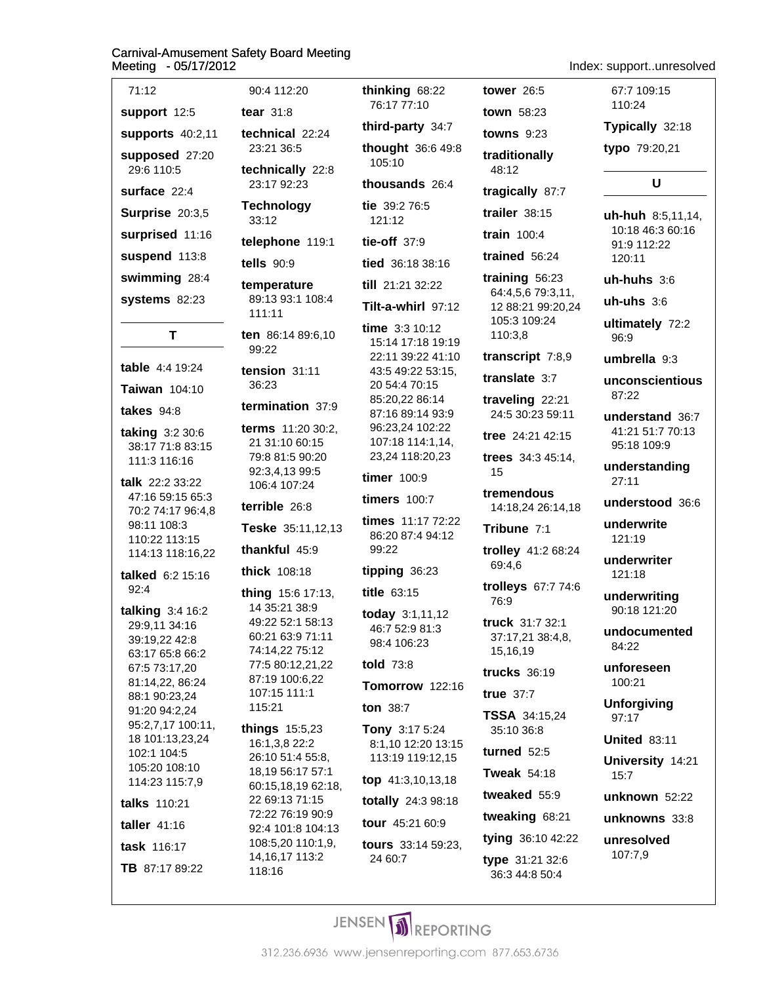| 71:12                                                                                                                                                                                                                                 |
|---------------------------------------------------------------------------------------------------------------------------------------------------------------------------------------------------------------------------------------|
| support 12:5                                                                                                                                                                                                                          |
| supports 40:2,11                                                                                                                                                                                                                      |
| supposed 27:20<br>29:6 110:5                                                                                                                                                                                                          |
| surface 22:4                                                                                                                                                                                                                          |
| Surprise 20:3,5                                                                                                                                                                                                                       |
| surprised 11:16                                                                                                                                                                                                                       |
| suspend 113:8                                                                                                                                                                                                                         |
| swimming 28:4                                                                                                                                                                                                                         |
| <b>systems</b> 82:23                                                                                                                                                                                                                  |
| т                                                                                                                                                                                                                                     |
|                                                                                                                                                                                                                                       |
| table 4:4 19:24                                                                                                                                                                                                                       |
| Taiwan 104:10                                                                                                                                                                                                                         |
| takes $94:8$                                                                                                                                                                                                                          |
| taking 3:2 30:6<br>38:17 71:8 83:15<br>111:3 116:16                                                                                                                                                                                   |
| talk 22:2 33:22<br>47:16 59:15 65:3<br>70:2 74:17 96:4,8<br>98:11 108:3<br>110:22 113:15<br>114:13 118:16,22                                                                                                                          |
| talked 6:2 15:16<br>92:4                                                                                                                                                                                                              |
| talking 3:4 16:2<br>29:9,11 34:16<br>39:19,22 42:8<br>63:17 65:8 66:2<br>67:5 73:17,20<br>81:14,22, 86:24<br>88:1 90:23,24<br>91:20 94:2,24<br>95:2,7,17 100:11,<br>18 101:13,23,24<br>102:1 104:5<br>105:20 108:10<br>114:23 115:7,9 |
| talks 110:21                                                                                                                                                                                                                          |
| taller 41:16                                                                                                                                                                                                                          |
| task 116:17                                                                                                                                                                                                                           |
| TB 87:17 89:22                                                                                                                                                                                                                        |

| 90:4 112:20                                                                                  | thinking                              |
|----------------------------------------------------------------------------------------------|---------------------------------------|
| tear $31:8$                                                                                  | 76:177                                |
| technical 22:24<br>23:21 36:5                                                                | third-pa<br>though                    |
| technically 22:8<br>23:17 92:23                                                              | 105:10<br>thousal                     |
| <b>Technology</b><br>33:12                                                                   | tie 39:2<br>121:12                    |
| telephone 119:1                                                                              | tie-off                               |
| tells $90:9$                                                                                 | tied 36:                              |
| temperature<br>89:13 93:1 108:4<br>111:11                                                    | till 21:2<br>Tilt-a-w                 |
| ten 86:14 89:6,10<br>99:22                                                                   | time $3$ :<br>15:14 1<br>22:11 3      |
| tension 31:11<br>36:23                                                                       | 43:5 49<br>20 54:4<br>85:20,2         |
| termination 37:9<br>terms 11:20 30:2,<br>21 31:10 60:15<br>79:8 81:5 90:20<br>92:3,4,13 99:5 | 87:168<br>96:23,2<br>107:18<br>23,241 |
| 106:4 107:24                                                                                 | timer 1                               |
| terrible 26:8                                                                                | timers                                |
| Teske 35:11,12,13<br>thankful 45:9                                                           | times 1<br>86:20 8<br>99:22           |
| thick 108:18                                                                                 | tipping                               |
| thing 15:6 17:13,                                                                            | title 63:                             |
| 14 35:21 38:9<br>49:22 52:1 58:13<br>60:21 63:9 71:11<br>74:14,22 75:12                      | today 3<br>46:7 52<br>98:4 10         |
| 77:5 80:12,21,22<br>87:19 100:6,22                                                           | told $73$                             |
| 107:15 111:1                                                                                 | Tomorr                                |
| 115:21                                                                                       | ton 38:                               |
| things 15:5,23<br>16:1,3,8 22:2<br>26:10 51:4 55:8,                                          | Tony 3<br>8:1,10<br>113:19            |
| 18,19 56:17 57:1<br>60:15,18,19 62:18,                                                       | top 41:                               |
| 22 69:13 71:15<br>72:22 76:19 90:9                                                           | totally                               |
| 92:4 101:8 104:13                                                                            | tour 45                               |
| 108:5,20 110:1,9,<br>14,16,17 113:2                                                          | tours 3<br>24 60:7                    |

118:16

 $7:10$ arty  $34:7$  $t$  36:6 49:8  $nds$  26:4 76:5  $37:9$  $18.38.16$ 1 32:22 hirl 97:12 3 10:12 7:18 19:19 39:22 41:10  $2253:15$ 70:15 22 86:14 39:14 93:9 24 102:22  $114:1,14,$ 18:20,23 00:9 100:7 1:17 72:22 37:4 94:12 36:23  $:15$ 3:1,11,12 2:9 81:3  $06:23$  $\overline{8}$ OW 122:16  $\overline{7}$ :17 $5:24$ 12:20 13:15 119:12,15 3,10,13,18 24:3 98:18 :21 60:9 3:14 59:23, 24 60:7

tower  $26:5$  $968:22$ town 58:23 towns  $9:23$ traditionally 48:12 tragically 87:7 trailer  $38:15$ train  $100:4$ trained  $56:24$ training  $56:23$ 64:4,5,6 79:3,11, 12 88:21 99:20,24 105:3 109:24 110:3,8 transcript 7:8,9 translate 3:7 traveling 22:21 24:5 30:23 59:11 tree 24:21 42:15 trees 34:3 45:14, 15 tremendous 14:18,24 26:14,18 Tribune 7:1 trolley 41:2 68:24 69:4,6 trolleys 67:7 74:6 76:9 truck 31:7 32:1 37:17,21 38:4,8, 15,16,19 trucks  $36:19$ true  $37:7$ TSSA 34:15,24 35:10 36:8 turned  $52:5$ **Tweak 54:18** tweaked 55:9 tweaking 68:21 tying 36:10 42:22

type 31:21 32:6

36:3 44:8 50:4

Index: support..unresolved

67:7 109:15 110:24

Typically 32:18

typo 79:20,21

### $\mathbf U$

uh-huh 8:5,11,14, 10:18 46:3 60:16 91:9 112:22 120:11

 $uh-huhs$  3:6

 $uh-uhs<sub>3:6</sub>$ 

ultimately 72:2 96:9

umbrella 9:3

unconscientious 87:22

understand 36:7 41:21 51:7 70:13 95:18 109:9

understanding  $27:11$ 

understood 36:6

underwrite 121:19

underwriter 121:18

underwriting 90:18 121:20

undocumented 84:22

unforeseen 100:21

**Unforgiving** 97:17

**United 83:11** 

University 14:21  $15:7$ 

unknown 52:22

unknowns 33:8

unresolved 107:7,9